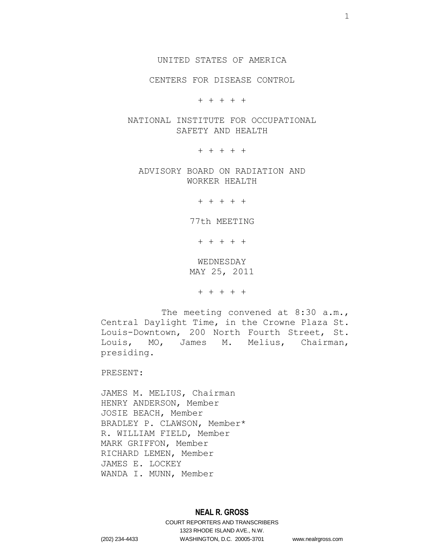UNITED STATES OF AMERICA

CENTERS FOR DISEASE CONTROL

+ + + + +

NATIONAL INSTITUTE FOR OCCUPATIONAL SAFETY AND HEALTH

+ + + + +

ADVISORY BOARD ON RADIATION AND WORKER HEALTH

+ + + + +

77th MEETING

+ + + + +

WEDNESDAY MAY 25, 2011

+ + + + +

The meeting convened at 8:30 a.m., Central Daylight Time, in the Crowne Plaza St. Louis-Downtown, 200 North Fourth Street, St. Louis, MO, James M. Melius, Chairman, presiding.

PRESENT:

JAMES M. MELIUS, Chairman HENRY ANDERSON, Member JOSIE BEACH, Member BRADLEY P. CLAWSON, Member\* R. WILLIAM FIELD, Member MARK GRIFFON, Member RICHARD LEMEN, Member JAMES E. LOCKEY WANDA I. MUNN, Member

# **NEAL R. GROSS**

COURT REPORTERS AND TRANSCRIBERS 1323 RHODE ISLAND AVE., N.W. (202) 234-4433 WASHINGTON, D.C. 20005-3701 www.nealrgross.com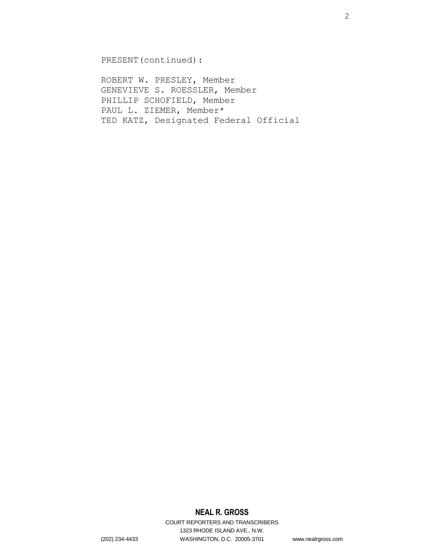PRESENT(continued):

ROBERT W. PRESLEY, Member GENEVIEVE S. ROESSLER, Member PHILLIP SCHOFIELD, Member PAUL L. ZIEMER, Member\* TED KATZ, Designated Federal Official

# **NEAL R. GROSS**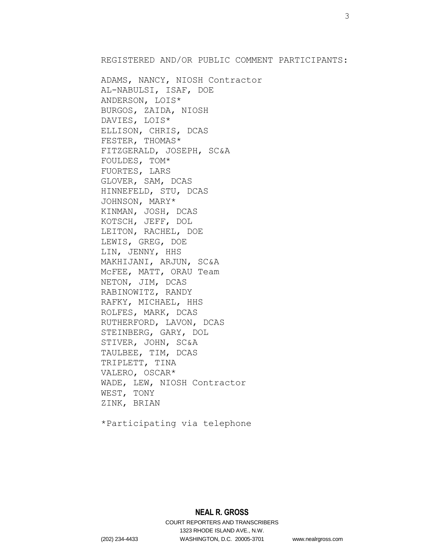REGISTERED AND/OR PUBLIC COMMENT PARTICIPANTS:

ADAMS, NANCY, NIOSH Contractor AL-NABULSI, ISAF, DOE ANDERSON, LOIS\* BURGOS, ZAIDA, NIOSH DAVIES, LOIS\* ELLISON, CHRIS, DCAS FESTER, THOMAS\* FITZGERALD, JOSEPH, SC&A FOULDES, TOM\* FUORTES, LARS GLOVER, SAM, DCAS HINNEFELD, STU, DCAS JOHNSON, MARY\* KINMAN, JOSH, DCAS KOTSCH, JEFF, DOL LEITON, RACHEL, DOE LEWIS, GREG, DOE LIN, JENNY, HHS MAKHIJANI, ARJUN, SC&A McFEE, MATT, ORAU Team NETON, JIM, DCAS RABINOWITZ, RANDY RAFKY, MICHAEL, HHS ROLFES, MARK, DCAS RUTHERFORD, LAVON, DCAS STEINBERG, GARY, DOL STIVER, JOHN, SC&A TAULBEE, TIM, DCAS TRIPLETT, TINA VALERO, OSCAR\* WADE, LEW, NIOSH Contractor WEST, TONY ZINK, BRIAN

\*Participating via telephone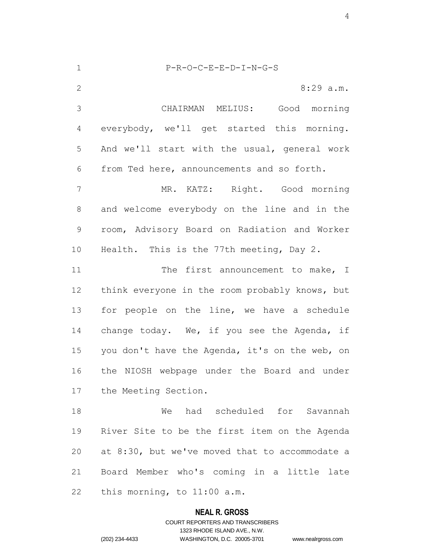P-R-O-C-E-E-D-I-N-G-S 2 8:29 a.m. CHAIRMAN MELIUS: Good morning everybody, we'll get started this morning. And we'll start with the usual, general work from Ted here, announcements and so forth. MR. KATZ: Right. Good morning and welcome everybody on the line and in the room, Advisory Board on Radiation and Worker Health. This is the 77th meeting, Day 2. 11 The first announcement to make, I think everyone in the room probably knows, but 13 for people on the line, we have a schedule 14 change today. We, if you see the Agenda, if 15 you don't have the Agenda, it's on the web, on the NIOSH webpage under the Board and under the Meeting Section. We had scheduled for Savannah River Site to be the first item on the Agenda at 8:30, but we've moved that to accommodate a Board Member who's coming in a little late this morning, to 11:00 a.m.

#### **NEAL R. GROSS**

COURT REPORTERS AND TRANSCRIBERS 1323 RHODE ISLAND AVE., N.W. (202) 234-4433 WASHINGTON, D.C. 20005-3701 www.nealrgross.com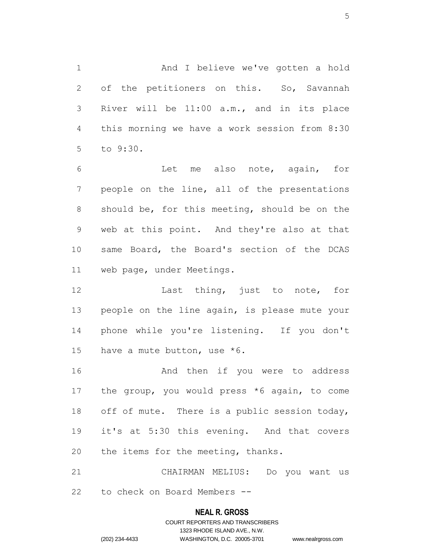And I believe we've gotten a hold 2 of the petitioners on this. So, Savannah River will be 11:00 a.m., and in its place this morning we have a work session from 8:30 to 9:30.

 Let me also note, again, for people on the line, all of the presentations should be, for this meeting, should be on the web at this point. And they're also at that same Board, the Board's section of the DCAS web page, under Meetings.

12 Last thing, just to note, for 13 people on the line again, is please mute your phone while you're listening. If you don't have a mute button, use \*6.

16 And then if you were to address the group, you would press \*6 again, to come 18 off of mute. There is a public session today, it's at 5:30 this evening. And that covers 20 the items for the meeting, thanks.

 CHAIRMAN MELIUS: Do you want us to check on Board Members --

#### **NEAL R. GROSS**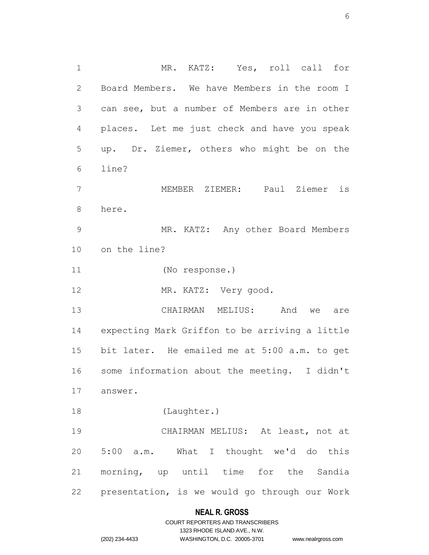MR. KATZ: Yes, roll call for Board Members. We have Members in the room I can see, but a number of Members are in other places. Let me just check and have you speak up. Dr. Ziemer, others who might be on the line? MEMBER ZIEMER: Paul Ziemer is here. MR. KATZ: Any other Board Members on the line? (No response.) 12 MR. KATZ: Very good. CHAIRMAN MELIUS: And we are expecting Mark Griffon to be arriving a little bit later. He emailed me at 5:00 a.m. to get some information about the meeting. I didn't answer. (Laughter.) CHAIRMAN MELIUS: At least, not at 5:00 a.m. What I thought we'd do this morning, up until time for the Sandia presentation, is we would go through our Work

# **NEAL R. GROSS**

|                | COURT REPORTERS AND TRANSCRIBERS |                    |
|----------------|----------------------------------|--------------------|
|                | 1323 RHODE ISLAND AVE N.W.       |                    |
| (202) 234-4433 | WASHINGTON, D.C. 20005-3701      | www.nealrgross.com |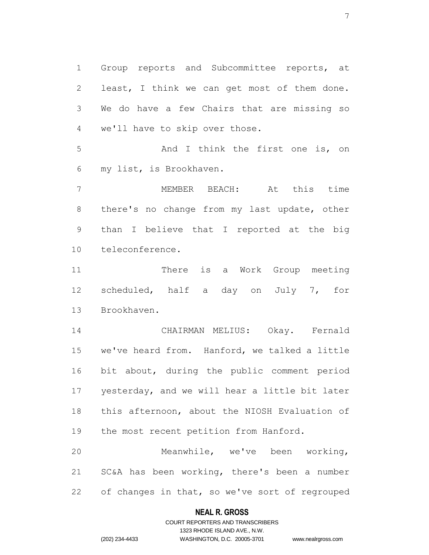Group reports and Subcommittee reports, at least, I think we can get most of them done. We do have a few Chairs that are missing so we'll have to skip over those.

5 And I think the first one is, on my list, is Brookhaven.

 MEMBER BEACH: At this time there's no change from my last update, other than I believe that I reported at the big teleconference.

 There is a Work Group meeting scheduled, half a day on July 7, for Brookhaven.

 CHAIRMAN MELIUS: Okay. Fernald we've heard from. Hanford, we talked a little bit about, during the public comment period yesterday, and we will hear a little bit later this afternoon, about the NIOSH Evaluation of the most recent petition from Hanford.

 Meanwhile, we've been working, SC&A has been working, there's been a number of changes in that, so we've sort of regrouped

#### **NEAL R. GROSS**

### COURT REPORTERS AND TRANSCRIBERS 1323 RHODE ISLAND AVE., N.W. (202) 234-4433 WASHINGTON, D.C. 20005-3701 www.nealrgross.com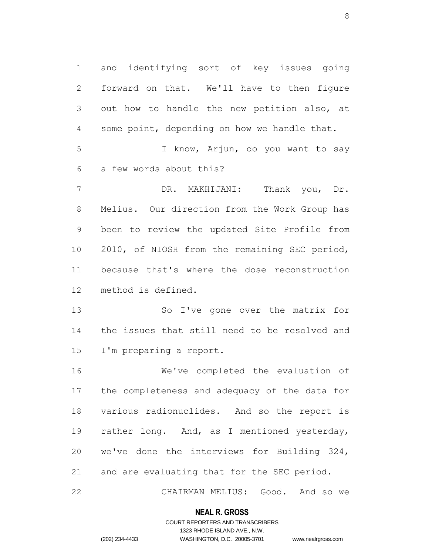and identifying sort of key issues going forward on that. We'll have to then figure out how to handle the new petition also, at some point, depending on how we handle that. I know, Arjun, do you want to say a few words about this? DR. MAKHIJANI: Thank you, Dr. Melius. Our direction from the Work Group has been to review the updated Site Profile from 2010, of NIOSH from the remaining SEC period, because that's where the dose reconstruction method is defined. So I've gone over the matrix for the issues that still need to be resolved and

I'm preparing a report.

 We've completed the evaluation of the completeness and adequacy of the data for various radionuclides. And so the report is rather long. And, as I mentioned yesterday, we've done the interviews for Building 324, and are evaluating that for the SEC period.

CHAIRMAN MELIUS: Good. And so we

#### **NEAL R. GROSS**

### COURT REPORTERS AND TRANSCRIBERS 1323 RHODE ISLAND AVE., N.W. (202) 234-4433 WASHINGTON, D.C. 20005-3701 www.nealrgross.com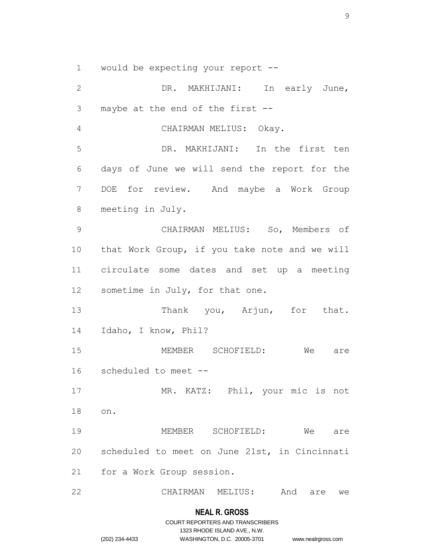would be expecting your report --

 DR. MAKHIJANI: In early June, maybe at the end of the first -- CHAIRMAN MELIUS: Okay. DR. MAKHIJANI: In the first ten days of June we will send the report for the DOE for review. And maybe a Work Group meeting in July. CHAIRMAN MELIUS: So, Members of that Work Group, if you take note and we will circulate some dates and set up a meeting sometime in July, for that one. 13 Thank you, Arjun, for that. Idaho, I know, Phil? MEMBER SCHOFIELD: We are scheduled to meet -- MR. KATZ: Phil, your mic is not on. MEMBER SCHOFIELD: We are scheduled to meet on June 21st, in Cincinnati for a Work Group session. CHAIRMAN MELIUS: And are we

#### **NEAL R. GROSS**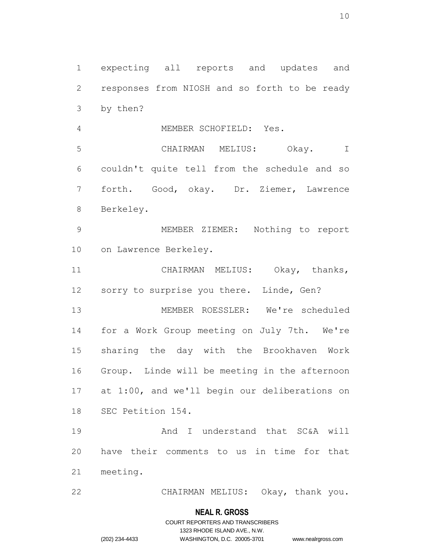expecting all reports and updates and responses from NIOSH and so forth to be ready by then?

MEMBER SCHOFIELD: Yes.

 CHAIRMAN MELIUS: Okay. I couldn't quite tell from the schedule and so forth. Good, okay. Dr. Ziemer, Lawrence Berkeley.

 MEMBER ZIEMER: Nothing to report on Lawrence Berkeley.

 CHAIRMAN MELIUS: Okay, thanks, 12 sorry to surprise you there. Linde, Gen?

 MEMBER ROESSLER: We're scheduled for a Work Group meeting on July 7th. We're sharing the day with the Brookhaven Work Group. Linde will be meeting in the afternoon at 1:00, and we'll begin our deliberations on SEC Petition 154.

 And I understand that SC&A will have their comments to us in time for that meeting.

CHAIRMAN MELIUS: Okay, thank you.

#### **NEAL R. GROSS**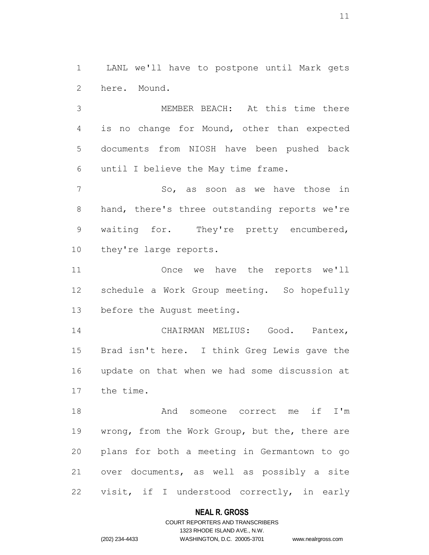LANL we'll have to postpone until Mark gets here. Mound.

 MEMBER BEACH: At this time there is no change for Mound, other than expected documents from NIOSH have been pushed back until I believe the May time frame.

7 So, as soon as we have those in hand, there's three outstanding reports we're waiting for. They're pretty encumbered, they're large reports.

 Once we have the reports we'll schedule a Work Group meeting. So hopefully before the August meeting.

 CHAIRMAN MELIUS: Good. Pantex, Brad isn't here. I think Greg Lewis gave the update on that when we had some discussion at the time.

 And someone correct me if I'm 19 wrong, from the Work Group, but the, there are plans for both a meeting in Germantown to go over documents, as well as possibly a site visit, if I understood correctly, in early

#### **NEAL R. GROSS**

### COURT REPORTERS AND TRANSCRIBERS 1323 RHODE ISLAND AVE., N.W. (202) 234-4433 WASHINGTON, D.C. 20005-3701 www.nealrgross.com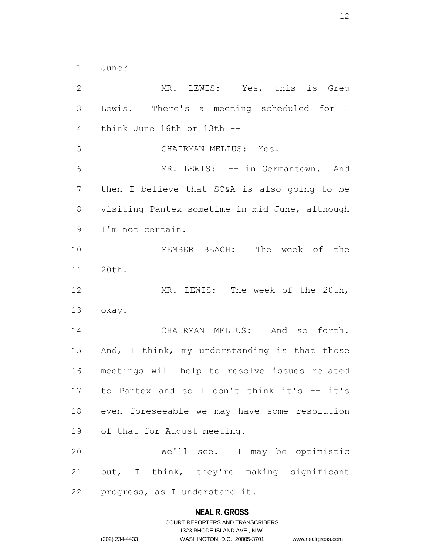June?

 MR. LEWIS: Yes, this is Greg Lewis. There's a meeting scheduled for I think June 16th or 13th -- CHAIRMAN MELIUS: Yes. MR. LEWIS: -- in Germantown. And then I believe that SC&A is also going to be visiting Pantex sometime in mid June, although I'm not certain. MEMBER BEACH: The week of the 20th. MR. LEWIS: The week of the 20th, okay. CHAIRMAN MELIUS: And so forth. And, I think, my understanding is that those meetings will help to resolve issues related to Pantex and so I don't think it's -- it's even foreseeable we may have some resolution of that for August meeting. We'll see. I may be optimistic but, I think, they're making significant progress, as I understand it.

#### **NEAL R. GROSS**

## COURT REPORTERS AND TRANSCRIBERS 1323 RHODE ISLAND AVE., N.W. (202) 234-4433 WASHINGTON, D.C. 20005-3701 www.nealrgross.com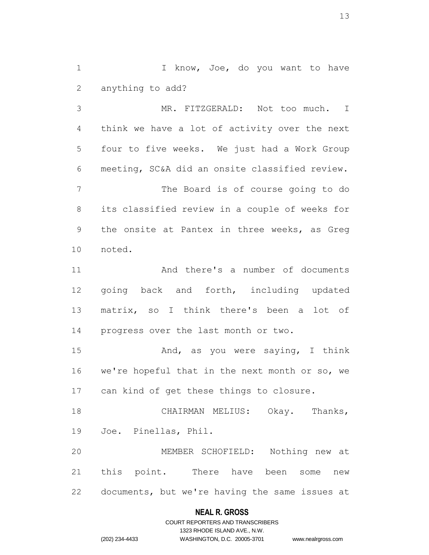1 I know, Joe, do you want to have anything to add?

 MR. FITZGERALD: Not too much. I think we have a lot of activity over the next four to five weeks. We just had a Work Group meeting, SC&A did an onsite classified review. The Board is of course going to do its classified review in a couple of weeks for the onsite at Pantex in three weeks, as Greg noted.

 And there's a number of documents going back and forth, including updated matrix, so I think there's been a lot of progress over the last month or two.

 And, as you were saying, I think we're hopeful that in the next month or so, we can kind of get these things to closure.

 CHAIRMAN MELIUS: Okay. Thanks, Joe. Pinellas, Phil.

 MEMBER SCHOFIELD: Nothing new at this point. There have been some new documents, but we're having the same issues at

### **NEAL R. GROSS**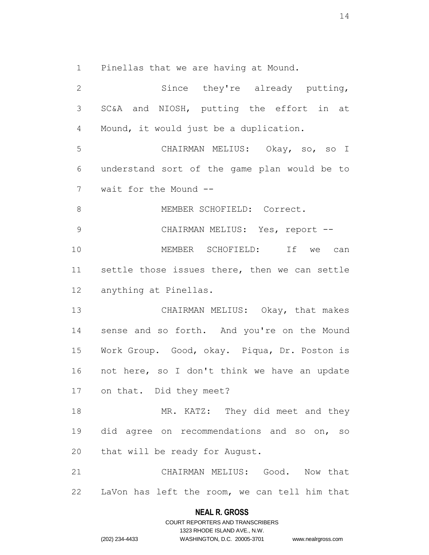Pinellas that we are having at Mound.

 Since they're already putting, SC&A and NIOSH, putting the effort in at Mound, it would just be a duplication. CHAIRMAN MELIUS: Okay, so, so I understand sort of the game plan would be to wait for the Mound -- 8 MEMBER SCHOFIELD: Correct. 9 CHAIRMAN MELIUS: Yes, report -- MEMBER SCHOFIELD: If we can settle those issues there, then we can settle anything at Pinellas. CHAIRMAN MELIUS: Okay, that makes sense and so forth. And you're on the Mound Work Group. Good, okay. Piqua, Dr. Poston is not here, so I don't think we have an update on that. Did they meet? 18 MR. KATZ: They did meet and they did agree on recommendations and so on, so that will be ready for August. CHAIRMAN MELIUS: Good. Now that LaVon has left the room, we can tell him that

#### **NEAL R. GROSS**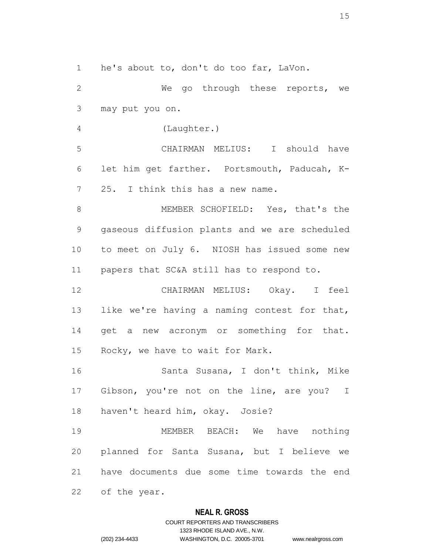he's about to, don't do too far, LaVon.

 We go through these reports, we may put you on.

(Laughter.)

 CHAIRMAN MELIUS: I should have let him get farther. Portsmouth, Paducah, K-25. I think this has a new name.

 MEMBER SCHOFIELD: Yes, that's the gaseous diffusion plants and we are scheduled to meet on July 6. NIOSH has issued some new papers that SC&A still has to respond to.

 CHAIRMAN MELIUS: Okay. I feel 13 like we're having a naming contest for that, 14 get a new acronym or something for that. Rocky, we have to wait for Mark.

 Santa Susana, I don't think, Mike Gibson, you're not on the line, are you? I haven't heard him, okay. Josie?

 MEMBER BEACH: We have nothing planned for Santa Susana, but I believe we have documents due some time towards the end of the year.

### **NEAL R. GROSS**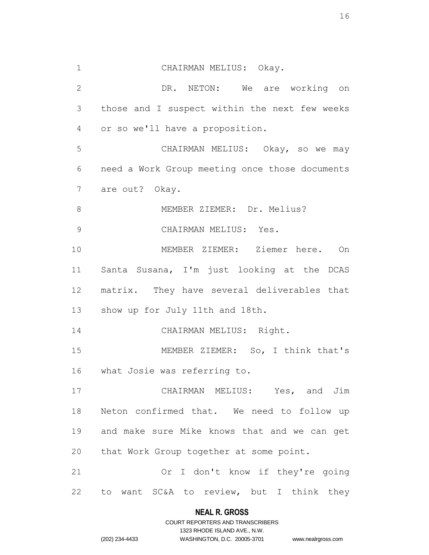CHAIRMAN MELIUS: Okay. DR. NETON: We are working on those and I suspect within the next few weeks or so we'll have a proposition. CHAIRMAN MELIUS: Okay, so we may need a Work Group meeting once those documents are out? Okay. 8 MEMBER ZIEMER: Dr. Melius? CHAIRMAN MELIUS: Yes. MEMBER ZIEMER: Ziemer here. On Santa Susana, I'm just looking at the DCAS matrix. They have several deliverables that show up for July 11th and 18th. 14 CHAIRMAN MELIUS: Right. MEMBER ZIEMER: So, I think that's what Josie was referring to. CHAIRMAN MELIUS: Yes, and Jim Neton confirmed that. We need to follow up and make sure Mike knows that and we can get that Work Group together at some point. Or I don't know if they're going to want SC&A to review, but I think they

### **NEAL R. GROSS** COURT REPORTERS AND TRANSCRIBERS

1323 RHODE ISLAND AVE., N.W.

(202) 234-4433 WASHINGTON, D.C. 20005-3701 www.nealrgross.com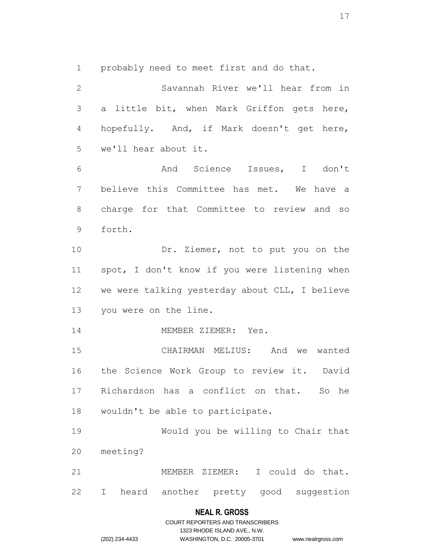probably need to meet first and do that.

 Savannah River we'll hear from in a little bit, when Mark Griffon gets here, hopefully. And, if Mark doesn't get here, we'll hear about it. And Science Issues, I don't believe this Committee has met. We have a charge for that Committee to review and so forth. Dr. Ziemer, not to put you on the spot, I don't know if you were listening when we were talking yesterday about CLL, I believe you were on the line. 14 MEMBER ZIEMER: Yes. CHAIRMAN MELIUS: And we wanted the Science Work Group to review it. David 17 Richardson has a conflict on that. So he wouldn't be able to participate. Would you be willing to Chair that meeting? MEMBER ZIEMER: I could do that. I heard another pretty good suggestion

#### **NEAL R. GROSS**

COURT REPORTERS AND TRANSCRIBERS 1323 RHODE ISLAND AVE., N.W. (202) 234-4433 WASHINGTON, D.C. 20005-3701 www.nealrgross.com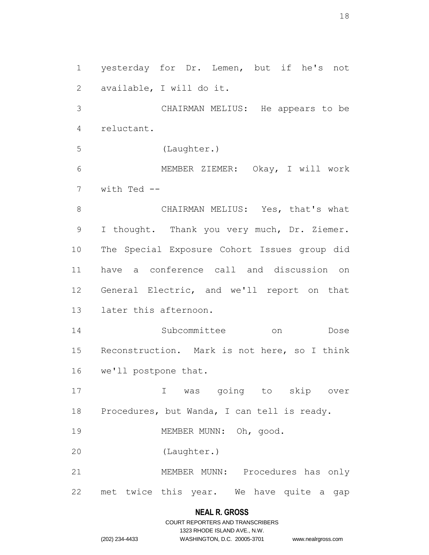yesterday for Dr. Lemen, but if he's not available, I will do it.

 CHAIRMAN MELIUS: He appears to be reluctant.

(Laughter.)

 MEMBER ZIEMER: Okay, I will work with Ted --

8 CHAIRMAN MELIUS: Yes, that's what I thought. Thank you very much, Dr. Ziemer. The Special Exposure Cohort Issues group did have a conference call and discussion on General Electric, and we'll report on that later this afternoon.

 Subcommittee on Dose Reconstruction. Mark is not here, so I think we'll postpone that.

 I was going to skip over Procedures, but Wanda, I can tell is ready.

19 MEMBER MUNN: Oh, good.

(Laughter.)

 MEMBER MUNN: Procedures has only met twice this year. We have quite a gap

#### **NEAL R. GROSS**

COURT REPORTERS AND TRANSCRIBERS 1323 RHODE ISLAND AVE., N.W. (202) 234-4433 WASHINGTON, D.C. 20005-3701 www.nealrgross.com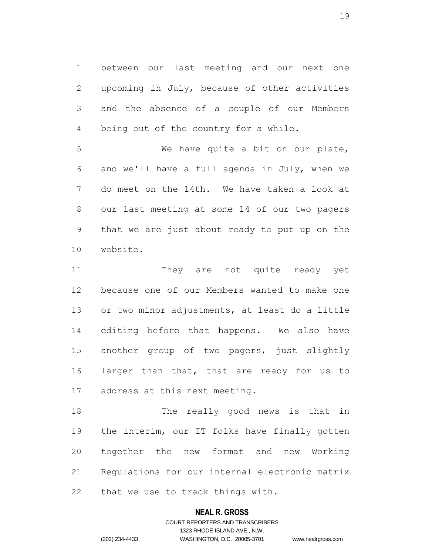between our last meeting and our next one upcoming in July, because of other activities and the absence of a couple of our Members being out of the country for a while.

 We have quite a bit on our plate, and we'll have a full agenda in July, when we do meet on the 14th. We have taken a look at our last meeting at some 14 of our two pagers that we are just about ready to put up on the website.

11 They are not quite ready vet because one of our Members wanted to make one or two minor adjustments, at least do a little editing before that happens. We also have another group of two pagers, just slightly 16 larger than that, that are ready for us to address at this next meeting.

 The really good news is that in the interim, our IT folks have finally gotten together the new format and new Working Regulations for our internal electronic matrix that we use to track things with.

### **NEAL R. GROSS**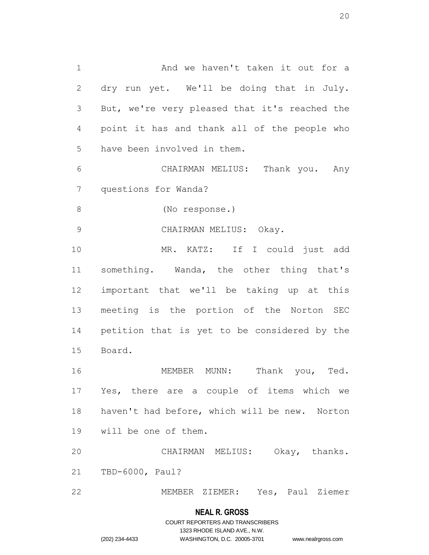And we haven't taken it out for a dry run yet. We'll be doing that in July. But, we're very pleased that it's reached the point it has and thank all of the people who have been involved in them.

 CHAIRMAN MELIUS: Thank you. Any questions for Wanda?

(No response.)

CHAIRMAN MELIUS: Okay.

 MR. KATZ: If I could just add 11 something. Wanda, the other thing that's important that we'll be taking up at this meeting is the portion of the Norton SEC petition that is yet to be considered by the Board.

 MEMBER MUNN: Thank you, Ted. Yes, there are a couple of items which we haven't had before, which will be new. Norton will be one of them.

 CHAIRMAN MELIUS: Okay, thanks. TBD-6000, Paul?

MEMBER ZIEMER: Yes, Paul Ziemer

#### **NEAL R. GROSS**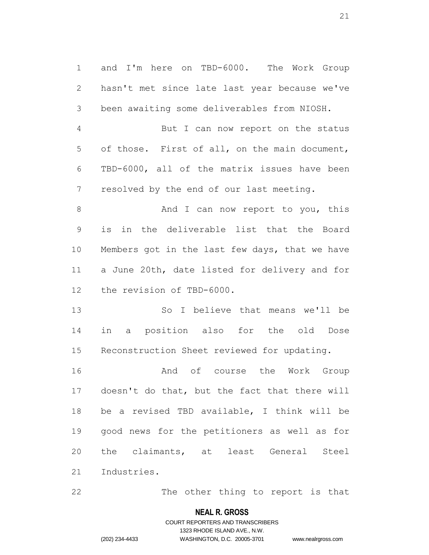and I'm here on TBD-6000. The Work Group hasn't met since late last year because we've been awaiting some deliverables from NIOSH.

 But I can now report on the status of those. First of all, on the main document, TBD-6000, all of the matrix issues have been resolved by the end of our last meeting.

8 And I can now report to you, this is in the deliverable list that the Board Members got in the last few days, that we have a June 20th, date listed for delivery and for the revision of TBD-6000.

 So I believe that means we'll be in a position also for the old Dose Reconstruction Sheet reviewed for updating.

 And of course the Work Group doesn't do that, but the fact that there will be a revised TBD available, I think will be good news for the petitioners as well as for the claimants, at least General Steel Industries.

The other thing to report is that

#### **NEAL R. GROSS**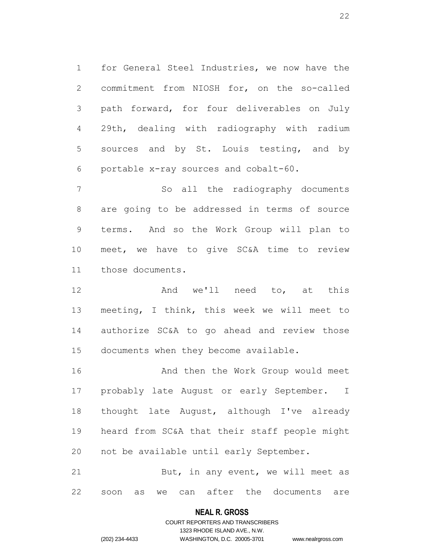for General Steel Industries, we now have the commitment from NIOSH for, on the so-called path forward, for four deliverables on July 29th, dealing with radiography with radium sources and by St. Louis testing, and by portable x-ray sources and cobalt-60.

 So all the radiography documents are going to be addressed in terms of source terms. And so the Work Group will plan to meet, we have to give SC&A time to review those documents.

 And we'll need to, at this meeting, I think, this week we will meet to authorize SC&A to go ahead and review those documents when they become available.

16 And then the Work Group would meet probably late August or early September. I thought late August, although I've already heard from SC&A that their staff people might not be available until early September.

21 But, in any event, we will meet as soon as we can after the documents are

#### **NEAL R. GROSS**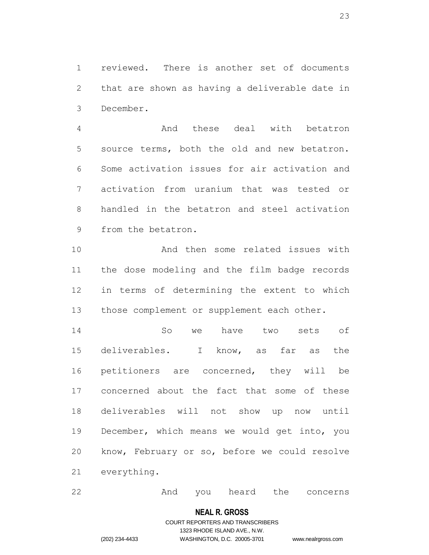reviewed. There is another set of documents that are shown as having a deliverable date in December.

 And these deal with betatron source terms, both the old and new betatron. Some activation issues for air activation and activation from uranium that was tested or handled in the betatron and steel activation from the betatron.

 And then some related issues with the dose modeling and the film badge records in terms of determining the extent to which 13 those complement or supplement each other.

 So we have two sets of deliverables. I know, as far as the petitioners are concerned, they will be concerned about the fact that some of these deliverables will not show up now until December, which means we would get into, you know, February or so, before we could resolve everything.

And you heard the concerns

#### **NEAL R. GROSS**

### COURT REPORTERS AND TRANSCRIBERS 1323 RHODE ISLAND AVE., N.W. (202) 234-4433 WASHINGTON, D.C. 20005-3701 www.nealrgross.com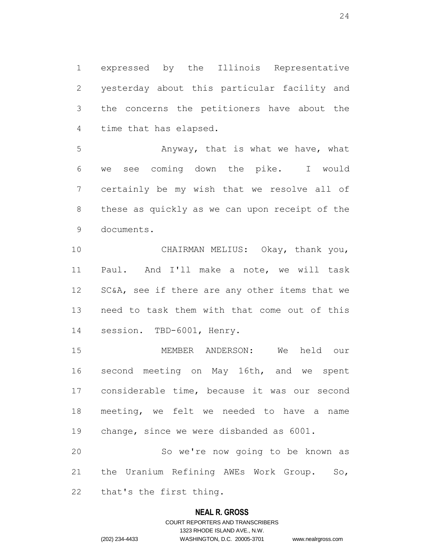expressed by the Illinois Representative yesterday about this particular facility and the concerns the petitioners have about the time that has elapsed.

 Anyway, that is what we have, what we see coming down the pike. I would certainly be my wish that we resolve all of these as quickly as we can upon receipt of the documents.

 CHAIRMAN MELIUS: Okay, thank you, Paul. And I'll make a note, we will task 12 SC&A, see if there are any other items that we need to task them with that come out of this session. TBD-6001, Henry.

 MEMBER ANDERSON: We held our second meeting on May 16th, and we spent considerable time, because it was our second meeting, we felt we needed to have a name change, since we were disbanded as 6001.

 So we're now going to be known as the Uranium Refining AWEs Work Group. So, that's the first thing.

#### **NEAL R. GROSS**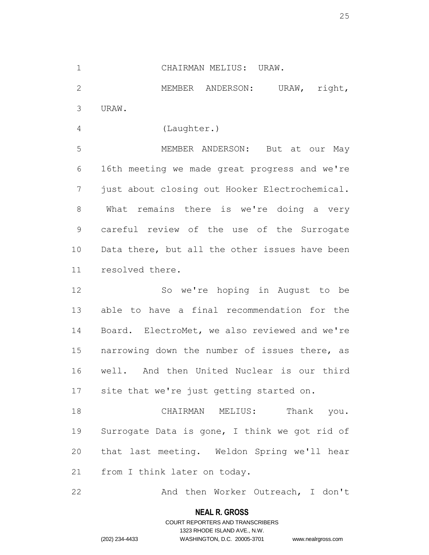### CHAIRMAN MELIUS: URAW.

2 MEMBER ANDERSON: URAW, right, URAW.

(Laughter.)

 MEMBER ANDERSON: But at our May 16th meeting we made great progress and we're just about closing out Hooker Electrochemical. What remains there is we're doing a very careful review of the use of the Surrogate 10 Data there, but all the other issues have been resolved there.

 So we're hoping in August to be able to have a final recommendation for the Board. ElectroMet, we also reviewed and we're 15 narrowing down the number of issues there, as well. And then United Nuclear is our third site that we're just getting started on.

 CHAIRMAN MELIUS: Thank you. Surrogate Data is gone, I think we got rid of that last meeting. Weldon Spring we'll hear from I think later on today.

22 And then Worker Outreach, I don't

### **NEAL R. GROSS**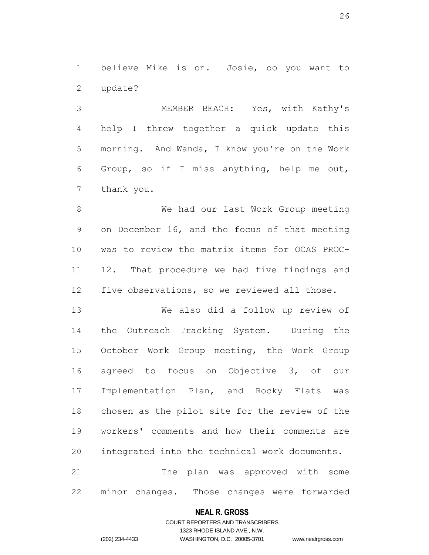believe Mike is on. Josie, do you want to update?

 MEMBER BEACH: Yes, with Kathy's help I threw together a quick update this morning. And Wanda, I know you're on the Work Group, so if I miss anything, help me out, thank you.

8 We had our last Work Group meeting on December 16, and the focus of that meeting was to review the matrix items for OCAS PROC- 12. That procedure we had five findings and five observations, so we reviewed all those.

 We also did a follow up review of the Outreach Tracking System. During the October Work Group meeting, the Work Group agreed to focus on Objective 3, of our Implementation Plan, and Rocky Flats was chosen as the pilot site for the review of the workers' comments and how their comments are integrated into the technical work documents. The plan was approved with some

minor changes. Those changes were forwarded

### **NEAL R. GROSS**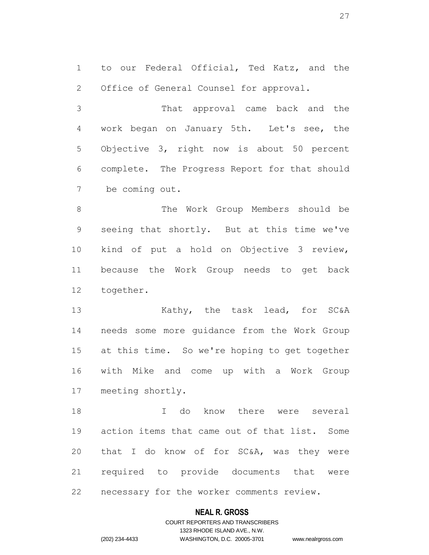to our Federal Official, Ted Katz, and the Office of General Counsel for approval.

 That approval came back and the work began on January 5th. Let's see, the Objective 3, right now is about 50 percent complete. The Progress Report for that should be coming out.

 The Work Group Members should be seeing that shortly. But at this time we've kind of put a hold on Objective 3 review, because the Work Group needs to get back together.

13 Kathy, the task lead, for SC&A needs some more guidance from the Work Group at this time. So we're hoping to get together with Mike and come up with a Work Group meeting shortly.

 I do know there were several action items that came out of that list. Some that I do know of for SC&A, was they were required to provide documents that were necessary for the worker comments review.

#### **NEAL R. GROSS**

### COURT REPORTERS AND TRANSCRIBERS 1323 RHODE ISLAND AVE., N.W. (202) 234-4433 WASHINGTON, D.C. 20005-3701 www.nealrgross.com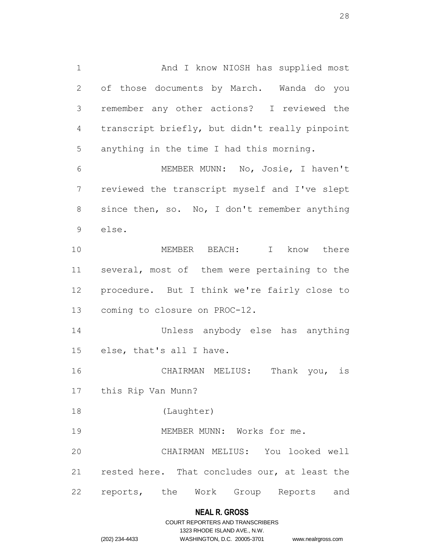1 And I know NIOSH has supplied most of those documents by March. Wanda do you remember any other actions? I reviewed the transcript briefly, but didn't really pinpoint anything in the time I had this morning. MEMBER MUNN: No, Josie, I haven't reviewed the transcript myself and I've slept 8 since then, so. No, I don't remember anything else. MEMBER BEACH: I know there

 several, most of them were pertaining to the procedure. But I think we're fairly close to coming to closure on PROC-12.

 Unless anybody else has anything else, that's all I have.

 CHAIRMAN MELIUS: Thank you, is this Rip Van Munn?

(Laughter)

19 MEMBER MUNN: Works for me.

 CHAIRMAN MELIUS: You looked well rested here. That concludes our, at least the reports, the Work Group Reports and

### **NEAL R. GROSS**

### COURT REPORTERS AND TRANSCRIBERS 1323 RHODE ISLAND AVE., N.W. (202) 234-4433 WASHINGTON, D.C. 20005-3701 www.nealrgross.com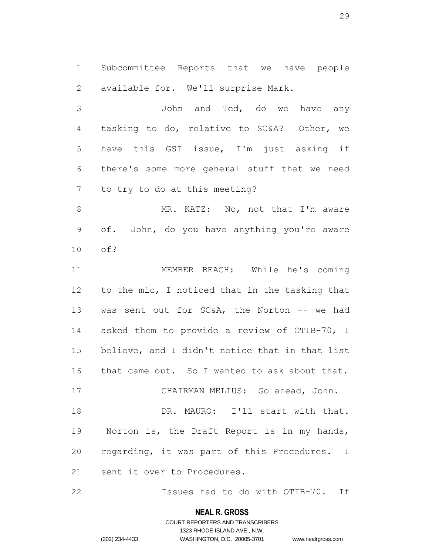Subcommittee Reports that we have people available for. We'll surprise Mark.

 John and Ted, do we have any tasking to do, relative to SC&A? Other, we have this GSI issue, I'm just asking if there's some more general stuff that we need to try to do at this meeting?

8 MR. KATZ: No, not that I'm aware of. John, do you have anything you're aware of?

 MEMBER BEACH: While he's coming to the mic, I noticed that in the tasking that 13 was sent out for SC&A, the Norton -- we had asked them to provide a review of OTIB-70, I believe, and I didn't notice that in that list that came out. So I wanted to ask about that. CHAIRMAN MELIUS: Go ahead, John. 18 DR. MAURO: I'll start with that. Norton is, the Draft Report is in my hands, regarding, it was part of this Procedures. I

sent it over to Procedures.

Issues had to do with OTIB-70. If

#### **NEAL R. GROSS**

### COURT REPORTERS AND TRANSCRIBERS 1323 RHODE ISLAND AVE., N.W. (202) 234-4433 WASHINGTON, D.C. 20005-3701 www.nealrgross.com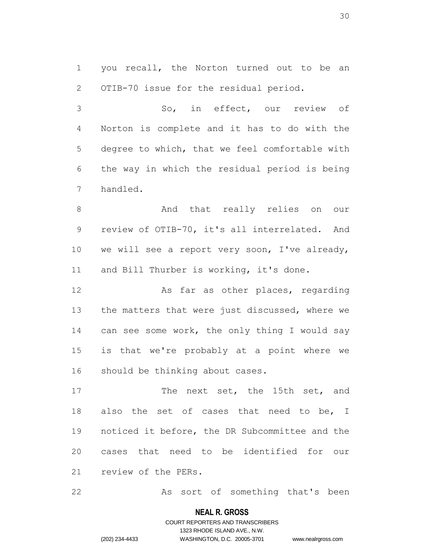you recall, the Norton turned out to be an OTIB-70 issue for the residual period.

 So, in effect, our review of Norton is complete and it has to do with the degree to which, that we feel comfortable with the way in which the residual period is being handled.

8 And that really relies on our review of OTIB-70, it's all interrelated. And we will see a report very soon, I've already, 11 and Bill Thurber is working, it's done.

12 As far as other places, regarding 13 the matters that were just discussed, where we 14 can see some work, the only thing I would say is that we're probably at a point where we should be thinking about cases.

17 The next set, the 15th set, and also the set of cases that need to be, I noticed it before, the DR Subcommittee and the cases that need to be identified for our review of the PERs.

As sort of something that's been

#### **NEAL R. GROSS**

## COURT REPORTERS AND TRANSCRIBERS 1323 RHODE ISLAND AVE., N.W. (202) 234-4433 WASHINGTON, D.C. 20005-3701 www.nealrgross.com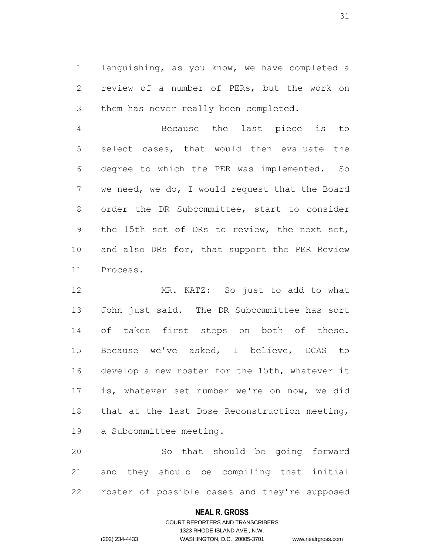languishing, as you know, we have completed a review of a number of PERs, but the work on them has never really been completed.

 Because the last piece is to select cases, that would then evaluate the degree to which the PER was implemented. So we need, we do, I would request that the Board order the DR Subcommittee, start to consider the 15th set of DRs to review, the next set, 10 and also DRs for, that support the PER Review Process.

 MR. KATZ: So just to add to what John just said. The DR Subcommittee has sort of taken first steps on both of these. Because we've asked, I believe, DCAS to develop a new roster for the 15th, whatever it is, whatever set number we're on now, we did that at the last Dose Reconstruction meeting, a Subcommittee meeting.

 So that should be going forward and they should be compiling that initial roster of possible cases and they're supposed

### **NEAL R. GROSS**

### COURT REPORTERS AND TRANSCRIBERS 1323 RHODE ISLAND AVE., N.W. (202) 234-4433 WASHINGTON, D.C. 20005-3701 www.nealrgross.com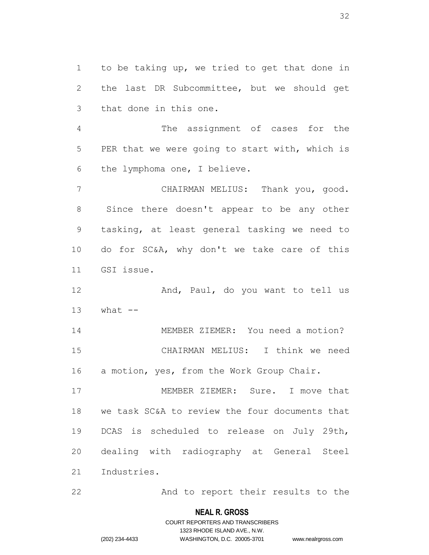to be taking up, we tried to get that done in the last DR Subcommittee, but we should get that done in this one.

 The assignment of cases for the PER that we were going to start with, which is the lymphoma one, I believe.

 CHAIRMAN MELIUS: Thank you, good. Since there doesn't appear to be any other tasking, at least general tasking we need to do for SC&A, why don't we take care of this GSI issue.

12 And, Paul, do you want to tell us what  $-$ 

 MEMBER ZIEMER: You need a motion? CHAIRMAN MELIUS: I think we need 16 a motion, yes, from the Work Group Chair.

 MEMBER ZIEMER: Sure. I move that we task SC&A to review the four documents that DCAS is scheduled to release on July 29th, dealing with radiography at General Steel Industries.

22 And to report their results to the

#### **NEAL R. GROSS**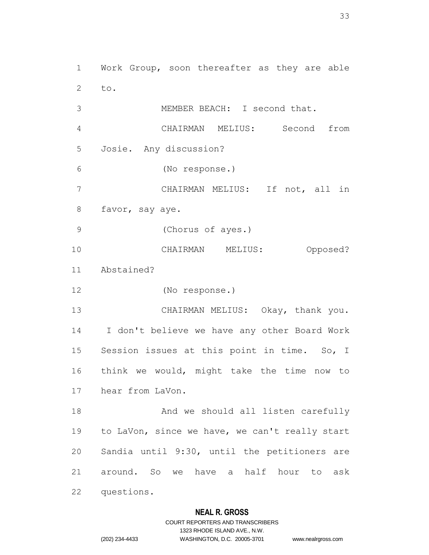Work Group, soon thereafter as they are able to.

 MEMBER BEACH: I second that. CHAIRMAN MELIUS: Second from Josie. Any discussion? (No response.) CHAIRMAN MELIUS: If not, all in favor, say aye. (Chorus of ayes.)

 CHAIRMAN MELIUS: Opposed? Abstained?

(No response.)

questions.

 CHAIRMAN MELIUS: Okay, thank you. I don't believe we have any other Board Work Session issues at this point in time. So, I think we would, might take the time now to hear from LaVon.

18 And we should all listen carefully to LaVon, since we have, we can't really start Sandia until 9:30, until the petitioners are around. So we have a half hour to ask

**NEAL R. GROSS**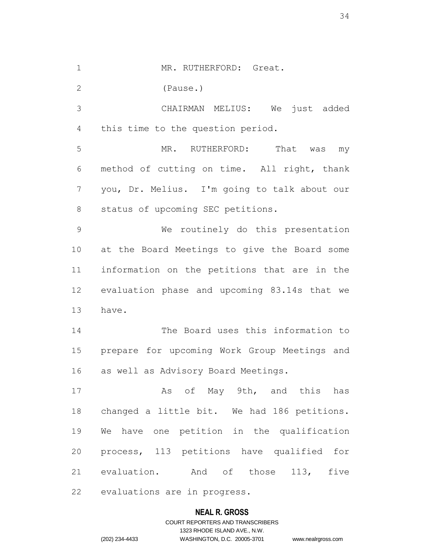1 MR. RUTHERFORD: Great.

(Pause.)

 CHAIRMAN MELIUS: We just added this time to the question period.

 MR. RUTHERFORD: That was my method of cutting on time. All right, thank you, Dr. Melius. I'm going to talk about our status of upcoming SEC petitions.

 We routinely do this presentation at the Board Meetings to give the Board some information on the petitions that are in the evaluation phase and upcoming 83.14s that we have.

 The Board uses this information to prepare for upcoming Work Group Meetings and as well as Advisory Board Meetings.

17 As of May 9th, and this has changed a little bit. We had 186 petitions. We have one petition in the qualification process, 113 petitions have qualified for evaluation. And of those 113, five evaluations are in progress.

### **NEAL R. GROSS**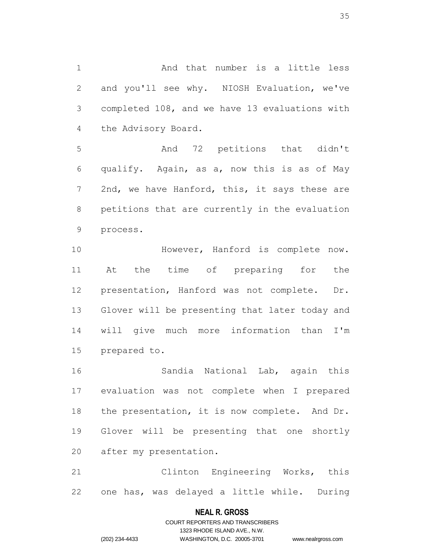And that number is a little less and you'll see why. NIOSH Evaluation, we've completed 108, and we have 13 evaluations with the Advisory Board.

 And 72 petitions that didn't qualify. Again, as a, now this is as of May 2nd, we have Hanford, this, it says these are petitions that are currently in the evaluation process.

 However, Hanford is complete now. At the time of preparing for the presentation, Hanford was not complete. Dr. Glover will be presenting that later today and will give much more information than I'm prepared to.

 Sandia National Lab, again this evaluation was not complete when I prepared 18 the presentation, it is now complete. And Dr. Glover will be presenting that one shortly after my presentation.

 Clinton Engineering Works, this one has, was delayed a little while. During

#### **NEAL R. GROSS**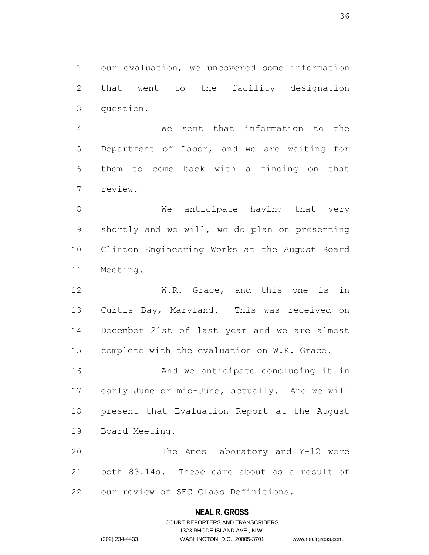our evaluation, we uncovered some information that went to the facility designation question.

 We sent that information to the Department of Labor, and we are waiting for them to come back with a finding on that review.

8 We anticipate having that very shortly and we will, we do plan on presenting Clinton Engineering Works at the August Board Meeting.

 W.R. Grace, and this one is in Curtis Bay, Maryland. This was received on December 21st of last year and we are almost complete with the evaluation on W.R. Grace.

 And we anticipate concluding it in early June or mid-June, actually. And we will present that Evaluation Report at the August Board Meeting.

 The Ames Laboratory and Y-12 were both 83.14s. These came about as a result of our review of SEC Class Definitions.

#### **NEAL R. GROSS**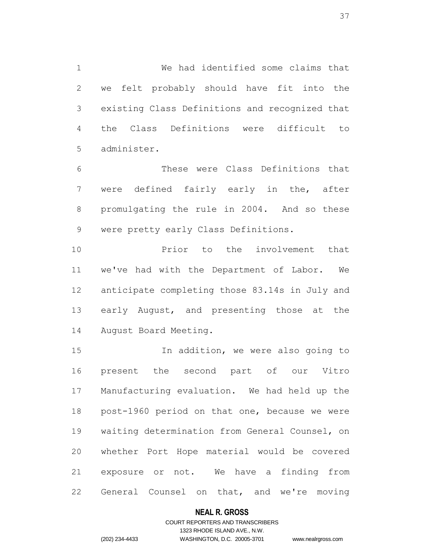We had identified some claims that we felt probably should have fit into the existing Class Definitions and recognized that the Class Definitions were difficult to administer.

 These were Class Definitions that were defined fairly early in the, after promulgating the rule in 2004. And so these were pretty early Class Definitions.

**Prior** to the involvement that we've had with the Department of Labor. We anticipate completing those 83.14s in July and 13 early August, and presenting those at the August Board Meeting.

 In addition, we were also going to present the second part of our Vitro Manufacturing evaluation. We had held up the post-1960 period on that one, because we were waiting determination from General Counsel, on whether Port Hope material would be covered exposure or not. We have a finding from General Counsel on that, and we're moving

## **NEAL R. GROSS**

## COURT REPORTERS AND TRANSCRIBERS 1323 RHODE ISLAND AVE., N.W. (202) 234-4433 WASHINGTON, D.C. 20005-3701 www.nealrgross.com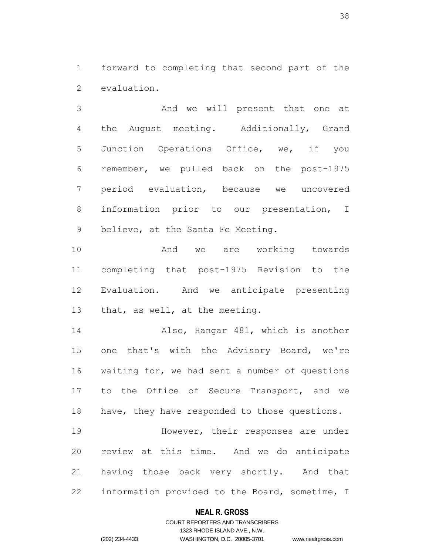forward to completing that second part of the evaluation.

 And we will present that one at the August meeting. Additionally, Grand Junction Operations Office, we, if you remember, we pulled back on the post-1975 period evaluation, because we uncovered information prior to our presentation, I believe, at the Santa Fe Meeting.

 And we are working towards completing that post-1975 Revision to the Evaluation. And we anticipate presenting 13 that, as well, at the meeting.

 Also, Hangar 481, which is another one that's with the Advisory Board, we're waiting for, we had sent a number of questions to the Office of Secure Transport, and we 18 have, they have responded to those questions.

 However, their responses are under review at this time. And we do anticipate having those back very shortly. And that information provided to the Board, sometime, I

## **NEAL R. GROSS**

## COURT REPORTERS AND TRANSCRIBERS 1323 RHODE ISLAND AVE., N.W. (202) 234-4433 WASHINGTON, D.C. 20005-3701 www.nealrgross.com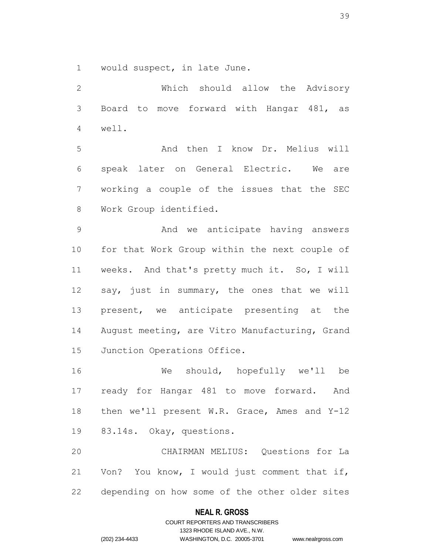would suspect, in late June.

 Which should allow the Advisory Board to move forward with Hangar 481, as well. And then I know Dr. Melius will speak later on General Electric. We are working a couple of the issues that the SEC Work Group identified. And we anticipate having answers for that Work Group within the next couple of weeks. And that's pretty much it. So, I will say, just in summary, the ones that we will 13 present, we anticipate presenting at the August meeting, are Vitro Manufacturing, Grand Junction Operations Office. We should, hopefully we'll be ready for Hangar 481 to move forward. And

 then we'll present W.R. Grace, Ames and Y-12 83.14s. Okay, questions.

 CHAIRMAN MELIUS: Questions for La Von? You know, I would just comment that if, depending on how some of the other older sites

## **NEAL R. GROSS**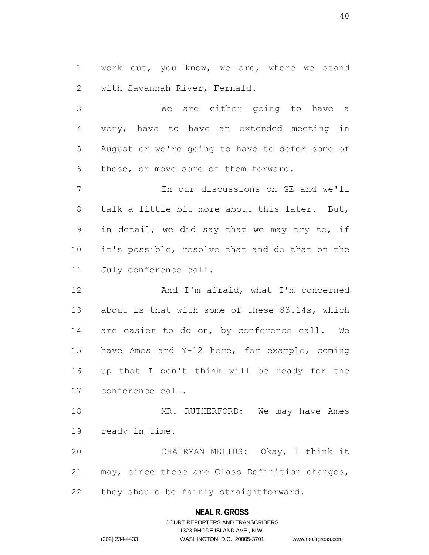work out, you know, we are, where we stand with Savannah River, Fernald.

 We are either going to have a very, have to have an extended meeting in August or we're going to have to defer some of these, or move some of them forward.

 In our discussions on GE and we'll talk a little bit more about this later. But, in detail, we did say that we may try to, if it's possible, resolve that and do that on the July conference call.

 And I'm afraid, what I'm concerned 13 about is that with some of these 83.14s, which are easier to do on, by conference call. We have Ames and Y-12 here, for example, coming up that I don't think will be ready for the conference call.

18 MR. RUTHERFORD: We may have Ames ready in time.

 CHAIRMAN MELIUS: Okay, I think it may, since these are Class Definition changes, they should be fairly straightforward.

## **NEAL R. GROSS**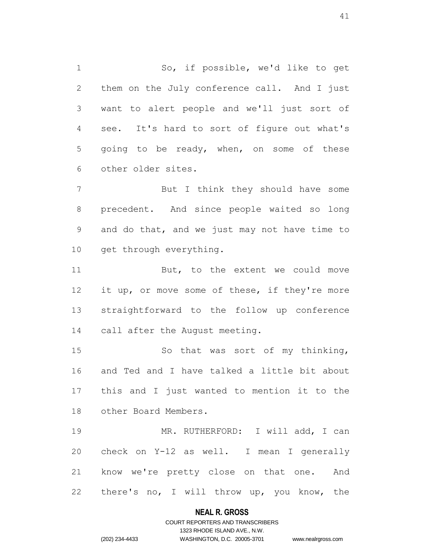So, if possible, we'd like to get them on the July conference call. And I just want to alert people and we'll just sort of see. It's hard to sort of figure out what's going to be ready, when, on some of these other older sites.

 But I think they should have some precedent. And since people waited so long and do that, and we just may not have time to 10 get through everything.

11 But, to the extent we could move 12 it up, or move some of these, if they're more straightforward to the follow up conference call after the August meeting.

 So that was sort of my thinking, and Ted and I have talked a little bit about this and I just wanted to mention it to the other Board Members.

19 MR. RUTHERFORD: I will add, I can check on Y-12 as well. I mean I generally know we're pretty close on that one. And there's no, I will throw up, you know, the

## **NEAL R. GROSS**

# COURT REPORTERS AND TRANSCRIBERS 1323 RHODE ISLAND AVE., N.W. (202) 234-4433 WASHINGTON, D.C. 20005-3701 www.nealrgross.com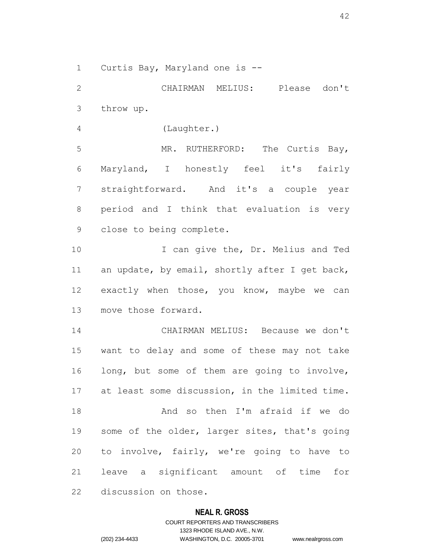Curtis Bay, Maryland one is --

 CHAIRMAN MELIUS: Please don't throw up. (Laughter.) 5 MR. RUTHERFORD: The Curtis Bay, Maryland, I honestly feel it's fairly straightforward. And it's a couple year period and I think that evaluation is very close to being complete. 10 I can give the, Dr. Melius and Ted 11 an update, by email, shortly after I get back, exactly when those, you know, maybe we can move those forward. CHAIRMAN MELIUS: Because we don't want to delay and some of these may not take 16 long, but some of them are going to involve, at least some discussion, in the limited time. And so then I'm afraid if we do some of the older, larger sites, that's going to involve, fairly, we're going to have to leave a significant amount of time for discussion on those.

## **NEAL R. GROSS**

COURT REPORTERS AND TRANSCRIBERS 1323 RHODE ISLAND AVE., N.W. (202) 234-4433 WASHINGTON, D.C. 20005-3701 www.nealrgross.com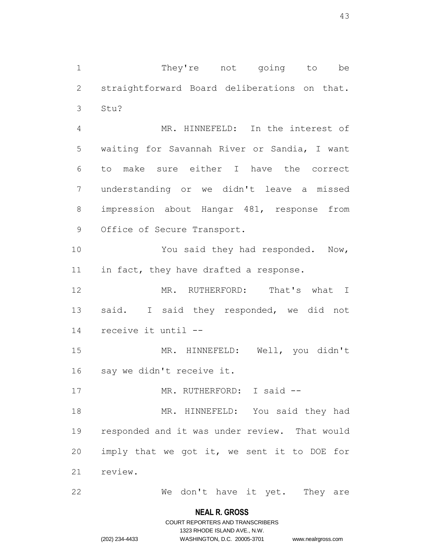1 They're not going to be 2 straightforward Board deliberations on that. 3 Stu?

 MR. HINNEFELD: In the interest of waiting for Savannah River or Sandia, I want to make sure either I have the correct understanding or we didn't leave a missed impression about Hangar 481, response from Office of Secure Transport.

10 You said they had responded. Now, 11 in fact, they have drafted a response.

12 MR. RUTHERFORD: That's what I 13 said. I said they responded, we did not 14 receive it until --

15 MR. HINNEFELD: Well, you didn't 16 say we didn't receive it.

17 MR. RUTHERFORD: I said --

 MR. HINNEFELD: You said they had responded and it was under review. That would imply that we got it, we sent it to DOE for 21 review.

22 We don't have it yet. They are

## **NEAL R. GROSS**

# COURT REPORTERS AND TRANSCRIBERS 1323 RHODE ISLAND AVE., N.W. (202) 234-4433 WASHINGTON, D.C. 20005-3701 www.nealrgross.com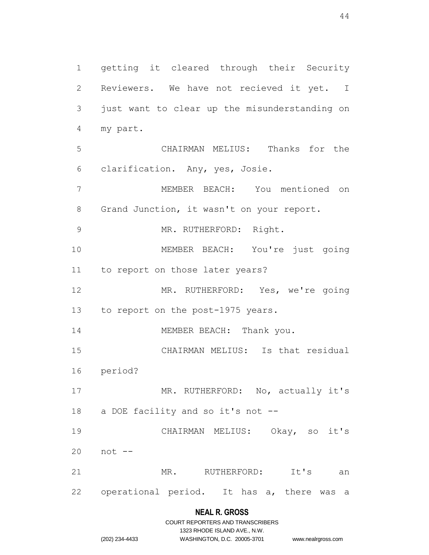getting it cleared through their Security Reviewers. We have not recieved it yet. I just want to clear up the misunderstanding on my part. CHAIRMAN MELIUS: Thanks for the clarification. Any, yes, Josie. MEMBER BEACH: You mentioned on 8 Grand Junction, it wasn't on your report. MR. RUTHERFORD: Right. MEMBER BEACH: You're just going to report on those later years? MR. RUTHERFORD: Yes, we're going 13 to report on the post-1975 years. 14 MEMBER BEACH: Thank you. CHAIRMAN MELIUS: Is that residual period? 17 MR. RUTHERFORD: No, actually it's 18 a DOE facility and so it's not -- CHAIRMAN MELIUS: Okay, so it's not -- 21 MR. RUTHERFORD: It's an operational period. It has a, there was a

# **NEAL R. GROSS**

|                | COURT REPORTERS AND TRANSCRIBERS |                    |
|----------------|----------------------------------|--------------------|
|                | 1323 RHODE ISLAND AVE N.W.       |                    |
| (202) 234-4433 | WASHINGTON, D.C. 20005-3701      | www.nealrgross.com |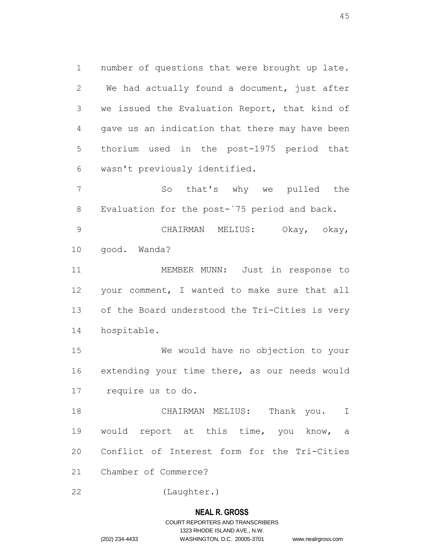number of questions that were brought up late. We had actually found a document, just after we issued the Evaluation Report, that kind of gave us an indication that there may have been thorium used in the post-1975 period that wasn't previously identified.

 So that's why we pulled the Evaluation for the post-`75 period and back.

 CHAIRMAN MELIUS: Okay, okay, good. Wanda?

 MEMBER MUNN: Just in response to your comment, I wanted to make sure that all of the Board understood the Tri-Cities is very hospitable.

 We would have no objection to your extending your time there, as our needs would require us to do.

 CHAIRMAN MELIUS: Thank you. I would report at this time, you know, a Conflict of Interest form for the Tri-Cities Chamber of Commerce?

(Laughter.)

## **NEAL R. GROSS**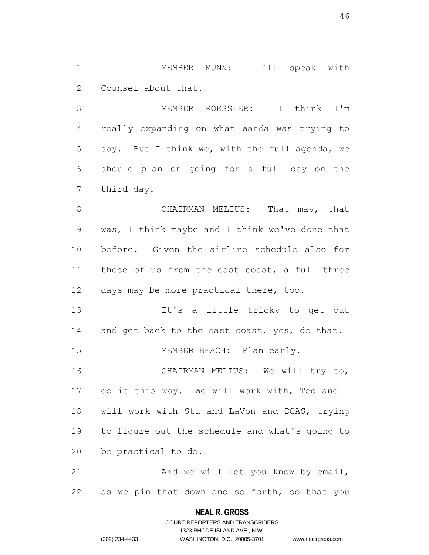MEMBER MUNN: I'll speak with Counsel about that.

 MEMBER ROESSLER: I think I'm really expanding on what Wanda was trying to say. But I think we, with the full agenda, we should plan on going for a full day on the third day.

8 CHAIRMAN MELIUS: That may, that was, I think maybe and I think we've done that before. Given the airline schedule also for those of us from the east coast, a full three days may be more practical there, too.

 It's a little tricky to get out 14 and get back to the east coast, yes, do that.

15 MEMBER BEACH: Plan early.

 CHAIRMAN MELIUS: We will try to, do it this way. We will work with, Ted and I will work with Stu and LaVon and DCAS, trying to figure out the schedule and what's going to be practical to do.

21 And we will let you know by email, as we pin that down and so forth, so that you

## **NEAL R. GROSS**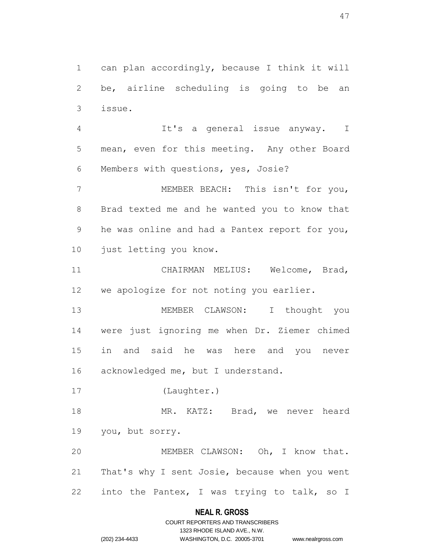can plan accordingly, because I think it will be, airline scheduling is going to be an issue.

 It's a general issue anyway. I mean, even for this meeting. Any other Board Members with questions, yes, Josie?

 MEMBER BEACH: This isn't for you, Brad texted me and he wanted you to know that he was online and had a Pantex report for you, just letting you know.

 CHAIRMAN MELIUS: Welcome, Brad, we apologize for not noting you earlier.

 MEMBER CLAWSON: I thought you were just ignoring me when Dr. Ziemer chimed in and said he was here and you never 16 acknowledged me, but I understand.

(Laughter.)

18 MR. KATZ: Brad, we never heard you, but sorry.

 MEMBER CLAWSON: Oh, I know that. That's why I sent Josie, because when you went 22 into the Pantex, I was trying to talk, so I

## **NEAL R. GROSS**

# COURT REPORTERS AND TRANSCRIBERS 1323 RHODE ISLAND AVE., N.W. (202) 234-4433 WASHINGTON, D.C. 20005-3701 www.nealrgross.com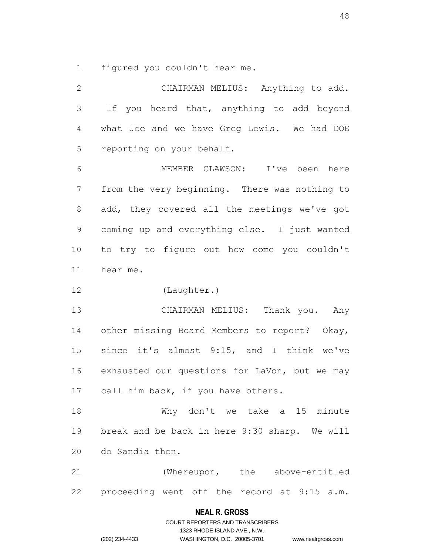figured you couldn't hear me.

 CHAIRMAN MELIUS: Anything to add. If you heard that, anything to add beyond what Joe and we have Greg Lewis. We had DOE reporting on your behalf. MEMBER CLAWSON: I've been here from the very beginning. There was nothing to add, they covered all the meetings we've got coming up and everything else. I just wanted to try to figure out how come you couldn't hear me. (Laughter.) CHAIRMAN MELIUS: Thank you. Any other missing Board Members to report? Okay, since it's almost 9:15, and I think we've 16 exhausted our questions for LaVon, but we may 17 call him back, if you have others. Why don't we take a 15 minute break and be back in here 9:30 sharp. We will do Sandia then. (Whereupon, the above-entitled proceeding went off the record at 9:15 a.m.

#### **NEAL R. GROSS**

COURT REPORTERS AND TRANSCRIBERS 1323 RHODE ISLAND AVE., N.W. (202) 234-4433 WASHINGTON, D.C. 20005-3701 www.nealrgross.com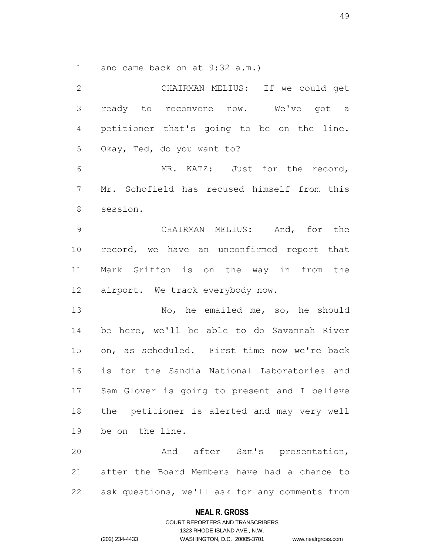and came back on at 9:32 a.m.)

 CHAIRMAN MELIUS: If we could get ready to reconvene now. We've got a petitioner that's going to be on the line. Okay, Ted, do you want to? MR. KATZ: Just for the record, Mr. Schofield has recused himself from this session. CHAIRMAN MELIUS: And, for the record, we have an unconfirmed report that Mark Griffon is on the way in from the airport. We track everybody now. No, he emailed me, so, he should be here, we'll be able to do Savannah River on, as scheduled. First time now we're back is for the Sandia National Laboratories and Sam Glover is going to present and I believe the petitioner is alerted and may very well be on the line. And after Sam's presentation, after the Board Members have had a chance to ask questions, we'll ask for any comments from

## **NEAL R. GROSS**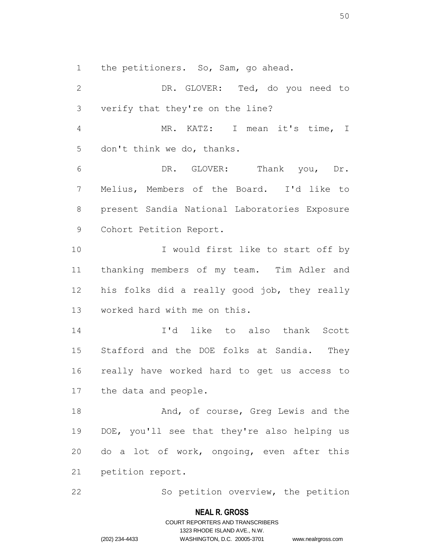the petitioners. So, Sam, go ahead.

 DR. GLOVER: Ted, do you need to verify that they're on the line? MR. KATZ: I mean it's time, I don't think we do, thanks. DR. GLOVER: Thank you, Dr. Melius, Members of the Board. I'd like to present Sandia National Laboratories Exposure Cohort Petition Report. 10 I would first like to start off by thanking members of my team. Tim Adler and his folks did a really good job, they really worked hard with me on this. I'd like to also thank Scott Stafford and the DOE folks at Sandia. They really have worked hard to get us access to the data and people. 18 And, of course, Greq Lewis and the DOE, you'll see that they're also helping us do a lot of work, ongoing, even after this petition report.

22 So petition overview, the petition

#### **NEAL R. GROSS**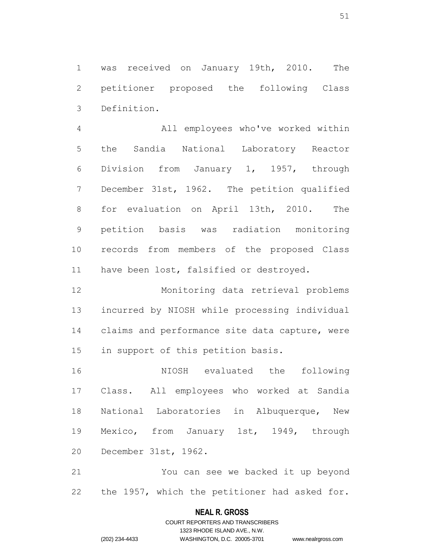was received on January 19th, 2010. The petitioner proposed the following Class Definition.

 All employees who've worked within the Sandia National Laboratory Reactor Division from January 1, 1957, through December 31st, 1962. The petition qualified for evaluation on April 13th, 2010. The petition basis was radiation monitoring records from members of the proposed Class 11 have been lost, falsified or destroyed.

 Monitoring data retrieval problems incurred by NIOSH while processing individual claims and performance site data capture, were in support of this petition basis.

 NIOSH evaluated the following Class. All employees who worked at Sandia National Laboratories in Albuquerque, New Mexico, from January 1st, 1949, through December 31st, 1962.

 You can see we backed it up beyond the 1957, which the petitioner had asked for.

# **NEAL R. GROSS** COURT REPORTERS AND TRANSCRIBERS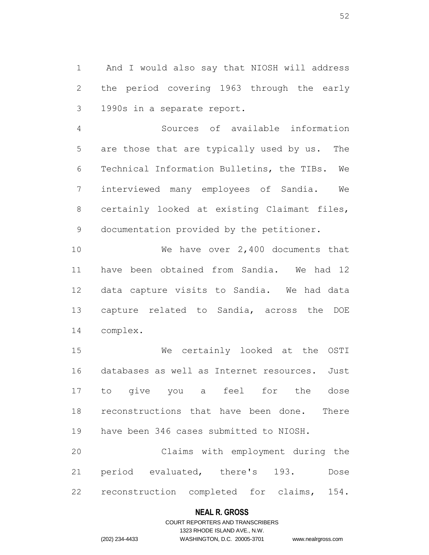And I would also say that NIOSH will address the period covering 1963 through the early 1990s in a separate report.

 Sources of available information are those that are typically used by us. The Technical Information Bulletins, the TIBs. We interviewed many employees of Sandia. We certainly looked at existing Claimant files, documentation provided by the petitioner.

 We have over 2,400 documents that have been obtained from Sandia. We had 12 data capture visits to Sandia. We had data capture related to Sandia, across the DOE complex.

 We certainly looked at the OSTI databases as well as Internet resources. Just to give you a feel for the dose reconstructions that have been done. There have been 346 cases submitted to NIOSH.

 Claims with employment during the period evaluated, there's 193. Dose reconstruction completed for claims, 154.

## **NEAL R. GROSS**

# COURT REPORTERS AND TRANSCRIBERS 1323 RHODE ISLAND AVE., N.W. (202) 234-4433 WASHINGTON, D.C. 20005-3701 www.nealrgross.com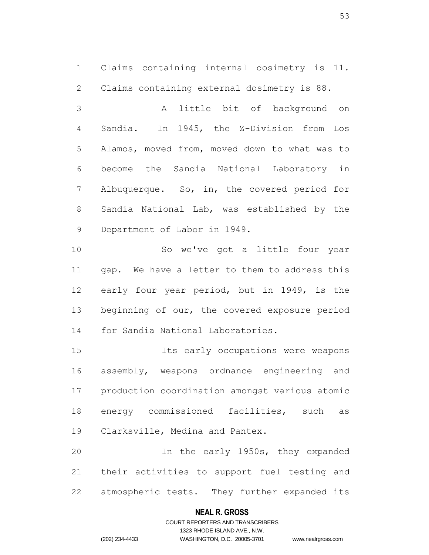Claims containing internal dosimetry is 11. Claims containing external dosimetry is 88.

 A little bit of background on Sandia. In 1945, the Z-Division from Los Alamos, moved from, moved down to what was to become the Sandia National Laboratory in Albuquerque. So, in, the covered period for Sandia National Lab, was established by the Department of Labor in 1949.

 So we've got a little four year gap. We have a letter to them to address this early four year period, but in 1949, is the 13 beginning of our, the covered exposure period for Sandia National Laboratories.

 Its early occupations were weapons assembly, weapons ordnance engineering and production coordination amongst various atomic energy commissioned facilities, such as Clarksville, Medina and Pantex.

 In the early 1950s, they expanded their activities to support fuel testing and atmospheric tests. They further expanded its

## **NEAL R. GROSS**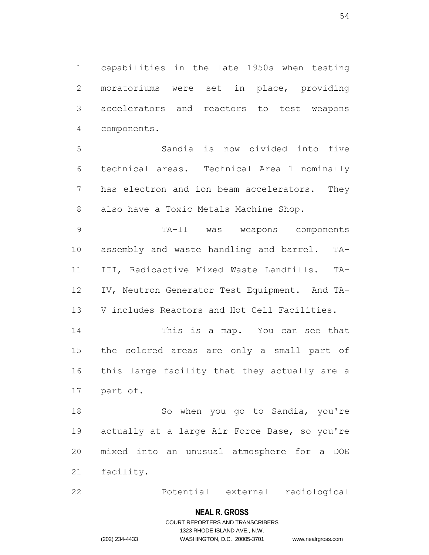capabilities in the late 1950s when testing moratoriums were set in place, providing accelerators and reactors to test weapons components.

 Sandia is now divided into five technical areas. Technical Area 1 nominally has electron and ion beam accelerators. They also have a Toxic Metals Machine Shop.

 TA-II was weapons components assembly and waste handling and barrel. TA- III, Radioactive Mixed Waste Landfills. TA- IV, Neutron Generator Test Equipment. And TA-V includes Reactors and Hot Cell Facilities.

 This is a map. You can see that the colored areas are only a small part of this large facility that they actually are a part of.

18 So when you go to Sandia, you're actually at a large Air Force Base, so you're mixed into an unusual atmosphere for a DOE facility.

Potential external radiological

#### **NEAL R. GROSS**

# COURT REPORTERS AND TRANSCRIBERS 1323 RHODE ISLAND AVE., N.W. (202) 234-4433 WASHINGTON, D.C. 20005-3701 www.nealrgross.com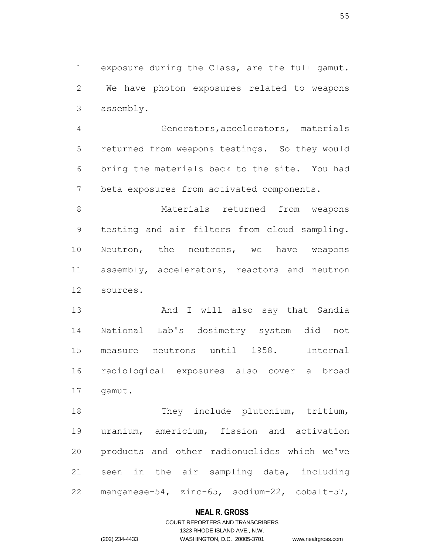exposure during the Class, are the full gamut. We have photon exposures related to weapons assembly.

 Generators,accelerators, materials returned from weapons testings. So they would bring the materials back to the site. You had beta exposures from activated components.

 Materials returned from weapons testing and air filters from cloud sampling. Neutron, the neutrons, we have weapons assembly, accelerators, reactors and neutron sources.

 And I will also say that Sandia National Lab's dosimetry system did not measure neutrons until 1958. Internal radiological exposures also cover a broad gamut.

18 They include plutonium, tritium, uranium, americium, fission and activation products and other radionuclides which we've seen in the air sampling data, including manganese-54, zinc-65, sodium-22, cobalt-57,

## **NEAL R. GROSS**

# COURT REPORTERS AND TRANSCRIBERS 1323 RHODE ISLAND AVE., N.W. (202) 234-4433 WASHINGTON, D.C. 20005-3701 www.nealrgross.com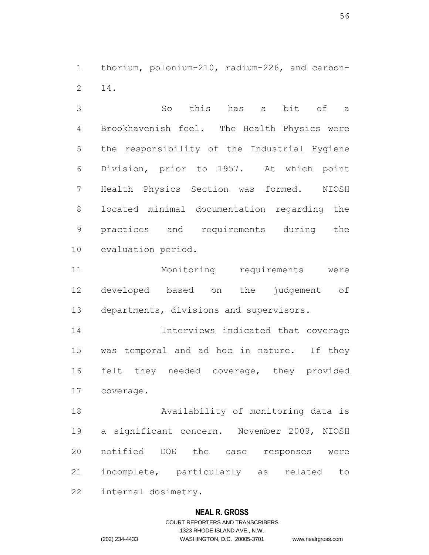thorium, polonium-210, radium-226, and carbon-14.

 So this has a bit of a Brookhavenish feel. The Health Physics were the responsibility of the Industrial Hygiene Division, prior to 1957. At which point Health Physics Section was formed. NIOSH located minimal documentation regarding the practices and requirements during the evaluation period.

 Monitoring requirements were developed based on the judgement of departments, divisions and supervisors.

 Interviews indicated that coverage was temporal and ad hoc in nature. If they felt they needed coverage, they provided coverage.

 Availability of monitoring data is a significant concern. November 2009, NIOSH notified DOE the case responses were incomplete, particularly as related to

internal dosimetry.

## **NEAL R. GROSS**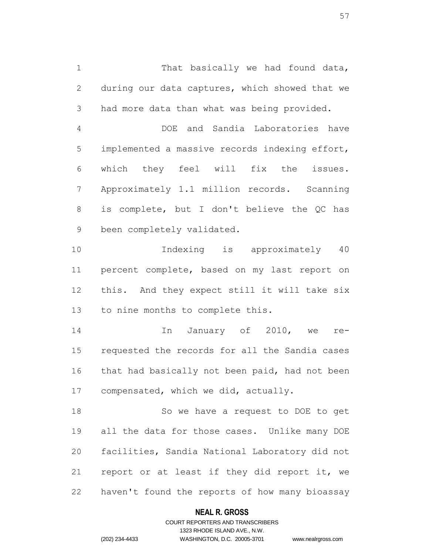1 That basically we had found data, during our data captures, which showed that we had more data than what was being provided.

 DOE and Sandia Laboratories have implemented a massive records indexing effort, which they feel will fix the issues. Approximately 1.1 million records. Scanning is complete, but I don't believe the QC has been completely validated.

 Indexing is approximately 40 percent complete, based on my last report on this. And they expect still it will take six to nine months to complete this.

 In January of 2010, we re- requested the records for all the Sandia cases 16 that had basically not been paid, had not been compensated, which we did, actually.

 So we have a request to DOE to get all the data for those cases. Unlike many DOE facilities, Sandia National Laboratory did not report or at least if they did report it, we haven't found the reports of how many bioassay

## **NEAL R. GROSS**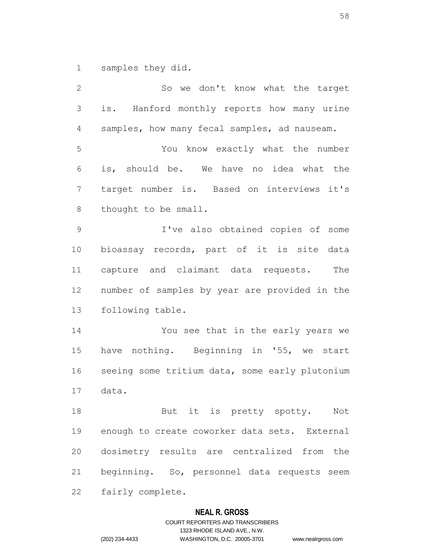samples they did.

 So we don't know what the target is. Hanford monthly reports how many urine samples, how many fecal samples, ad nauseam. You know exactly what the number is, should be. We have no idea what the target number is. Based on interviews it's thought to be small. I've also obtained copies of some bioassay records, part of it is site data capture and claimant data requests. The number of samples by year are provided in the following table. You see that in the early years we have nothing. Beginning in '55, we start seeing some tritium data, some early plutonium data. 18 But it is pretty spotty. Not enough to create coworker data sets. External dosimetry results are centralized from the beginning. So, personnel data requests seem fairly complete.

## **NEAL R. GROSS**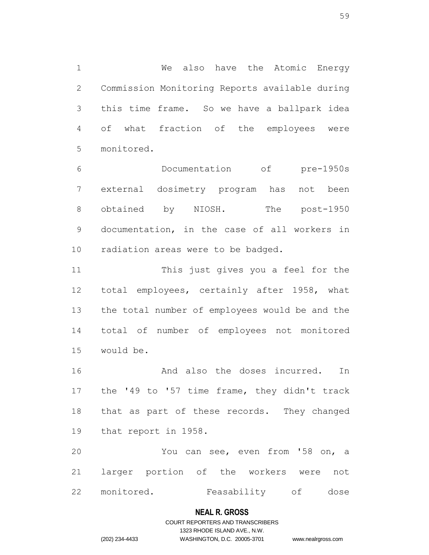We also have the Atomic Energy Commission Monitoring Reports available during this time frame. So we have a ballpark idea of what fraction of the employees were monitored.

 Documentation of pre-1950s external dosimetry program has not been 8 obtained by NIOSH. The post-1950 documentation, in the case of all workers in radiation areas were to be badged.

 This just gives you a feel for the total employees, certainly after 1958, what the total number of employees would be and the total of number of employees not monitored would be.

16 And also the doses incurred. In the '49 to '57 time frame, they didn't track that as part of these records. They changed that report in 1958.

 You can see, even from '58 on, a larger portion of the workers were not monitored. Feasability of dose

## **NEAL R. GROSS**

# COURT REPORTERS AND TRANSCRIBERS 1323 RHODE ISLAND AVE., N.W. (202) 234-4433 WASHINGTON, D.C. 20005-3701 www.nealrgross.com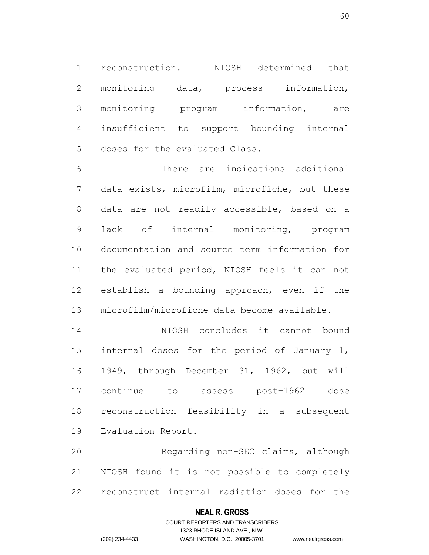reconstruction. NIOSH determined that monitoring data, process information, monitoring program information, are insufficient to support bounding internal doses for the evaluated Class.

 There are indications additional data exists, microfilm, microfiche, but these data are not readily accessible, based on a lack of internal monitoring, program documentation and source term information for the evaluated period, NIOSH feels it can not establish a bounding approach, even if the microfilm/microfiche data become available.

 NIOSH concludes it cannot bound internal doses for the period of January 1, 1949, through December 31, 1962, but will continue to assess post-1962 dose reconstruction feasibility in a subsequent Evaluation Report.

 Regarding non-SEC claims, although NIOSH found it is not possible to completely reconstruct internal radiation doses for the

## **NEAL R. GROSS**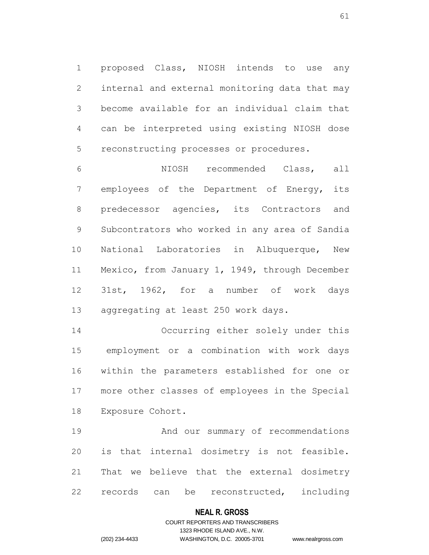proposed Class, NIOSH intends to use any internal and external monitoring data that may become available for an individual claim that can be interpreted using existing NIOSH dose reconstructing processes or procedures.

 NIOSH recommended Class, all employees of the Department of Energy, its predecessor agencies, its Contractors and Subcontrators who worked in any area of Sandia National Laboratories in Albuquerque, New Mexico, from January 1, 1949, through December 31st, 1962, for a number of work days aggregating at least 250 work days.

 Occurring either solely under this employment or a combination with work days within the parameters established for one or more other classes of employees in the Special Exposure Cohort.

 And our summary of recommendations is that internal dosimetry is not feasible. That we believe that the external dosimetry records can be reconstructed, including

## **NEAL R. GROSS**

## COURT REPORTERS AND TRANSCRIBERS 1323 RHODE ISLAND AVE., N.W. (202) 234-4433 WASHINGTON, D.C. 20005-3701 www.nealrgross.com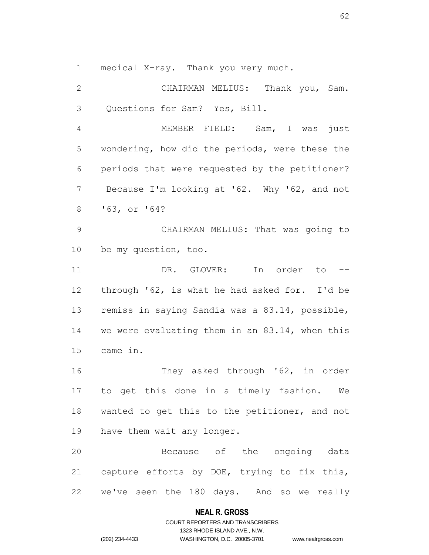medical X-ray. Thank you very much.

 CHAIRMAN MELIUS: Thank you, Sam. Questions for Sam? Yes, Bill.

 MEMBER FIELD: Sam, I was just wondering, how did the periods, were these the periods that were requested by the petitioner? Because I'm looking at '62. Why '62, and not '63, or '64?

 CHAIRMAN MELIUS: That was going to be my question, too.

 DR. GLOVER: In order to -- through '62, is what he had asked for. I'd be remiss in saying Sandia was a 83.14, possible, we were evaluating them in an 83.14, when this came in.

16 They asked through '62, in order to get this done in a timely fashion. We wanted to get this to the petitioner, and not have them wait any longer.

 Because of the ongoing data capture efforts by DOE, trying to fix this, we've seen the 180 days. And so we really

## **NEAL R. GROSS**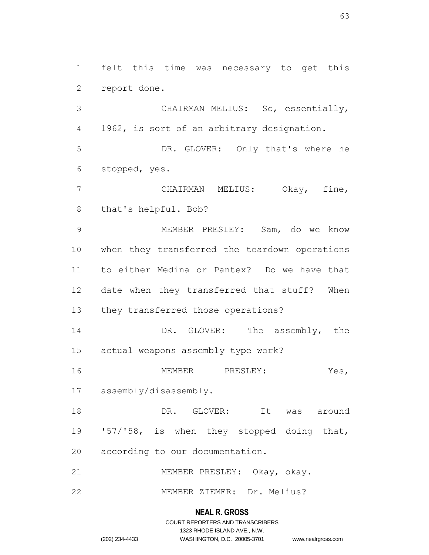felt this time was necessary to get this report done.

 CHAIRMAN MELIUS: So, essentially, 1962, is sort of an arbitrary designation.

 DR. GLOVER: Only that's where he stopped, yes.

 CHAIRMAN MELIUS: Okay, fine, that's helpful. Bob?

 MEMBER PRESLEY: Sam, do we know when they transferred the teardown operations to either Medina or Pantex? Do we have that date when they transferred that stuff? When they transferred those operations?

14 DR. GLOVER: The assembly, the actual weapons assembly type work?

MEMBER PRESLEY: Yes,

assembly/disassembly.

 DR. GLOVER: It was around '57/'58, is when they stopped doing that, according to our documentation.

MEMBER PRESLEY: Okay, okay.

MEMBER ZIEMER: Dr. Melius?

## **NEAL R. GROSS**

COURT REPORTERS AND TRANSCRIBERS 1323 RHODE ISLAND AVE., N.W. (202) 234-4433 WASHINGTON, D.C. 20005-3701 www.nealrgross.com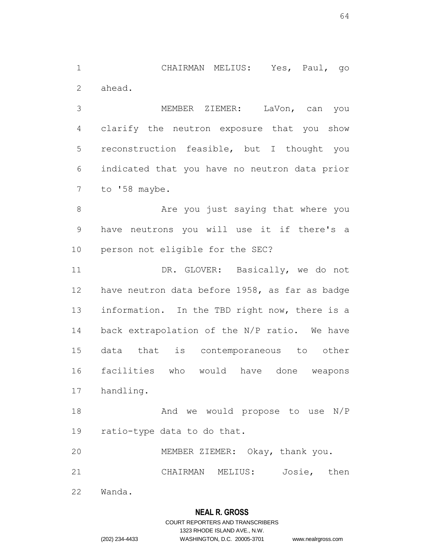CHAIRMAN MELIUS: Yes, Paul, go ahead.

 MEMBER ZIEMER: LaVon, can you clarify the neutron exposure that you show reconstruction feasible, but I thought you indicated that you have no neutron data prior to '58 maybe.

8 Are you just saying that where you have neutrons you will use it if there's a person not eligible for the SEC?

11 DR. GLOVER: Basically, we do not have neutron data before 1958, as far as badge information. In the TBD right now, there is a back extrapolation of the N/P ratio. We have data that is contemporaneous to other facilities who would have done weapons handling.

 And we would propose to use N/P ratio-type data to do that.

MEMBER ZIEMER: Okay, thank you.

CHAIRMAN MELIUS: Josie, then

Wanda.

## **NEAL R. GROSS**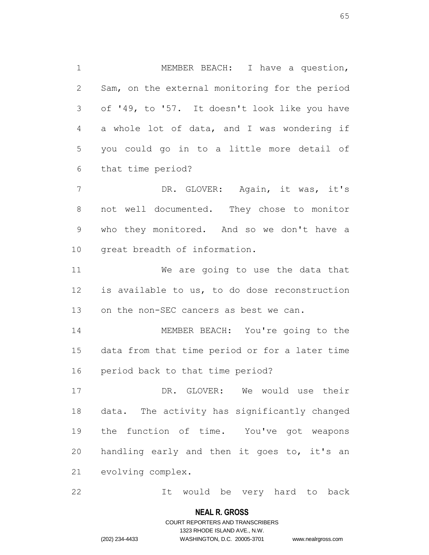MEMBER BEACH: I have a question, Sam, on the external monitoring for the period of '49, to '57. It doesn't look like you have a whole lot of data, and I was wondering if you could go in to a little more detail of that time period?

 DR. GLOVER: Again, it was, it's not well documented. They chose to monitor who they monitored. And so we don't have a great breadth of information.

 We are going to use the data that is available to us, to do dose reconstruction on the non-SEC cancers as best we can.

 MEMBER BEACH: You're going to the data from that time period or for a later time period back to that time period?

 DR. GLOVER: We would use their data. The activity has significantly changed the function of time. You've got weapons handling early and then it goes to, it's an evolving complex.

It would be very hard to back

## **NEAL R. GROSS**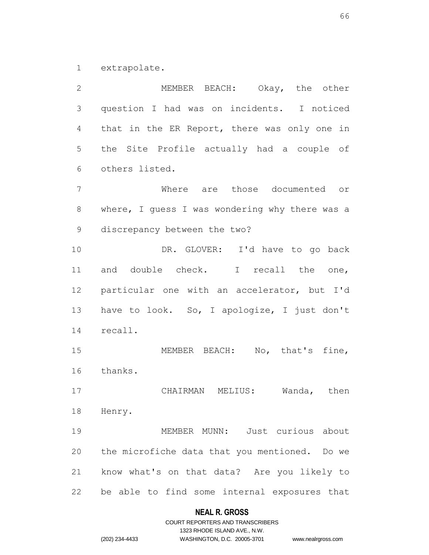extrapolate.

 MEMBER BEACH: Okay, the other question I had was on incidents. I noticed that in the ER Report, there was only one in the Site Profile actually had a couple of others listed. Where are those documented or where, I guess I was wondering why there was a discrepancy between the two? DR. GLOVER: I'd have to go back and double check. I recall the one, particular one with an accelerator, but I'd have to look. So, I apologize, I just don't recall. MEMBER BEACH: No, that's fine, thanks. CHAIRMAN MELIUS: Wanda, then Henry. MEMBER MUNN: Just curious about the microfiche data that you mentioned. Do we know what's on that data? Are you likely to be able to find some internal exposures that

## **NEAL R. GROSS**

COURT REPORTERS AND TRANSCRIBERS 1323 RHODE ISLAND AVE., N.W. (202) 234-4433 WASHINGTON, D.C. 20005-3701 www.nealrgross.com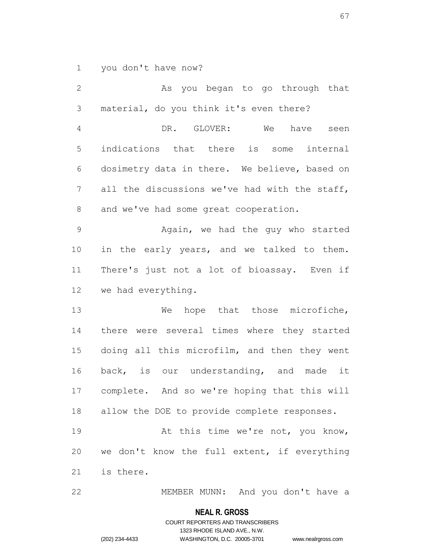you don't have now?

 As you began to go through that material, do you think it's even there? DR. GLOVER: We have seen indications that there is some internal dosimetry data in there. We believe, based on all the discussions we've had with the staff, and we've had some great cooperation. Again, we had the guy who started in the early years, and we talked to them. There's just not a lot of bioassay. Even if we had everything. 13 We hope that those microfiche, there were several times where they started doing all this microfilm, and then they went back, is our understanding, and made it complete. And so we're hoping that this will allow the DOE to provide complete responses. 19 At this time we're not, you know, we don't know the full extent, if everything is there. MEMBER MUNN: And you don't have a

> **NEAL R. GROSS** COURT REPORTERS AND TRANSCRIBERS

> > 1323 RHODE ISLAND AVE., N.W.

(202) 234-4433 WASHINGTON, D.C. 20005-3701 www.nealrgross.com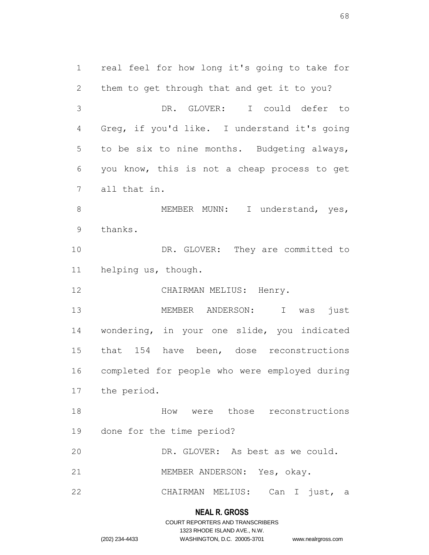real feel for how long it's going to take for them to get through that and get it to you? DR. GLOVER: I could defer to Greg, if you'd like. I understand it's going to be six to nine months. Budgeting always, you know, this is not a cheap process to get all that in. 8 MEMBER MUNN: I understand, yes, thanks. 10 DR. GLOVER: They are committed to helping us, though. 12 CHAIRMAN MELIUS: Henry. MEMBER ANDERSON: I was just wondering, in your one slide, you indicated 15 that 154 have been, dose reconstructions completed for people who were employed during the period. How were those reconstructions done for the time period? DR. GLOVER: As best as we could. MEMBER ANDERSON: Yes, okay. CHAIRMAN MELIUS: Can I just, a

# **NEAL R. GROSS** COURT REPORTERS AND TRANSCRIBERS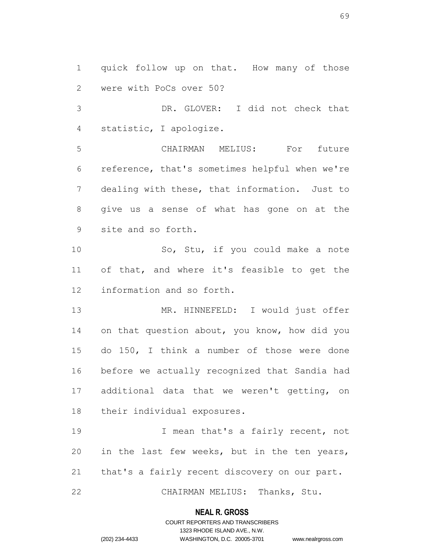quick follow up on that. How many of those were with PoCs over 50?

 DR. GLOVER: I did not check that statistic, I apologize.

 CHAIRMAN MELIUS: For future reference, that's sometimes helpful when we're dealing with these, that information. Just to give us a sense of what has gone on at the site and so forth.

 So, Stu, if you could make a note of that, and where it's feasible to get the information and so forth.

 MR. HINNEFELD: I would just offer on that question about, you know, how did you do 150, I think a number of those were done before we actually recognized that Sandia had additional data that we weren't getting, on their individual exposures.

19 19 I mean that's a fairly recent, not in the last few weeks, but in the ten years, that's a fairly recent discovery on our part.

CHAIRMAN MELIUS: Thanks, Stu.

#### **NEAL R. GROSS**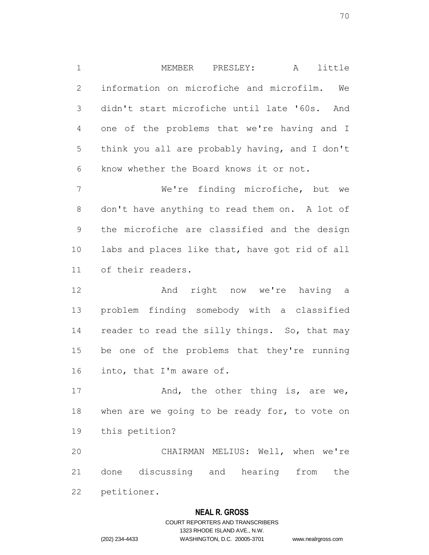MEMBER PRESLEY: A little information on microfiche and microfilm. We didn't start microfiche until late '60s. And one of the problems that we're having and I think you all are probably having, and I don't know whether the Board knows it or not.

 We're finding microfiche, but we don't have anything to read them on. A lot of the microfiche are classified and the design labs and places like that, have got rid of all of their readers.

12 and right now we're having a problem finding somebody with a classified 14 reader to read the silly things. So, that may be one of the problems that they're running into, that I'm aware of.

17 And, the other thing is, are we, 18 when are we going to be ready for, to vote on this petition?

 CHAIRMAN MELIUS: Well, when we're done discussing and hearing from the petitioner.

# **NEAL R. GROSS**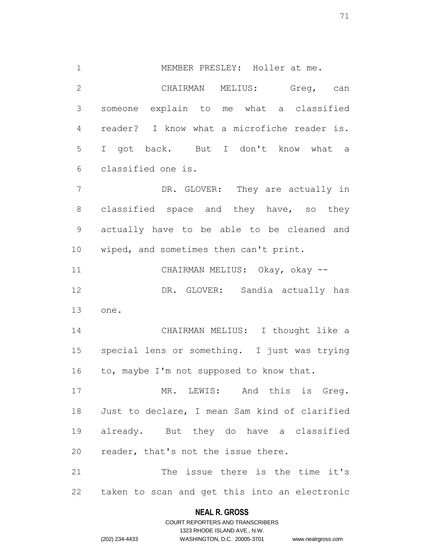MEMBER PRESLEY: Holler at me. CHAIRMAN MELIUS: Greg, can someone explain to me what a classified reader? I know what a microfiche reader is. I got back. But I don't know what a classified one is. DR. GLOVER: They are actually in

8 classified space and they have, so they actually have to be able to be cleaned and wiped, and sometimes then can't print.

 CHAIRMAN MELIUS: Okay, okay -- DR. GLOVER: Sandia actually has one.

 CHAIRMAN MELIUS: I thought like a special lens or something. I just was trying 16 to, maybe I'm not supposed to know that.

 MR. LEWIS: And this is Greg. Just to declare, I mean Sam kind of clarified already. But they do have a classified reader, that's not the issue there.

 The issue there is the time it's taken to scan and get this into an electronic

# **NEAL R. GROSS** COURT REPORTERS AND TRANSCRIBERS

1323 RHODE ISLAND AVE., N.W. (202) 234-4433 WASHINGTON, D.C. 20005-3701 www.nealrgross.com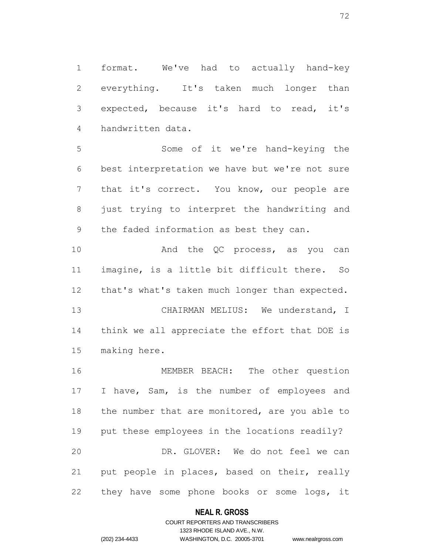format. We've had to actually hand-key everything. It's taken much longer than expected, because it's hard to read, it's handwritten data.

 Some of it we're hand-keying the best interpretation we have but we're not sure that it's correct. You know, our people are 8 just trying to interpret the handwriting and the faded information as best they can.

10 And the QC process, as you can imagine, is a little bit difficult there. So that's what's taken much longer than expected.

13 CHAIRMAN MELIUS: We understand, I think we all appreciate the effort that DOE is making here.

 MEMBER BEACH: The other question I have, Sam, is the number of employees and 18 the number that are monitored, are you able to put these employees in the locations readily? DR. GLOVER: We do not feel we can put people in places, based on their, really they have some phone books or some logs, it

## **NEAL R. GROSS**

## COURT REPORTERS AND TRANSCRIBERS 1323 RHODE ISLAND AVE., N.W. (202) 234-4433 WASHINGTON, D.C. 20005-3701 www.nealrgross.com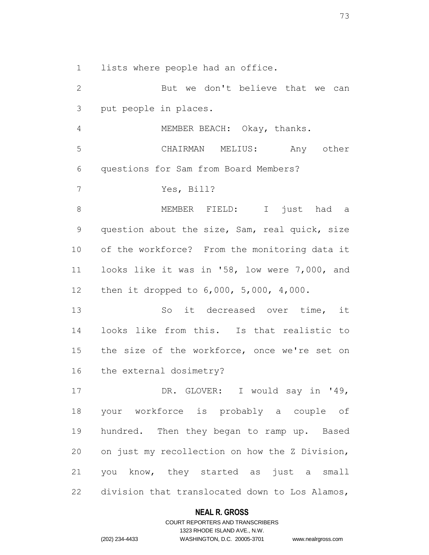lists where people had an office.

 But we don't believe that we can put people in places. MEMBER BEACH: Okay, thanks. CHAIRMAN MELIUS: Any other questions for Sam from Board Members? Yes, Bill? MEMBER FIELD: I just had a question about the size, Sam, real quick, size of the workforce? From the monitoring data it looks like it was in '58, low were 7,000, and then it dropped to 6,000, 5,000, 4,000. So it decreased over time, it looks like from this. Is that realistic to the size of the workforce, once we're set on the external dosimetry? 17 DR. GLOVER: I would say in '49, your workforce is probably a couple of hundred. Then they began to ramp up. Based on just my recollection on how the Z Division, you know, they started as just a small division that translocated down to Los Alamos,

### **NEAL R. GROSS**

### COURT REPORTERS AND TRANSCRIBERS 1323 RHODE ISLAND AVE., N.W. (202) 234-4433 WASHINGTON, D.C. 20005-3701 www.nealrgross.com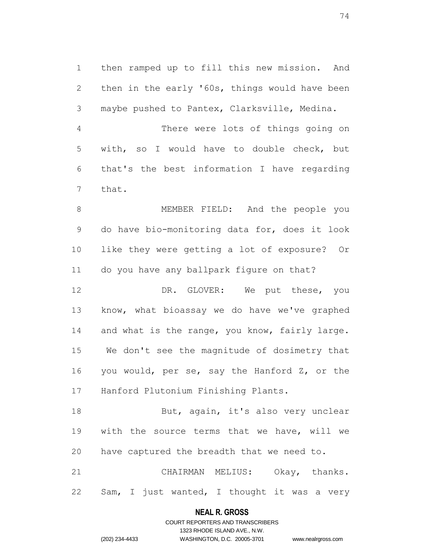then ramped up to fill this new mission. And then in the early '60s, things would have been maybe pushed to Pantex, Clarksville, Medina.

 There were lots of things going on with, so I would have to double check, but that's the best information I have regarding that.

 MEMBER FIELD: And the people you do have bio-monitoring data for, does it look like they were getting a lot of exposure? Or do you have any ballpark figure on that?

12 DR. GLOVER: We put these, you know, what bioassay we do have we've graphed 14 and what is the range, you know, fairly large. We don't see the magnitude of dosimetry that you would, per se, say the Hanford Z, or the Hanford Plutonium Finishing Plants.

18 But, again, it's also very unclear with the source terms that we have, will we have captured the breadth that we need to.

 CHAIRMAN MELIUS: Okay, thanks. Sam, I just wanted, I thought it was a very

# **NEAL R. GROSS** COURT REPORTERS AND TRANSCRIBERS

1323 RHODE ISLAND AVE., N.W.

(202) 234-4433 WASHINGTON, D.C. 20005-3701 www.nealrgross.com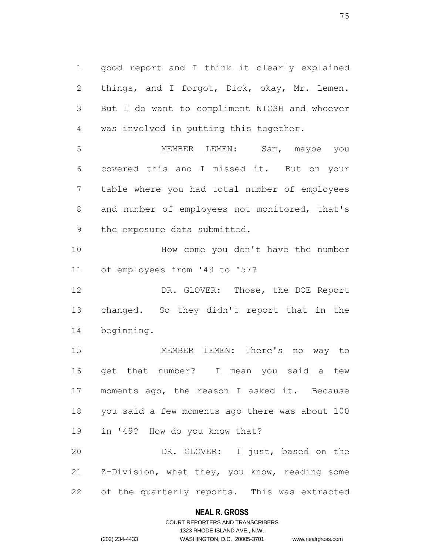good report and I think it clearly explained 2 things, and I forgot, Dick, okay, Mr. Lemen. But I do want to compliment NIOSH and whoever was involved in putting this together.

 MEMBER LEMEN: Sam, maybe you covered this and I missed it. But on your table where you had total number of employees 8 and number of employees not monitored, that's the exposure data submitted.

10 How come you don't have the number of employees from '49 to '57?

12 DR. GLOVER: Those, the DOE Report changed. So they didn't report that in the beginning.

 MEMBER LEMEN: There's no way to get that number? I mean you said a few moments ago, the reason I asked it. Because you said a few moments ago there was about 100 in '49? How do you know that? DR. GLOVER: I just, based on the

 Z-Division, what they, you know, reading some of the quarterly reports. This was extracted

### **NEAL R. GROSS**

### COURT REPORTERS AND TRANSCRIBERS 1323 RHODE ISLAND AVE., N.W. (202) 234-4433 WASHINGTON, D.C. 20005-3701 www.nealrgross.com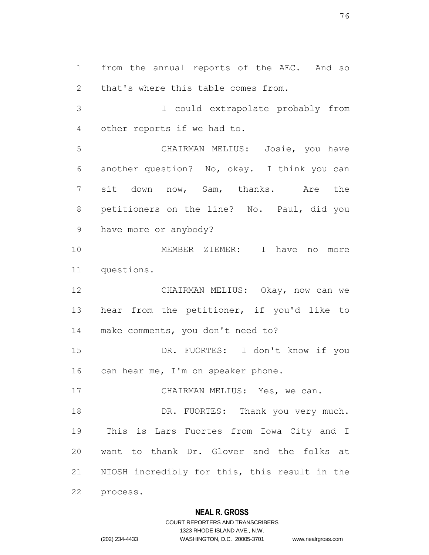from the annual reports of the AEC. And so that's where this table comes from.

 I could extrapolate probably from other reports if we had to.

 CHAIRMAN MELIUS: Josie, you have another question? No, okay. I think you can sit down now, Sam, thanks. Are the petitioners on the line? No. Paul, did you have more or anybody?

 MEMBER ZIEMER: I have no more questions.

 CHAIRMAN MELIUS: Okay, now can we hear from the petitioner, if you'd like to make comments, you don't need to?

 DR. FUORTES: I don't know if you 16 can hear me, I'm on speaker phone.

17 CHAIRMAN MELIUS: Yes, we can.

18 DR. FUORTES: Thank you very much. This is Lars Fuortes from Iowa City and I want to thank Dr. Glover and the folks at NIOSH incredibly for this, this result in the process.

# **NEAL R. GROSS**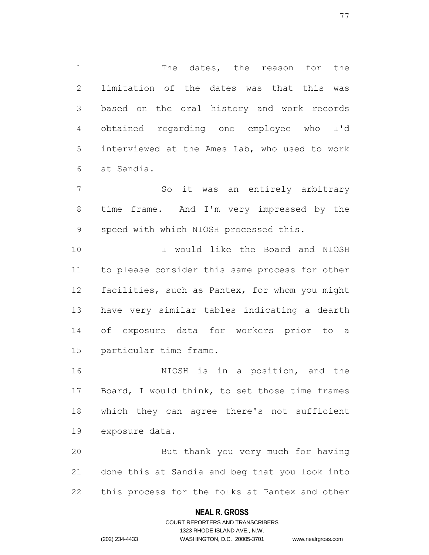1 The dates, the reason for the limitation of the dates was that this was based on the oral history and work records obtained regarding one employee who I'd interviewed at the Ames Lab, who used to work at Sandia.

 So it was an entirely arbitrary time frame. And I'm very impressed by the speed with which NIOSH processed this.

 I would like the Board and NIOSH to please consider this same process for other facilities, such as Pantex, for whom you might have very similar tables indicating a dearth of exposure data for workers prior to a particular time frame.

 NIOSH is in a position, and the Board, I would think, to set those time frames which they can agree there's not sufficient exposure data.

 But thank you very much for having done this at Sandia and beg that you look into this process for the folks at Pantex and other

### **NEAL R. GROSS**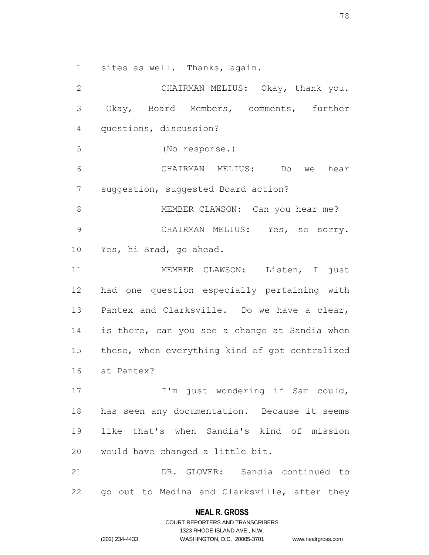sites as well. Thanks, again.

 CHAIRMAN MELIUS: Okay, thank you. Okay, Board Members, comments, further questions, discussion? (No response.) CHAIRMAN MELIUS: Do we hear suggestion, suggested Board action? 8 MEMBER CLAWSON: Can you hear me? CHAIRMAN MELIUS: Yes, so sorry. Yes, hi Brad, go ahead. MEMBER CLAWSON: Listen, I just had one question especially pertaining with Pantex and Clarksville. Do we have a clear, is there, can you see a change at Sandia when these, when everything kind of got centralized at Pantex? 17 I'm just wondering if Sam could, has seen any documentation. Because it seems like that's when Sandia's kind of mission would have changed a little bit. DR. GLOVER: Sandia continued to go out to Medina and Clarksville, after they

#### **NEAL R. GROSS**

COURT REPORTERS AND TRANSCRIBERS 1323 RHODE ISLAND AVE., N.W. (202) 234-4433 WASHINGTON, D.C. 20005-3701 www.nealrgross.com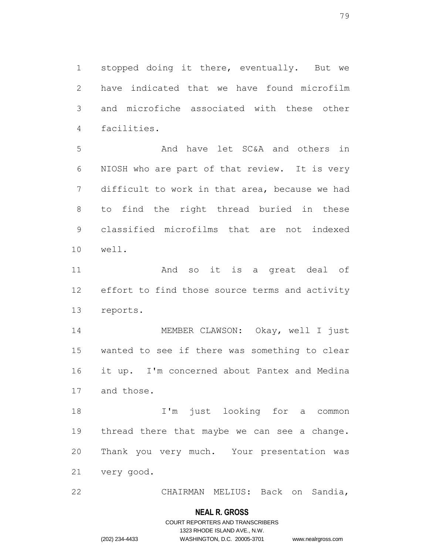stopped doing it there, eventually. But we have indicated that we have found microfilm and microfiche associated with these other facilities.

 And have let SC&A and others in NIOSH who are part of that review. It is very difficult to work in that area, because we had to find the right thread buried in these classified microfilms that are not indexed well.

 And so it is a great deal of effort to find those source terms and activity reports.

 MEMBER CLAWSON: Okay, well I just wanted to see if there was something to clear it up. I'm concerned about Pantex and Medina and those.

 I'm just looking for a common thread there that maybe we can see a change. Thank you very much. Your presentation was very good.

CHAIRMAN MELIUS: Back on Sandia,

### **NEAL R. GROSS**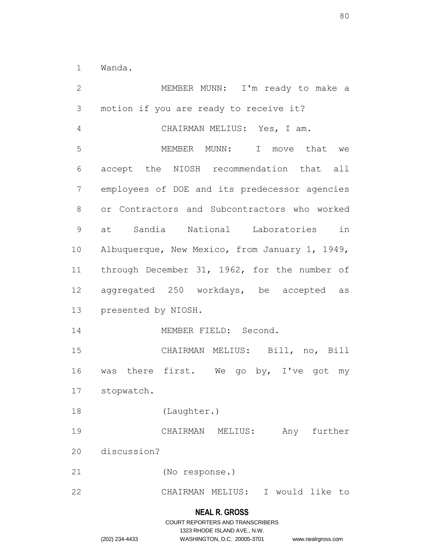Wanda.

 MEMBER MUNN: I'm ready to make a motion if you are ready to receive it? CHAIRMAN MELIUS: Yes, I am. MEMBER MUNN: I move that we accept the NIOSH recommendation that all employees of DOE and its predecessor agencies or Contractors and Subcontractors who worked at Sandia National Laboratories in Albuquerque, New Mexico, from January 1, 1949, through December 31, 1962, for the number of aggregated 250 workdays, be accepted as presented by NIOSH. 14 MEMBER FIELD: Second. CHAIRMAN MELIUS: Bill, no, Bill 16 was there first. We go by, I've got my stopwatch. (Laughter.) CHAIRMAN MELIUS: Any further discussion? (No response.) CHAIRMAN MELIUS: I would like to

#### **NEAL R. GROSS**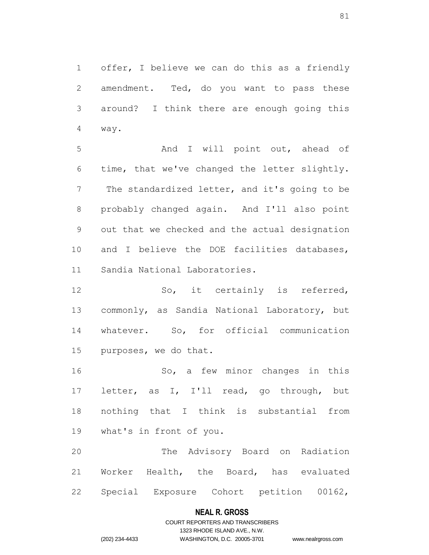offer, I believe we can do this as a friendly amendment. Ted, do you want to pass these around? I think there are enough going this way.

5 And I will point out, ahead of time, that we've changed the letter slightly. The standardized letter, and it's going to be probably changed again. And I'll also point out that we checked and the actual designation and I believe the DOE facilities databases, Sandia National Laboratories.

 So, it certainly is referred, commonly, as Sandia National Laboratory, but whatever. So, for official communication purposes, we do that.

 So, a few minor changes in this letter, as I, I'll read, go through, but nothing that I think is substantial from what's in front of you.

 The Advisory Board on Radiation Worker Health, the Board, has evaluated Special Exposure Cohort petition 00162,

### **NEAL R. GROSS**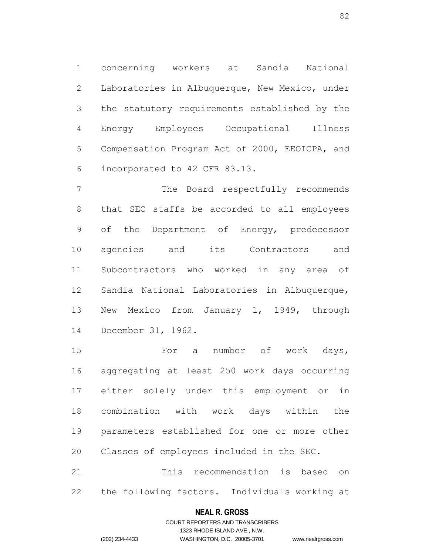concerning workers at Sandia National Laboratories in Albuquerque, New Mexico, under the statutory requirements established by the Energy Employees Occupational Illness Compensation Program Act of 2000, EEOICPA, and incorporated to 42 CFR 83.13.

 The Board respectfully recommends that SEC staffs be accorded to all employees of the Department of Energy, predecessor agencies and its Contractors and Subcontractors who worked in any area of Sandia National Laboratories in Albuquerque, New Mexico from January 1, 1949, through December 31, 1962.

 For a number of work days, aggregating at least 250 work days occurring either solely under this employment or in combination with work days within the parameters established for one or more other Classes of employees included in the SEC. This recommendation is based on

the following factors. Individuals working at

### **NEAL R. GROSS**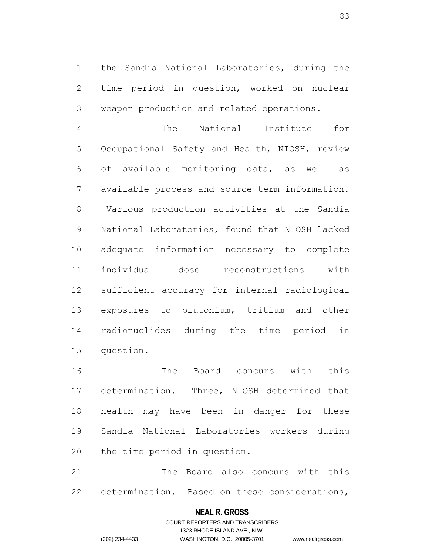the Sandia National Laboratories, during the time period in question, worked on nuclear weapon production and related operations.

 The National Institute for Occupational Safety and Health, NIOSH, review of available monitoring data, as well as available process and source term information. Various production activities at the Sandia National Laboratories, found that NIOSH lacked adequate information necessary to complete individual dose reconstructions with sufficient accuracy for internal radiological exposures to plutonium, tritium and other radionuclides during the time period in question.

 The Board concurs with this determination. Three, NIOSH determined that health may have been in danger for these Sandia National Laboratories workers during the time period in question.

 The Board also concurs with this determination. Based on these considerations,

### **NEAL R. GROSS**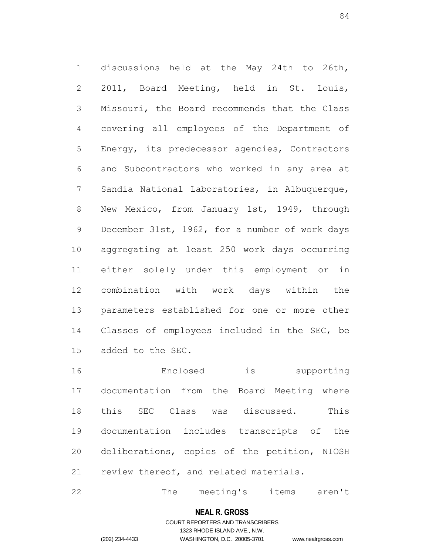discussions held at the May 24th to 26th, 2011, Board Meeting, held in St. Louis, Missouri, the Board recommends that the Class covering all employees of the Department of Energy, its predecessor agencies, Contractors and Subcontractors who worked in any area at Sandia National Laboratories, in Albuquerque, New Mexico, from January 1st, 1949, through 9 December 31st, 1962, for a number of work days aggregating at least 250 work days occurring either solely under this employment or in combination with work days within the parameters established for one or more other Classes of employees included in the SEC, be added to the SEC.

 Enclosed is supporting documentation from the Board Meeting where this SEC Class was discussed. This documentation includes transcripts of the deliberations, copies of the petition, NIOSH review thereof, and related materials.

22 The meeting's items aren't

#### **NEAL R. GROSS**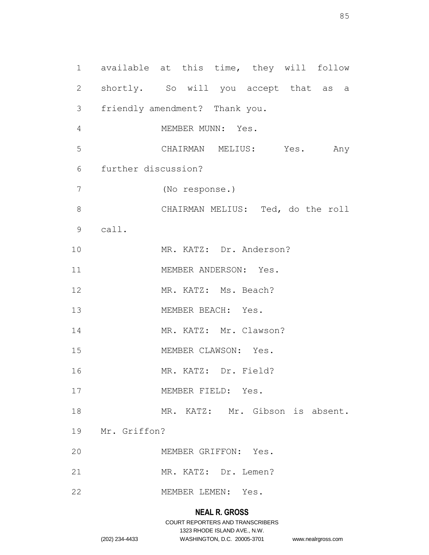1 available at this time, they will follow 2 shortly. So will you accept that as a 3 friendly amendment? Thank you. 4 MEMBER MUNN: Yes. 5 CHAIRMAN MELIUS: Yes. Any 6 further discussion? 7 (No response.) 8 CHAIRMAN MELIUS: Ted, do the roll 9 call. 10 MR. KATZ: Dr. Anderson? 11 MEMBER ANDERSON: Yes. 12 MR. KATZ: Ms. Beach? 13 MEMBER BEACH: Yes. 14 MR. KATZ: Mr. Clawson? 15 MEMBER CLAWSON: Yes. 16 MR. KATZ: Dr. Field? 17 MEMBER FIELD: Yes. 18 MR. KATZ: Mr. Gibson is absent. 19 Mr. Griffon? 20 MEMBER GRIFFON: Yes. 21 MR. KATZ: Dr. Lemen? 22 MEMBER LEMEN: Yes.

# **NEAL R. GROSS**

|                | COURT REPORTERS AND TRANSCRIBERS |                    |
|----------------|----------------------------------|--------------------|
|                | 1323 RHODE ISLAND AVE N.W.       |                    |
| (202) 234-4433 | WASHINGTON, D.C. 20005-3701      | www.nealrgross.com |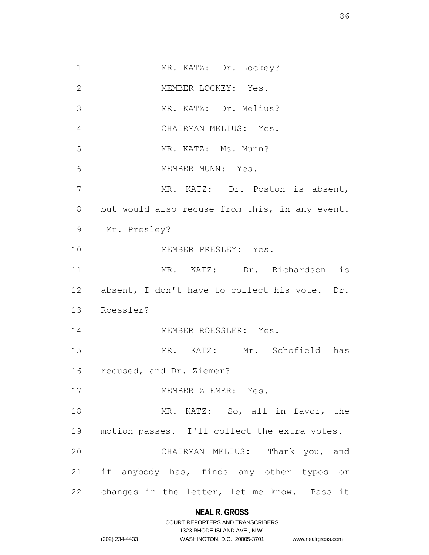1 MR. KATZ: Dr. Lockey? MEMBER LOCKEY: Yes. MR. KATZ: Dr. Melius? CHAIRMAN MELIUS: Yes. MR. KATZ: Ms. Munn? MEMBER MUNN: Yes. MR. KATZ: Dr. Poston is absent, but would also recuse from this, in any event. Mr. Presley? 10 MEMBER PRESLEY: Yes. MR. KATZ: Dr. Richardson is absent, I don't have to collect his vote. Dr. Roessler? 14 MEMBER ROESSLER: Yes. MR. KATZ: Mr. Schofield has recused, and Dr. Ziemer? MEMBER ZIEMER: Yes. 18 MR. KATZ: So, all in favor, the motion passes. I'll collect the extra votes. CHAIRMAN MELIUS: Thank you, and if anybody has, finds any other typos or changes in the letter, let me know. Pass it

### **NEAL R. GROSS**

|                | COURT REPORTERS AND TRANSCRIBERS |
|----------------|----------------------------------|
|                | 1323 RHODE ISLAND AVE., N.W.     |
| (202) 234-4433 | WASHINGTON, D.C. 20005-3701      |

IND AVE., N.W. .C. 20005-3701 www.nealrgross.com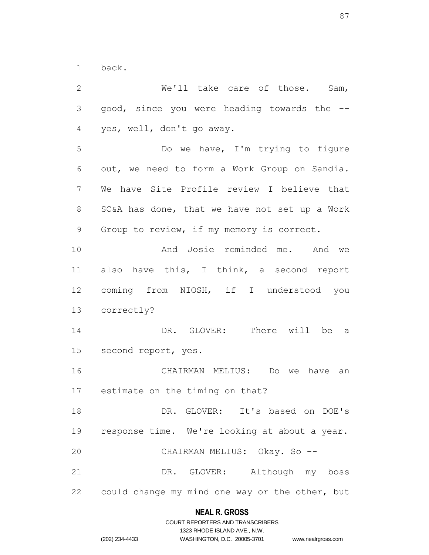back.

 We'll take care of those. Sam, good, since you were heading towards the -- yes, well, don't go away. Do we have, I'm trying to figure out, we need to form a Work Group on Sandia. We have Site Profile review I believe that SC&A has done, that we have not set up a Work Group to review, if my memory is correct. And Josie reminded me. And we also have this, I think, a second report coming from NIOSH, if I understood you correctly? DR. GLOVER: There will be a second report, yes. CHAIRMAN MELIUS: Do we have an estimate on the timing on that? DR. GLOVER: It's based on DOE's response time. We're looking at about a year. CHAIRMAN MELIUS: Okay. So -- DR. GLOVER: Although my boss could change my mind one way or the other, but

# **NEAL R. GROSS** COURT REPORTERS AND TRANSCRIBERS

|                | 1323 RHODE ISLAND AVE., N.W. |                    |
|----------------|------------------------------|--------------------|
| (202) 234-4433 | WASHINGTON, D.C. 20005-3701  | www.nealrgross.com |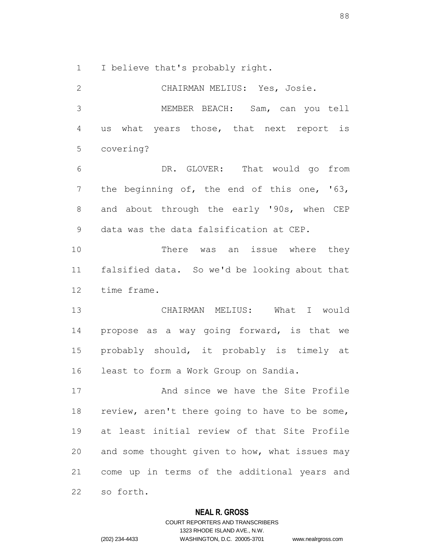I believe that's probably right.

 CHAIRMAN MELIUS: Yes, Josie. MEMBER BEACH: Sam, can you tell us what years those, that next report is covering? DR. GLOVER: That would go from the beginning of, the end of this one, '63, 8 and about through the early '90s, when CEP data was the data falsification at CEP. 10 There was an issue where they falsified data. So we'd be looking about that time frame. CHAIRMAN MELIUS: What I would propose as a way going forward, is that we probably should, it probably is timely at least to form a Work Group on Sandia. And since we have the Site Profile 18 review, aren't there going to have to be some, at least initial review of that Site Profile and some thought given to how, what issues may come up in terms of the additional years and so forth.

### **NEAL R. GROSS**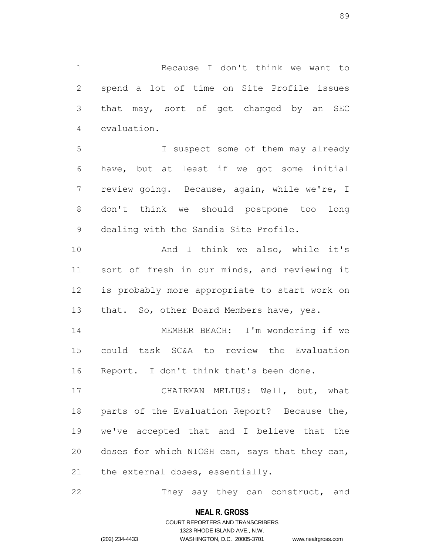Because I don't think we want to spend a lot of time on Site Profile issues that may, sort of get changed by an SEC evaluation.

 I suspect some of them may already have, but at least if we got some initial review going. Because, again, while we're, I don't think we should postpone too long dealing with the Sandia Site Profile.

 And I think we also, while it's sort of fresh in our minds, and reviewing it is probably more appropriate to start work on 13 that. So, other Board Members have, yes.

 MEMBER BEACH: I'm wondering if we could task SC&A to review the Evaluation Report. I don't think that's been done.

 CHAIRMAN MELIUS: Well, but, what parts of the Evaluation Report? Because the, we've accepted that and I believe that the doses for which NIOSH can, says that they can, the external doses, essentially.

22 They say they can construct, and

### **NEAL R. GROSS**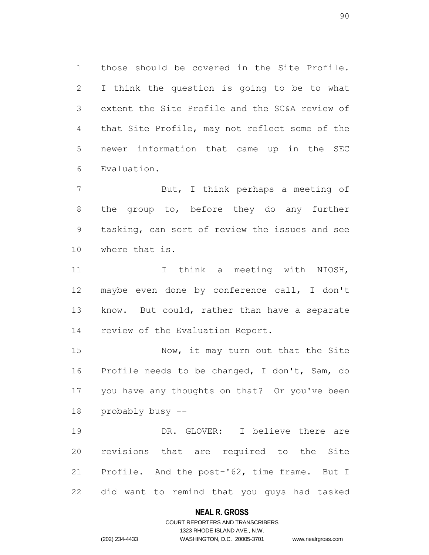those should be covered in the Site Profile. I think the question is going to be to what extent the Site Profile and the SC&A review of that Site Profile, may not reflect some of the newer information that came up in the SEC Evaluation.

 But, I think perhaps a meeting of 8 the group to, before they do any further tasking, can sort of review the issues and see where that is.

11 11 I think a meeting with NIOSH, maybe even done by conference call, I don't know. But could, rather than have a separate review of the Evaluation Report.

15 Now, it may turn out that the Site Profile needs to be changed, I don't, Sam, do you have any thoughts on that? Or you've been probably busy --

 DR. GLOVER: I believe there are revisions that are required to the Site Profile. And the post-'62, time frame. But I did want to remind that you guys had tasked

### **NEAL R. GROSS**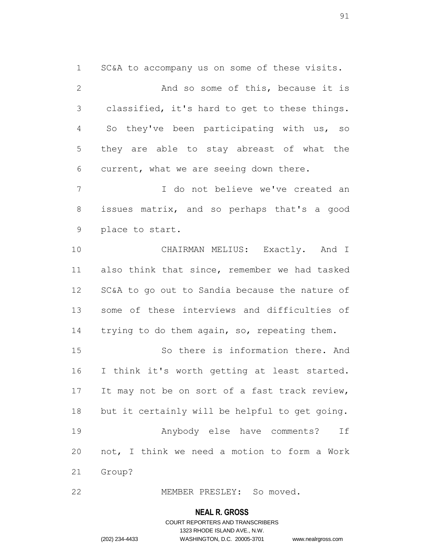SC&A to accompany us on some of these visits. 2 And so some of this, because it is classified, it's hard to get to these things. So they've been participating with us, so they are able to stay abreast of what the current, what we are seeing down there.

 I do not believe we've created an issues matrix, and so perhaps that's a good place to start.

 CHAIRMAN MELIUS: Exactly. And I also think that since, remember we had tasked SC&A to go out to Sandia because the nature of some of these interviews and difficulties of 14 trying to do them again, so, repeating them.

 So there is information there. And I think it's worth getting at least started. 17 It may not be on sort of a fast track review, but it certainly will be helpful to get going. Anybody else have comments? If not, I think we need a motion to form a Work Group?

MEMBER PRESLEY: So moved.

#### **NEAL R. GROSS**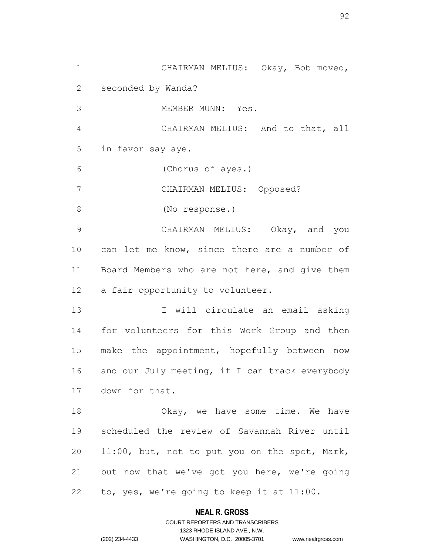CHAIRMAN MELIUS: Okay, Bob moved, seconded by Wanda? MEMBER MUNN: Yes. CHAIRMAN MELIUS: And to that, all in favor say aye. (Chorus of ayes.) CHAIRMAN MELIUS: Opposed? (No response.) CHAIRMAN MELIUS: Okay, and you 10 can let me know, since there are a number of Board Members who are not here, and give them a fair opportunity to volunteer. 13 I will circulate an email asking for volunteers for this Work Group and then make the appointment, hopefully between now 16 and our July meeting, if I can track everybody down for that. 18 Okay, we have some time. We have scheduled the review of Savannah River until 11:00, but, not to put you on the spot, Mark, but now that we've got you here, we're going to, yes, we're going to keep it at 11:00.

### **NEAL R. GROSS**

COURT REPORTERS AND TRANSCRIBERS 1323 RHODE ISLAND AVE., N.W. (202) 234-4433 WASHINGTON, D.C. 20005-3701 www.nealrgross.com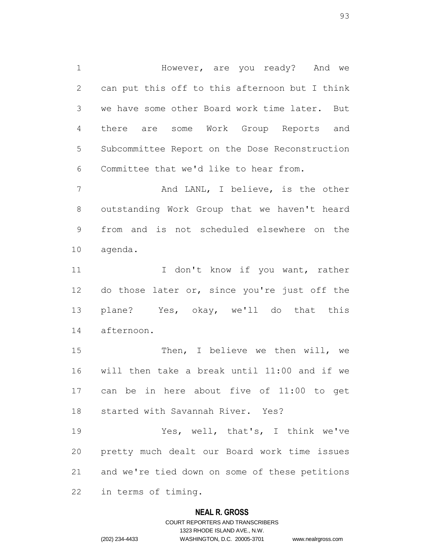1 However, are you ready? And we can put this off to this afternoon but I think we have some other Board work time later. But there are some Work Group Reports and Subcommittee Report on the Dose Reconstruction Committee that we'd like to hear from.

7 And LANL, I believe, is the other outstanding Work Group that we haven't heard from and is not scheduled elsewhere on the agenda.

11 I don't know if you want, rather 12 do those later or, since you're just off the plane? Yes, okay, we'll do that this afternoon.

 Then, I believe we then will, we will then take a break until 11:00 and if we can be in here about five of 11:00 to get started with Savannah River. Yes?

 Yes, well, that's, I think we've pretty much dealt our Board work time issues and we're tied down on some of these petitions in terms of timing.

### **NEAL R. GROSS**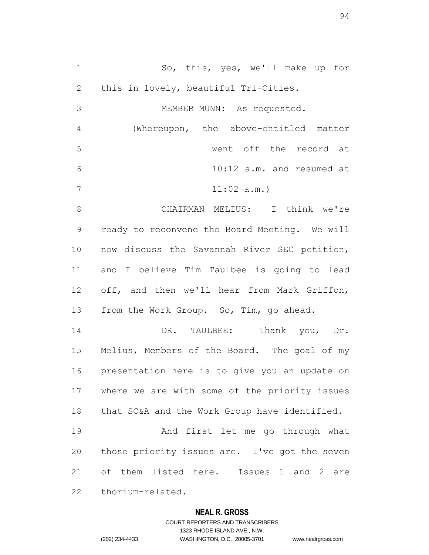So, this, yes, we'll make up for this in lovely, beautiful Tri-Cities. MEMBER MUNN: As requested. (Whereupon, the above-entitled matter went off the record at 10:12 a.m. and resumed at 11:02 a.m.) CHAIRMAN MELIUS: I think we're ready to reconvene the Board Meeting. We will now discuss the Savannah River SEC petition, and I believe Tim Taulbee is going to lead off, and then we'll hear from Mark Griffon, 13 from the Work Group. So, Tim, go ahead. DR. TAULBEE: Thank you, Dr. Melius, Members of the Board. The goal of my presentation here is to give you an update on where we are with some of the priority issues that SC&A and the Work Group have identified. And first let me go through what those priority issues are. I've got the seven of them listed here. Issues 1 and 2 are thorium-related.

### **NEAL R. GROSS**

COURT REPORTERS AND TRANSCRIBERS 1323 RHODE ISLAND AVE., N.W. (202) 234-4433 WASHINGTON, D.C. 20005-3701 www.nealrgross.com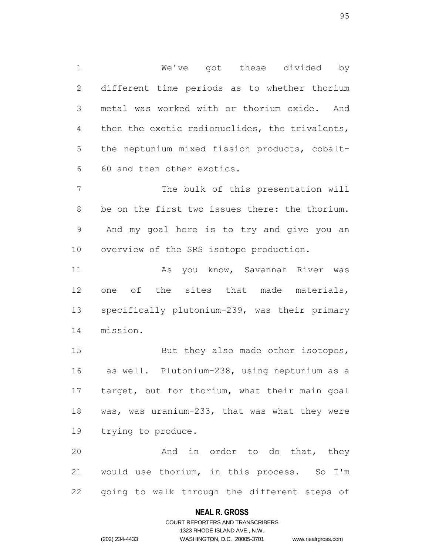We've got these divided by different time periods as to whether thorium metal was worked with or thorium oxide. And then the exotic radionuclides, the trivalents, the neptunium mixed fission products, cobalt-60 and then other exotics.

7 The bulk of this presentation will be on the first two issues there: the thorium. And my goal here is to try and give you an overview of the SRS isotope production.

 As you know, Savannah River was one of the sites that made materials, specifically plutonium-239, was their primary mission.

15 But they also made other isotopes, as well. Plutonium-238, using neptunium as a target, but for thorium, what their main goal was, was uranium-233, that was what they were trying to produce.

20 And in order to do that, they would use thorium, in this process. So I'm going to walk through the different steps of

### **NEAL R. GROSS**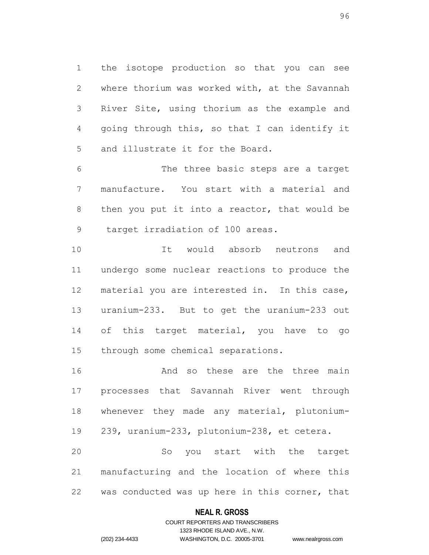the isotope production so that you can see where thorium was worked with, at the Savannah River Site, using thorium as the example and going through this, so that I can identify it and illustrate it for the Board.

 The three basic steps are a target manufacture. You start with a material and then you put it into a reactor, that would be target irradiation of 100 areas.

 It would absorb neutrons and undergo some nuclear reactions to produce the material you are interested in. In this case, uranium-233. But to get the uranium-233 out 14 of this target material, you have to go through some chemical separations.

 And so these are the three main processes that Savannah River went through whenever they made any material, plutonium- 239, uranium-233, plutonium-238, et cetera. So you start with the target

 manufacturing and the location of where this was conducted was up here in this corner, that

### **NEAL R. GROSS**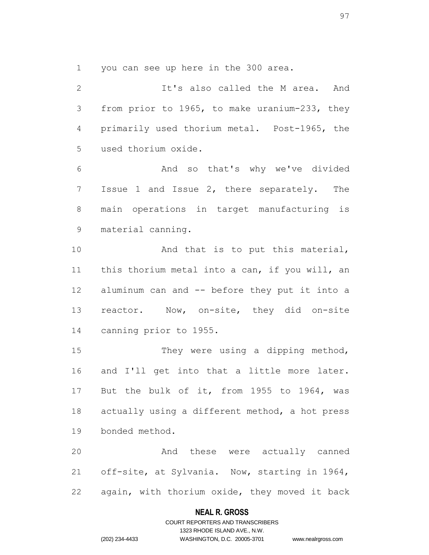you can see up here in the 300 area.

 It's also called the M area. And from prior to 1965, to make uranium-233, they primarily used thorium metal. Post-1965, the used thorium oxide. And so that's why we've divided Issue 1 and Issue 2, there separately. The main operations in target manufacturing is

material canning.

10 And that is to put this material, this thorium metal into a can, if you will, an aluminum can and -- before they put it into a reactor. Now, on-site, they did on-site canning prior to 1955.

 They were using a dipping method, and I'll get into that a little more later. But the bulk of it, from 1955 to 1964, was actually using a different method, a hot press bonded method.

 And these were actually canned off-site, at Sylvania. Now, starting in 1964, again, with thorium oxide, they moved it back

### **NEAL R. GROSS**

### COURT REPORTERS AND TRANSCRIBERS 1323 RHODE ISLAND AVE., N.W. (202) 234-4433 WASHINGTON, D.C. 20005-3701 www.nealrgross.com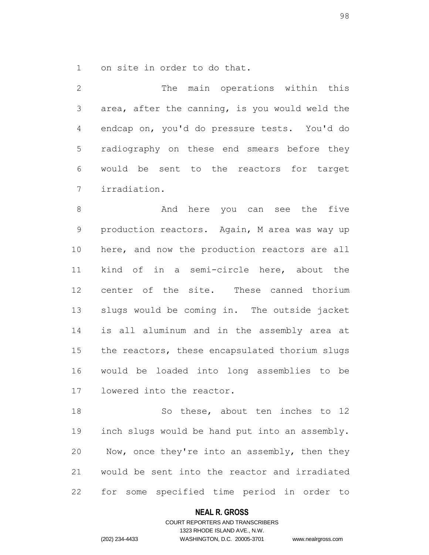on site in order to do that.

 The main operations within this area, after the canning, is you would weld the endcap on, you'd do pressure tests. You'd do radiography on these end smears before they would be sent to the reactors for target irradiation.

8 And here you can see the five production reactors. Again, M area was way up here, and now the production reactors are all kind of in a semi-circle here, about the center of the site. These canned thorium slugs would be coming in. The outside jacket is all aluminum and in the assembly area at the reactors, these encapsulated thorium slugs would be loaded into long assemblies to be lowered into the reactor.

18 So these, about ten inches to 12 inch slugs would be hand put into an assembly. Now, once they're into an assembly, then they would be sent into the reactor and irradiated for some specified time period in order to

### **NEAL R. GROSS**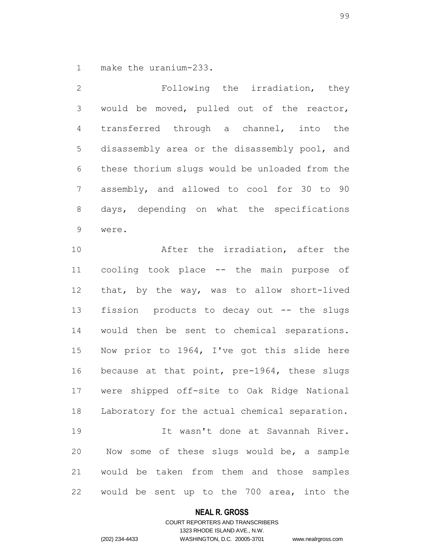make the uranium-233.

 Following the irradiation, they would be moved, pulled out of the reactor, transferred through a channel, into the disassembly area or the disassembly pool, and these thorium slugs would be unloaded from the assembly, and allowed to cool for 30 to 90 days, depending on what the specifications were.

 After the irradiation, after the cooling took place -- the main purpose of that, by the way, was to allow short-lived fission products to decay out -- the slugs would then be sent to chemical separations. Now prior to 1964, I've got this slide here because at that point, pre-1964, these slugs were shipped off-site to Oak Ridge National Laboratory for the actual chemical separation. It wasn't done at Savannah River. Now some of these slugs would be, a sample would be taken from them and those samples would be sent up to the 700 area, into the

### **NEAL R. GROSS**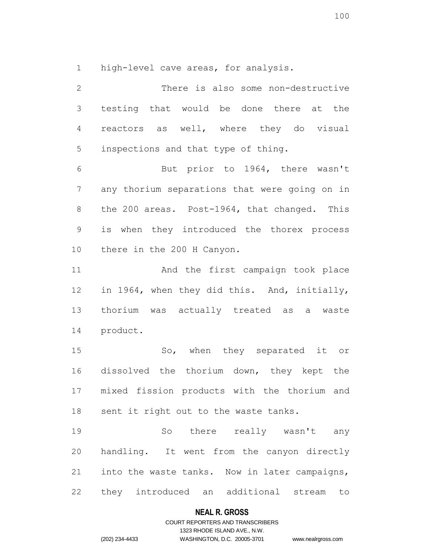high-level cave areas, for analysis.

 There is also some non-destructive testing that would be done there at the reactors as well, where they do visual inspections and that type of thing. But prior to 1964, there wasn't any thorium separations that were going on in the 200 areas. Post-1964, that changed. This is when they introduced the thorex process there in the 200 H Canyon. 11 And the first campaign took place in 1964, when they did this. And, initially, thorium was actually treated as a waste product. So, when they separated it or dissolved the thorium down, they kept the mixed fission products with the thorium and 18 sent it right out to the waste tanks. So there really wasn't any handling. It went from the canyon directly into the waste tanks. Now in later campaigns, they introduced an additional stream to

### **NEAL R. GROSS**

COURT REPORTERS AND TRANSCRIBERS 1323 RHODE ISLAND AVE., N.W. (202) 234-4433 WASHINGTON, D.C. 20005-3701 www.nealrgross.com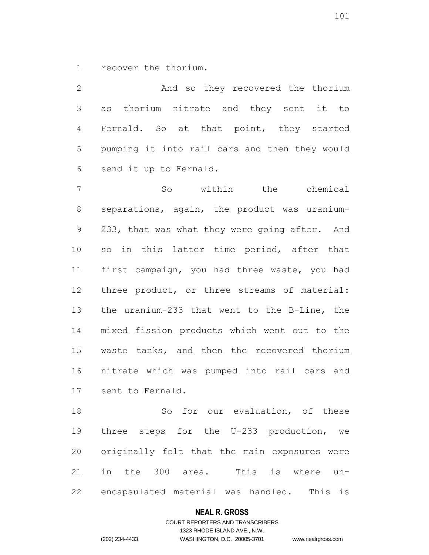recover the thorium.

 And so they recovered the thorium as thorium nitrate and they sent it to Fernald. So at that point, they started pumping it into rail cars and then they would send it up to Fernald.

 So within the chemical separations, again, the product was uranium- 233, that was what they were going after. And so in this latter time period, after that first campaign, you had three waste, you had three product, or three streams of material: the uranium-233 that went to the B-Line, the mixed fission products which went out to the waste tanks, and then the recovered thorium nitrate which was pumped into rail cars and sent to Fernald.

 So for our evaluation, of these three steps for the U-233 production, we originally felt that the main exposures were in the 300 area. This is where un-encapsulated material was handled. This is

### **NEAL R. GROSS**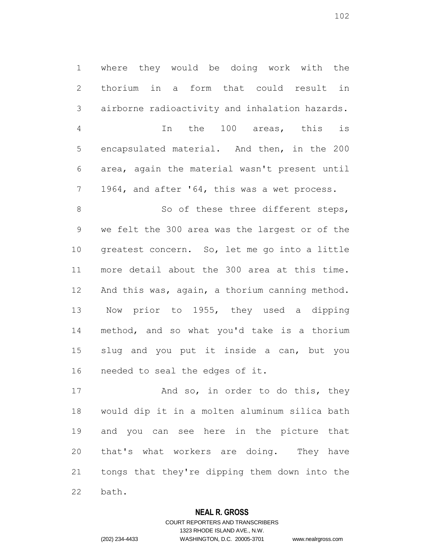where they would be doing work with the thorium in a form that could result in airborne radioactivity and inhalation hazards. In the 100 areas, this is encapsulated material. And then, in the 200 area, again the material wasn't present until 1964, and after '64, this was a wet process.

8 So of these three different steps, we felt the 300 area was the largest or of the greatest concern. So, let me go into a little more detail about the 300 area at this time. And this was, again, a thorium canning method. Now prior to 1955, they used a dipping method, and so what you'd take is a thorium slug and you put it inside a can, but you needed to seal the edges of it.

17 And so, in order to do this, they would dip it in a molten aluminum silica bath and you can see here in the picture that that's what workers are doing. They have tongs that they're dipping them down into the bath.

### **NEAL R. GROSS**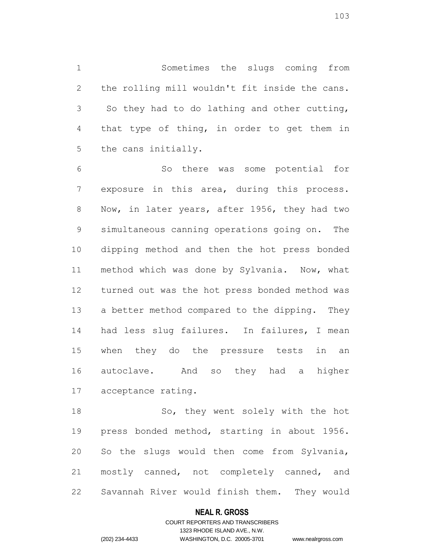Sometimes the slugs coming from the rolling mill wouldn't fit inside the cans. So they had to do lathing and other cutting, that type of thing, in order to get them in the cans initially.

 So there was some potential for exposure in this area, during this process. Now, in later years, after 1956, they had two simultaneous canning operations going on. The dipping method and then the hot press bonded method which was done by Sylvania. Now, what turned out was the hot press bonded method was a better method compared to the dipping. They had less slug failures. In failures, I mean when they do the pressure tests in an autoclave. And so they had a higher acceptance rating.

18 So, they went solely with the hot press bonded method, starting in about 1956. So the slugs would then come from Sylvania, mostly canned, not completely canned, and Savannah River would finish them. They would

### **NEAL R. GROSS**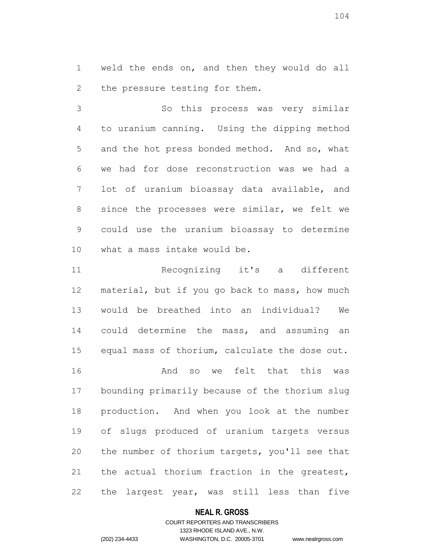weld the ends on, and then they would do all the pressure testing for them.

 So this process was very similar to uranium canning. Using the dipping method and the hot press bonded method. And so, what we had for dose reconstruction was we had a lot of uranium bioassay data available, and since the processes were similar, we felt we could use the uranium bioassay to determine what a mass intake would be.

 Recognizing it's a different material, but if you go back to mass, how much would be breathed into an individual? We could determine the mass, and assuming an equal mass of thorium, calculate the dose out. And so we felt that this was bounding primarily because of the thorium slug production. And when you look at the number of slugs produced of uranium targets versus the number of thorium targets, you'll see that the actual thorium fraction in the greatest, the largest year, was still less than five

### **NEAL R. GROSS**

### COURT REPORTERS AND TRANSCRIBERS 1323 RHODE ISLAND AVE., N.W. (202) 234-4433 WASHINGTON, D.C. 20005-3701 www.nealrgross.com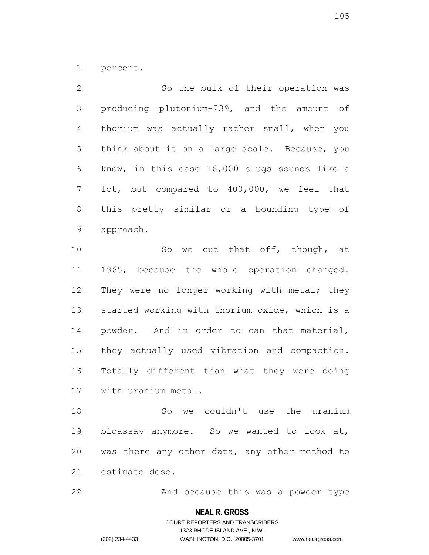percent.

 So the bulk of their operation was producing plutonium-239, and the amount of thorium was actually rather small, when you think about it on a large scale. Because, you know, in this case 16,000 slugs sounds like a lot, but compared to 400,000, we feel that this pretty similar or a bounding type of approach.

10 So we cut that off, though, at 1965, because the whole operation changed. 12 They were no longer working with metal; they started working with thorium oxide, which is a powder. And in order to can that material, they actually used vibration and compaction. Totally different than what they were doing with uranium metal.

 So we couldn't use the uranium bioassay anymore. So we wanted to look at, was there any other data, any other method to estimate dose.

22 And because this was a powder type

#### **NEAL R. GROSS**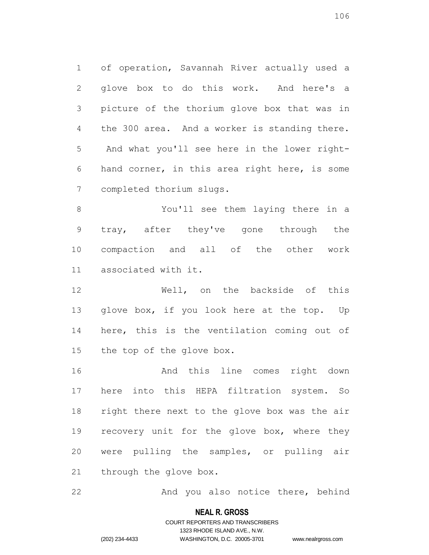of operation, Savannah River actually used a glove box to do this work. And here's a picture of the thorium glove box that was in the 300 area. And a worker is standing there. And what you'll see here in the lower right- hand corner, in this area right here, is some completed thorium slugs.

 You'll see them laying there in a tray, after they've gone through the compaction and all of the other work associated with it.

 Well, on the backside of this glove box, if you look here at the top. Up here, this is the ventilation coming out of the top of the glove box.

 And this line comes right down here into this HEPA filtration system. So right there next to the glove box was the air 19 recovery unit for the glove box, where they were pulling the samples, or pulling air through the glove box.

22 And you also notice there, behind

#### **NEAL R. GROSS**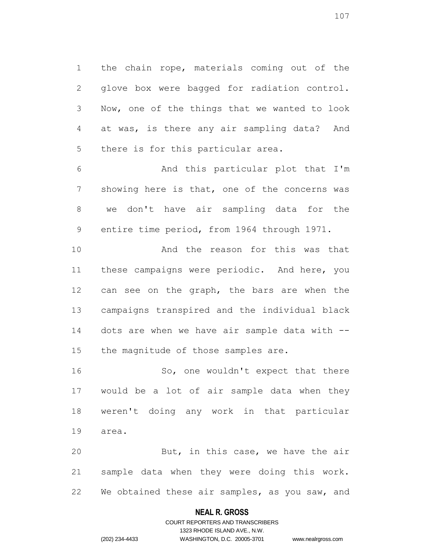the chain rope, materials coming out of the glove box were bagged for radiation control. Now, one of the things that we wanted to look at was, is there any air sampling data? And there is for this particular area.

 And this particular plot that I'm showing here is that, one of the concerns was we don't have air sampling data for the entire time period, from 1964 through 1971.

 And the reason for this was that these campaigns were periodic. And here, you can see on the graph, the bars are when the campaigns transpired and the individual black dots are when we have air sample data with -- the magnitude of those samples are.

16 So, one wouldn't expect that there would be a lot of air sample data when they weren't doing any work in that particular area.

20 But, in this case, we have the air sample data when they were doing this work. 22 We obtained these air samples, as you saw, and

### **NEAL R. GROSS**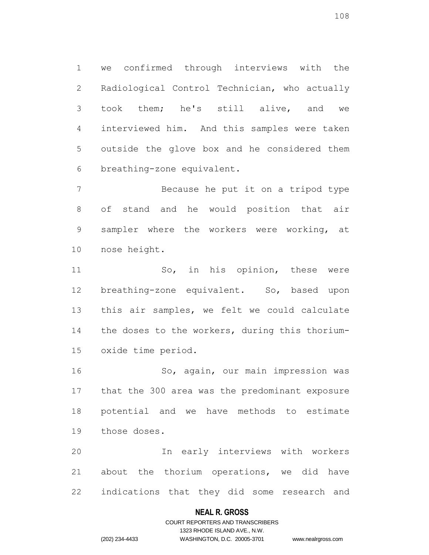we confirmed through interviews with the Radiological Control Technician, who actually took them; he's still alive, and we interviewed him. And this samples were taken outside the glove box and he considered them breathing-zone equivalent.

 Because he put it on a tripod type of stand and he would position that air sampler where the workers were working, at nose height.

 So, in his opinion, these were breathing-zone equivalent. So, based upon this air samples, we felt we could calculate the doses to the workers, during this thorium-oxide time period.

 So, again, our main impression was that the 300 area was the predominant exposure potential and we have methods to estimate those doses.

 In early interviews with workers about the thorium operations, we did have indications that they did some research and

### **NEAL R. GROSS**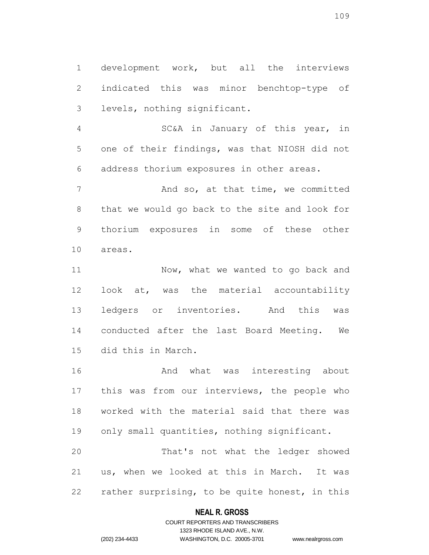development work, but all the interviews indicated this was minor benchtop-type of levels, nothing significant.

 SC&A in January of this year, in one of their findings, was that NIOSH did not address thorium exposures in other areas.

 And so, at that time, we committed that we would go back to the site and look for thorium exposures in some of these other areas.

11 Now, what we wanted to go back and look at, was the material accountability ledgers or inventories. And this was conducted after the last Board Meeting. We did this in March.

 And what was interesting about this was from our interviews, the people who worked with the material said that there was only small quantities, nothing significant. That's not what the ledger showed

 us, when we looked at this in March. It was rather surprising, to be quite honest, in this

### **NEAL R. GROSS**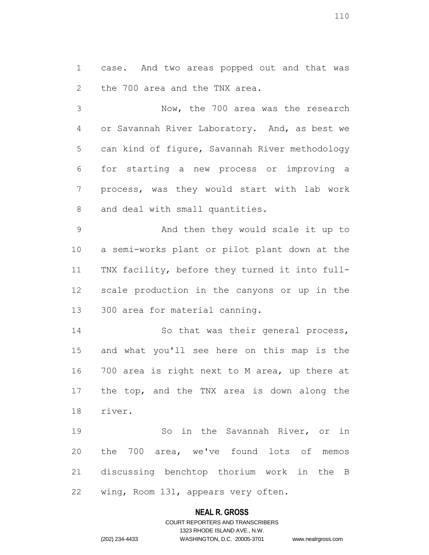case. And two areas popped out and that was the 700 area and the TNX area.

 Now, the 700 area was the research or Savannah River Laboratory. And, as best we can kind of figure, Savannah River methodology for starting a new process or improving a process, was they would start with lab work and deal with small quantities.

 And then they would scale it up to a semi-works plant or pilot plant down at the TNX facility, before they turned it into full- scale production in the canyons or up in the 300 area for material canning.

14 So that was their general process, and what you'll see here on this map is the 700 area is right next to M area, up there at the top, and the TNX area is down along the river.

 So in the Savannah River, or in the 700 area, we've found lots of memos discussing benchtop thorium work in the B wing, Room 131, appears very often.

### **NEAL R. GROSS**

# COURT REPORTERS AND TRANSCRIBERS 1323 RHODE ISLAND AVE., N.W. (202) 234-4433 WASHINGTON, D.C. 20005-3701 www.nealrgross.com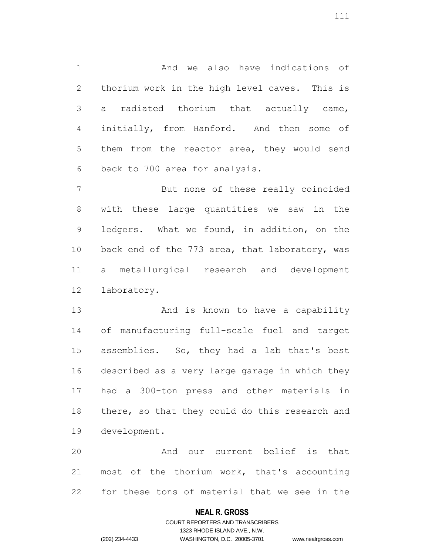And we also have indications of thorium work in the high level caves. This is a radiated thorium that actually came, initially, from Hanford. And then some of them from the reactor area, they would send back to 700 area for analysis.

 But none of these really coincided with these large quantities we saw in the ledgers. What we found, in addition, on the back end of the 773 area, that laboratory, was a metallurgical research and development laboratory.

13 And is known to have a capability of manufacturing full-scale fuel and target assemblies. So, they had a lab that's best described as a very large garage in which they had a 300-ton press and other materials in 18 there, so that they could do this research and development.

 And our current belief is that most of the thorium work, that's accounting for these tons of material that we see in the

### **NEAL R. GROSS**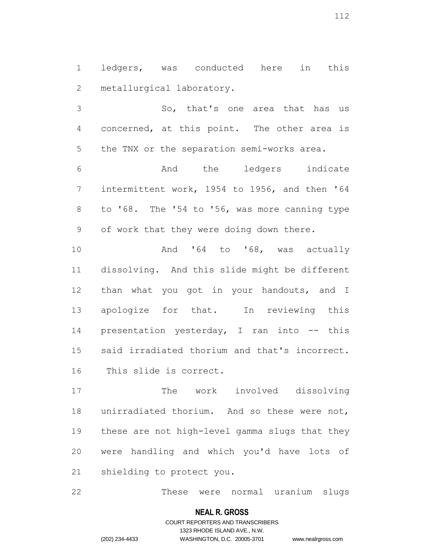ledgers, was conducted here in this metallurgical laboratory.

 So, that's one area that has us concerned, at this point. The other area is the TNX or the separation semi-works area.

 And the ledgers indicate intermittent work, 1954 to 1956, and then '64 to '68. The '54 to '56, was more canning type of work that they were doing down there.

10 And '64 to '68, was actually dissolving. And this slide might be different 12 than what you got in your handouts, and I apologize for that. In reviewing this presentation yesterday, I ran into -- this said irradiated thorium and that's incorrect. This slide is correct.

 The work involved dissolving unirradiated thorium. And so these were not, these are not high-level gamma slugs that they were handling and which you'd have lots of shielding to protect you.

These were normal uranium slugs

### **NEAL R. GROSS**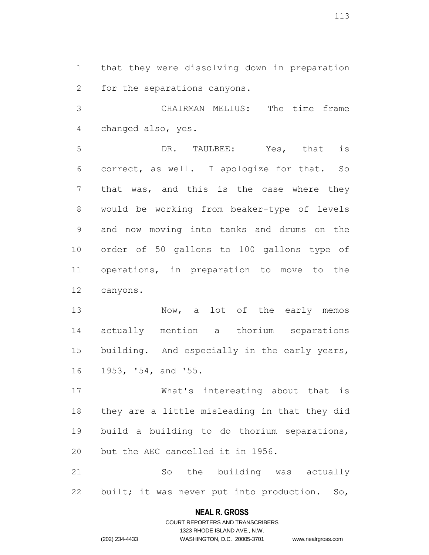that they were dissolving down in preparation for the separations canyons.

 CHAIRMAN MELIUS: The time frame changed also, yes.

 DR. TAULBEE: Yes, that is correct, as well. I apologize for that. So that was, and this is the case where they would be working from beaker-type of levels and now moving into tanks and drums on the order of 50 gallons to 100 gallons type of operations, in preparation to move to the canyons.

13 Now, a lot of the early memos actually mention a thorium separations 15 building. And especially in the early years, 1953, '54, and '55.

 What's interesting about that is they are a little misleading in that they did build a building to do thorium separations, but the AEC cancelled it in 1956.

 So the building was actually built; it was never put into production. So,

### **NEAL R. GROSS**

COURT REPORTERS AND TRANSCRIBERS 1323 RHODE ISLAND AVE., N.W. (202) 234-4433 WASHINGTON, D.C. 20005-3701 www.nealrgross.com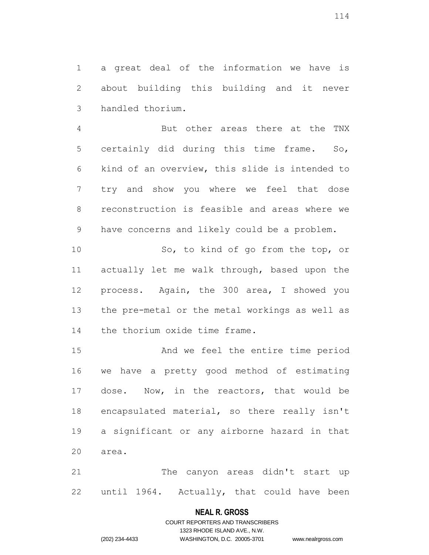a great deal of the information we have is about building this building and it never handled thorium.

 But other areas there at the TNX certainly did during this time frame. So, kind of an overview, this slide is intended to try and show you where we feel that dose reconstruction is feasible and areas where we have concerns and likely could be a problem.

 So, to kind of go from the top, or actually let me walk through, based upon the process. Again, the 300 area, I showed you the pre-metal or the metal workings as well as the thorium oxide time frame.

 And we feel the entire time period we have a pretty good method of estimating dose. Now, in the reactors, that would be encapsulated material, so there really isn't a significant or any airborne hazard in that area.

 The canyon areas didn't start up until 1964. Actually, that could have been

#### **NEAL R. GROSS**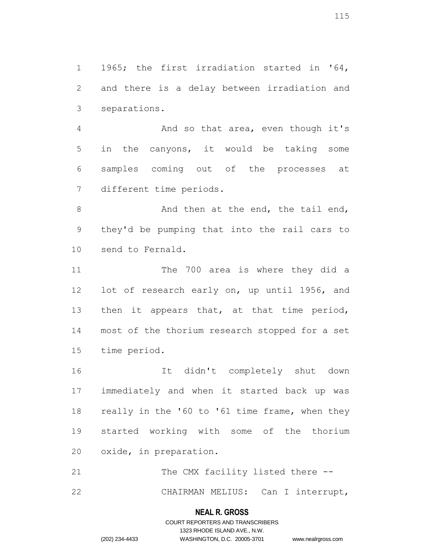1965; the first irradiation started in '64, and there is a delay between irradiation and separations.

 And so that area, even though it's in the canyons, it would be taking some samples coming out of the processes at different time periods.

8 And then at the end, the tail end, they'd be pumping that into the rail cars to send to Fernald.

11 The 700 area is where they did a lot of research early on, up until 1956, and 13 then it appears that, at that time period, most of the thorium research stopped for a set time period.

 It didn't completely shut down immediately and when it started back up was 18 really in the '60 to '61 time frame, when they started working with some of the thorium oxide, in preparation.

21 The CMX facility listed there --

CHAIRMAN MELIUS: Can I interrupt,

# **NEAL R. GROSS** COURT REPORTERS AND TRANSCRIBERS

1323 RHODE ISLAND AVE., N.W. (202) 234-4433 WASHINGTON, D.C. 20005-3701 www.nealrgross.com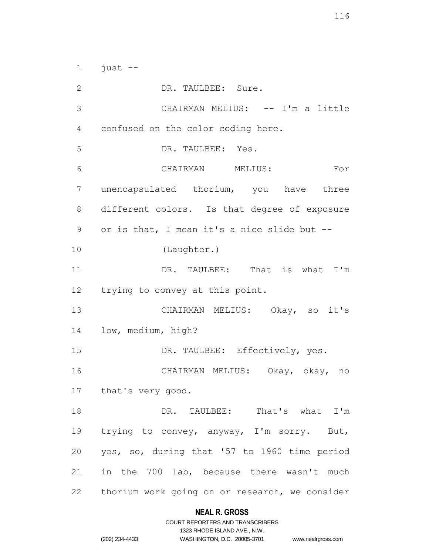just  $-$  DR. TAULBEE: Sure. 3 CHAIRMAN MELIUS: -- I'm a little confused on the color coding here. DR. TAULBEE: Yes. CHAIRMAN MELIUS: For unencapsulated thorium, you have three different colors. Is that degree of exposure or is that, I mean it's a nice slide but -- (Laughter.) DR. TAULBEE: That is what I'm trying to convey at this point. CHAIRMAN MELIUS: Okay, so it's low, medium, high? 15 DR. TAULBEE: Effectively, yes. CHAIRMAN MELIUS: Okay, okay, no that's very good. DR. TAULBEE: That's what I'm trying to convey, anyway, I'm sorry. But, yes, so, during that '57 to 1960 time period in the 700 lab, because there wasn't much thorium work going on or research, we consider

### **NEAL R. GROSS**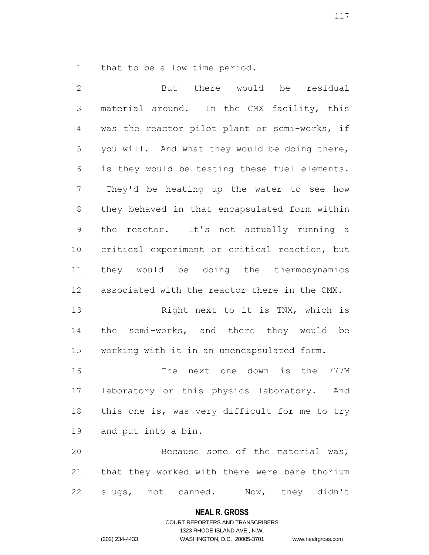that to be a low time period.

 But there would be residual material around. In the CMX facility, this was the reactor pilot plant or semi-works, if you will. And what they would be doing there, is they would be testing these fuel elements. They'd be heating up the water to see how they behaved in that encapsulated form within the reactor. It's not actually running a critical experiment or critical reaction, but they would be doing the thermodynamics associated with the reactor there in the CMX. Right next to it is TNX, which is the semi-works, and there they would be working with it in an unencapsulated form. The next one down is the 777M laboratory or this physics laboratory. And 18 this one is, was very difficult for me to try and put into a bin. Because some of the material was, that they worked with there were bare thorium slugs, not canned. Now, they didn't

#### **NEAL R. GROSS**

# COURT REPORTERS AND TRANSCRIBERS 1323 RHODE ISLAND AVE., N.W. (202) 234-4433 WASHINGTON, D.C. 20005-3701 www.nealrgross.com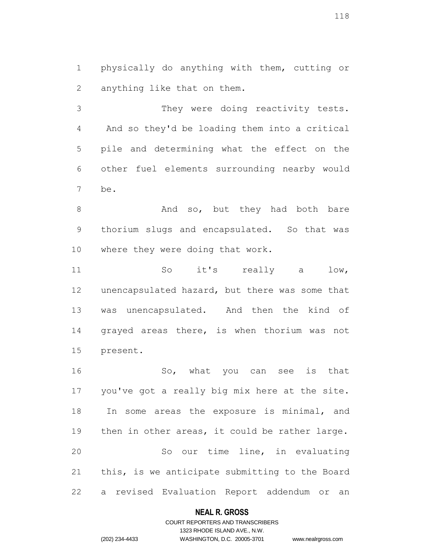physically do anything with them, cutting or anything like that on them.

 They were doing reactivity tests. And so they'd be loading them into a critical pile and determining what the effect on the other fuel elements surrounding nearby would be.

8 And so, but they had both bare thorium slugs and encapsulated. So that was where they were doing that work.

 So it's really a low, unencapsulated hazard, but there was some that 13 was unencapsulated. And then the kind of grayed areas there, is when thorium was not present.

 So, what you can see is that you've got a really big mix here at the site. In some areas the exposure is minimal, and 19 then in other areas, it could be rather large. So our time line, in evaluating this, is we anticipate submitting to the Board a revised Evaluation Report addendum or an

### **NEAL R. GROSS**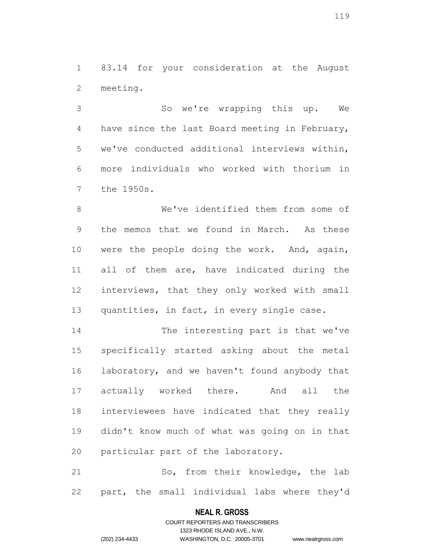83.14 for your consideration at the August meeting.

 So we're wrapping this up. We have since the last Board meeting in February, we've conducted additional interviews within, more individuals who worked with thorium in the 1950s.

 We've identified them from some of the memos that we found in March. As these were the people doing the work. And, again, all of them are, have indicated during the interviews, that they only worked with small 13 quantities, in fact, in every single case.

 The interesting part is that we've specifically started asking about the metal 16 laboratory, and we haven't found anybody that actually worked there. And all the interviewees have indicated that they really didn't know much of what was going on in that particular part of the laboratory.

 So, from their knowledge, the lab part, the small individual labs where they'd

### **NEAL R. GROSS**

COURT REPORTERS AND TRANSCRIBERS 1323 RHODE ISLAND AVE., N.W. (202) 234-4433 WASHINGTON, D.C. 20005-3701 www.nealrgross.com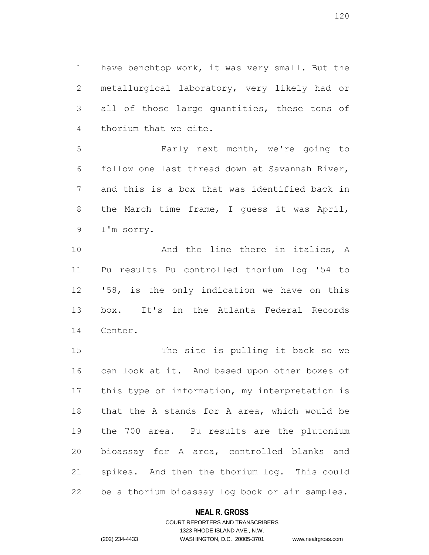have benchtop work, it was very small. But the metallurgical laboratory, very likely had or all of those large quantities, these tons of thorium that we cite.

 Early next month, we're going to follow one last thread down at Savannah River, and this is a box that was identified back in the March time frame, I guess it was April, I'm sorry.

10 and the line there in italics, A Pu results Pu controlled thorium log '54 to '58, is the only indication we have on this box. It's in the Atlanta Federal Records Center.

 The site is pulling it back so we can look at it. And based upon other boxes of 17 this type of information, my interpretation is that the A stands for A area, which would be the 700 area. Pu results are the plutonium bioassay for A area, controlled blanks and spikes. And then the thorium log. This could be a thorium bioassay log book or air samples.

### **NEAL R. GROSS**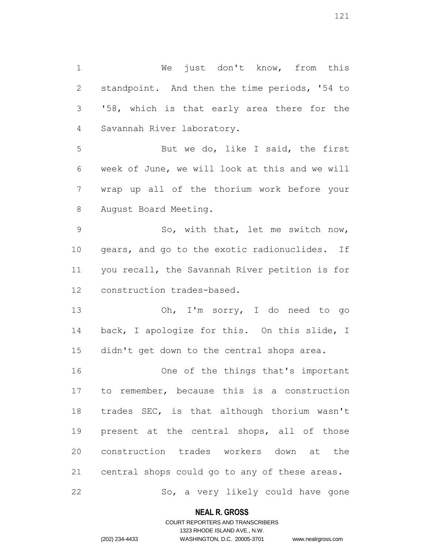We just don't know, from this standpoint. And then the time periods, '54 to '58, which is that early area there for the Savannah River laboratory. But we do, like I said, the first week of June, we will look at this and we will wrap up all of the thorium work before your August Board Meeting. 9 So, with that, let me switch now, 10 gears, and go to the exotic radionuclides. If you recall, the Savannah River petition is for construction trades-based.

 Oh, I'm sorry, I do need to go back, I apologize for this. On this slide, I didn't get down to the central shops area.

 One of the things that's important to remember, because this is a construction trades SEC, is that although thorium wasn't present at the central shops, all of those construction trades workers down at the central shops could go to any of these areas. So, a very likely could have gone

### **NEAL R. GROSS**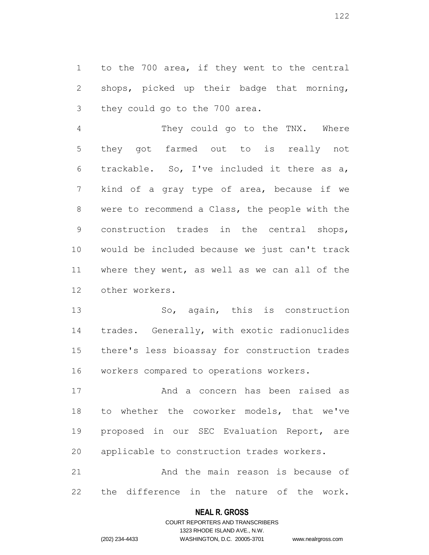to the 700 area, if they went to the central shops, picked up their badge that morning, they could go to the 700 area.

 They could go to the TNX. Where they got farmed out to is really not trackable. So, I've included it there as a, kind of a gray type of area, because if we were to recommend a Class, the people with the construction trades in the central shops, would be included because we just can't track where they went, as well as we can all of the other workers.

 So, again, this is construction trades. Generally, with exotic radionuclides there's less bioassay for construction trades workers compared to operations workers.

 And a concern has been raised as to whether the coworker models, that we've proposed in our SEC Evaluation Report, are applicable to construction trades workers.

 And the main reason is because of the difference in the nature of the work.

### **NEAL R. GROSS**

COURT REPORTERS AND TRANSCRIBERS 1323 RHODE ISLAND AVE., N.W. (202) 234-4433 WASHINGTON, D.C. 20005-3701 www.nealrgross.com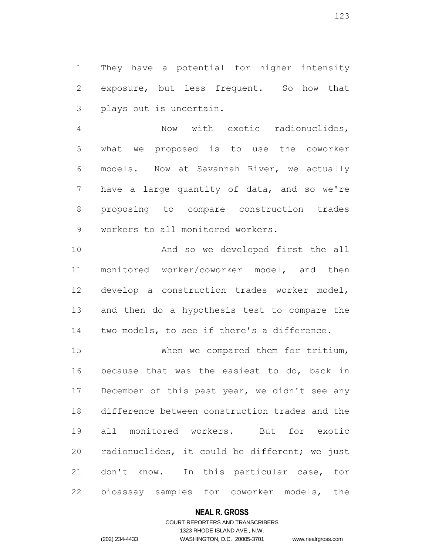They have a potential for higher intensity exposure, but less frequent. So how that plays out is uncertain.

 Now with exotic radionuclides, what we proposed is to use the coworker models. Now at Savannah River, we actually 7 have a large quantity of data, and so we're proposing to compare construction trades workers to all monitored workers.

 And so we developed first the all monitored worker/coworker model, and then develop a construction trades worker model, and then do a hypothesis test to compare the two models, to see if there's a difference.

 When we compared them for tritium, because that was the easiest to do, back in 17 December of this past year, we didn't see any difference between construction trades and the all monitored workers. But for exotic radionuclides, it could be different; we just don't know. In this particular case, for bioassay samples for coworker models, the

### **NEAL R. GROSS**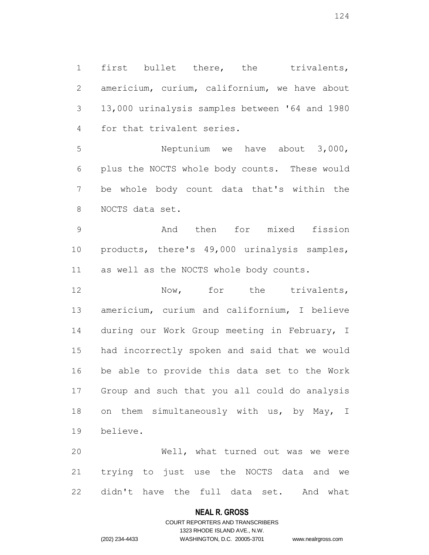first bullet there, the trivalents, americium, curium, californium, we have about 13,000 urinalysis samples between '64 and 1980 for that trivalent series.

 Neptunium we have about 3,000, plus the NOCTS whole body counts. These would be whole body count data that's within the NOCTS data set.

 And then for mixed fission products, there's 49,000 urinalysis samples, as well as the NOCTS whole body counts.

12 Now, for the trivalents, americium, curium and californium, I believe during our Work Group meeting in February, I had incorrectly spoken and said that we would be able to provide this data set to the Work Group and such that you all could do analysis 18 on them simultaneously with us, by May, I believe.

 Well, what turned out was we were trying to just use the NOCTS data and we didn't have the full data set. And what

### **NEAL R. GROSS**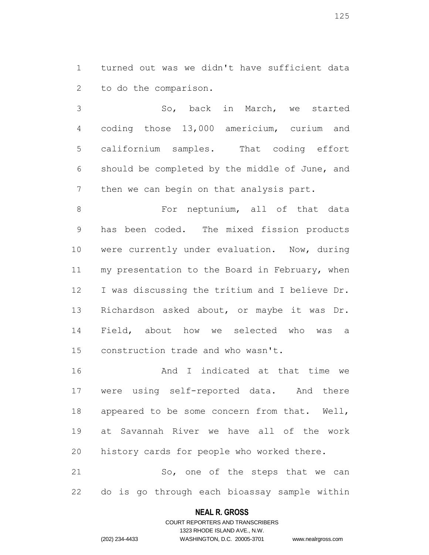turned out was we didn't have sufficient data to do the comparison.

 So, back in March, we started coding those 13,000 americium, curium and californium samples. That coding effort should be completed by the middle of June, and 7 then we can begin on that analysis part.

8 For neptunium, all of that data has been coded. The mixed fission products were currently under evaluation. Now, during 11 my presentation to the Board in February, when I was discussing the tritium and I believe Dr. Richardson asked about, or maybe it was Dr. Field, about how we selected who was a construction trade and who wasn't.

 And I indicated at that time we were using self-reported data. And there appeared to be some concern from that. Well, at Savannah River we have all of the work history cards for people who worked there.

21 So, one of the steps that we can do is go through each bioassay sample within

### **NEAL R. GROSS**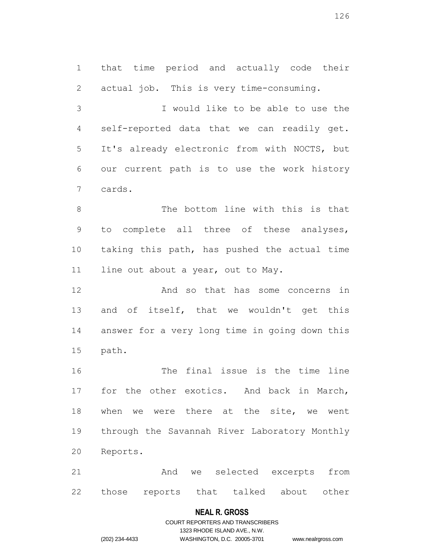that time period and actually code their actual job. This is very time-consuming. I would like to be able to use the self-reported data that we can readily get. It's already electronic from with NOCTS, but our current path is to use the work history cards. The bottom line with this is that to complete all three of these analyses, taking this path, has pushed the actual time 11 line out about a year, out to May. And so that has some concerns in 13 and of itself, that we wouldn't get this answer for a very long time in going down this

 path. The final issue is the time line for the other exotics. And back in March, when we were there at the site, we went through the Savannah River Laboratory Monthly

 And we selected excerpts from those reports that talked about other

# **NEAL R. GROSS**

# COURT REPORTERS AND TRANSCRIBERS 1323 RHODE ISLAND AVE., N.W. (202) 234-4433 WASHINGTON, D.C. 20005-3701 www.nealrgross.com

Reports.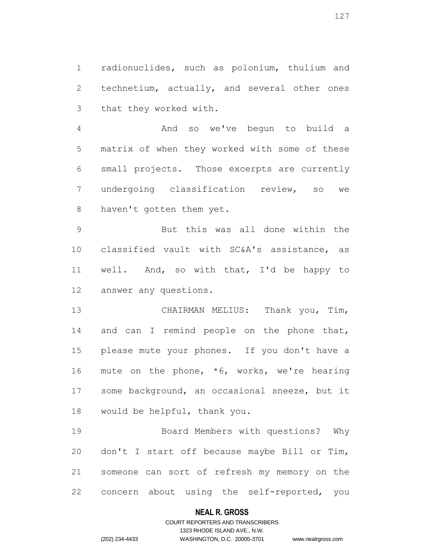radionuclides, such as polonium, thulium and technetium, actually, and several other ones that they worked with.

 And so we've begun to build a matrix of when they worked with some of these small projects. Those excerpts are currently undergoing classification review, so we haven't gotten them yet.

 But this was all done within the classified vault with SC&A's assistance, as well. And, so with that, I'd be happy to answer any questions.

 CHAIRMAN MELIUS: Thank you, Tim, 14 and can I remind people on the phone that, please mute your phones. If you don't have a 16 mute on the phone, \*6, works, we're hearing 17 some background, an occasional sneeze, but it would be helpful, thank you.

 Board Members with questions? Why don't I start off because maybe Bill or Tim, someone can sort of refresh my memory on the concern about using the self-reported, you

### **NEAL R. GROSS**

# COURT REPORTERS AND TRANSCRIBERS 1323 RHODE ISLAND AVE., N.W. (202) 234-4433 WASHINGTON, D.C. 20005-3701 www.nealrgross.com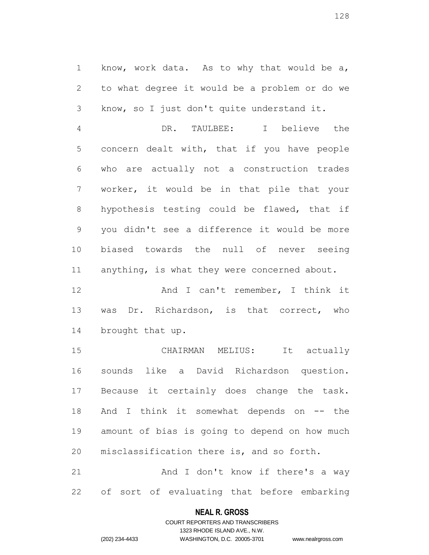know, work data. As to why that would be a, to what degree it would be a problem or do we know, so I just don't quite understand it.

 DR. TAULBEE: I believe the concern dealt with, that if you have people who are actually not a construction trades worker, it would be in that pile that your hypothesis testing could be flawed, that if you didn't see a difference it would be more biased towards the null of never seeing anything, is what they were concerned about.

 And I can't remember, I think it was Dr. Richardson, is that correct, who brought that up.

 CHAIRMAN MELIUS: It actually sounds like a David Richardson question. Because it certainly does change the task. 18 And I think it somewhat depends on -- the amount of bias is going to depend on how much misclassification there is, and so forth.

21 And I don't know if there's a way of sort of evaluating that before embarking

# **NEAL R. GROSS** COURT REPORTERS AND TRANSCRIBERS

1323 RHODE ISLAND AVE., N.W.

(202) 234-4433 WASHINGTON, D.C. 20005-3701 www.nealrgross.com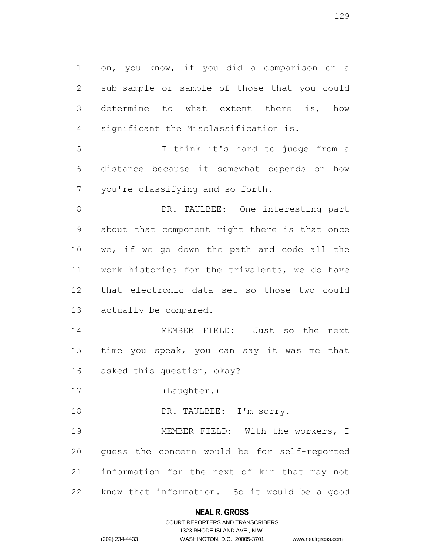on, you know, if you did a comparison on a sub-sample or sample of those that you could determine to what extent there is, how significant the Misclassification is.

 I think it's hard to judge from a distance because it somewhat depends on how you're classifying and so forth.

 DR. TAULBEE: One interesting part about that component right there is that once we, if we go down the path and code all the work histories for the trivalents, we do have that electronic data set so those two could actually be compared.

 MEMBER FIELD: Just so the next time you speak, you can say it was me that asked this question, okay?

(Laughter.)

18 DR. TAULBEE: I'm sorry.

 MEMBER FIELD: With the workers, I guess the concern would be for self-reported information for the next of kin that may not know that information. So it would be a good

### **NEAL R. GROSS**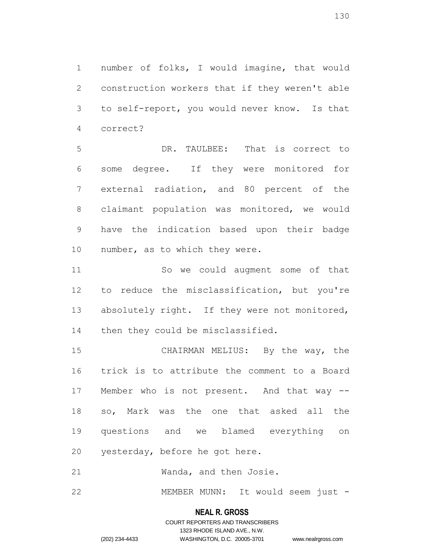number of folks, I would imagine, that would construction workers that if they weren't able to self-report, you would never know. Is that correct?

 DR. TAULBEE: That is correct to some degree. If they were monitored for external radiation, and 80 percent of the claimant population was monitored, we would have the indication based upon their badge number, as to which they were.

 So we could augment some of that to reduce the misclassification, but you're 13 absolutely right. If they were not monitored, then they could be misclassified.

 CHAIRMAN MELIUS: By the way, the trick is to attribute the comment to a Board Member who is not present. And that way -- so, Mark was the one that asked all the questions and we blamed everything on yesterday, before he got here.

Wanda, and then Josie.

MEMBER MUNN: It would seem just -

#### **NEAL R. GROSS**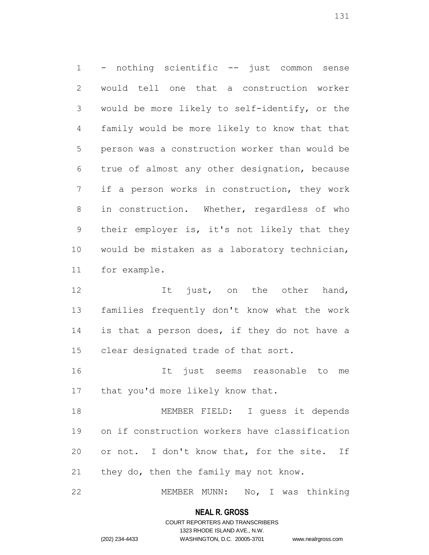- nothing scientific -- just common sense would tell one that a construction worker would be more likely to self-identify, or the family would be more likely to know that that person was a construction worker than would be true of almost any other designation, because if a person works in construction, they work in construction. Whether, regardless of who their employer is, it's not likely that they would be mistaken as a laboratory technician, for example.

12 It just, on the other hand, families frequently don't know what the work 14 is that a person does, if they do not have a clear designated trade of that sort.

 It just seems reasonable to me 17 that you'd more likely know that.

 MEMBER FIELD: I guess it depends on if construction workers have classification 20 or not. I don't know that, for the site. If they do, then the family may not know.

MEMBER MUNN: No, I was thinking

# **NEAL R. GROSS** COURT REPORTERS AND TRANSCRIBERS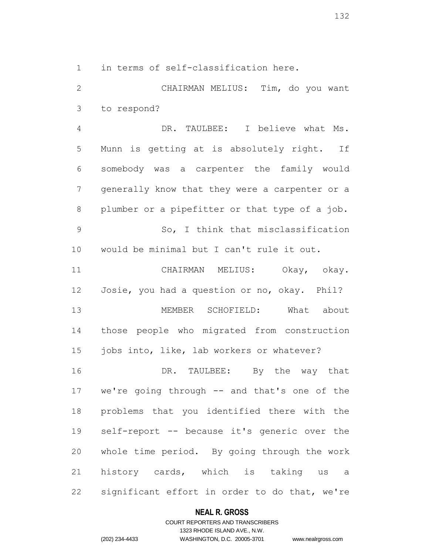in terms of self-classification here.

 CHAIRMAN MELIUS: Tim, do you want to respond?

 DR. TAULBEE: I believe what Ms. Munn is getting at is absolutely right. If somebody was a carpenter the family would generally know that they were a carpenter or a plumber or a pipefitter or that type of a job. So, I think that misclassification would be minimal but I can't rule it out.

 CHAIRMAN MELIUS: Okay, okay. Josie, you had a question or no, okay. Phil? MEMBER SCHOFIELD: What about those people who migrated from construction 15 jobs into, like, lab workers or whatever? DR. TAULBEE: By the way that we're going through -- and that's one of the problems that you identified there with the

 self-report -- because it's generic over the whole time period. By going through the work history cards, which is taking us a significant effort in order to do that, we're

### **NEAL R. GROSS**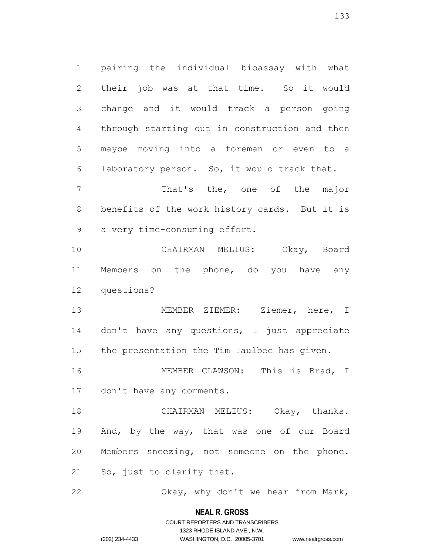pairing the individual bioassay with what their job was at that time. So it would change and it would track a person going through starting out in construction and then maybe moving into a foreman or even to a laboratory person. So, it would track that.

 That's the, one of the major benefits of the work history cards. But it is a very time-consuming effort.

 CHAIRMAN MELIUS: Okay, Board Members on the phone, do you have any questions?

 MEMBER ZIEMER: Ziemer, here, I don't have any questions, I just appreciate the presentation the Tim Taulbee has given.

 MEMBER CLAWSON: This is Brad, I don't have any comments.

 CHAIRMAN MELIUS: Okay, thanks. And, by the way, that was one of our Board Members sneezing, not someone on the phone. So, just to clarify that.

Okay, why don't we hear from Mark,

### **NEAL R. GROSS**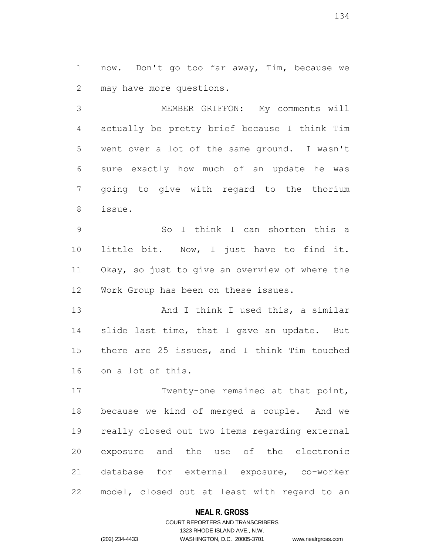now. Don't go too far away, Tim, because we may have more questions.

 MEMBER GRIFFON: My comments will actually be pretty brief because I think Tim went over a lot of the same ground. I wasn't sure exactly how much of an update he was going to give with regard to the thorium issue.

 So I think I can shorten this a little bit. Now, I just have to find it. Okay, so just to give an overview of where the Work Group has been on these issues.

13 And I think I used this, a similar slide last time, that I gave an update. But there are 25 issues, and I think Tim touched on a lot of this.

17 Twenty-one remained at that point, because we kind of merged a couple. And we really closed out two items regarding external exposure and the use of the electronic database for external exposure, co-worker model, closed out at least with regard to an

### **NEAL R. GROSS**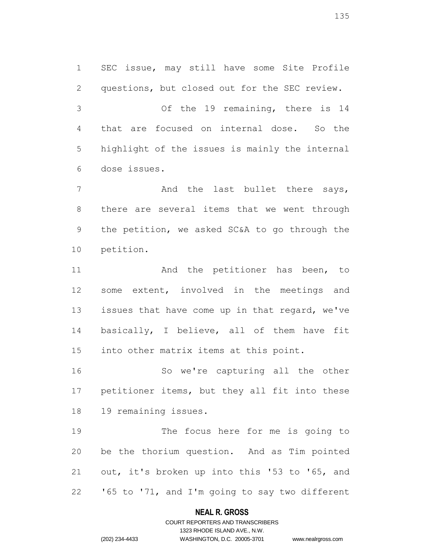SEC issue, may still have some Site Profile questions, but closed out for the SEC review. Of the 19 remaining, there is 14 that are focused on internal dose. So the highlight of the issues is mainly the internal dose issues.

7 And the last bullet there says, there are several items that we went through the petition, we asked SC&A to go through the petition.

11 and the petitioner has been, to some extent, involved in the meetings and 13 issues that have come up in that regard, we've basically, I believe, all of them have fit into other matrix items at this point.

 So we're capturing all the other petitioner items, but they all fit into these 19 remaining issues.

 The focus here for me is going to be the thorium question. And as Tim pointed out, it's broken up into this '53 to '65, and '65 to '71, and I'm going to say two different

### **NEAL R. GROSS**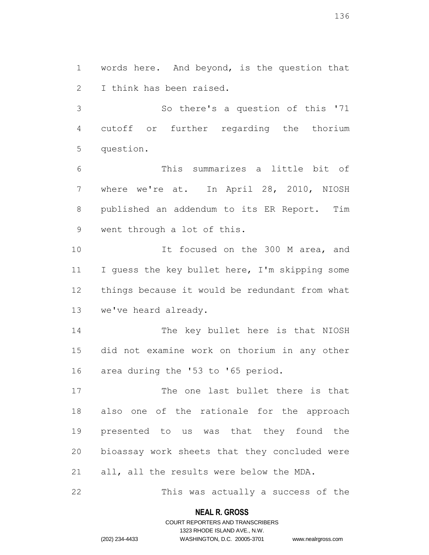words here. And beyond, is the question that I think has been raised.

 So there's a question of this '71 cutoff or further regarding the thorium question.

 This summarizes a little bit of where we're at. In April 28, 2010, NIOSH published an addendum to its ER Report. Tim went through a lot of this.

10 10 It focused on the 300 M area, and 11 I guess the key bullet here, I'm skipping some things because it would be redundant from what we've heard already.

 The key bullet here is that NIOSH did not examine work on thorium in any other area during the '53 to '65 period.

 The one last bullet there is that also one of the rationale for the approach presented to us was that they found the bioassay work sheets that they concluded were all, all the results were below the MDA.

This was actually a success of the

### **NEAL R. GROSS**

# COURT REPORTERS AND TRANSCRIBERS 1323 RHODE ISLAND AVE., N.W. (202) 234-4433 WASHINGTON, D.C. 20005-3701 www.nealrgross.com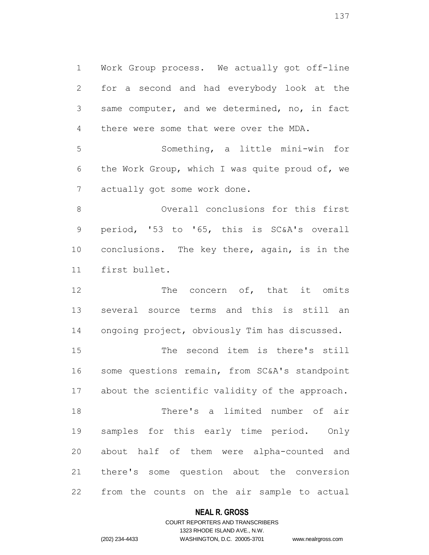Work Group process. We actually got off-line for a second and had everybody look at the same computer, and we determined, no, in fact there were some that were over the MDA.

 Something, a little mini-win for the Work Group, which I was quite proud of, we actually got some work done.

 Overall conclusions for this first period, '53 to '65, this is SC&A's overall conclusions. The key there, again, is in the first bullet.

12 The concern of, that it omits several source terms and this is still an ongoing project, obviously Tim has discussed.

 The second item is there's still 16 some questions remain, from SC&A's standpoint about the scientific validity of the approach. There's a limited number of air samples for this early time period. Only about half of them were alpha-counted and there's some question about the conversion from the counts on the air sample to actual

### **NEAL R. GROSS**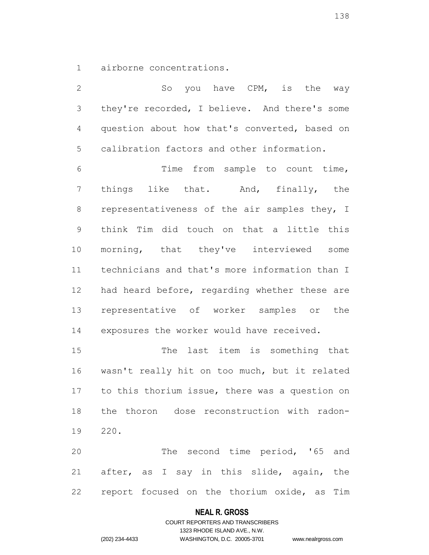airborne concentrations.

2 So you have CPM, is the way they're recorded, I believe. And there's some question about how that's converted, based on calibration factors and other information. Time from sample to count time, things like that. And, finally, the representativeness of the air samples they, I think Tim did touch on that a little this morning, that they've interviewed some technicians and that's more information than I had heard before, regarding whether these are representative of worker samples or the exposures the worker would have received. The last item is something that wasn't really hit on too much, but it related to this thorium issue, there was a question on the thoron dose reconstruction with radon-220.

 The second time period, '65 and after, as I say in this slide, again, the report focused on the thorium oxide, as Tim

### **NEAL R. GROSS**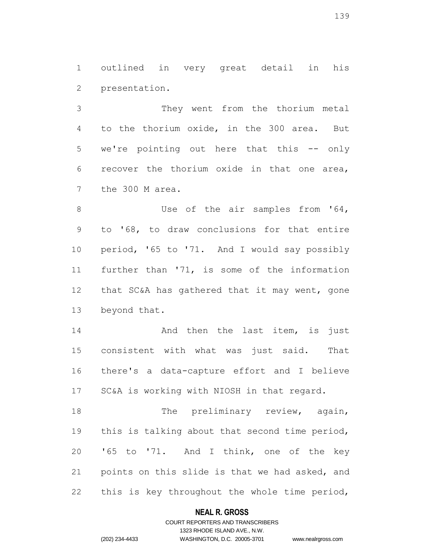outlined in very great detail in his presentation.

 They went from the thorium metal to the thorium oxide, in the 300 area. But we're pointing out here that this -- only recover the thorium oxide in that one area, the 300 M area.

8 Use of the air samples from '64, to '68, to draw conclusions for that entire period, '65 to '71. And I would say possibly further than '71, is some of the information that SC&A has gathered that it may went, gone beyond that.

**And then the last item, is just**  consistent with what was just said. That there's a data-capture effort and I believe SC&A is working with NIOSH in that regard.

18 The preliminary review, again, this is talking about that second time period, '65 to '71. And I think, one of the key points on this slide is that we had asked, and this is key throughout the whole time period,

### **NEAL R. GROSS**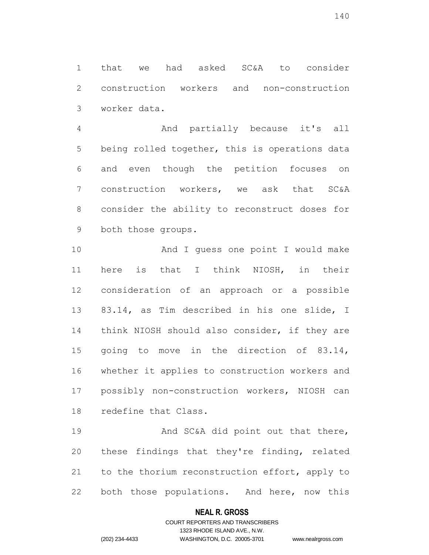that we had asked SC&A to consider construction workers and non-construction worker data.

 And partially because it's all being rolled together, this is operations data and even though the petition focuses on construction workers, we ask that SC&A consider the ability to reconstruct doses for both those groups.

 And I guess one point I would make here is that I think NIOSH, in their consideration of an approach or a possible 83.14, as Tim described in his one slide, I think NIOSH should also consider, if they are 15 going to move in the direction of 83.14, whether it applies to construction workers and possibly non-construction workers, NIOSH can redefine that Class.

19 And SC&A did point out that there, these findings that they're finding, related 21 to the thorium reconstruction effort, apply to both those populations. And here, now this

### **NEAL R. GROSS**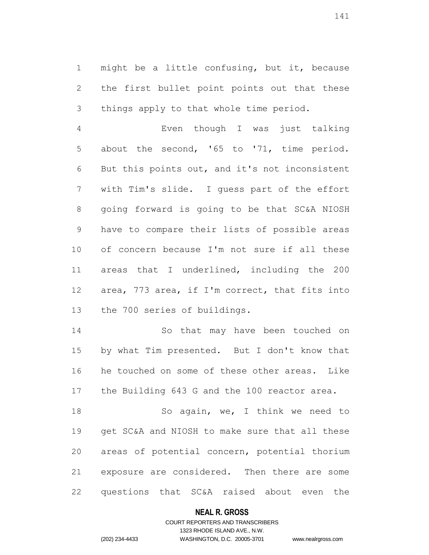might be a little confusing, but it, because 2 the first bullet point points out that these things apply to that whole time period.

 Even though I was just talking about the second, '65 to '71, time period. But this points out, and it's not inconsistent with Tim's slide. I guess part of the effort going forward is going to be that SC&A NIOSH have to compare their lists of possible areas of concern because I'm not sure if all these areas that I underlined, including the 200 area, 773 area, if I'm correct, that fits into the 700 series of buildings.

 So that may have been touched on by what Tim presented. But I don't know that he touched on some of these other areas. Like the Building 643 G and the 100 reactor area.

18 So again, we, I think we need to get SC&A and NIOSH to make sure that all these areas of potential concern, potential thorium exposure are considered. Then there are some questions that SC&A raised about even the

### **NEAL R. GROSS**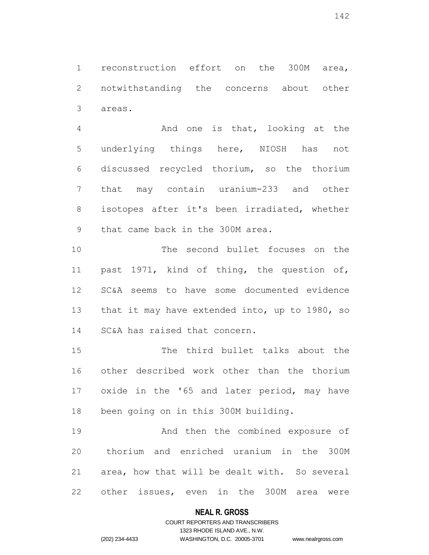reconstruction effort on the 300M area, notwithstanding the concerns about other areas.

 And one is that, looking at the underlying things here, NIOSH has not discussed recycled thorium, so the thorium that may contain uranium-233 and other isotopes after it's been irradiated, whether that came back in the 300M area.

 The second bullet focuses on the past 1971, kind of thing, the question of, SC&A seems to have some documented evidence 13 that it may have extended into, up to 1980, so SC&A has raised that concern.

 The third bullet talks about the other described work other than the thorium oxide in the '65 and later period, may have been going on in this 300M building.

 And then the combined exposure of thorium and enriched uranium in the 300M area, how that will be dealt with. So several other issues, even in the 300M area were

### **NEAL R. GROSS**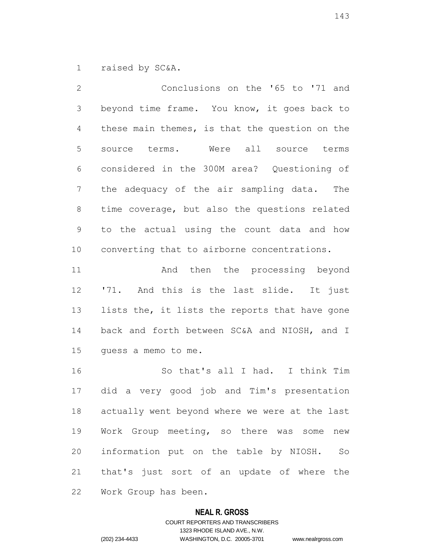raised by SC&A.

 Conclusions on the '65 to '71 and beyond time frame. You know, it goes back to these main themes, is that the question on the source terms. Were all source terms considered in the 300M area? Questioning of the adequacy of the air sampling data. The time coverage, but also the questions related to the actual using the count data and how converting that to airborne concentrations. And then the processing beyond

12 '71. And this is the last slide. It just 13 lists the, it lists the reports that have gone back and forth between SC&A and NIOSH, and I guess a memo to me.

 So that's all I had. I think Tim did a very good job and Tim's presentation actually went beyond where we were at the last Work Group meeting, so there was some new information put on the table by NIOSH. So that's just sort of an update of where the Work Group has been.

### **NEAL R. GROSS**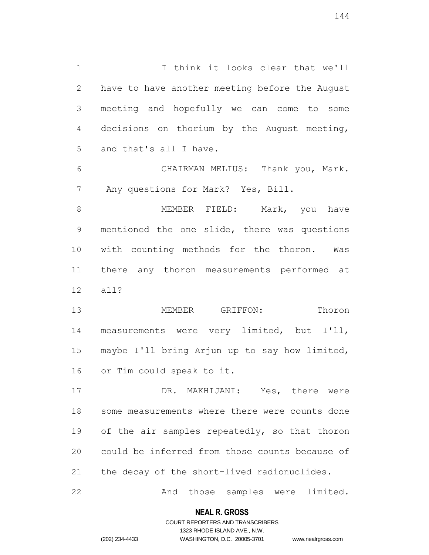I think it looks clear that we'll have to have another meeting before the August meeting and hopefully we can come to some decisions on thorium by the August meeting, and that's all I have. CHAIRMAN MELIUS: Thank you, Mark.

Any questions for Mark? Yes, Bill.

8 MEMBER FIELD: Mark, you have mentioned the one slide, there was questions with counting methods for the thoron. Was there any thoron measurements performed at all?

 MEMBER GRIFFON: Thoron measurements were very limited, but I'll, maybe I'll bring Arjun up to say how limited, or Tim could speak to it.

 DR. MAKHIJANI: Yes, there were some measurements where there were counts done 19 of the air samples repeatedly, so that thoron could be inferred from those counts because of the decay of the short-lived radionuclides.

And those samples were limited.

### **NEAL R. GROSS**

# COURT REPORTERS AND TRANSCRIBERS 1323 RHODE ISLAND AVE., N.W. (202) 234-4433 WASHINGTON, D.C. 20005-3701 www.nealrgross.com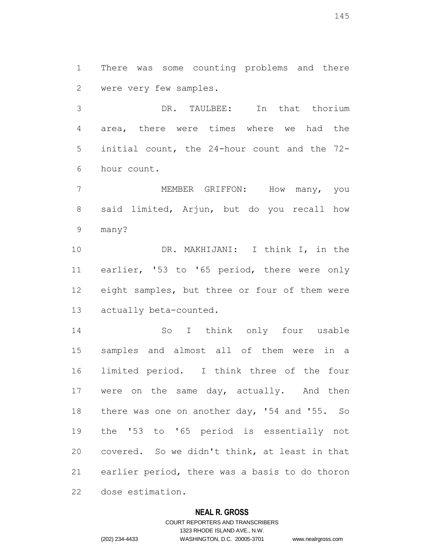There was some counting problems and there were very few samples.

 DR. TAULBEE: In that thorium area, there were times where we had the initial count, the 24-hour count and the 72- hour count.

 MEMBER GRIFFON: How many, you said limited, Arjun, but do you recall how many?

 DR. MAKHIJANI: I think I, in the earlier, '53 to '65 period, there were only eight samples, but three or four of them were actually beta-counted.

 So I think only four usable samples and almost all of them were in a limited period. I think three of the four 17 were on the same day, actually. And then 18 there was one on another day, '54 and '55. So the '53 to '65 period is essentially not covered. So we didn't think, at least in that earlier period, there was a basis to do thoron dose estimation.

## **NEAL R. GROSS**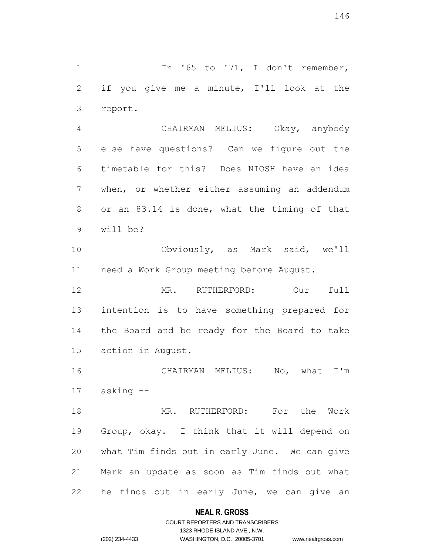1 In '65 to '71, I don't remember, if you give me a minute, I'll look at the report.

 CHAIRMAN MELIUS: Okay, anybody else have questions? Can we figure out the timetable for this? Does NIOSH have an idea when, or whether either assuming an addendum or an 83.14 is done, what the timing of that will be?

 Obviously, as Mark said, we'll need a Work Group meeting before August.

 MR. RUTHERFORD: Our full intention is to have something prepared for the Board and be ready for the Board to take action in August.

 CHAIRMAN MELIUS: No, what I'm asking --

 MR. RUTHERFORD: For the Work Group, okay. I think that it will depend on what Tim finds out in early June. We can give Mark an update as soon as Tim finds out what he finds out in early June, we can give an

## **NEAL R. GROSS**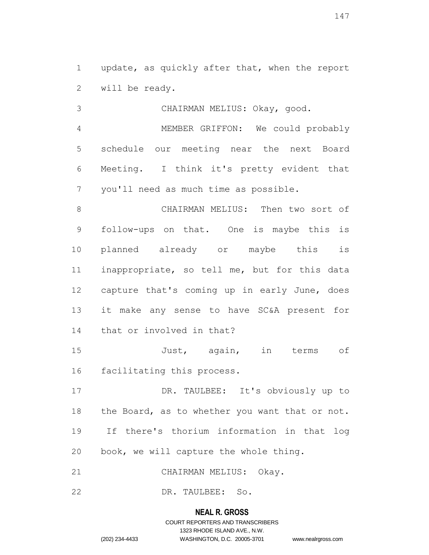update, as quickly after that, when the report will be ready.

 CHAIRMAN MELIUS: Okay, good. MEMBER GRIFFON: We could probably schedule our meeting near the next Board Meeting. I think it's pretty evident that you'll need as much time as possible.

 CHAIRMAN MELIUS: Then two sort of follow-ups on that. One is maybe this is planned already or maybe this is inappropriate, so tell me, but for this data capture that's coming up in early June, does it make any sense to have SC&A present for that or involved in that?

 Just, again, in terms of facilitating this process.

 DR. TAULBEE: It's obviously up to 18 the Board, as to whether you want that or not. If there's thorium information in that log book, we will capture the whole thing.

CHAIRMAN MELIUS: Okay.

DR. TAULBEE: So.

## **NEAL R. GROSS**

# COURT REPORTERS AND TRANSCRIBERS 1323 RHODE ISLAND AVE., N.W. (202) 234-4433 WASHINGTON, D.C. 20005-3701 www.nealrgross.com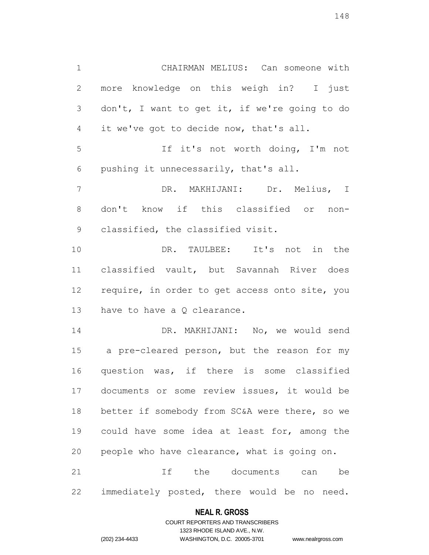CHAIRMAN MELIUS: Can someone with more knowledge on this weigh in? I just don't, I want to get it, if we're going to do it we've got to decide now, that's all. If it's not worth doing, I'm not pushing it unnecessarily, that's all. DR. MAKHIJANI: Dr. Melius, I don't know if this classified or non- classified, the classified visit. DR. TAULBEE: It's not in the classified vault, but Savannah River does 12 require, in order to get access onto site, you have to have a Q clearance. DR. MAKHIJANI: No, we would send a pre-cleared person, but the reason for my question was, if there is some classified documents or some review issues, it would be 18 better if somebody from SC&A were there, so we could have some idea at least for, among the people who have clearance, what is going on.

 If the documents can be immediately posted, there would be no need.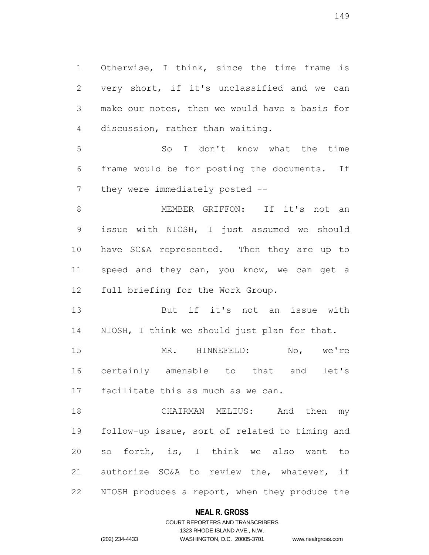Otherwise, I think, since the time frame is very short, if it's unclassified and we can make our notes, then we would have a basis for discussion, rather than waiting.

 So I don't know what the time frame would be for posting the documents. If 7 they were immediately posted --

 MEMBER GRIFFON: If it's not an issue with NIOSH, I just assumed we should have SC&A represented. Then they are up to 11 speed and they can, you know, we can get a full briefing for the Work Group.

 But if it's not an issue with NIOSH, I think we should just plan for that.

 MR. HINNEFELD: No, we're certainly amenable to that and let's facilitate this as much as we can.

 CHAIRMAN MELIUS: And then my follow-up issue, sort of related to timing and so forth, is, I think we also want to authorize SC&A to review the, whatever, if NIOSH produces a report, when they produce the

## **NEAL R. GROSS**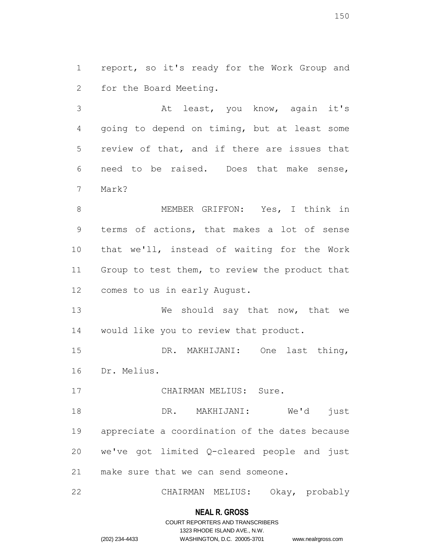report, so it's ready for the Work Group and for the Board Meeting.

 At least, you know, again it's going to depend on timing, but at least some review of that, and if there are issues that need to be raised. Does that make sense, Mark?

 MEMBER GRIFFON: Yes, I think in terms of actions, that makes a lot of sense that we'll, instead of waiting for the Work Group to test them, to review the product that comes to us in early August.

 We should say that now, that we would like you to review that product.

 DR. MAKHIJANI: One last thing, Dr. Melius.

17 CHAIRMAN MELIUS: Sure.

 DR. MAKHIJANI: We'd just appreciate a coordination of the dates because we've got limited Q-cleared people and just make sure that we can send someone.

CHAIRMAN MELIUS: Okay, probably

#### **NEAL R. GROSS**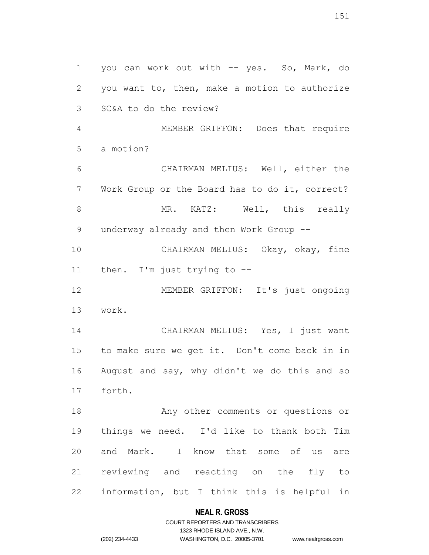you can work out with -- yes. So, Mark, do you want to, then, make a motion to authorize SC&A to do the review? MEMBER GRIFFON: Does that require a motion? CHAIRMAN MELIUS: Well, either the Work Group or the Board has to do it, correct? 8 MR. KATZ: Well, this really 9 underway already and then Work Group -- CHAIRMAN MELIUS: Okay, okay, fine then. I'm just trying to -- 12 MEMBER GRIFFON: It's just ongoing work. CHAIRMAN MELIUS: Yes, I just want to make sure we get it. Don't come back in in August and say, why didn't we do this and so forth. Any other comments or questions or things we need. I'd like to thank both Tim and Mark. I know that some of us are reviewing and reacting on the fly to information, but I think this is helpful in

# **NEAL R. GROSS**

COURT REPORTERS AND TRANSCRIBERS 1323 RHODE ISLAND AVE., N.W. (202) 234-4433 WASHINGTON, D.C. 20005-3701 www.nealrgross.com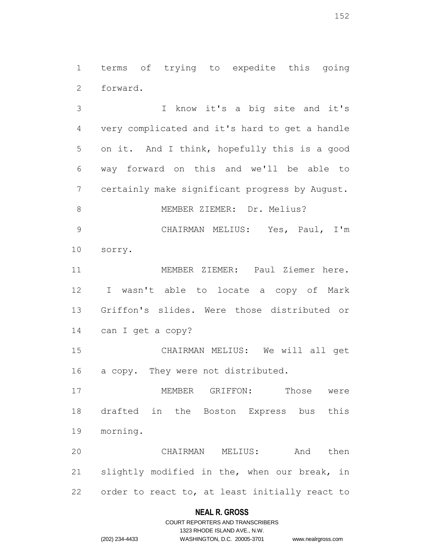terms of trying to expedite this going forward.

 I know it's a big site and it's very complicated and it's hard to get a handle on it. And I think, hopefully this is a good way forward on this and we'll be able to certainly make significant progress by August. 8 MEMBER ZIEMER: Dr. Melius? CHAIRMAN MELIUS: Yes, Paul, I'm sorry. MEMBER ZIEMER: Paul Ziemer here. I wasn't able to locate a copy of Mark Griffon's slides. Were those distributed or can I get a copy? CHAIRMAN MELIUS: We will all get a copy. They were not distributed. MEMBER GRIFFON: Those were drafted in the Boston Express bus this morning. CHAIRMAN MELIUS: And then slightly modified in the, when our break, in order to react to, at least initially react to

## **NEAL R. GROSS**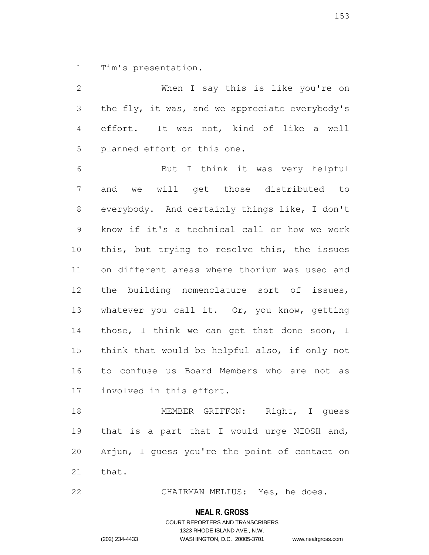Tim's presentation.

 When I say this is like you're on the fly, it was, and we appreciate everybody's effort. It was not, kind of like a well planned effort on this one. But I think it was very helpful and we will get those distributed to everybody. And certainly things like, I don't know if it's a technical call or how we work this, but trying to resolve this, the issues on different areas where thorium was used and the building nomenclature sort of issues, whatever you call it. Or, you know, getting 14 those, I think we can get that done soon, I think that would be helpful also, if only not to confuse us Board Members who are not as involved in this effort.

 MEMBER GRIFFON: Right, I guess that is a part that I would urge NIOSH and, Arjun, I guess you're the point of contact on that.

CHAIRMAN MELIUS: Yes, he does.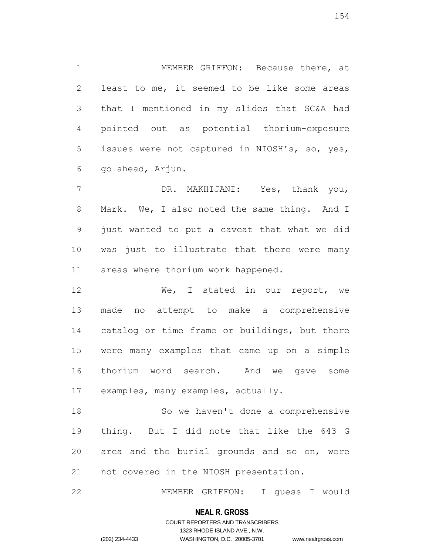MEMBER GRIFFON: Because there, at least to me, it seemed to be like some areas that I mentioned in my slides that SC&A had pointed out as potential thorium-exposure issues were not captured in NIOSH's, so, yes, go ahead, Arjun.

 DR. MAKHIJANI: Yes, thank you, Mark. We, I also noted the same thing. And I just wanted to put a caveat that what we did was just to illustrate that there were many areas where thorium work happened.

12 We, I stated in our report, we made no attempt to make a comprehensive catalog or time frame or buildings, but there were many examples that came up on a simple thorium word search. And we gave some examples, many examples, actually.

 So we haven't done a comprehensive thing. But I did note that like the 643 G area and the burial grounds and so on, were not covered in the NIOSH presentation.

MEMBER GRIFFON: I guess I would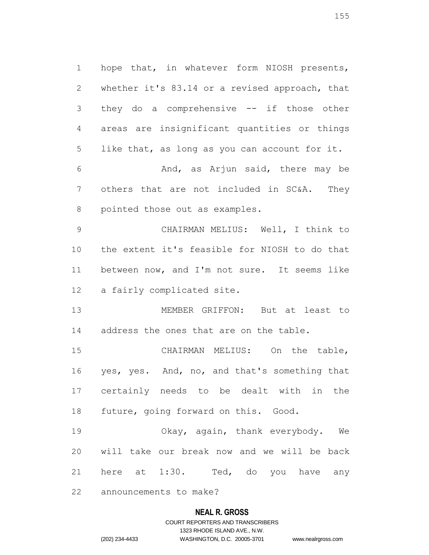hope that, in whatever form NIOSH presents, whether it's 83.14 or a revised approach, that they do a comprehensive -- if those other areas are insignificant quantities or things like that, as long as you can account for it. And, as Arjun said, there may be others that are not included in SC&A. They pointed those out as examples. CHAIRMAN MELIUS: Well, I think to

 the extent it's feasible for NIOSH to do that between now, and I'm not sure. It seems like a fairly complicated site.

 MEMBER GRIFFON: But at least to address the ones that are on the table.

 CHAIRMAN MELIUS: On the table, yes, yes. And, no, and that's something that certainly needs to be dealt with in the future, going forward on this. Good.

 Okay, again, thank everybody. We will take our break now and we will be back here at 1:30. Ted, do you have any

announcements to make?

# **NEAL R. GROSS**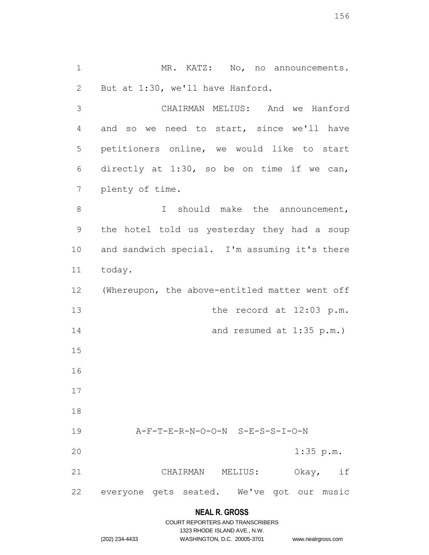1 MR. KATZ: No, no announcements. But at 1:30, we'll have Hanford.

 CHAIRMAN MELIUS: And we Hanford and so we need to start, since we'll have petitioners online, we would like to start directly at 1:30, so be on time if we can, plenty of time.

8 I should make the announcement, the hotel told us yesterday they had a soup and sandwich special. I'm assuming it's there today.

 (Whereupon, the above-entitled matter went off 13 the record at 12:03 p.m. 14 and resumed at 1:35 p.m.) A-F-T-E-R-N-O-O-N S-E-S-S-I-O-N 1:35 p.m. CHAIRMAN MELIUS: Okay, if

everyone gets seated. We've got our music

# **NEAL R. GROSS**

www.nealrgross.com

|                | COURT REPORTERS AND TRANSCRIBERS |
|----------------|----------------------------------|
|                | 1323 RHODE ISLAND AVE., N.W.     |
| (202) 234-4433 | WASHINGTON, D.C. 20005-3701      |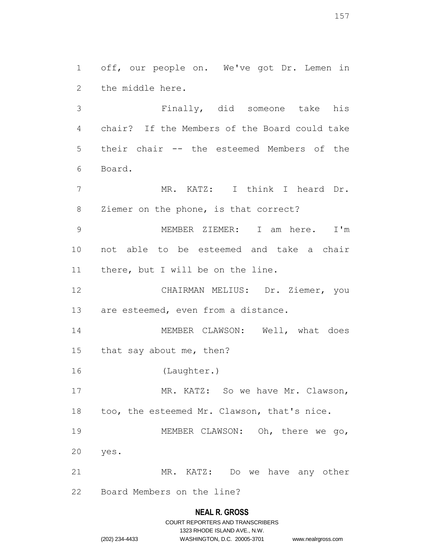off, our people on. We've got Dr. Lemen in the middle here.

 Finally, did someone take his chair? If the Members of the Board could take their chair -- the esteemed Members of the Board.

 MR. KATZ: I think I heard Dr. Ziemer on the phone, is that correct?

 MEMBER ZIEMER: I am here. I'm not able to be esteemed and take a chair there, but I will be on the line.

 CHAIRMAN MELIUS: Dr. Ziemer, you 13 are esteemed, even from a distance.

14 MEMBER CLAWSON: Well, what does that say about me, then?

(Laughter.)

17 MR. KATZ: So we have Mr. Clawson, too, the esteemed Mr. Clawson, that's nice.

 MEMBER CLAWSON: Oh, there we go, yes.

MR. KATZ: Do we have any other

Board Members on the line?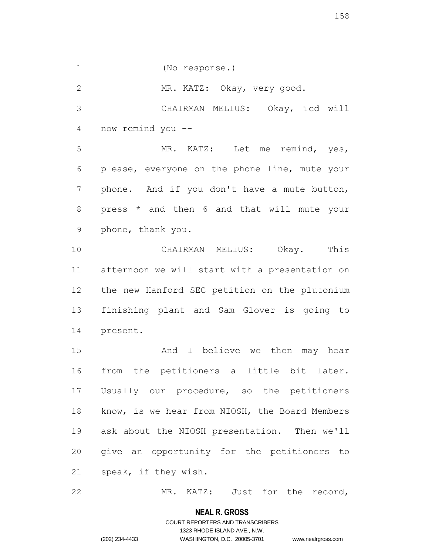(No response.)

MR. KATZ: Okay, very good.

 CHAIRMAN MELIUS: Okay, Ted will now remind you --

 MR. KATZ: Let me remind, yes, please, everyone on the phone line, mute your phone. And if you don't have a mute button, press \* and then 6 and that will mute your phone, thank you.

 CHAIRMAN MELIUS: Okay. This afternoon we will start with a presentation on the new Hanford SEC petition on the plutonium finishing plant and Sam Glover is going to present.

 And I believe we then may hear from the petitioners a little bit later. Usually our procedure, so the petitioners know, is we hear from NIOSH, the Board Members ask about the NIOSH presentation. Then we'll give an opportunity for the petitioners to speak, if they wish.

22 MR. KATZ: Just for the record,

#### **NEAL R. GROSS**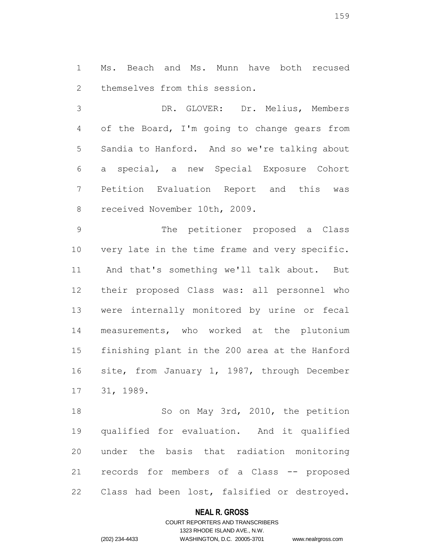Ms. Beach and Ms. Munn have both recused themselves from this session.

 DR. GLOVER: Dr. Melius, Members of the Board, I'm going to change gears from Sandia to Hanford. And so we're talking about a special, a new Special Exposure Cohort Petition Evaluation Report and this was received November 10th, 2009.

 The petitioner proposed a Class very late in the time frame and very specific. And that's something we'll talk about. But their proposed Class was: all personnel who were internally monitored by urine or fecal measurements, who worked at the plutonium finishing plant in the 200 area at the Hanford site, from January 1, 1987, through December 31, 1989.

 So on May 3rd, 2010, the petition qualified for evaluation. And it qualified under the basis that radiation monitoring records for members of a Class -- proposed Class had been lost, falsified or destroyed.

## **NEAL R. GROSS**

# COURT REPORTERS AND TRANSCRIBERS 1323 RHODE ISLAND AVE., N.W. (202) 234-4433 WASHINGTON, D.C. 20005-3701 www.nealrgross.com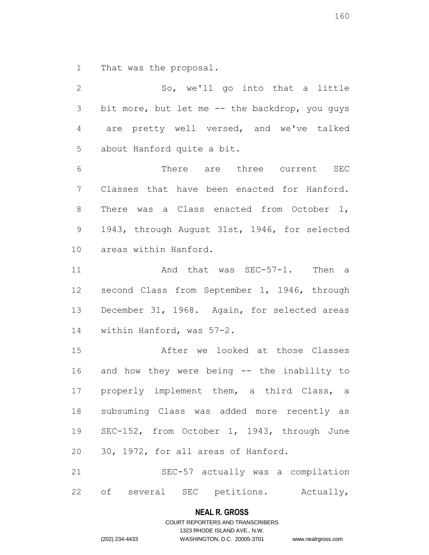That was the proposal.

 So, we'll go into that a little bit more, but let me -- the backdrop, you guys are pretty well versed, and we've talked about Hanford quite a bit. There are three current SEC Classes that have been enacted for Hanford. 8 There was a Class enacted from October 1, 1943, through August 31st, 1946, for selected areas within Hanford. 11 And that was SEC-57-1. Then a second Class from September 1, 1946, through December 31, 1968. Again, for selected areas within Hanford, was 57-2. After we looked at those Classes and how they were being -- the inability to properly implement them, a third Class, a subsuming Class was added more recently as SEC-152, from October 1, 1943, through June 30, 1972, for all areas of Hanford. SEC-57 actually was a compilation 22 of several SEC petitions. Actually,

#### **NEAL R. GROSS**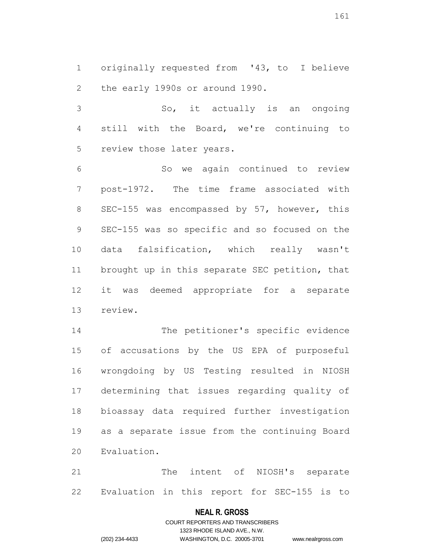originally requested from '43, to I believe the early 1990s or around 1990.

 So, it actually is an ongoing still with the Board, we're continuing to review those later years.

 So we again continued to review post-1972. The time frame associated with SEC-155 was encompassed by 57, however, this SEC-155 was so specific and so focused on the data falsification, which really wasn't brought up in this separate SEC petition, that it was deemed appropriate for a separate review.

 The petitioner's specific evidence of accusations by the US EPA of purposeful wrongdoing by US Testing resulted in NIOSH determining that issues regarding quality of bioassay data required further investigation as a separate issue from the continuing Board Evaluation.

 The intent of NIOSH's separate Evaluation in this report for SEC-155 is to

## **NEAL R. GROSS**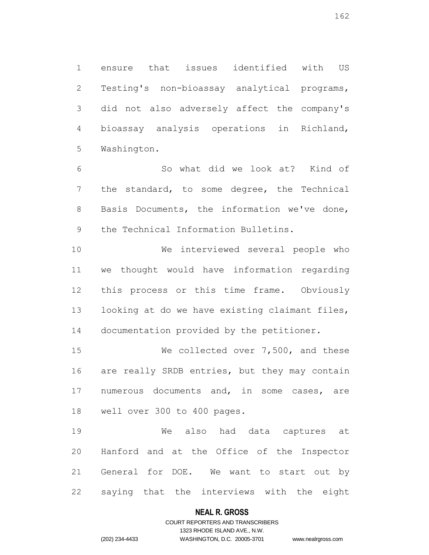ensure that issues identified with US Testing's non-bioassay analytical programs, did not also adversely affect the company's bioassay analysis operations in Richland, Washington.

 So what did we look at? Kind of the standard, to some degree, the Technical Basis Documents, the information we've done, the Technical Information Bulletins.

 We interviewed several people who we thought would have information regarding this process or this time frame. Obviously looking at do we have existing claimant files, documentation provided by the petitioner.

 We collected over 7,500, and these 16 are really SRDB entries, but they may contain numerous documents and, in some cases, are well over 300 to 400 pages.

 We also had data captures at Hanford and at the Office of the Inspector General for DOE. We want to start out by saying that the interviews with the eight

# **NEAL R. GROSS**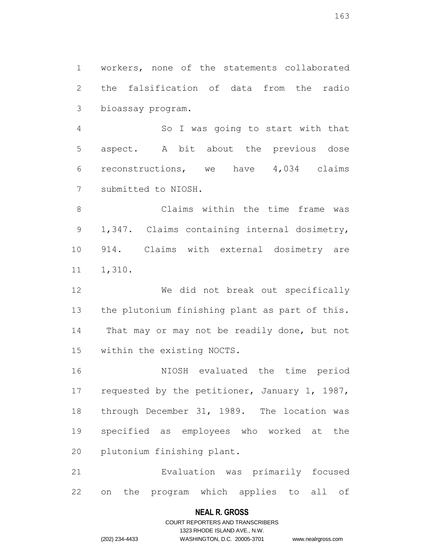workers, none of the statements collaborated the falsification of data from the radio bioassay program.

 So I was going to start with that aspect. A bit about the previous dose reconstructions, we have 4,034 claims submitted to NIOSH.

 Claims within the time frame was 1,347. Claims containing internal dosimetry, 914. Claims with external dosimetry are 1,310.

 We did not break out specifically the plutonium finishing plant as part of this. That may or may not be readily done, but not within the existing NOCTS.

 NIOSH evaluated the time period 17 requested by the petitioner, January 1, 1987, through December 31, 1989. The location was specified as employees who worked at the plutonium finishing plant.

 Evaluation was primarily focused on the program which applies to all of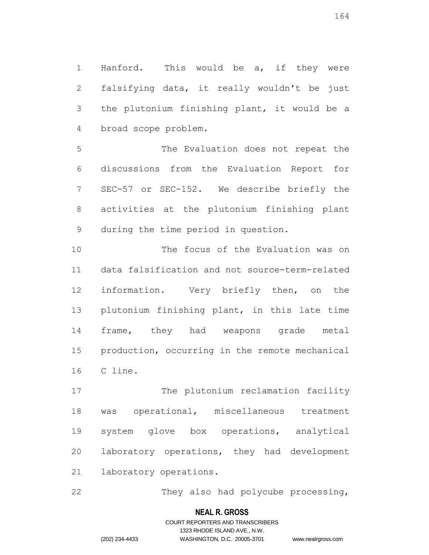Hanford. This would be a, if they were falsifying data, it really wouldn't be just the plutonium finishing plant, it would be a broad scope problem.

 The Evaluation does not repeat the discussions from the Evaluation Report for SEC-57 or SEC-152. We describe briefly the activities at the plutonium finishing plant during the time period in question.

 The focus of the Evaluation was on data falsification and not source-term-related information. Very briefly then, on the plutonium finishing plant, in this late time frame, they had weapons grade metal production, occurring in the remote mechanical C line.

17 The plutonium reclamation facility was operational, miscellaneous treatment system glove box operations, analytical laboratory operations, they had development laboratory operations.

They also had polycube processing,

# **NEAL R. GROSS**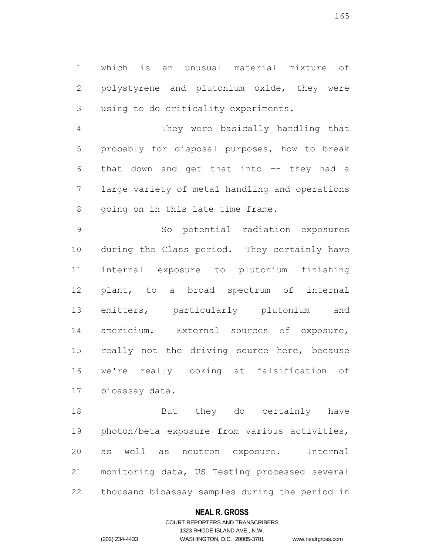which is an unusual material mixture of polystyrene and plutonium oxide, they were using to do criticality experiments.

 They were basically handling that probably for disposal purposes, how to break that down and get that into -- they had a large variety of metal handling and operations going on in this late time frame.

 So potential radiation exposures during the Class period. They certainly have internal exposure to plutonium finishing plant, to a broad spectrum of internal emitters, particularly plutonium and americium. External sources of exposure, 15 really not the driving source here, because we're really looking at falsification of bioassay data.

 But they do certainly have photon/beta exposure from various activities, as well as neutron exposure. Internal monitoring data, US Testing processed several thousand bioassay samples during the period in

# **NEAL R. GROSS**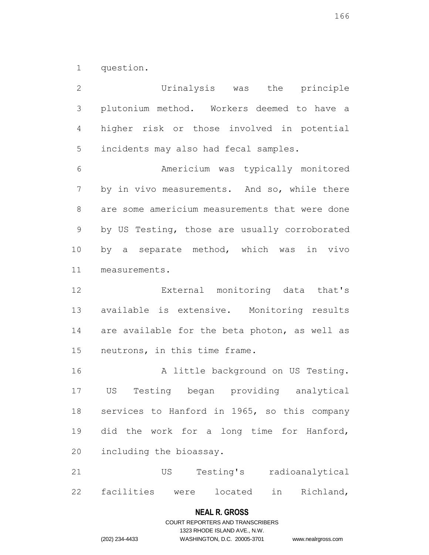question.

 Urinalysis was the principle plutonium method. Workers deemed to have a higher risk or those involved in potential incidents may also had fecal samples. Americium was typically monitored by in vivo measurements. And so, while there are some americium measurements that were done by US Testing, those are usually corroborated by a separate method, which was in vivo measurements. External monitoring data that's available is extensive. Monitoring results are available for the beta photon, as well as neutrons, in this time frame. 16 A little background on US Testing. US Testing began providing analytical services to Hanford in 1965, so this company did the work for a long time for Hanford, including the bioassay. US Testing's radioanalytical facilities were located in Richland,

# **NEAL R. GROSS**

COURT REPORTERS AND TRANSCRIBERS 1323 RHODE ISLAND AVE., N.W. (202) 234-4433 WASHINGTON, D.C. 20005-3701 www.nealrgross.com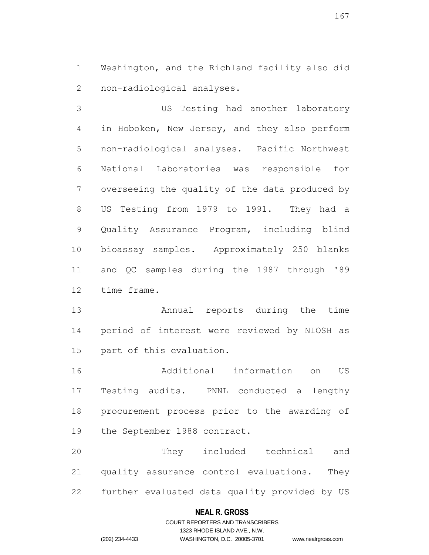Washington, and the Richland facility also did non-radiological analyses.

 US Testing had another laboratory in Hoboken, New Jersey, and they also perform non-radiological analyses. Pacific Northwest National Laboratories was responsible for overseeing the quality of the data produced by US Testing from 1979 to 1991. They had a Quality Assurance Program, including blind bioassay samples. Approximately 250 blanks and QC samples during the 1987 through '89 time frame.

 Annual reports during the time period of interest were reviewed by NIOSH as part of this evaluation.

 Additional information on US Testing audits. PNNL conducted a lengthy procurement process prior to the awarding of the September 1988 contract.

 They included technical and quality assurance control evaluations. They further evaluated data quality provided by US

## **NEAL R. GROSS**

# COURT REPORTERS AND TRANSCRIBERS 1323 RHODE ISLAND AVE., N.W. (202) 234-4433 WASHINGTON, D.C. 20005-3701 www.nealrgross.com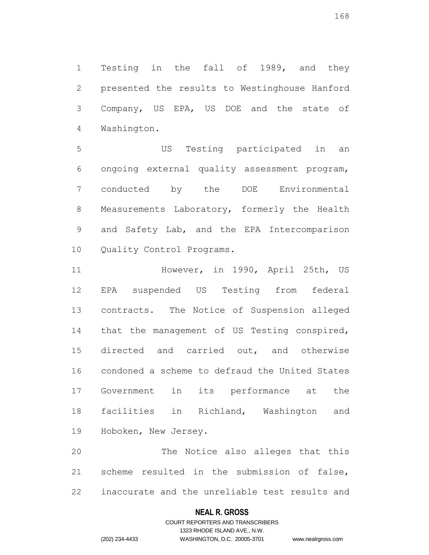Testing in the fall of 1989, and they presented the results to Westinghouse Hanford Company, US EPA, US DOE and the state of Washington.

 US Testing participated in an ongoing external quality assessment program, conducted by the DOE Environmental Measurements Laboratory, formerly the Health and Safety Lab, and the EPA Intercomparison Quality Control Programs.

 However, in 1990, April 25th, US EPA suspended US Testing from federal contracts. The Notice of Suspension alleged that the management of US Testing conspired, directed and carried out, and otherwise condoned a scheme to defraud the United States Government in its performance at the facilities in Richland, Washington and Hoboken, New Jersey.

 The Notice also alleges that this scheme resulted in the submission of false, inaccurate and the unreliable test results and

## **NEAL R. GROSS**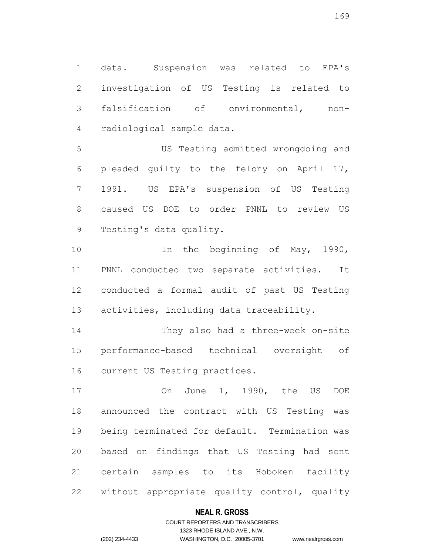data. Suspension was related to EPA's investigation of US Testing is related to falsification of environmental, non-radiological sample data.

 US Testing admitted wrongdoing and pleaded guilty to the felony on April 17, 1991. US EPA's suspension of US Testing caused US DOE to order PNNL to review US Testing's data quality.

10 10 In the beginning of May, 1990, PNNL conducted two separate activities. It conducted a formal audit of past US Testing activities, including data traceability.

 They also had a three-week on-site performance-based technical oversight of current US Testing practices.

 On June 1, 1990, the US DOE announced the contract with US Testing was being terminated for default. Termination was based on findings that US Testing had sent certain samples to its Hoboken facility without appropriate quality control, quality

## **NEAL R. GROSS**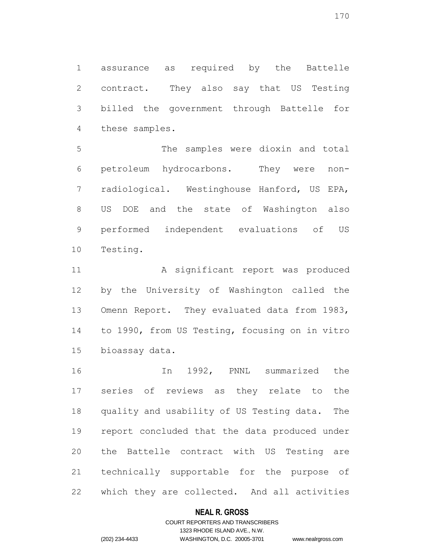assurance as required by the Battelle contract. They also say that US Testing billed the government through Battelle for these samples.

 The samples were dioxin and total petroleum hydrocarbons. They were non- radiological. Westinghouse Hanford, US EPA, US DOE and the state of Washington also performed independent evaluations of US Testing.

11 A significant report was produced by the University of Washington called the Omenn Report. They evaluated data from 1983, to 1990, from US Testing, focusing on in vitro bioassay data.

 In 1992, PNNL summarized the series of reviews as they relate to the quality and usability of US Testing data. The report concluded that the data produced under the Battelle contract with US Testing are technically supportable for the purpose of which they are collected. And all activities

## **NEAL R. GROSS**

# COURT REPORTERS AND TRANSCRIBERS 1323 RHODE ISLAND AVE., N.W. (202) 234-4433 WASHINGTON, D.C. 20005-3701 www.nealrgross.com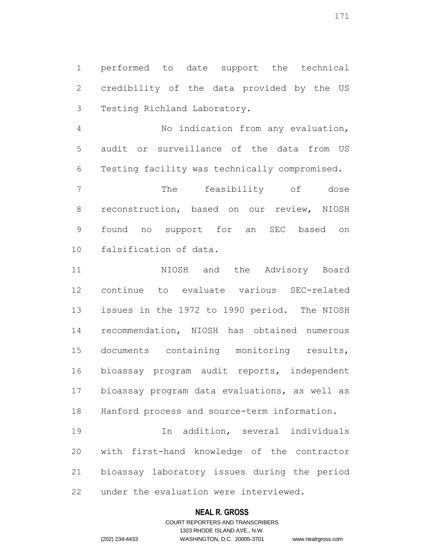performed to date support the technical credibility of the data provided by the US Testing Richland Laboratory.

 No indication from any evaluation, audit or surveillance of the data from US Testing facility was technically compromised.

 The feasibility of dose reconstruction, based on our review, NIOSH found no support for an SEC based on falsification of data.

 NIOSH and the Advisory Board continue to evaluate various SEC-related issues in the 1972 to 1990 period. The NIOSH recommendation, NIOSH has obtained numerous documents containing monitoring results, bioassay program audit reports, independent bioassay program data evaluations, as well as Hanford process and source-term information.

 In addition, several individuals with first-hand knowledge of the contractor bioassay laboratory issues during the period under the evaluation were interviewed.

# **NEAL R. GROSS**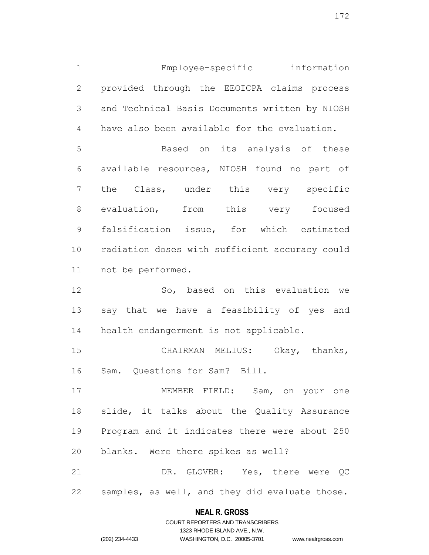Employee-specific information provided through the EEOICPA claims process and Technical Basis Documents written by NIOSH have also been available for the evaluation. Based on its analysis of these available resources, NIOSH found no part of the Class, under this very specific

 evaluation, from this very focused falsification issue, for which estimated radiation doses with sufficient accuracy could not be performed.

 So, based on this evaluation we say that we have a feasibility of yes and health endangerment is not applicable.

 CHAIRMAN MELIUS: Okay, thanks, Sam. Questions for Sam? Bill.

 MEMBER FIELD: Sam, on your one slide, it talks about the Quality Assurance Program and it indicates there were about 250 blanks. Were there spikes as well?

 DR. GLOVER: Yes, there were QC samples, as well, and they did evaluate those.

# **NEAL R. GROSS** COURT REPORTERS AND TRANSCRIBERS

1323 RHODE ISLAND AVE., N.W. (202) 234-4433 WASHINGTON, D.C. 20005-3701 www.nealrgross.com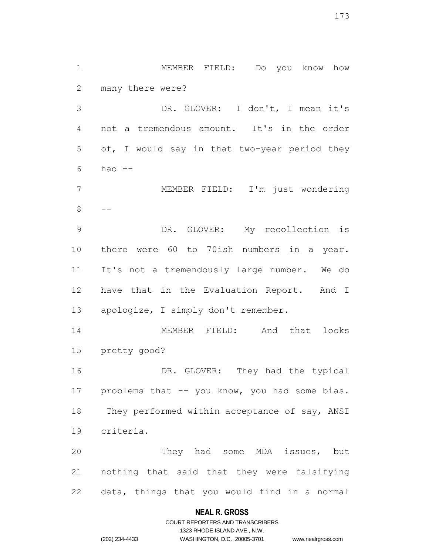MEMBER FIELD: Do you know how many there were?

 DR. GLOVER: I don't, I mean it's not a tremendous amount. It's in the order of, I would say in that two-year period they had  $-$ 

 MEMBER FIELD: I'm just wondering 

 DR. GLOVER: My recollection is there were 60 to 70ish numbers in a year. It's not a tremendously large number. We do have that in the Evaluation Report. And I apologize, I simply don't remember.

 MEMBER FIELD: And that looks pretty good?

16 DR. GLOVER: They had the typical 17 problems that -- you know, you had some bias. 18 They performed within acceptance of say, ANSI criteria.

 They had some MDA issues, but nothing that said that they were falsifying data, things that you would find in a normal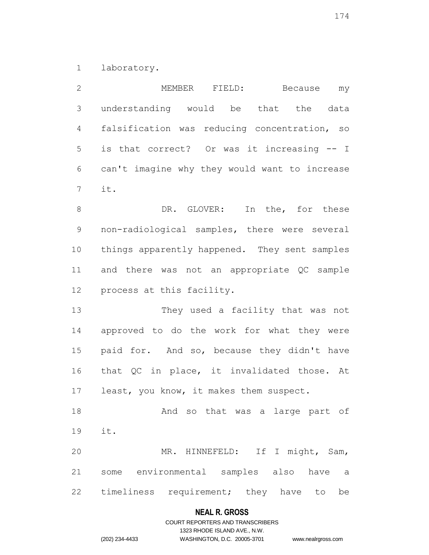laboratory.

| $\mathbf{2}$    | MEMBER FIELD:<br>Because<br>my                |
|-----------------|-----------------------------------------------|
| $\mathfrak S$   | understanding would be that the data          |
| 4               | falsification was reducing concentration, so  |
| 5               | is that correct? Or was it increasing -- I    |
| 6               | can't imagine why they would want to increase |
| $7\phantom{.0}$ | it.                                           |
| $8\,$           | In the, for these<br>DR. GLOVER:              |
| $\mathsf 9$     | non-radiological samples, there were several  |
| 10              | things apparently happened. They sent samples |
| 11              | and there was not an appropriate QC sample    |
| 12              | process at this facility.                     |
| 13              | They used a facility that was not             |
| 14              | approved to do the work for what they were    |
| 15              | paid for. And so, because they didn't have    |
| 16              | that QC in place, it invalidated those. At    |
| 17              | least, you know, it makes them suspect.       |
| 18              | And so that was a large part of               |
| 19              | it.                                           |
| 20              | MR. HINNEFELD: If I might, Sam,               |
| 21              | some environmental samples also have a        |
| 22              | timeliness requirement; they have to<br>be    |

# **NEAL R. GROSS**

# COURT REPORTERS AND TRANSCRIBERS 1323 RHODE ISLAND AVE., N.W. (202) 234-4433 WASHINGTON, D.C. 20005-3701 www.nealrgross.com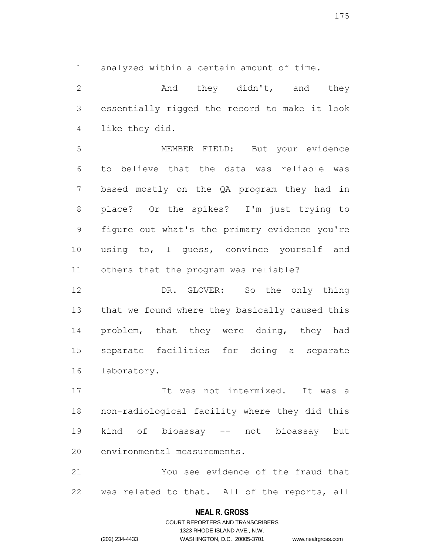analyzed within a certain amount of time.

2 and they didn't, and they essentially rigged the record to make it look like they did.

 MEMBER FIELD: But your evidence to believe that the data was reliable was based mostly on the QA program they had in place? Or the spikes? I'm just trying to figure out what's the primary evidence you're 10 using to, I guess, convince yourself and others that the program was reliable?

 DR. GLOVER: So the only thing that we found where they basically caused this 14 problem, that they were doing, they had separate facilities for doing a separate laboratory.

 It was not intermixed. It was a non-radiological facility where they did this kind of bioassay -- not bioassay but environmental measurements.

 You see evidence of the fraud that was related to that. All of the reports, all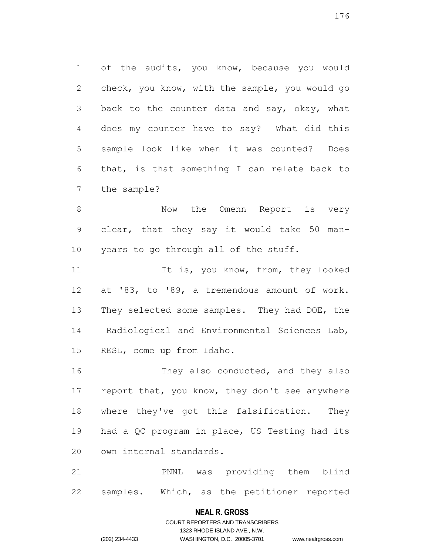of the audits, you know, because you would check, you know, with the sample, you would go back to the counter data and say, okay, what does my counter have to say? What did this sample look like when it was counted? Does that, is that something I can relate back to the sample?

8 Now the Omenn Report is very clear, that they say it would take 50 man-years to go through all of the stuff.

11 It is, you know, from, they looked at '83, to '89, a tremendous amount of work. 13 They selected some samples. They had DOE, the Radiological and Environmental Sciences Lab, RESL, come up from Idaho.

16 They also conducted, and they also 17 report that, you know, they don't see anywhere where they've got this falsification. They had a QC program in place, US Testing had its own internal standards.

 PNNL was providing them blind samples. Which, as the petitioner reported

## **NEAL R. GROSS**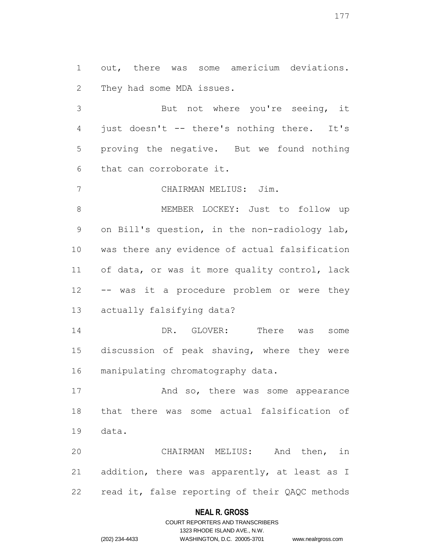out, there was some americium deviations. They had some MDA issues.

 But not where you're seeing, it just doesn't -- there's nothing there. It's proving the negative. But we found nothing that can corroborate it.

CHAIRMAN MELIUS: Jim.

 MEMBER LOCKEY: Just to follow up on Bill's question, in the non-radiology lab, was there any evidence of actual falsification of data, or was it more quality control, lack -- was it a procedure problem or were they actually falsifying data?

 DR. GLOVER: There was some discussion of peak shaving, where they were manipulating chromatography data.

17 And so, there was some appearance that there was some actual falsification of data.

 CHAIRMAN MELIUS: And then, in addition, there was apparently, at least as I read it, false reporting of their QAQC methods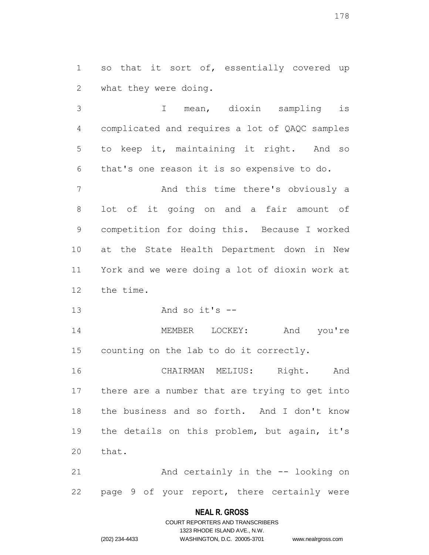1 so that it sort of, essentially covered up what they were doing.

 I mean, dioxin sampling is complicated and requires a lot of QAQC samples to keep it, maintaining it right. And so that's one reason it is so expensive to do. And this time there's obviously a lot of it going on and a fair amount of competition for doing this. Because I worked at the State Health Department down in New York and we were doing a lot of dioxin work at the time.

And so it's --

 MEMBER LOCKEY: And you're counting on the lab to do it correctly.

 CHAIRMAN MELIUS: Right. And there are a number that are trying to get into the business and so forth. And I don't know the details on this problem, but again, it's that.

 And certainly in the -- looking on page 9 of your report, there certainly were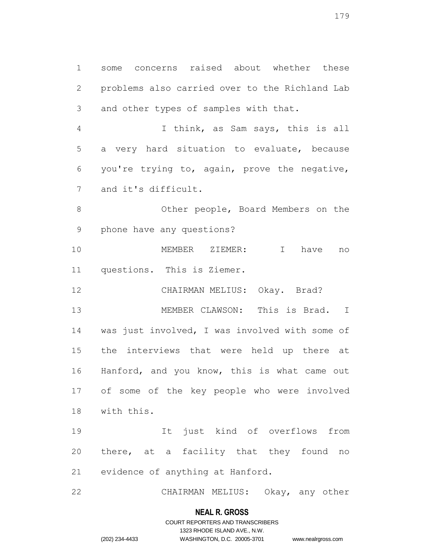some concerns raised about whether these problems also carried over to the Richland Lab and other types of samples with that.

 I think, as Sam says, this is all a very hard situation to evaluate, because you're trying to, again, prove the negative, and it's difficult.

 Other people, Board Members on the phone have any questions?

 MEMBER ZIEMER: I have no questions. This is Ziemer.

CHAIRMAN MELIUS: Okay. Brad?

 MEMBER CLAWSON: This is Brad. I was just involved, I was involved with some of the interviews that were held up there at Hanford, and you know, this is what came out of some of the key people who were involved with this.

 It just kind of overflows from 20 there, at a facility that they found no evidence of anything at Hanford.

CHAIRMAN MELIUS: Okay, any other

# **NEAL R. GROSS**

# COURT REPORTERS AND TRANSCRIBERS 1323 RHODE ISLAND AVE., N.W. (202) 234-4433 WASHINGTON, D.C. 20005-3701 www.nealrgross.com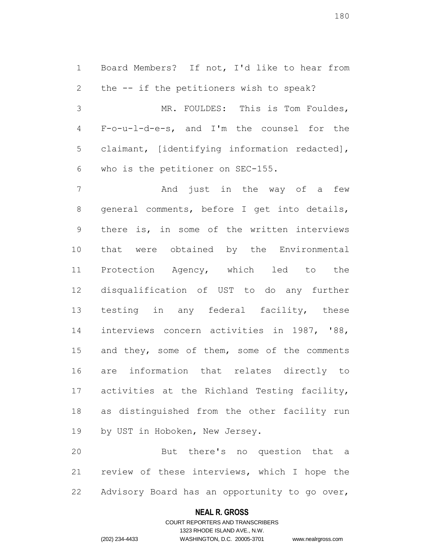Board Members? If not, I'd like to hear from the -- if the petitioners wish to speak? MR. FOULDES: This is Tom Fouldes, F-o-u-l-d-e-s, and I'm the counsel for the claimant, [identifying information redacted], who is the petitioner on SEC-155.

7 And just in the way of a few general comments, before I get into details, there is, in some of the written interviews that were obtained by the Environmental Protection Agency, which led to the disqualification of UST to do any further 13 testing in any federal facility, these interviews concern activities in 1987, '88, 15 and they, some of them, some of the comments are information that relates directly to activities at the Richland Testing facility, as distinguished from the other facility run 19 by UST in Hoboken, New Jersey.

 But there's no question that a review of these interviews, which I hope the Advisory Board has an opportunity to go over,

## **NEAL R. GROSS**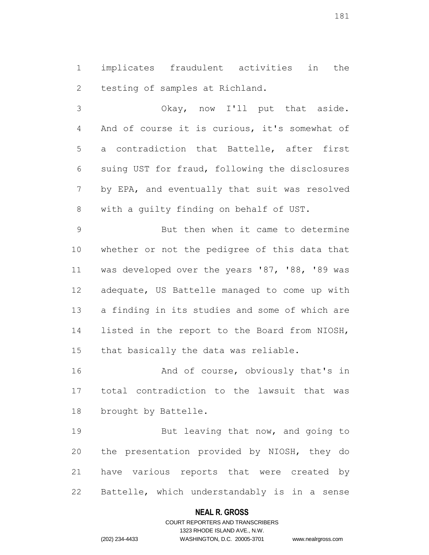implicates fraudulent activities in the testing of samples at Richland.

 Okay, now I'll put that aside. And of course it is curious, it's somewhat of a contradiction that Battelle, after first suing UST for fraud, following the disclosures by EPA, and eventually that suit was resolved with a guilty finding on behalf of UST.

 But then when it came to determine whether or not the pedigree of this data that was developed over the years '87, '88, '89 was adequate, US Battelle managed to come up with a finding in its studies and some of which are listed in the report to the Board from NIOSH, that basically the data was reliable.

16 And of course, obviously that's in total contradiction to the lawsuit that was brought by Battelle.

19 But leaving that now, and going to the presentation provided by NIOSH, they do have various reports that were created by Battelle, which understandably is in a sense

# **NEAL R. GROSS**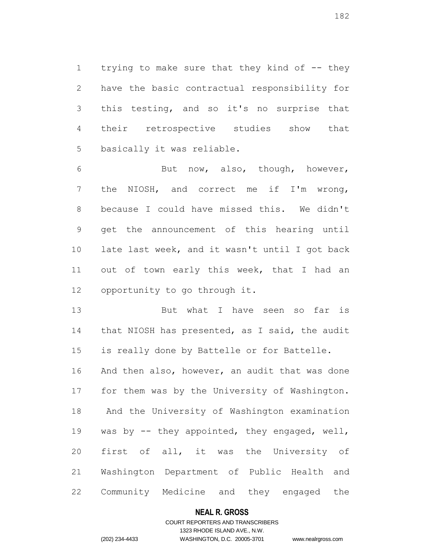1 trying to make sure that they kind of -- they have the basic contractual responsibility for this testing, and so it's no surprise that their retrospective studies show that basically it was reliable.

 But now, also, though, however, the NIOSH, and correct me if I'm wrong, because I could have missed this. We didn't get the announcement of this hearing until late last week, and it wasn't until I got back 11 out of town early this week, that I had an opportunity to go through it.

13 But what I have seen so far is that NIOSH has presented, as I said, the audit is really done by Battelle or for Battelle. And then also, however, an audit that was done for them was by the University of Washington. And the University of Washington examination was by -- they appointed, they engaged, well, first of all, it was the University of Washington Department of Public Health and Community Medicine and they engaged the

# **NEAL R. GROSS**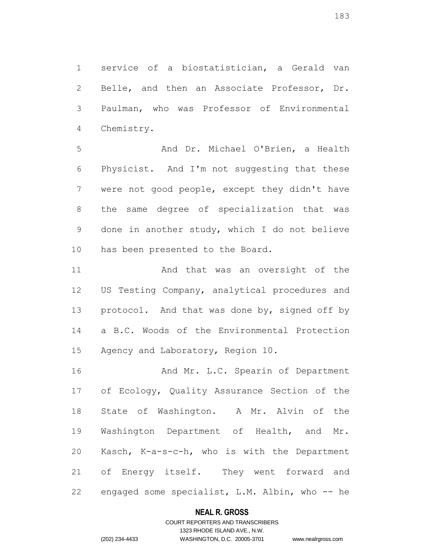service of a biostatistician, a Gerald van Belle, and then an Associate Professor, Dr. Paulman, who was Professor of Environmental Chemistry.

 And Dr. Michael O'Brien, a Health Physicist. And I'm not suggesting that these were not good people, except they didn't have the same degree of specialization that was done in another study, which I do not believe has been presented to the Board.

11 And that was an oversight of the US Testing Company, analytical procedures and 13 protocol. And that was done by, signed off by a B.C. Woods of the Environmental Protection Agency and Laboratory, Region 10.

16 And Mr. L.C. Spearin of Department of Ecology, Quality Assurance Section of the State of Washington. A Mr. Alvin of the Washington Department of Health, and Mr. Kasch, K-a-s-c-h, who is with the Department of Energy itself. They went forward and engaged some specialist, L.M. Albin, who -- he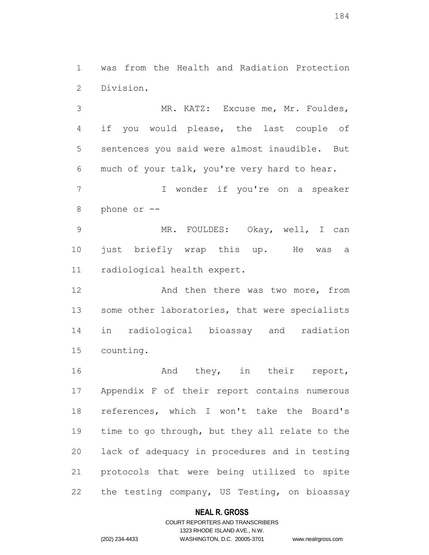was from the Health and Radiation Protection Division.

 MR. KATZ: Excuse me, Mr. Fouldes, if you would please, the last couple of sentences you said were almost inaudible. But much of your talk, you're very hard to hear. I wonder if you're on a speaker

phone or --

 MR. FOULDES: Okay, well, I can just briefly wrap this up. He was a radiological health expert.

12 And then there was two more, from 13 some other laboratories, that were specialists in radiological bioassay and radiation counting.

 And they, in their report, Appendix F of their report contains numerous references, which I won't take the Board's time to go through, but they all relate to the lack of adequacy in procedures and in testing protocols that were being utilized to spite the testing company, US Testing, on bioassay

# **NEAL R. GROSS**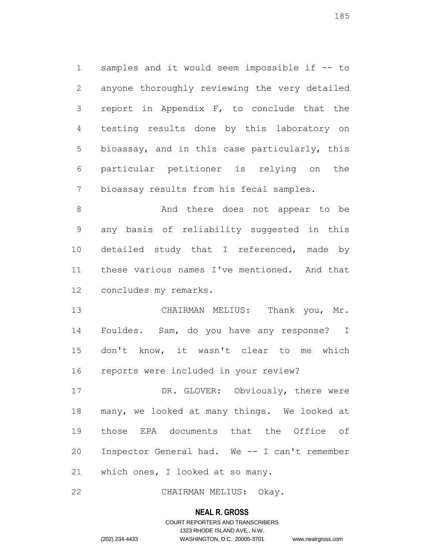samples and it would seem impossible if -- to anyone thoroughly reviewing the very detailed report in Appendix F, to conclude that the testing results done by this laboratory on bioassay, and in this case particularly, this particular petitioner is relying on the bioassay results from his fecal samples.

8 And there does not appear to be any basis of reliability suggested in this 10 detailed study that I referenced, made by these various names I've mentioned. And that concludes my remarks.

 CHAIRMAN MELIUS: Thank you, Mr. Fouldes. Sam, do you have any response? I don't know, it wasn't clear to me which reports were included in your review?

17 DR. GLOVER: Obviously, there were many, we looked at many things. We looked at those EPA documents that the Office of Inspector General had. We -- I can't remember which ones, I looked at so many.

CHAIRMAN MELIUS: Okay.

#### **NEAL R. GROSS**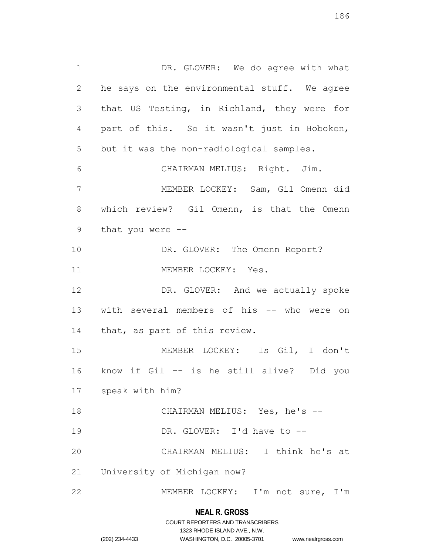1 DR. GLOVER: We do agree with what he says on the environmental stuff. We agree that US Testing, in Richland, they were for part of this. So it wasn't just in Hoboken, but it was the non-radiological samples. CHAIRMAN MELIUS: Right. Jim. MEMBER LOCKEY: Sam, Gil Omenn did which review? Gil Omenn, is that the Omenn that you were -- 10 DR. GLOVER: The Omenn Report? 11 MEMBER LOCKEY: Yes. 12 DR. GLOVER: And we actually spoke with several members of his -- who were on that, as part of this review. MEMBER LOCKEY: Is Gil, I don't know if Gil -- is he still alive? Did you speak with him? CHAIRMAN MELIUS: Yes, he's -- 19 DR. GLOVER: I'd have to -- CHAIRMAN MELIUS: I think he's at University of Michigan now? MEMBER LOCKEY: I'm not sure, I'm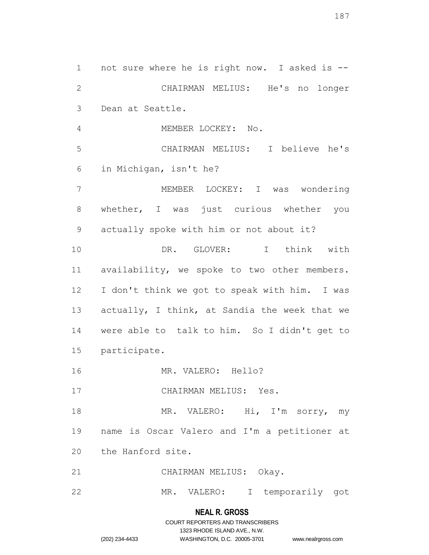not sure where he is right now. I asked is -- CHAIRMAN MELIUS: He's no longer Dean at Seattle. MEMBER LOCKEY: No. CHAIRMAN MELIUS: I believe he's in Michigan, isn't he? MEMBER LOCKEY: I was wondering whether, I was just curious whether you actually spoke with him or not about it? DR. GLOVER: I think with availability, we spoke to two other members. I don't think we got to speak with him. I was actually, I think, at Sandia the week that we were able to talk to him. So I didn't get to participate. 16 MR. VALERO: Hello? 17 CHAIRMAN MELIUS: Yes. 18 MR. VALERO: Hi, I'm sorry, my name is Oscar Valero and I'm a petitioner at the Hanford site. CHAIRMAN MELIUS: Okay. MR. VALERO: I temporarily got

# **NEAL R. GROSS**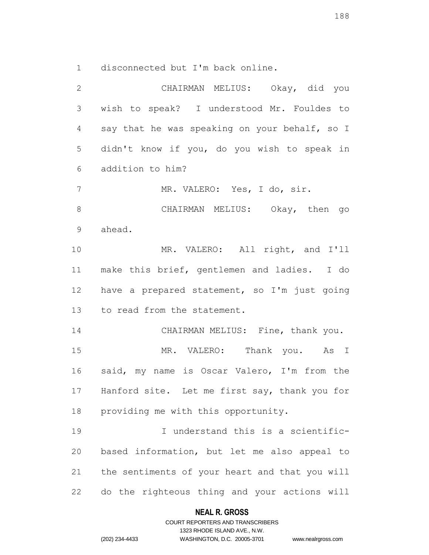disconnected but I'm back online.

 CHAIRMAN MELIUS: Okay, did you wish to speak? I understood Mr. Fouldes to say that he was speaking on your behalf, so I didn't know if you, do you wish to speak in addition to him? MR. VALERO: Yes, I do, sir. CHAIRMAN MELIUS: Okay, then go ahead. MR. VALERO: All right, and I'll make this brief, gentlemen and ladies. I do have a prepared statement, so I'm just going to read from the statement. 14 CHAIRMAN MELIUS: Fine, thank you. MR. VALERO: Thank you. As I said, my name is Oscar Valero, I'm from the Hanford site. Let me first say, thank you for providing me with this opportunity. I understand this is a scientific- based information, but let me also appeal to the sentiments of your heart and that you will do the righteous thing and your actions will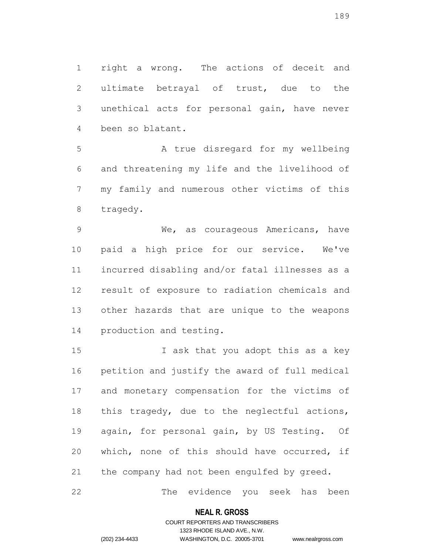right a wrong. The actions of deceit and ultimate betrayal of trust, due to the unethical acts for personal gain, have never been so blatant.

5 A true disregard for my wellbeing and threatening my life and the livelihood of my family and numerous other victims of this tragedy.

 We, as courageous Americans, have paid a high price for our service. We've incurred disabling and/or fatal illnesses as a result of exposure to radiation chemicals and other hazards that are unique to the weapons production and testing.

15 I ask that you adopt this as a key petition and justify the award of full medical and monetary compensation for the victims of this tragedy, due to the neglectful actions, again, for personal gain, by US Testing. Of which, none of this should have occurred, if the company had not been engulfed by greed.

The evidence you seek has been

# **NEAL R. GROSS** COURT REPORTERS AND TRANSCRIBERS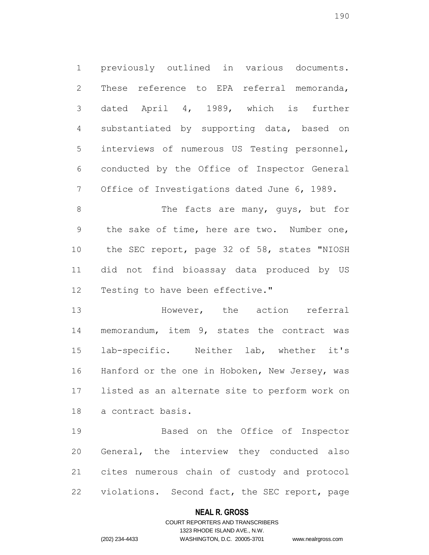previously outlined in various documents. These reference to EPA referral memoranda, dated April 4, 1989, which is further substantiated by supporting data, based on interviews of numerous US Testing personnel, conducted by the Office of Inspector General Office of Investigations dated June 6, 1989.

8 The facts are many, quys, but for the sake of time, here are two. Number one, the SEC report, page 32 of 58, states "NIOSH did not find bioassay data produced by US Testing to have been effective."

 However, the action referral memorandum, item 9, states the contract was lab-specific. Neither lab, whether it's Hanford or the one in Hoboken, New Jersey, was listed as an alternate site to perform work on a contract basis.

 Based on the Office of Inspector General, the interview they conducted also cites numerous chain of custody and protocol violations. Second fact, the SEC report, page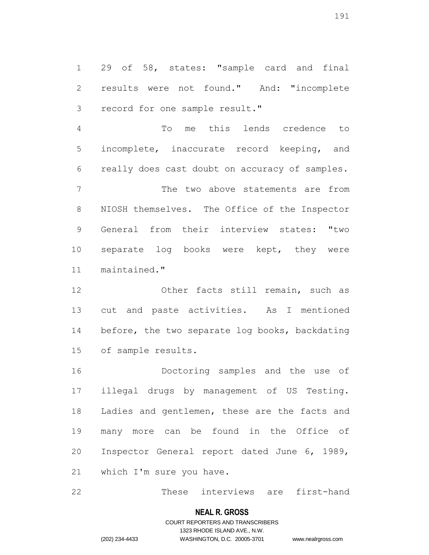29 of 58, states: "sample card and final results were not found." And: "incomplete record for one sample result."

 To me this lends credence to incomplete, inaccurate record keeping, and really does cast doubt on accuracy of samples.

 The two above statements are from NIOSH themselves. The Office of the Inspector General from their interview states: "two separate log books were kept, they were maintained."

12 Other facts still remain, such as cut and paste activities. As I mentioned 14 before, the two separate log books, backdating of sample results.

 Doctoring samples and the use of illegal drugs by management of US Testing. Ladies and gentlemen, these are the facts and many more can be found in the Office of Inspector General report dated June 6, 1989, which I'm sure you have.

These interviews are first-hand

#### **NEAL R. GROSS**

# COURT REPORTERS AND TRANSCRIBERS 1323 RHODE ISLAND AVE., N.W. (202) 234-4433 WASHINGTON, D.C. 20005-3701 www.nealrgross.com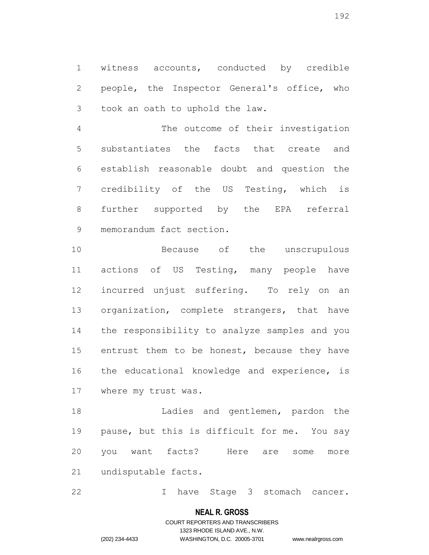witness accounts, conducted by credible people, the Inspector General's office, who took an oath to uphold the law.

 The outcome of their investigation substantiates the facts that create and establish reasonable doubt and question the credibility of the US Testing, which is further supported by the EPA referral memorandum fact section.

 Because of the unscrupulous actions of US Testing, many people have incurred unjust suffering. To rely on an organization, complete strangers, that have the responsibility to analyze samples and you 15 entrust them to be honest, because they have the educational knowledge and experience, is where my trust was.

 Ladies and gentlemen, pardon the pause, but this is difficult for me. You say you want facts? Here are some more undisputable facts.

I have Stage 3 stomach cancer.

# **NEAL R. GROSS**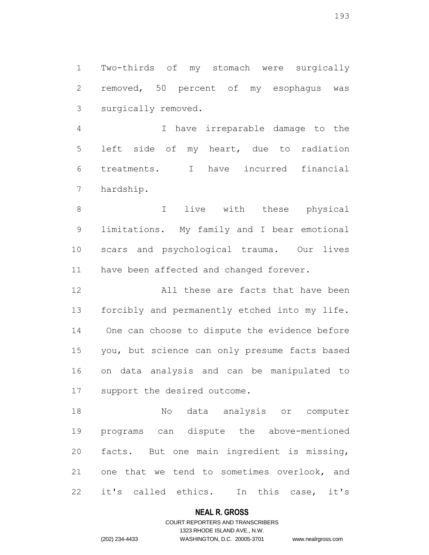Two-thirds of my stomach were surgically removed, 50 percent of my esophagus was surgically removed.

 I have irreparable damage to the left side of my heart, due to radiation treatments. I have incurred financial hardship.

 I live with these physical limitations. My family and I bear emotional scars and psychological trauma. Our lives 11 have been affected and changed forever.

 All these are facts that have been forcibly and permanently etched into my life. One can choose to dispute the evidence before you, but science can only presume facts based on data analysis and can be manipulated to support the desired outcome.

 No data analysis or computer programs can dispute the above-mentioned facts. But one main ingredient is missing, one that we tend to sometimes overlook, and it's called ethics. In this case, it's

#### **NEAL R. GROSS**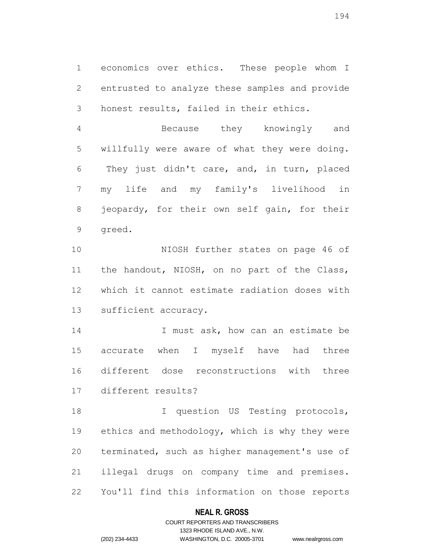economics over ethics. These people whom I entrusted to analyze these samples and provide honest results, failed in their ethics.

 Because they knowingly and willfully were aware of what they were doing. They just didn't care, and, in turn, placed my life and my family's livelihood in jeopardy, for their own self gain, for their greed.

 NIOSH further states on page 46 of the handout, NIOSH, on no part of the Class, which it cannot estimate radiation doses with sufficient accuracy.

14 I must ask, how can an estimate be accurate when I myself have had three different dose reconstructions with three different results?

18 I question US Testing protocols, 19 ethics and methodology, which is why they were terminated, such as higher management's use of illegal drugs on company time and premises. You'll find this information on those reports

# **NEAL R. GROSS**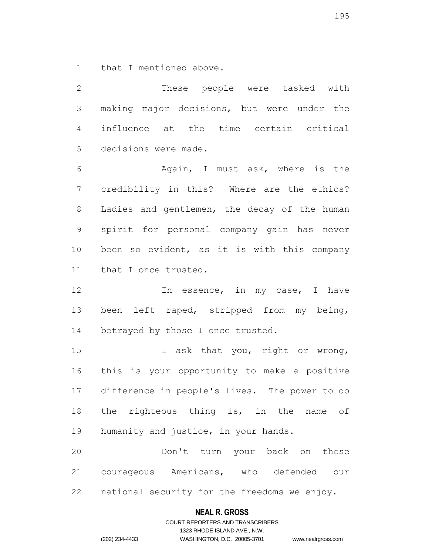that I mentioned above.

 These people were tasked with making major decisions, but were under the influence at the time certain critical decisions were made.

 Again, I must ask, where is the credibility in this? Where are the ethics? Ladies and gentlemen, the decay of the human spirit for personal company gain has never been so evident, as it is with this company that I once trusted.

12 12 In essence, in my case, I have 13 been left raped, stripped from my being, 14 betrayed by those I once trusted.

15 I ask that you, right or wrong, this is your opportunity to make a positive difference in people's lives. The power to do 18 the righteous thing is, in the name of humanity and justice, in your hands.

 Don't turn your back on these courageous Americans, who defended our national security for the freedoms we enjoy.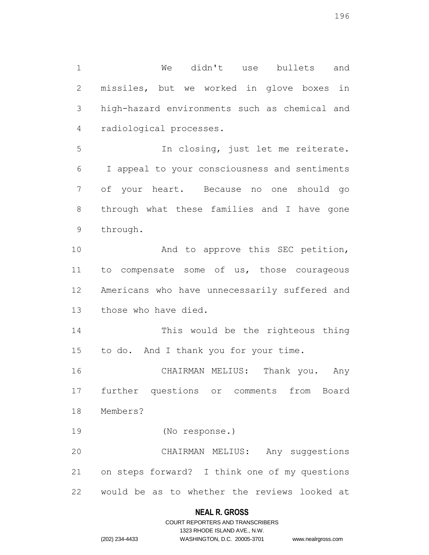missiles, but we worked in glove boxes in high-hazard environments such as chemical and radiological processes. In closing, just let me reiterate. I appeal to your consciousness and sentiments of your heart. Because no one should go through what these families and I have gone through. 10 And to approve this SEC petition, to compensate some of us, those courageous Americans who have unnecessarily suffered and those who have died. This would be the righteous thing to do. And I thank you for your time. CHAIRMAN MELIUS: Thank you. Any further questions or comments from Board Members? (No response.) CHAIRMAN MELIUS: Any suggestions on steps forward? I think one of my questions

We didn't use bullets and

would be as to whether the reviews looked at

# **NEAL R. GROSS**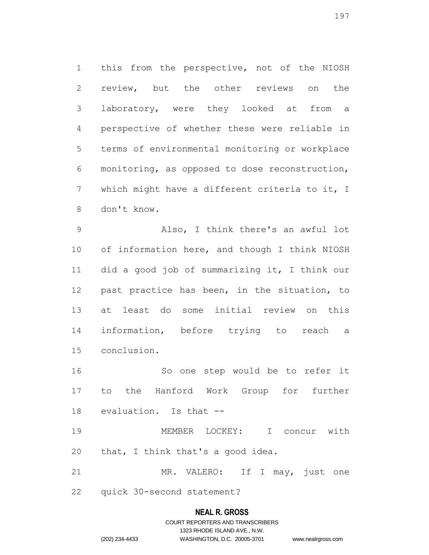this from the perspective, not of the NIOSH review, but the other reviews on the laboratory, were they looked at from a perspective of whether these were reliable in terms of environmental monitoring or workplace monitoring, as opposed to dose reconstruction, which might have a different criteria to it, I don't know.

 Also, I think there's an awful lot of information here, and though I think NIOSH did a good job of summarizing it, I think our past practice has been, in the situation, to at least do some initial review on this information, before trying to reach a conclusion.

 So one step would be to refer it to the Hanford Work Group for further evaluation. Is that --

 MEMBER LOCKEY: I concur with 20 that, I think that's a good idea.

 MR. VALERO: If I may, just one quick 30-second statement?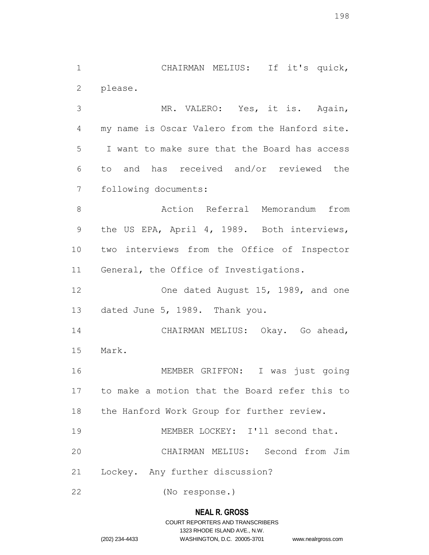CHAIRMAN MELIUS: If it's quick, please.

 MR. VALERO: Yes, it is. Again, my name is Oscar Valero from the Hanford site. I want to make sure that the Board has access to and has received and/or reviewed the following documents:

 Action Referral Memorandum from the US EPA, April 4, 1989. Both interviews, two interviews from the Office of Inspector General, the Office of Investigations.

12 One dated August 15, 1989, and one dated June 5, 1989. Thank you.

 CHAIRMAN MELIUS: Okay. Go ahead, Mark.

 MEMBER GRIFFON: I was just going to make a motion that the Board refer this to 18 the Hanford Work Group for further review.

MEMBER LOCKEY: I'll second that.

CHAIRMAN MELIUS: Second from Jim

Lockey. Any further discussion?

(No response.)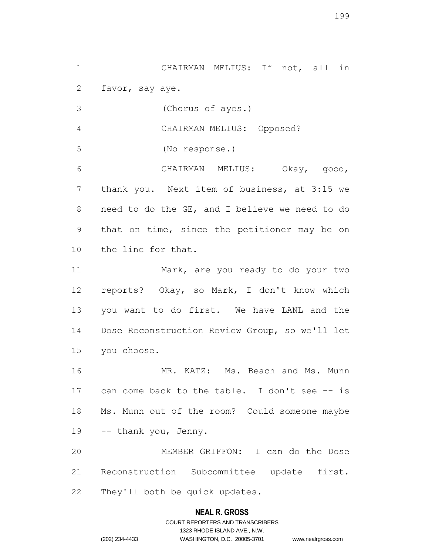CHAIRMAN MELIUS: If not, all in favor, say aye.

(Chorus of ayes.)

CHAIRMAN MELIUS: Opposed?

(No response.)

 CHAIRMAN MELIUS: Okay, good, thank you. Next item of business, at 3:15 we need to do the GE, and I believe we need to do that on time, since the petitioner may be on the line for that.

 Mark, are you ready to do your two reports? Okay, so Mark, I don't know which you want to do first. We have LANL and the Dose Reconstruction Review Group, so we'll let you choose.

16 MR. KATZ: Ms. Beach and Ms. Munn 17 can come back to the table. I don't see -- is Ms. Munn out of the room? Could someone maybe -- thank you, Jenny.

 MEMBER GRIFFON: I can do the Dose Reconstruction Subcommittee update first. They'll both be quick updates.

# **NEAL R. GROSS**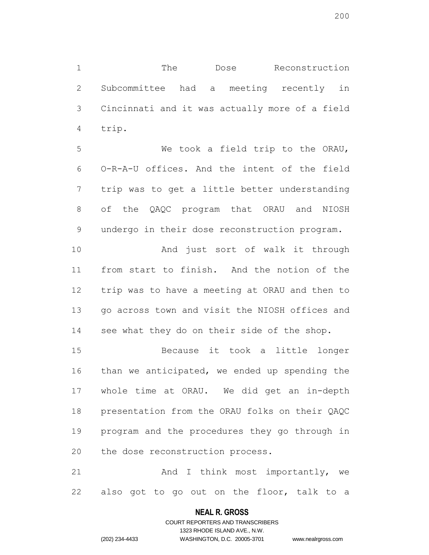The Dose Reconstruction Subcommittee had a meeting recently in Cincinnati and it was actually more of a field trip.

 We took a field trip to the ORAU, O-R-A-U offices. And the intent of the field trip was to get a little better understanding of the QAQC program that ORAU and NIOSH undergo in their dose reconstruction program.

 And just sort of walk it through from start to finish. And the notion of the trip was to have a meeting at ORAU and then to go across town and visit the NIOSH offices and see what they do on their side of the shop.

 Because it took a little longer than we anticipated, we ended up spending the whole time at ORAU. We did get an in-depth presentation from the ORAU folks on their QAQC program and the procedures they go through in the dose reconstruction process.

21 And I think most importantly, we also got to go out on the floor, talk to a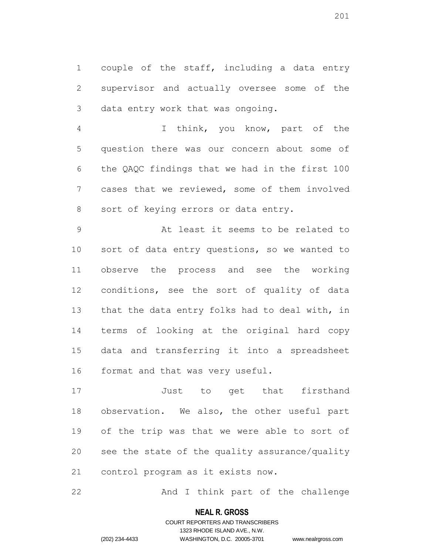couple of the staff, including a data entry supervisor and actually oversee some of the data entry work that was ongoing.

 I think, you know, part of the question there was our concern about some of the QAQC findings that we had in the first 100 cases that we reviewed, some of them involved sort of keying errors or data entry.

 At least it seems to be related to sort of data entry questions, so we wanted to observe the process and see the working conditions, see the sort of quality of data 13 that the data entry folks had to deal with, in terms of looking at the original hard copy data and transferring it into a spreadsheet format and that was very useful.

 Just to get that firsthand observation. We also, the other useful part of the trip was that we were able to sort of see the state of the quality assurance/quality control program as it exists now.

22 And I think part of the challenge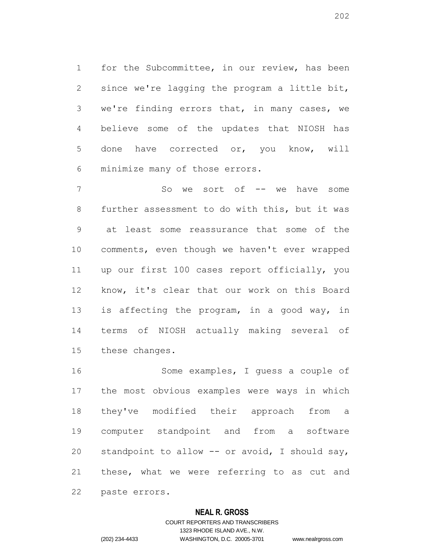for the Subcommittee, in our review, has been since we're lagging the program a little bit, we're finding errors that, in many cases, we believe some of the updates that NIOSH has done have corrected or, you know, will minimize many of those errors.

7 So we sort of -- we have some further assessment to do with this, but it was at least some reassurance that some of the comments, even though we haven't ever wrapped up our first 100 cases report officially, you know, it's clear that our work on this Board is affecting the program, in a good way, in terms of NIOSH actually making several of these changes.

 Some examples, I guess a couple of the most obvious examples were ways in which they've modified their approach from a computer standpoint and from a software standpoint to allow -- or avoid, I should say, these, what we were referring to as cut and paste errors.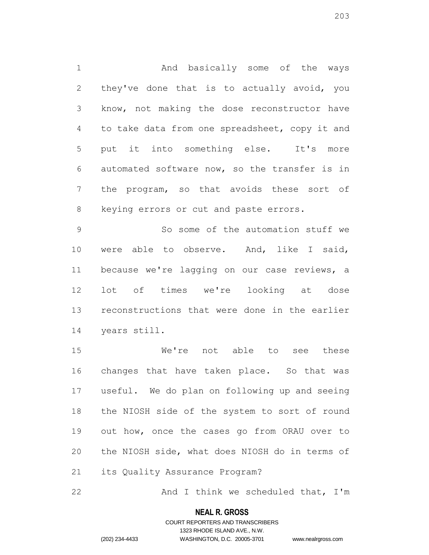1 And basically some of the ways they've done that is to actually avoid, you know, not making the dose reconstructor have to take data from one spreadsheet, copy it and put it into something else. It's more automated software now, so the transfer is in the program, so that avoids these sort of keying errors or cut and paste errors.

 So some of the automation stuff we were able to observe. And, like I said, because we're lagging on our case reviews, a lot of times we're looking at dose reconstructions that were done in the earlier years still.

 We're not able to see these changes that have taken place. So that was useful. We do plan on following up and seeing the NIOSH side of the system to sort of round out how, once the cases go from ORAU over to the NIOSH side, what does NIOSH do in terms of its Quality Assurance Program?

22 And I think we scheduled that, I'm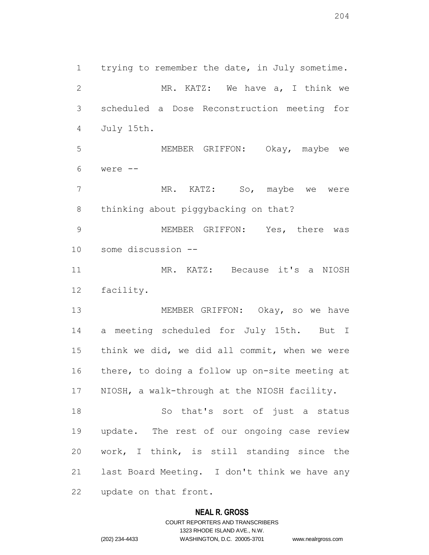trying to remember the date, in July sometime. 2 MR. KATZ: We have a, I think we scheduled a Dose Reconstruction meeting for July 15th. MEMBER GRIFFON: Okay, maybe we were -- 7 MR. KATZ: So, maybe we were thinking about piggybacking on that? MEMBER GRIFFON: Yes, there was some discussion -- MR. KATZ: Because it's a NIOSH facility. MEMBER GRIFFON: Okay, so we have a meeting scheduled for July 15th. But I think we did, we did all commit, when we were there, to doing a follow up on-site meeting at NIOSH, a walk-through at the NIOSH facility. So that's sort of just a status update. The rest of our ongoing case review work, I think, is still standing since the last Board Meeting. I don't think we have any update on that front.

#### **NEAL R. GROSS**

COURT REPORTERS AND TRANSCRIBERS 1323 RHODE ISLAND AVE., N.W. (202) 234-4433 WASHINGTON, D.C. 20005-3701 www.nealrgross.com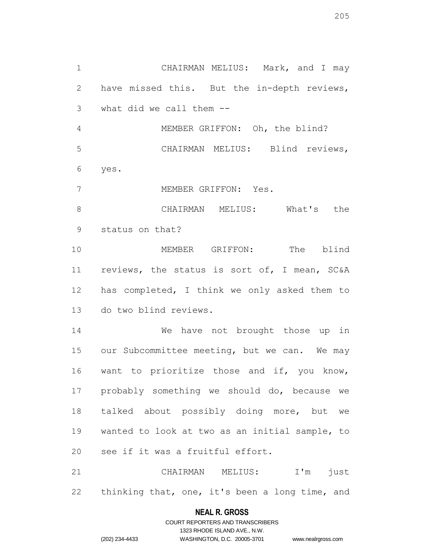CHAIRMAN MELIUS: Mark, and I may have missed this. But the in-depth reviews, what did we call them -- MEMBER GRIFFON: Oh, the blind? CHAIRMAN MELIUS: Blind reviews, yes. MEMBER GRIFFON: Yes. CHAIRMAN MELIUS: What's the status on that? MEMBER GRIFFON: The blind reviews, the status is sort of, I mean, SC&A has completed, I think we only asked them to do two blind reviews. We have not brought those up in our Subcommittee meeting, but we can. We may 16 want to prioritize those and if, you know, probably something we should do, because we 18 talked about possibly doing more, but we wanted to look at two as an initial sample, to see if it was a fruitful effort.

 CHAIRMAN MELIUS: I'm just thinking that, one, it's been a long time, and

#### **NEAL R. GROSS**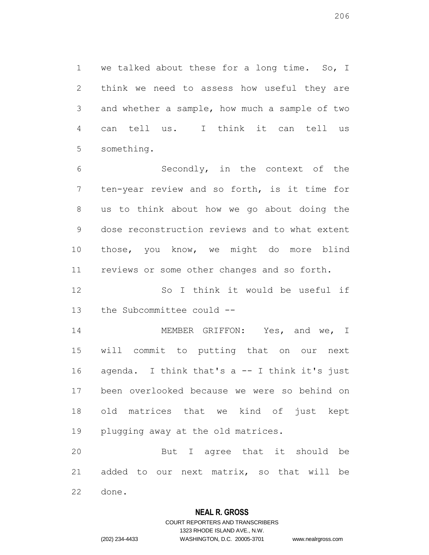we talked about these for a long time. So, I think we need to assess how useful they are and whether a sample, how much a sample of two can tell us. I think it can tell us something.

 Secondly, in the context of the ten-year review and so forth, is it time for us to think about how we go about doing the dose reconstruction reviews and to what extent those, you know, we might do more blind reviews or some other changes and so forth.

 So I think it would be useful if the Subcommittee could --

14 MEMBER GRIFFON: Yes, and we, I will commit to putting that on our next agenda. I think that's a -- I think it's just been overlooked because we were so behind on old matrices that we kind of just kept plugging away at the old matrices.

 But I agree that it should be added to our next matrix, so that will be done.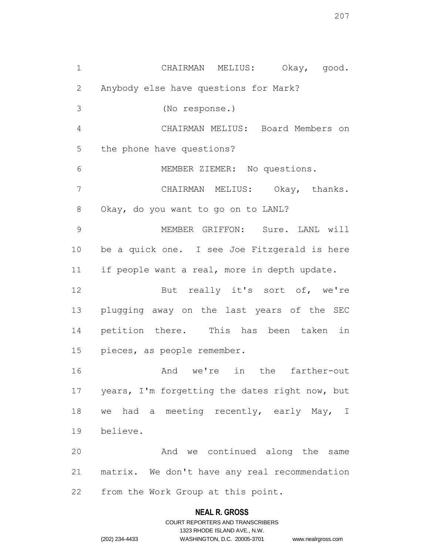CHAIRMAN MELIUS: Okay, good. Anybody else have questions for Mark? (No response.) CHAIRMAN MELIUS: Board Members on the phone have questions? MEMBER ZIEMER: No questions. CHAIRMAN MELIUS: Okay, thanks. Okay, do you want to go on to LANL? MEMBER GRIFFON: Sure. LANL will be a quick one. I see Joe Fitzgerald is here if people want a real, more in depth update. 12 But really it's sort of, we're plugging away on the last years of the SEC petition there. This has been taken in pieces, as people remember. And we're in the farther-out years, I'm forgetting the dates right now, but 18 we had a meeting recently, early May, I believe. And we continued along the same matrix. We don't have any real recommendation from the Work Group at this point.

# **NEAL R. GROSS**

COURT REPORTERS AND TRANSCRIBERS 1323 RHODE ISLAND AVE., N.W. (202) 234-4433 WASHINGTON, D.C. 20005-3701 www.nealrgross.com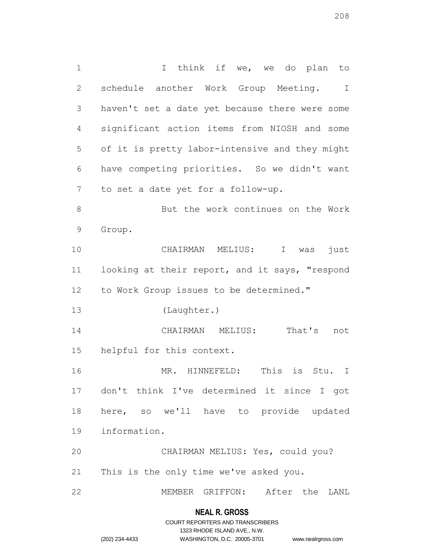1 1 I think if we, we do plan to schedule another Work Group Meeting. I haven't set a date yet because there were some significant action items from NIOSH and some of it is pretty labor-intensive and they might have competing priorities. So we didn't want to set a date yet for a follow-up. But the work continues on the Work Group. CHAIRMAN MELIUS: I was just looking at their report, and it says, "respond to Work Group issues to be determined." (Laughter.) CHAIRMAN MELIUS: That's not helpful for this context. MR. HINNEFELD: This is Stu. I don't think I've determined it since I got here, so we'll have to provide updated information. CHAIRMAN MELIUS: Yes, could you? This is the only time we've asked you. MEMBER GRIFFON: After the LANL

#### **NEAL R. GROSS**

# COURT REPORTERS AND TRANSCRIBERS 1323 RHODE ISLAND AVE., N.W. (202) 234-4433 WASHINGTON, D.C. 20005-3701 www.nealrgross.com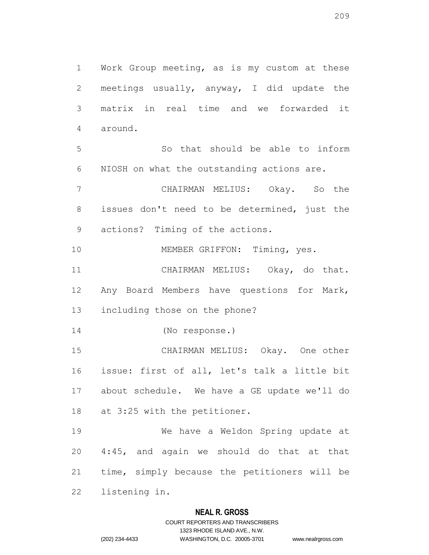Work Group meeting, as is my custom at these meetings usually, anyway, I did update the matrix in real time and we forwarded it around. So that should be able to inform NIOSH on what the outstanding actions are. CHAIRMAN MELIUS: Okay. So the issues don't need to be determined, just the actions? Timing of the actions. 10 MEMBER GRIFFON: Timing, yes. CHAIRMAN MELIUS: Okay, do that. Any Board Members have questions for Mark, including those on the phone? (No response.) CHAIRMAN MELIUS: Okay. One other issue: first of all, let's talk a little bit about schedule. We have a GE update we'll do at 3:25 with the petitioner. We have a Weldon Spring update at 4:45, and again we should do that at that time, simply because the petitioners will be

listening in.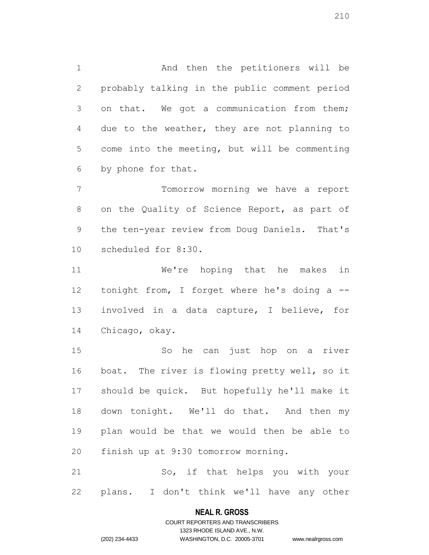And then the petitioners will be probably talking in the public comment period on that. We got a communication from them; due to the weather, they are not planning to come into the meeting, but will be commenting by phone for that.

 Tomorrow morning we have a report on the Quality of Science Report, as part of the ten-year review from Doug Daniels. That's scheduled for 8:30.

 We're hoping that he makes in 12 tonight from, I forget where he's doing a -- involved in a data capture, I believe, for Chicago, okay.

 So he can just hop on a river boat. The river is flowing pretty well, so it should be quick. But hopefully he'll make it down tonight. We'll do that. And then my plan would be that we would then be able to finish up at 9:30 tomorrow morning.

 So, if that helps you with your plans. I don't think we'll have any other

#### **NEAL R. GROSS**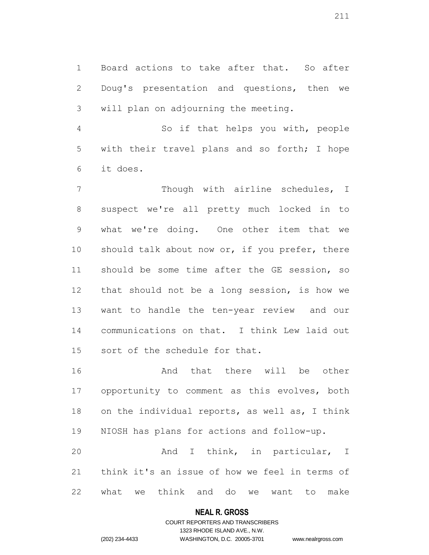Board actions to take after that. So after Doug's presentation and questions, then we will plan on adjourning the meeting.

 So if that helps you with, people with their travel plans and so forth; I hope it does.

 Though with airline schedules, I suspect we're all pretty much locked in to what we're doing. One other item that we 10 should talk about now or, if you prefer, there should be some time after the GE session, so that should not be a long session, is how we want to handle the ten-year review and our communications on that. I think Lew laid out sort of the schedule for that.

 And that there will be other opportunity to comment as this evolves, both on the individual reports, as well as, I think NIOSH has plans for actions and follow-up. And I think, in particular, I think it's an issue of how we feel in terms of

what we think and do we want to make

#### **NEAL R. GROSS**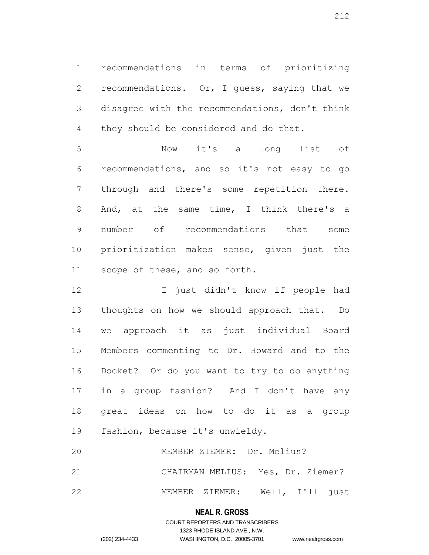recommendations in terms of prioritizing recommendations. Or, I guess, saying that we disagree with the recommendations, don't think they should be considered and do that.

 Now it's a long list of recommendations, and so it's not easy to go through and there's some repetition there. 8 And, at the same time, I think there's a number of recommendations that some prioritization makes sense, given just the scope of these, and so forth.

12 I just didn't know if people had thoughts on how we should approach that. Do we approach it as just individual Board Members commenting to Dr. Howard and to the Docket? Or do you want to try to do anything in a group fashion? And I don't have any great ideas on how to do it as a group fashion, because it's unwieldy.

 MEMBER ZIEMER: Dr. Melius? CHAIRMAN MELIUS: Yes, Dr. Ziemer?

MEMBER ZIEMER: Well, I'll just

# **NEAL R. GROSS**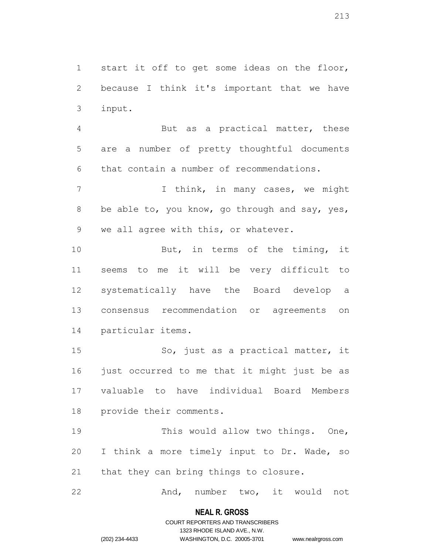start it off to get some ideas on the floor, because I think it's important that we have input.

 But as a practical matter, these are a number of pretty thoughtful documents that contain a number of recommendations.

7 1 I think, in many cases, we might 8 be able to, you know, go through and say, yes, we all agree with this, or whatever.

 But, in terms of the timing, it seems to me it will be very difficult to systematically have the Board develop a consensus recommendation or agreements on particular items.

 So, just as a practical matter, it 16 just occurred to me that it might just be as valuable to have individual Board Members provide their comments.

 This would allow two things. One, I think a more timely input to Dr. Wade, so that they can bring things to closure.

22 And, number two, it would not

#### **NEAL R. GROSS**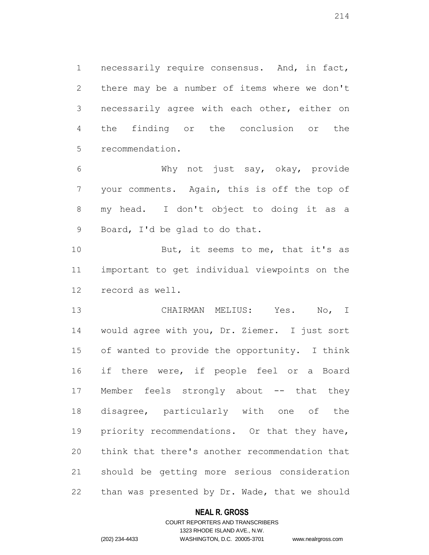necessarily require consensus. And, in fact, there may be a number of items where we don't necessarily agree with each other, either on the finding or the conclusion or the recommendation.

 Why not just say, okay, provide your comments. Again, this is off the top of my head. I don't object to doing it as a Board, I'd be glad to do that.

10 But, it seems to me, that it's as important to get individual viewpoints on the record as well.

 CHAIRMAN MELIUS: Yes. No, I would agree with you, Dr. Ziemer. I just sort of wanted to provide the opportunity. I think 16 if there were, if people feel or a Board 17 Member feels strongly about -- that they disagree, particularly with one of the priority recommendations. Or that they have, think that there's another recommendation that should be getting more serious consideration than was presented by Dr. Wade, that we should

# **NEAL R. GROSS**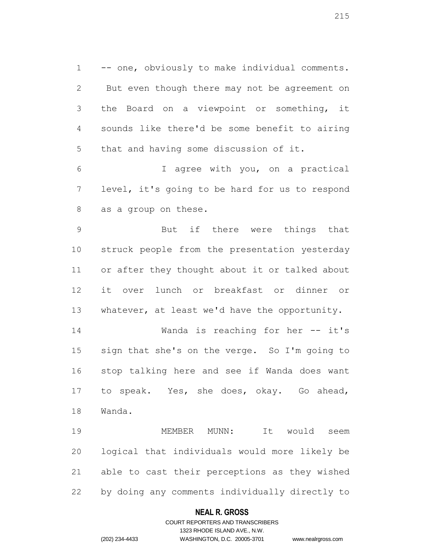-- one, obviously to make individual comments. But even though there may not be agreement on the Board on a viewpoint or something, it sounds like there'd be some benefit to airing that and having some discussion of it.

 I agree with you, on a practical level, it's going to be hard for us to respond as a group on these.

 But if there were things that struck people from the presentation yesterday or after they thought about it or talked about it over lunch or breakfast or dinner or 13 whatever, at least we'd have the opportunity.

 Wanda is reaching for her -- it's sign that she's on the verge. So I'm going to stop talking here and see if Wanda does want to speak. Yes, she does, okay. Go ahead, Wanda.

 MEMBER MUNN: It would seem logical that individuals would more likely be able to cast their perceptions as they wished by doing any comments individually directly to

# **NEAL R. GROSS**

# COURT REPORTERS AND TRANSCRIBERS 1323 RHODE ISLAND AVE., N.W. (202) 234-4433 WASHINGTON, D.C. 20005-3701 www.nealrgross.com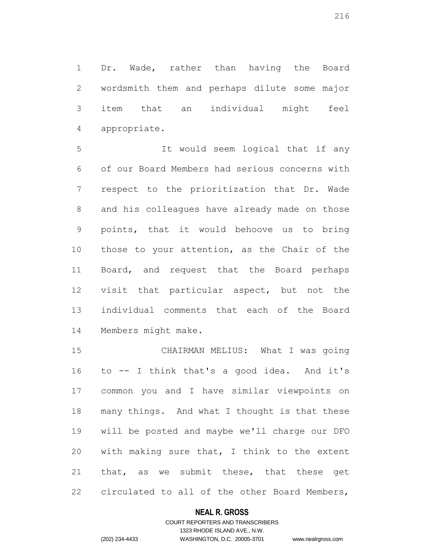Dr. Wade, rather than having the Board wordsmith them and perhaps dilute some major item that an individual might feel appropriate.

 It would seem logical that if any of our Board Members had serious concerns with respect to the prioritization that Dr. Wade and his colleagues have already made on those points, that it would behoove us to bring those to your attention, as the Chair of the 11 Board, and request that the Board perhaps visit that particular aspect, but not the individual comments that each of the Board Members might make.

 CHAIRMAN MELIUS: What I was going to -- I think that's a good idea. And it's common you and I have similar viewpoints on many things. And what I thought is that these will be posted and maybe we'll charge our DFO with making sure that, I think to the extent that, as we submit these, that these get circulated to all of the other Board Members,

# **NEAL R. GROSS**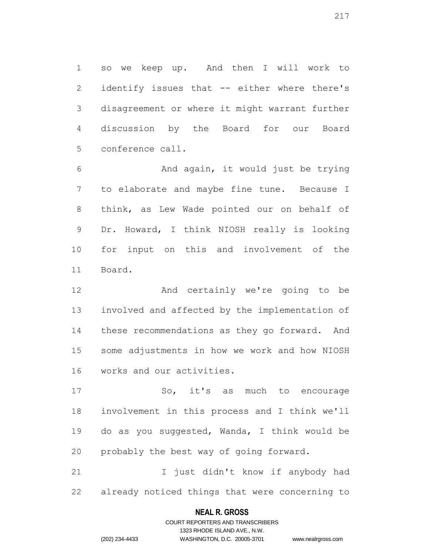so we keep up. And then I will work to identify issues that -- either where there's disagreement or where it might warrant further discussion by the Board for our Board conference call.

 And again, it would just be trying to elaborate and maybe fine tune. Because I think, as Lew Wade pointed our on behalf of Dr. Howard, I think NIOSH really is looking for input on this and involvement of the Board.

 And certainly we're going to be involved and affected by the implementation of these recommendations as they go forward. And some adjustments in how we work and how NIOSH works and our activities.

 So, it's as much to encourage involvement in this process and I think we'll do as you suggested, Wanda, I think would be probably the best way of going forward.

 I just didn't know if anybody had already noticed things that were concerning to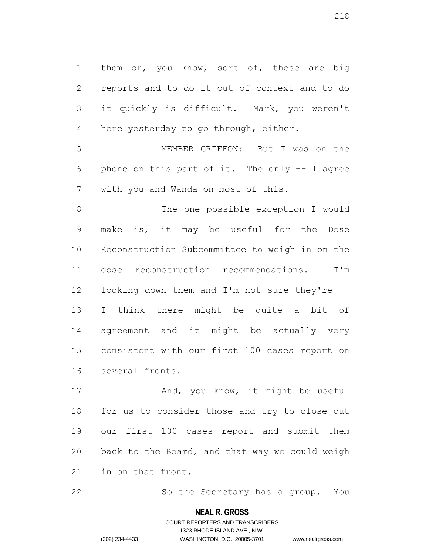1 them or, you know, sort of, these are big reports and to do it out of context and to do it quickly is difficult. Mark, you weren't here yesterday to go through, either.

 MEMBER GRIFFON: But I was on the phone on this part of it. The only -- I agree with you and Wanda on most of this.

 The one possible exception I would make is, it may be useful for the Dose Reconstruction Subcommittee to weigh in on the dose reconstruction recommendations. I'm looking down them and I'm not sure they're -- I think there might be quite a bit of agreement and it might be actually very consistent with our first 100 cases report on several fronts.

17 And, you know, it might be useful for us to consider those and try to close out our first 100 cases report and submit them back to the Board, and that way we could weigh in on that front.

So the Secretary has a group. You

#### **NEAL R. GROSS**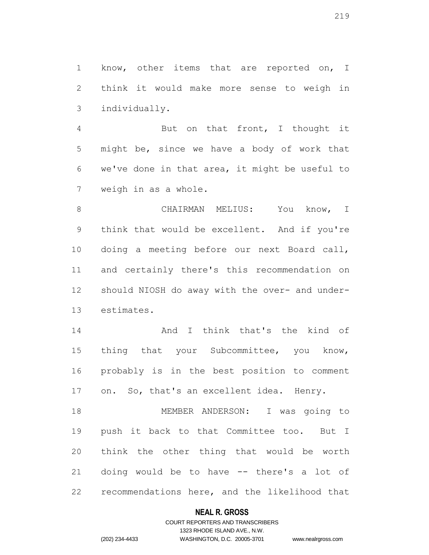1 know, other items that are reported on, I think it would make more sense to weigh in individually.

 But on that front, I thought it might be, since we have a body of work that we've done in that area, it might be useful to weigh in as a whole.

8 CHAIRMAN MELIUS: You know, I think that would be excellent. And if you're doing a meeting before our next Board call, and certainly there's this recommendation on should NIOSH do away with the over- and under-estimates.

 And I think that's the kind of 15 thing that your Subcommittee, you know, probably is in the best position to comment on. So, that's an excellent idea. Henry.

 MEMBER ANDERSON: I was going to push it back to that Committee too. But I think the other thing that would be worth doing would be to have -- there's a lot of recommendations here, and the likelihood that

### **NEAL R. GROSS**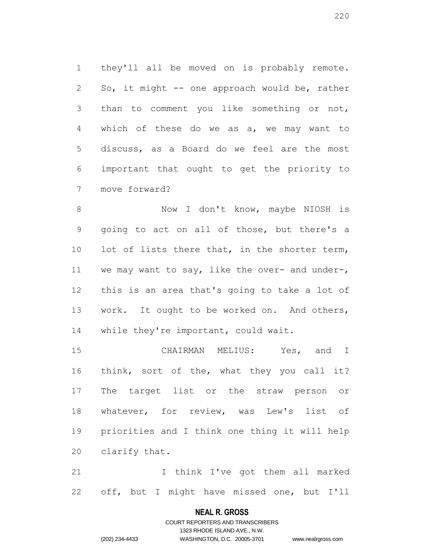they'll all be moved on is probably remote. So, it might -- one approach would be, rather than to comment you like something or not, which of these do we as a, we may want to discuss, as a Board do we feel are the most important that ought to get the priority to move forward?

8 Now I don't know, maybe NIOSH is going to act on all of those, but there's a 10 lot of lists there that, in the shorter term, we may want to say, like the over- and under-, this is an area that's going to take a lot of work. It ought to be worked on. And others, 14 while they're important, could wait.

 CHAIRMAN MELIUS: Yes, and I think, sort of the, what they you call it? The target list or the straw person or whatever, for review, was Lew's list of priorities and I think one thing it will help clarify that.

 I think I've got them all marked off, but I might have missed one, but I'll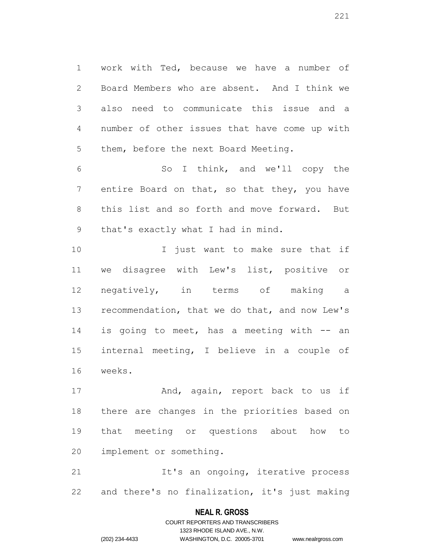work with Ted, because we have a number of Board Members who are absent. And I think we also need to communicate this issue and a number of other issues that have come up with them, before the next Board Meeting.

 So I think, and we'll copy the entire Board on that, so that they, you have this list and so forth and move forward. But that's exactly what I had in mind.

10 10 I just want to make sure that if we disagree with Lew's list, positive or negatively, in terms of making a recommendation, that we do that, and now Lew's 14 is going to meet, has a meeting with -- an internal meeting, I believe in a couple of weeks.

17 And, again, report back to us if there are changes in the priorities based on that meeting or questions about how to implement or something.

**It's an ongoing, iterative process** and there's no finalization, it's just making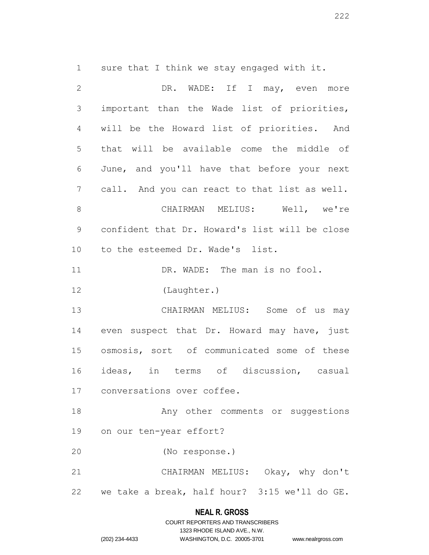sure that I think we stay engaged with it.

| $\mathbf{2}$   | DR. WADE: If I may, even more                  |
|----------------|------------------------------------------------|
| $\mathsf S$    | important than the Wade list of priorities,    |
| 4              | will be the Howard list of priorities. And     |
| 5              | that will be available come the middle of      |
| 6              | June, and you'll have that before your next    |
| $\overline{7}$ | call. And you can react to that list as well.  |
| $\,8\,$        | CHAIRMAN MELIUS: Well, we're                   |
| $\mathsf 9$    | confident that Dr. Howard's list will be close |
| 10             | to the esteemed Dr. Wade's list.               |
| 11             | DR. WADE: The man is no fool.                  |
| 12             | (Laughter.)                                    |
| 13             | CHAIRMAN MELIUS: Some of us may                |
| 14             | even suspect that Dr. Howard may have, just    |
| 15             | osmosis, sort of communicated some of these    |
| 16             | ideas, in terms of discussion, casual          |
| 17             | conversations over coffee.                     |
| 18             | Any other comments or suggestions              |
| 19             | on our ten-year effort?                        |
| 20             | (No response.)                                 |
| 21             | CHAIRMAN MELIUS: Okay, why don't               |
| 22             | we take a break, half hour? 3:15 we'll do GE.  |

# **NEAL R. GROSS**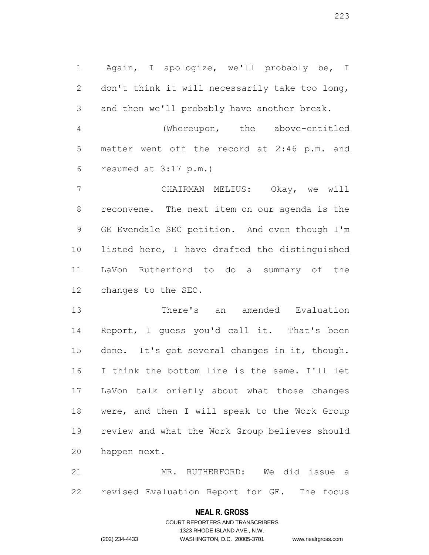Again, I apologize, we'll probably be, I don't think it will necessarily take too long, and then we'll probably have another break.

 (Whereupon, the above-entitled matter went off the record at 2:46 p.m. and resumed at 3:17 p.m.)

 CHAIRMAN MELIUS: Okay, we will reconvene. The next item on our agenda is the GE Evendale SEC petition. And even though I'm listed here, I have drafted the distinguished LaVon Rutherford to do a summary of the changes to the SEC.

 There's an amended Evaluation Report, I guess you'd call it. That's been done. It's got several changes in it, though. I think the bottom line is the same. I'll let LaVon talk briefly about what those changes were, and then I will speak to the Work Group review and what the Work Group believes should happen next.

 MR. RUTHERFORD: We did issue a revised Evaluation Report for GE. The focus

### **NEAL R. GROSS**

COURT REPORTERS AND TRANSCRIBERS 1323 RHODE ISLAND AVE., N.W. (202) 234-4433 WASHINGTON, D.C. 20005-3701 www.nealrgross.com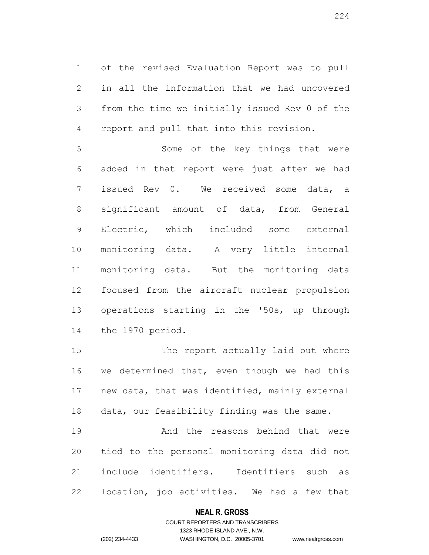of the revised Evaluation Report was to pull in all the information that we had uncovered from the time we initially issued Rev 0 of the report and pull that into this revision.

 Some of the key things that were added in that report were just after we had issued Rev 0. We received some data, a significant amount of data, from General Electric, which included some external monitoring data. A very little internal monitoring data. But the monitoring data focused from the aircraft nuclear propulsion operations starting in the '50s, up through the 1970 period.

 The report actually laid out where we determined that, even though we had this new data, that was identified, mainly external data, our feasibility finding was the same.

 And the reasons behind that were tied to the personal monitoring data did not include identifiers. Identifiers such as location, job activities. We had a few that

### **NEAL R. GROSS**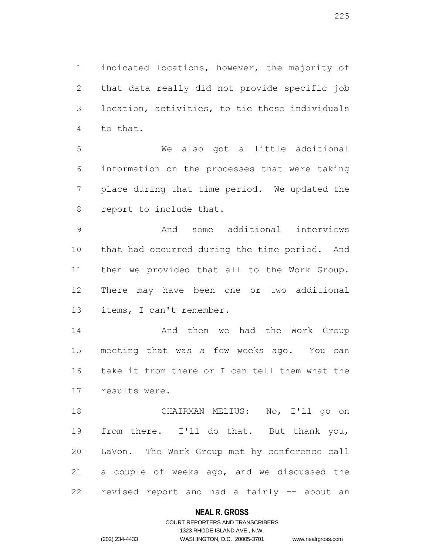indicated locations, however, the majority of that data really did not provide specific job location, activities, to tie those individuals to that.

 We also got a little additional information on the processes that were taking place during that time period. We updated the report to include that.

 And some additional interviews that had occurred during the time period. And then we provided that all to the Work Group. There may have been one or two additional items, I can't remember.

14 And then we had the Work Group meeting that was a few weeks ago. You can take it from there or I can tell them what the results were.

 CHAIRMAN MELIUS: No, I'll go on from there. I'll do that. But thank you, LaVon. The Work Group met by conference call a couple of weeks ago, and we discussed the revised report and had a fairly -- about an

### **NEAL R. GROSS**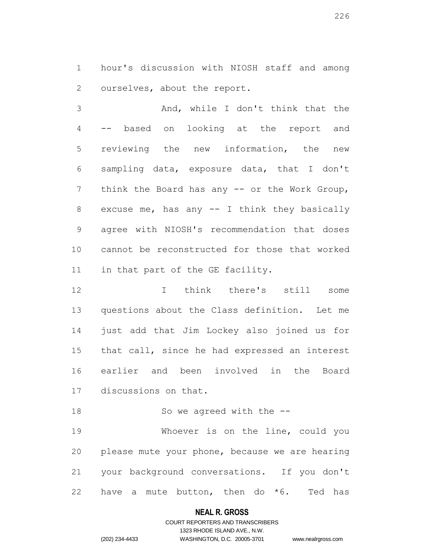hour's discussion with NIOSH staff and among ourselves, about the report.

 And, while I don't think that the -- based on looking at the report and reviewing the new information, the new sampling data, exposure data, that I don't 7 think the Board has any -- or the Work Group, excuse me, has any -- I think they basically agree with NIOSH's recommendation that doses cannot be reconstructed for those that worked 11 in that part of the GE facility.

 I think there's still some questions about the Class definition. Let me just add that Jim Lockey also joined us for that call, since he had expressed an interest earlier and been involved in the Board discussions on that.

18 So we agreed with the  $-$ 

 Whoever is on the line, could you please mute your phone, because we are hearing your background conversations. If you don't 22 have a mute button, then do  $*6$ . Ted has

### **NEAL R. GROSS**

# COURT REPORTERS AND TRANSCRIBERS 1323 RHODE ISLAND AVE., N.W. (202) 234-4433 WASHINGTON, D.C. 20005-3701 www.nealrgross.com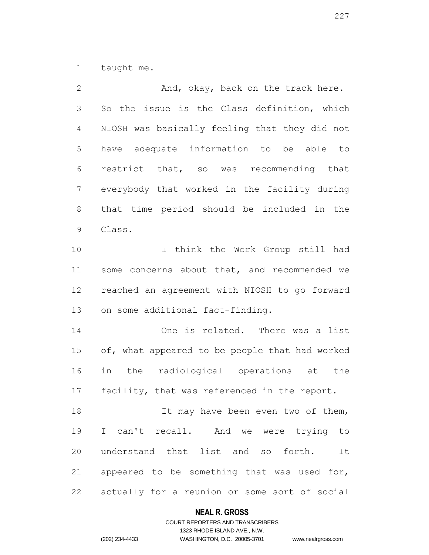taught me.

| $\mathbf{2}$   | And, okay, back on the track here.             |
|----------------|------------------------------------------------|
| 3              | So the issue is the Class definition, which    |
| $\overline{4}$ | NIOSH was basically feeling that they did not  |
| 5              | have adequate information to be able to        |
| $\sqrt{6}$     | restrict that, so was recommending that        |
| $\overline{7}$ | everybody that worked in the facility during   |
| $\,8\,$        | that time period should be included in the     |
| $\mathsf 9$    | Class.                                         |
| 10             | I think the Work Group still had               |
| 11             | some concerns about that, and recommended we   |
| 12             | reached an agreement with NIOSH to go forward  |
| 13             | on some additional fact-finding.               |
| 14             | One is related. There was a list               |
| 15             | of, what appeared to be people that had worked |
| 16             | in the radiological operations at the          |
| 17             | facility, that was referenced in the report.   |
| 18             | It may have been even two of them,             |
| 19             | I can't recall. And we were trying to          |
| 20             | understand that list and so forth. It          |
| 21             | appeared to be something that was used for,    |
| 22             | actually for a reunion or some sort of social  |

# **NEAL R. GROSS**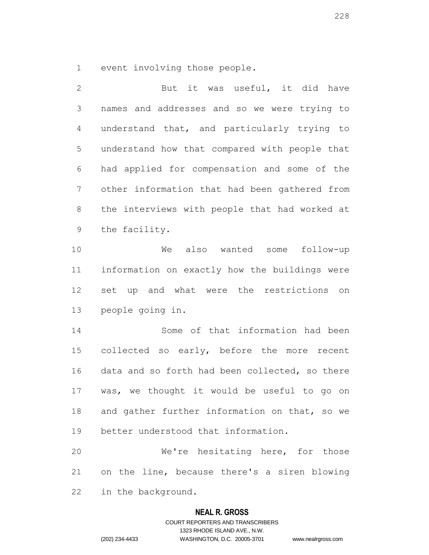event involving those people.

2 But it was useful, it did have names and addresses and so we were trying to understand that, and particularly trying to understand how that compared with people that had applied for compensation and some of the other information that had been gathered from the interviews with people that had worked at the facility. We also wanted some follow-up information on exactly how the buildings were set up and what were the restrictions on people going in. Some of that information had been collected so early, before the more recent data and so forth had been collected, so there was, we thought it would be useful to go on 18 and gather further information on that, so we better understood that information. We're hesitating here, for those on the line, because there's a siren blowing in the background.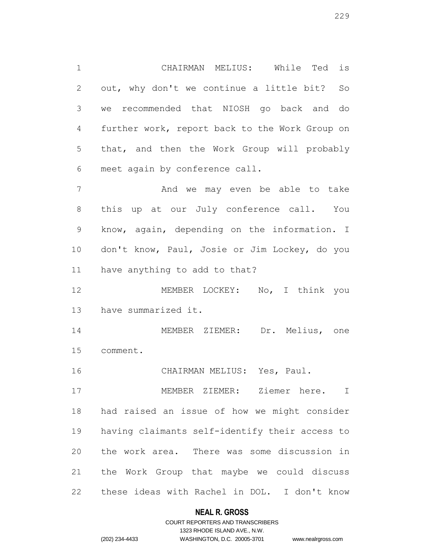CHAIRMAN MELIUS: While Ted is out, why don't we continue a little bit? So we recommended that NIOSH go back and do further work, report back to the Work Group on that, and then the Work Group will probably meet again by conference call.

 And we may even be able to take this up at our July conference call. You know, again, depending on the information. I don't know, Paul, Josie or Jim Lockey, do you have anything to add to that?

 MEMBER LOCKEY: No, I think you have summarized it.

 MEMBER ZIEMER: Dr. Melius, one comment.

CHAIRMAN MELIUS: Yes, Paul.

 MEMBER ZIEMER: Ziemer here. I had raised an issue of how we might consider having claimants self-identify their access to the work area. There was some discussion in the Work Group that maybe we could discuss these ideas with Rachel in DOL. I don't know

# **NEAL R. GROSS**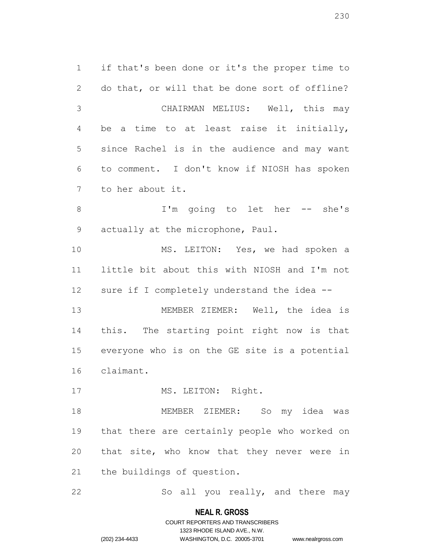if that's been done or it's the proper time to do that, or will that be done sort of offline? CHAIRMAN MELIUS: Well, this may be a time to at least raise it initially, since Rachel is in the audience and may want to comment. I don't know if NIOSH has spoken to her about it. 8 I'm going to let her -- she's actually at the microphone, Paul. MS. LEITON: Yes, we had spoken a little bit about this with NIOSH and I'm not sure if I completely understand the idea -- MEMBER ZIEMER: Well, the idea is this. The starting point right now is that everyone who is on the GE site is a potential claimant. 17 MS. LEITON: Right. MEMBER ZIEMER: So my idea was that there are certainly people who worked on that site, who know that they never were in the buildings of question.

So all you really, and there may

**NEAL R. GROSS** COURT REPORTERS AND TRANSCRIBERS

1323 RHODE ISLAND AVE., N.W.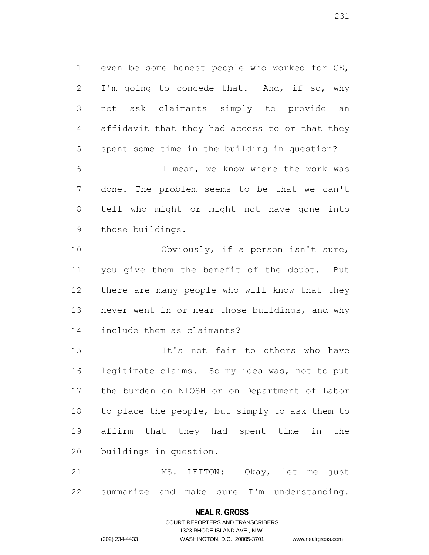even be some honest people who worked for GE, 2 I'm going to concede that. And, if so, why not ask claimants simply to provide an affidavit that they had access to or that they spent some time in the building in question?

 I mean, we know where the work was done. The problem seems to be that we can't tell who might or might not have gone into those buildings.

10 Obviously, if a person isn't sure, you give them the benefit of the doubt. But there are many people who will know that they never went in or near those buildings, and why include them as claimants?

 It's not fair to others who have legitimate claims. So my idea was, not to put the burden on NIOSH or on Department of Labor to place the people, but simply to ask them to affirm that they had spent time in the buildings in question.

 MS. LEITON: Okay, let me just summarize and make sure I'm understanding.

### **NEAL R. GROSS**

COURT REPORTERS AND TRANSCRIBERS 1323 RHODE ISLAND AVE., N.W. (202) 234-4433 WASHINGTON, D.C. 20005-3701 www.nealrgross.com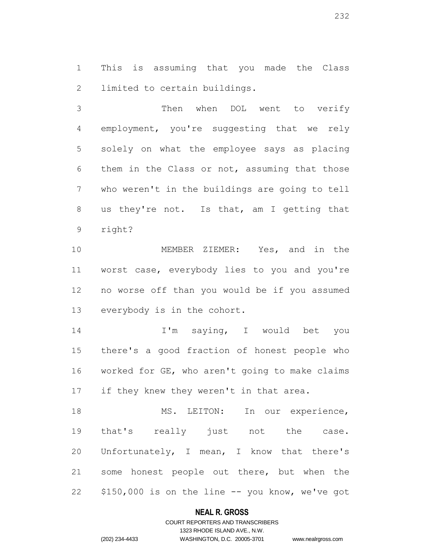This is assuming that you made the Class limited to certain buildings.

 Then when DOL went to verify employment, you're suggesting that we rely solely on what the employee says as placing them in the Class or not, assuming that those who weren't in the buildings are going to tell us they're not. Is that, am I getting that right?

 MEMBER ZIEMER: Yes, and in the worst case, everybody lies to you and you're no worse off than you would be if you assumed everybody is in the cohort.

 I'm saying, I would bet you there's a good fraction of honest people who worked for GE, who aren't going to make claims 17 if they knew they weren't in that area.

18 MS. LEITON: In our experience, that's really just not the case. Unfortunately, I mean, I know that there's some honest people out there, but when the \$150,000 is on the line -- you know, we've got

### **NEAL R. GROSS**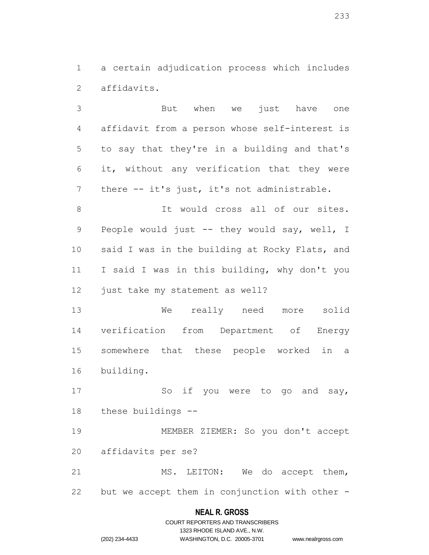a certain adjudication process which includes affidavits.

 But when we just have one affidavit from a person whose self-interest is to say that they're in a building and that's it, without any verification that they were 7 there -- it's just, it's not administrable.

 It would cross all of our sites. 9 People would just -- they would say, well, I 10 said I was in the building at Rocky Flats, and I said I was in this building, why don't you 12 just take my statement as well?

 We really need more solid verification from Department of Energy somewhere that these people worked in a building.

17 So if you were to go and say, these buildings --

 MEMBER ZIEMER: So you don't accept affidavits per se?

21 MS. LEITON: We do accept them, but we accept them in conjunction with other -

# **NEAL R. GROSS**

|                | COURT REPORTERS AND TRANSCRIBERS |                    |
|----------------|----------------------------------|--------------------|
|                | 1323 RHODE ISLAND AVE N.W.       |                    |
| (202) 234-4433 | WASHINGTON, D.C. 20005-3701      | www.nealrgross.com |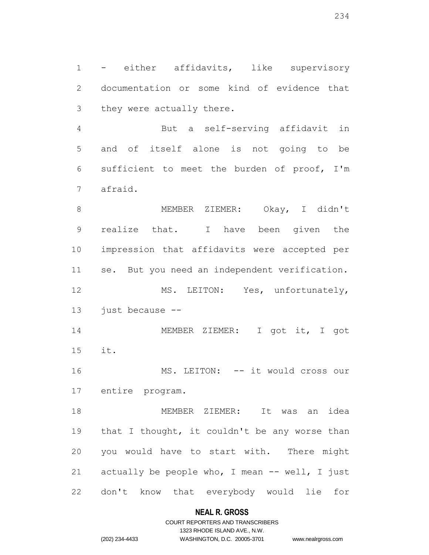- either affidavits, like supervisory documentation or some kind of evidence that they were actually there.

 But a self-serving affidavit in and of itself alone is not going to be sufficient to meet the burden of proof, I'm afraid.

 MEMBER ZIEMER: Okay, I didn't realize that. I have been given the impression that affidavits were accepted per se. But you need an independent verification. MS. LEITON: Yes, unfortunately, 13 just because --

14 MEMBER ZIEMER: I got it, I got it.

 MS. LEITON: -- it would cross our entire program.

 MEMBER ZIEMER: It was an idea 19 that I thought, it couldn't be any worse than you would have to start with. There might 21 actually be people who, I mean -- well, I just don't know that everybody would lie for

### **NEAL R. GROSS**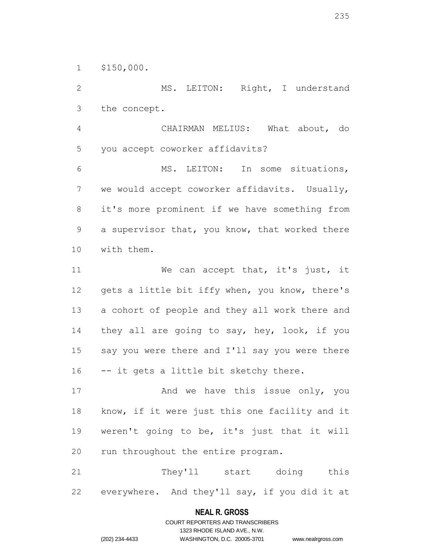\$150,000.

 MS. LEITON: Right, I understand the concept.

 CHAIRMAN MELIUS: What about, do you accept coworker affidavits?

 MS. LEITON: In some situations, we would accept coworker affidavits. Usually, it's more prominent if we have something from a supervisor that, you know, that worked there with them.

11 We can accept that, it's just, it 12 gets a little bit iffy when, you know, there's a cohort of people and they all work there and 14 they all are going to say, hey, look, if you say you were there and I'll say you were there -- it gets a little bit sketchy there.

17 And we have this issue only, you know, if it were just this one facility and it weren't going to be, it's just that it will 20 run throughout the entire program.

 They'll start doing this everywhere. And they'll say, if you did it at

# **NEAL R. GROSS** COURT REPORTERS AND TRANSCRIBERS

1323 RHODE ISLAND AVE., N.W.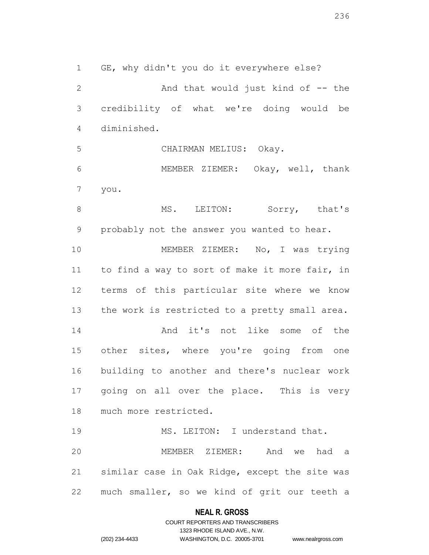GE, why didn't you do it everywhere else? 2 And that would just kind of -- the credibility of what we're doing would be diminished. CHAIRMAN MELIUS: Okay. MEMBER ZIEMER: Okay, well, thank you. 8 MS. LEITON: Sorry, that's probably not the answer you wanted to hear. 10 MEMBER ZIEMER: No, I was trying to find a way to sort of make it more fair, in terms of this particular site where we know

 And it's not like some of the 15 other sites, where you're going from one building to another and there's nuclear work going on all over the place. This is very much more restricted.

13 the work is restricted to a pretty small area.

19 MS. LEITON: I understand that. MEMBER ZIEMER: And we had a similar case in Oak Ridge, except the site was much smaller, so we kind of grit our teeth a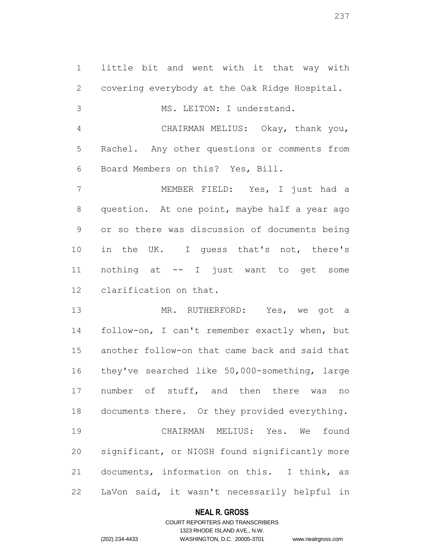little bit and went with it that way with covering everybody at the Oak Ridge Hospital. MS. LEITON: I understand. CHAIRMAN MELIUS: Okay, thank you, Rachel. Any other questions or comments from Board Members on this? Yes, Bill. MEMBER FIELD: Yes, I just had a question. At one point, maybe half a year ago or so there was discussion of documents being 10 in the UK. I guess that's not, there's nothing at -- I just want to get some clarification on that. MR. RUTHERFORD: Yes, we got a follow-on, I can't remember exactly when, but

 another follow-on that came back and said that they've searched like 50,000-something, large 17 number of stuff, and then there was no documents there. Or they provided everything. CHAIRMAN MELIUS: Yes. We found significant, or NIOSH found significantly more documents, information on this. I think, as LaVon said, it wasn't necessarily helpful in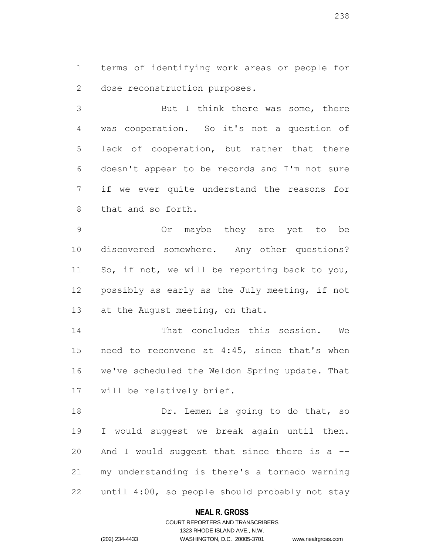terms of identifying work areas or people for dose reconstruction purposes.

 But I think there was some, there was cooperation. So it's not a question of lack of cooperation, but rather that there doesn't appear to be records and I'm not sure if we ever quite understand the reasons for that and so forth.

 Or maybe they are yet to be discovered somewhere. Any other questions? So, if not, we will be reporting back to you, possibly as early as the July meeting, if not 13 at the August meeting, on that.

 That concludes this session. We need to reconvene at 4:45, since that's when we've scheduled the Weldon Spring update. That will be relatively brief.

18 Dr. Lemen is going to do that, so I would suggest we break again until then. And I would suggest that since there is a -- my understanding is there's a tornado warning until 4:00, so people should probably not stay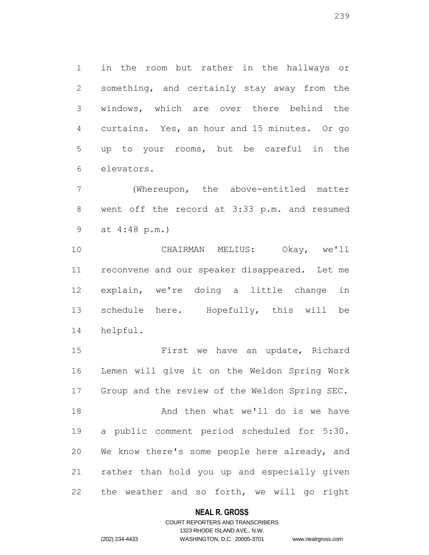in the room but rather in the hallways or something, and certainly stay away from the windows, which are over there behind the curtains. Yes, an hour and 15 minutes. Or go up to your rooms, but be careful in the elevators.

 (Whereupon, the above-entitled matter went off the record at 3:33 p.m. and resumed at 4:48 p.m.)

 CHAIRMAN MELIUS: Okay, we'll reconvene and our speaker disappeared. Let me explain, we're doing a little change in schedule here. Hopefully, this will be helpful.

 First we have an update, Richard Lemen will give it on the Weldon Spring Work Group and the review of the Weldon Spring SEC. 18 And then what we'll do is we have a public comment period scheduled for 5:30. We know there's some people here already, and rather than hold you up and especially given the weather and so forth, we will go right

### **NEAL R. GROSS**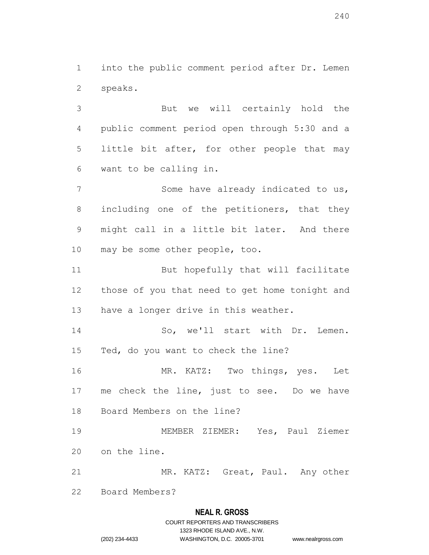into the public comment period after Dr. Lemen speaks.

 But we will certainly hold the public comment period open through 5:30 and a little bit after, for other people that may want to be calling in.

 Some have already indicated to us, including one of the petitioners, that they might call in a little bit later. And there may be some other people, too.

11 But hopefully that will facilitate those of you that need to get home tonight and have a longer drive in this weather.

14 So, we'll start with Dr. Lemen. Ted, do you want to check the line?

 MR. KATZ: Two things, yes. Let me check the line, just to see. Do we have Board Members on the line?

 MEMBER ZIEMER: Yes, Paul Ziemer on the line.

MR. KATZ: Great, Paul. Any other

Board Members?

# **NEAL R. GROSS**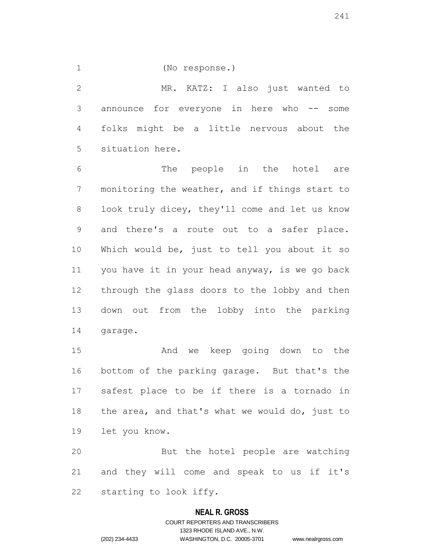(No response.)

 MR. KATZ: I also just wanted to announce for everyone in here who -- some folks might be a little nervous about the situation here.

 The people in the hotel are monitoring the weather, and if things start to look truly dicey, they'll come and let us know and there's a route out to a safer place. Which would be, just to tell you about it so you have it in your head anyway, is we go back through the glass doors to the lobby and then down out from the lobby into the parking garage.

 And we keep going down to the bottom of the parking garage. But that's the safest place to be if there is a tornado in the area, and that's what we would do, just to let you know.

 But the hotel people are watching and they will come and speak to us if it's starting to look iffy.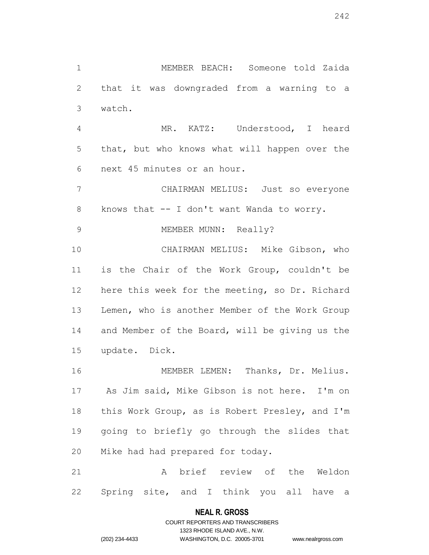MEMBER BEACH: Someone told Zaida that it was downgraded from a warning to a watch. MR. KATZ: Understood, I heard that, but who knows what will happen over the next 45 minutes or an hour.

 CHAIRMAN MELIUS: Just so everyone knows that -- I don't want Wanda to worry.

9 MEMBER MUNN: Really?

 CHAIRMAN MELIUS: Mike Gibson, who is the Chair of the Work Group, couldn't be here this week for the meeting, so Dr. Richard 13 Lemen, who is another Member of the Work Group 14 and Member of the Board, will be giving us the update. Dick.

 MEMBER LEMEN: Thanks, Dr. Melius. As Jim said, Mike Gibson is not here. I'm on this Work Group, as is Robert Presley, and I'm going to briefly go through the slides that Mike had had prepared for today.

 A brief review of the Weldon Spring site, and I think you all have a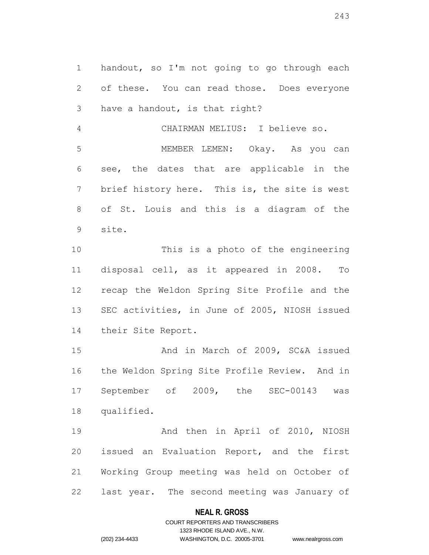handout, so I'm not going to go through each of these. You can read those. Does everyone have a handout, is that right?

 CHAIRMAN MELIUS: I believe so. MEMBER LEMEN: Okay. As you can see, the dates that are applicable in the brief history here. This is, the site is west of St. Louis and this is a diagram of the site.

 This is a photo of the engineering disposal cell, as it appeared in 2008. To recap the Weldon Spring Site Profile and the SEC activities, in June of 2005, NIOSH issued their Site Report.

 And in March of 2009, SC&A issued the Weldon Spring Site Profile Review. And in September of 2009, the SEC-00143 was qualified.

 And then in April of 2010, NIOSH issued an Evaluation Report, and the first Working Group meeting was held on October of last year. The second meeting was January of

### **NEAL R. GROSS**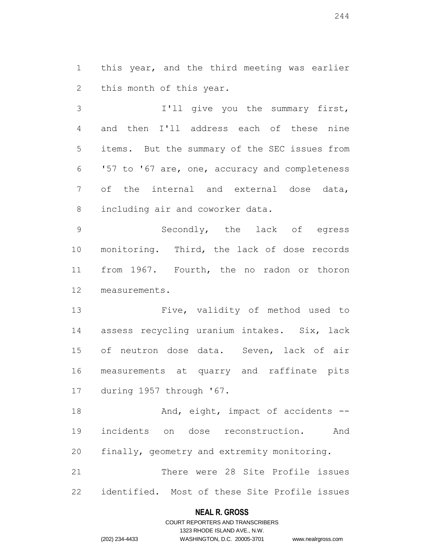this year, and the third meeting was earlier this month of this year.

 I'll give you the summary first, and then I'll address each of these nine items. But the summary of the SEC issues from '57 to '67 are, one, accuracy and completeness of the internal and external dose data, including air and coworker data.

 Secondly, the lack of egress monitoring. Third, the lack of dose records from 1967. Fourth, the no radon or thoron measurements.

 Five, validity of method used to assess recycling uranium intakes. Six, lack of neutron dose data. Seven, lack of air measurements at quarry and raffinate pits during 1957 through '67.

18 And, eight, impact of accidents -- incidents on dose reconstruction. And finally, geometry and extremity monitoring. There were 28 Site Profile issues

identified. Most of these Site Profile issues

# **NEAL R. GROSS** COURT REPORTERS AND TRANSCRIBERS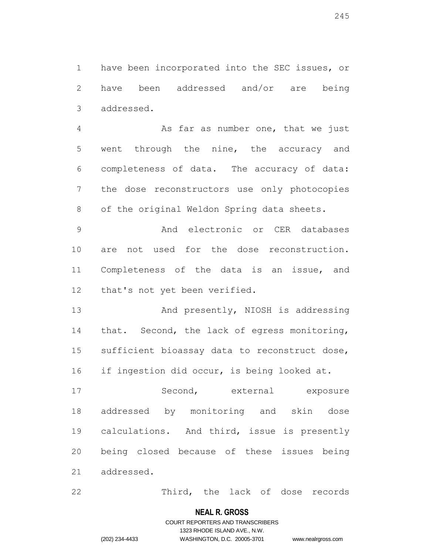have been incorporated into the SEC issues, or have been addressed and/or are being addressed.

 As far as number one, that we just went through the nine, the accuracy and completeness of data. The accuracy of data: the dose reconstructors use only photocopies of the original Weldon Spring data sheets.

 And electronic or CER databases are not used for the dose reconstruction. Completeness of the data is an issue, and that's not yet been verified.

13 And presently, NIOSH is addressing that. Second, the lack of egress monitoring, sufficient bioassay data to reconstruct dose, if ingestion did occur, is being looked at.

17 Second, external exposure addressed by monitoring and skin dose calculations. And third, issue is presently being closed because of these issues being addressed.

Third, the lack of dose records

### **NEAL R. GROSS**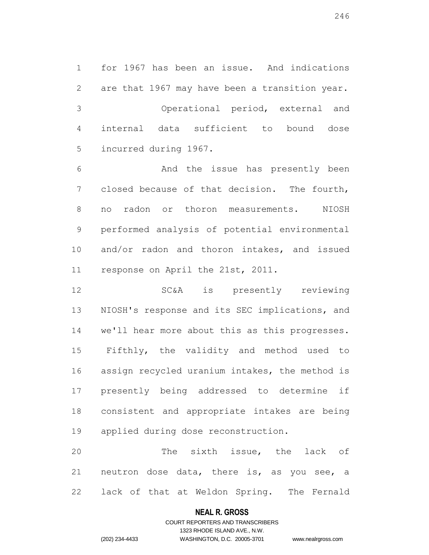for 1967 has been an issue. And indications are that 1967 may have been a transition year. Operational period, external and internal data sufficient to bound dose incurred during 1967.

 And the issue has presently been closed because of that decision. The fourth, no radon or thoron measurements. NIOSH performed analysis of potential environmental and/or radon and thoron intakes, and issued response on April the 21st, 2011.

 SC&A is presently reviewing NIOSH's response and its SEC implications, and we'll hear more about this as this progresses. Fifthly, the validity and method used to assign recycled uranium intakes, the method is presently being addressed to determine if consistent and appropriate intakes are being applied during dose reconstruction.

 The sixth issue, the lack of neutron dose data, there is, as you see, a lack of that at Weldon Spring. The Fernald

### **NEAL R. GROSS**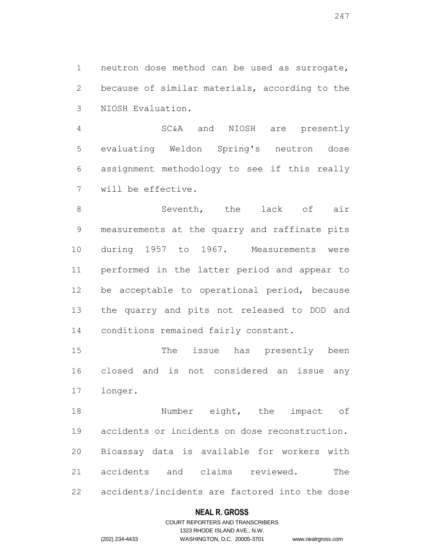neutron dose method can be used as surrogate, because of similar materials, according to the NIOSH Evaluation.

 SC&A and NIOSH are presently evaluating Weldon Spring's neutron dose assignment methodology to see if this really will be effective.

 Seventh, the lack of air measurements at the quarry and raffinate pits during 1957 to 1967. Measurements were performed in the latter period and appear to be acceptable to operational period, because the quarry and pits not released to DOD and conditions remained fairly constant.

 The issue has presently been closed and is not considered an issue any longer.

**Number** eight, the impact of accidents or incidents on dose reconstruction. Bioassay data is available for workers with accidents and claims reviewed. The accidents/incidents are factored into the dose

### **NEAL R. GROSS**

# COURT REPORTERS AND TRANSCRIBERS 1323 RHODE ISLAND AVE., N.W. (202) 234-4433 WASHINGTON, D.C. 20005-3701 www.nealrgross.com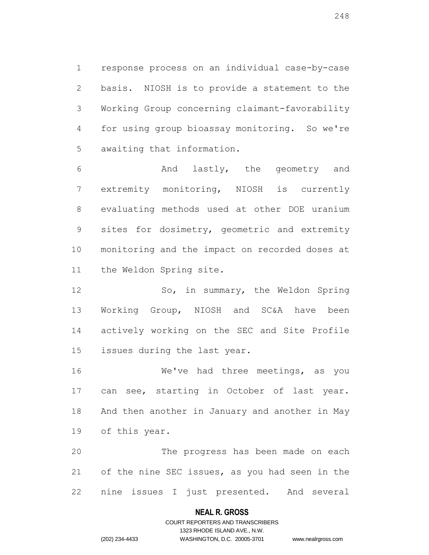response process on an individual case-by-case basis. NIOSH is to provide a statement to the Working Group concerning claimant-favorability for using group bioassay monitoring. So we're awaiting that information.

 And lastly, the geometry and extremity monitoring, NIOSH is currently evaluating methods used at other DOE uranium sites for dosimetry, geometric and extremity monitoring and the impact on recorded doses at the Weldon Spring site.

 So, in summary, the Weldon Spring Working Group, NIOSH and SC&A have been actively working on the SEC and Site Profile issues during the last year.

 We've had three meetings, as you 17 can see, starting in October of last year. And then another in January and another in May of this year.

 The progress has been made on each of the nine SEC issues, as you had seen in the nine issues I just presented. And several

### **NEAL R. GROSS**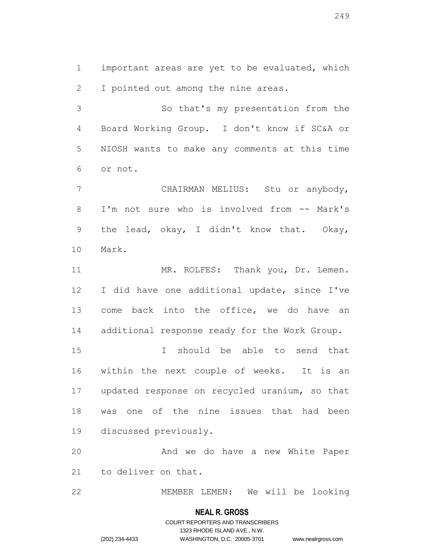important areas are yet to be evaluated, which I pointed out among the nine areas.

 So that's my presentation from the Board Working Group. I don't know if SC&A or NIOSH wants to make any comments at this time or not.

 CHAIRMAN MELIUS: Stu or anybody, I'm not sure who is involved from -- Mark's the lead, okay, I didn't know that. Okay, Mark.

11 MR. ROLFES: Thank you, Dr. Lemen. I did have one additional update, since I've 13 come back into the office, we do have an additional response ready for the Work Group.

 I should be able to send that within the next couple of weeks. It is an updated response on recycled uranium, so that was one of the nine issues that had been discussed previously.

 And we do have a new White Paper to deliver on that.

MEMBER LEMEN: We will be looking

### **NEAL R. GROSS**

# COURT REPORTERS AND TRANSCRIBERS 1323 RHODE ISLAND AVE., N.W. (202) 234-4433 WASHINGTON, D.C. 20005-3701 www.nealrgross.com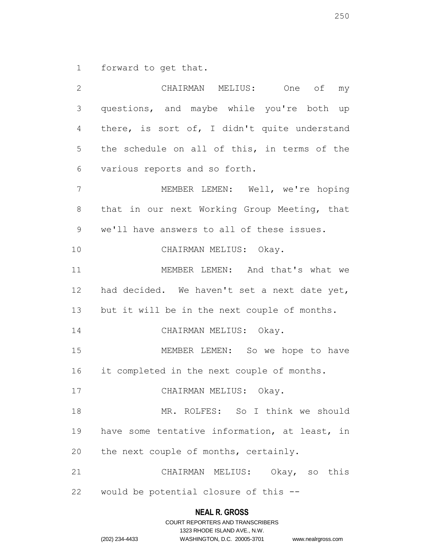forward to get that.

 CHAIRMAN MELIUS: One of my questions, and maybe while you're both up there, is sort of, I didn't quite understand the schedule on all of this, in terms of the various reports and so forth. MEMBER LEMEN: Well, we're hoping that in our next Working Group Meeting, that we'll have answers to all of these issues. CHAIRMAN MELIUS: Okay. MEMBER LEMEN: And that's what we had decided. We haven't set a next date yet, but it will be in the next couple of months. 14 CHAIRMAN MELIUS: Okay. MEMBER LEMEN: So we hope to have it completed in the next couple of months. 17 CHAIRMAN MELIUS: Okay. MR. ROLFES: So I think we should have some tentative information, at least, in the next couple of months, certainly. CHAIRMAN MELIUS: Okay, so this would be potential closure of this --

|                | COURT REPORTERS AND TRANSCRIBERS |                    |
|----------------|----------------------------------|--------------------|
|                | 1323 RHODE ISLAND AVE N.W.       |                    |
| (202) 234-4433 | WASHINGTON, D.C. 20005-3701      | www.nealrgross.com |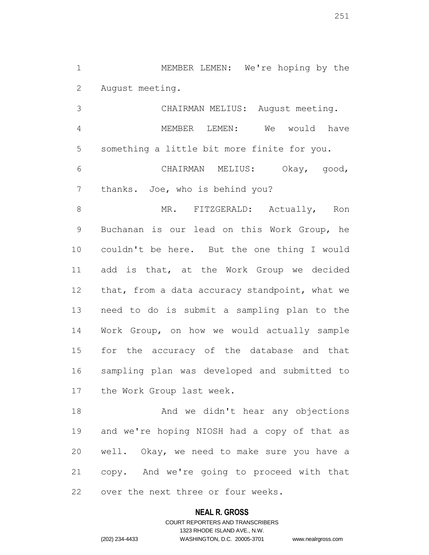MEMBER LEMEN: We're hoping by the August meeting.

 CHAIRMAN MELIUS: August meeting. MEMBER LEMEN: We would have something a little bit more finite for you. CHAIRMAN MELIUS: Okay, good, thanks. Joe, who is behind you?

8 MR. FITZGERALD: Actually, Ron Buchanan is our lead on this Work Group, he couldn't be here. But the one thing I would add is that, at the Work Group we decided 12 that, from a data accuracy standpoint, what we need to do is submit a sampling plan to the Work Group, on how we would actually sample for the accuracy of the database and that sampling plan was developed and submitted to the Work Group last week.

18 And we didn't hear any objections and we're hoping NIOSH had a copy of that as well. Okay, we need to make sure you have a copy. And we're going to proceed with that over the next three or four weeks.

### **NEAL R. GROSS**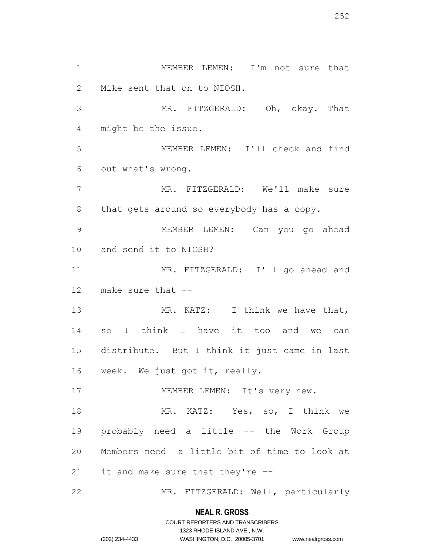1 MEMBER LEMEN: I'm not sure that Mike sent that on to NIOSH. MR. FITZGERALD: Oh, okay. That might be the issue. MEMBER LEMEN: I'll check and find out what's wrong. MR. FITZGERALD: We'll make sure 8 that gets around so everybody has a copy. MEMBER LEMEN: Can you go ahead and send it to NIOSH? MR. FITZGERALD: I'll go ahead and make sure that -- 13 MR. KATZ: I think we have that, so I think I have it too and we can distribute. But I think it just came in last week. We just got it, really. 17 MEMBER LEMEN: It's very new. 18 MR. KATZ: Yes, so, I think we probably need a little -- the Work Group Members need a little bit of time to look at it and make sure that they're -- MR. FITZGERALD: Well, particularly

### **NEAL R. GROSS**

# COURT REPORTERS AND TRANSCRIBERS 1323 RHODE ISLAND AVE., N.W. (202) 234-4433 WASHINGTON, D.C. 20005-3701 www.nealrgross.com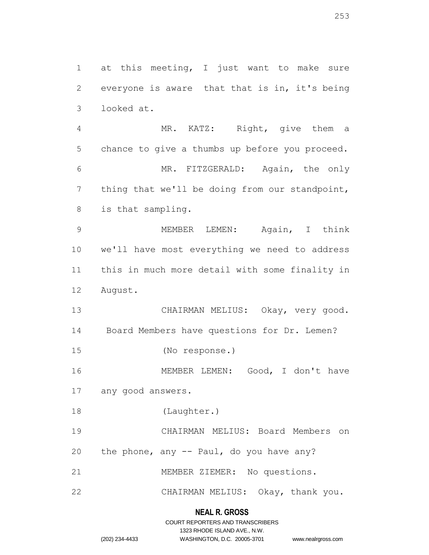1 at this meeting, I just want to make sure everyone is aware that that is in, it's being looked at. MR. KATZ: Right, give them a chance to give a thumbs up before you proceed. MR. FITZGERALD: Again, the only thing that we'll be doing from our standpoint, is that sampling. MEMBER LEMEN: Again, I think we'll have most everything we need to address this in much more detail with some finality in August. CHAIRMAN MELIUS: Okay, very good. Board Members have questions for Dr. Lemen? (No response.) MEMBER LEMEN: Good, I don't have any good answers. (Laughter.) CHAIRMAN MELIUS: Board Members on 20 the phone, any  $-$  Paul, do you have any? MEMBER ZIEMER: No questions. CHAIRMAN MELIUS: Okay, thank you.

# **NEAL R. GROSS**

|                | COURT REPORTERS AND TRANSCRIBERS |                    |
|----------------|----------------------------------|--------------------|
|                | 1323 RHODE ISLAND AVE N.W.       |                    |
| (202) 234-4433 | WASHINGTON, D.C. 20005-3701      | www.nealrgross.com |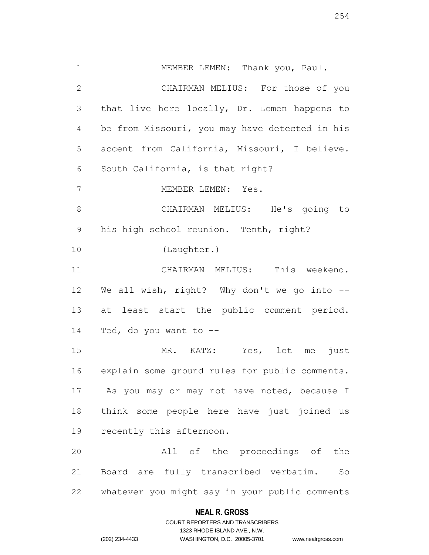MEMBER LEMEN: Thank you, Paul. CHAIRMAN MELIUS: For those of you that live here locally, Dr. Lemen happens to be from Missouri, you may have detected in his accent from California, Missouri, I believe. South California, is that right? MEMBER LEMEN: Yes. CHAIRMAN MELIUS: He's going to his high school reunion. Tenth, right? (Laughter.) CHAIRMAN MELIUS: This weekend. We all wish, right? Why don't we go into -- 13 at least start the public comment period. Ted, do you want to -- MR. KATZ: Yes, let me just explain some ground rules for public comments. As you may or may not have noted, because I think some people here have just joined us recently this afternoon. All of the proceedings of the

 Board are fully transcribed verbatim. So whatever you might say in your public comments

## **NEAL R. GROSS**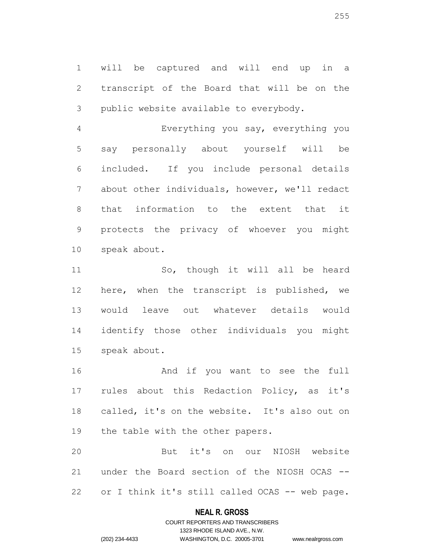will be captured and will end up in a transcript of the Board that will be on the public website available to everybody.

 Everything you say, everything you say personally about yourself will be included. If you include personal details about other individuals, however, we'll redact that information to the extent that it protects the privacy of whoever you might speak about.

 So, though it will all be heard here, when the transcript is published, we would leave out whatever details would identify those other individuals you might speak about.

 And if you want to see the full rules about this Redaction Policy, as it's called, it's on the website. It's also out on 19 the table with the other papers.

 But it's on our NIOSH website under the Board section of the NIOSH OCAS -- or I think it's still called OCAS -- web page.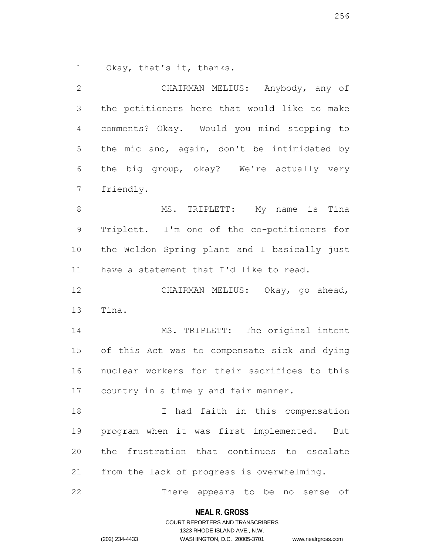Okay, that's it, thanks.

| $\mathbf{2}$   | CHAIRMAN MELIUS: Anybody, any of              |
|----------------|-----------------------------------------------|
| 3              | the petitioners here that would like to make  |
| $\overline{4}$ | comments? Okay. Would you mind stepping to    |
| 5              | the mic and, again, don't be intimidated by   |
| 6              | the big group, okay? We're actually very      |
| $\overline{7}$ | friendly.                                     |
| $8\,$          | MS. TRIPLETT: My name is<br>Tina              |
| $\mathsf 9$    | Triplett. I'm one of the co-petitioners for   |
| 10             | the Weldon Spring plant and I basically just  |
| 11             | have a statement that I'd like to read.       |
| 12             | CHAIRMAN MELIUS: Okay, go ahead,              |
| 13             | Tina.                                         |
| 14             | MS. TRIPLETT: The original intent             |
| 15             | of this Act was to compensate sick and dying  |
| 16             | nuclear workers for their sacrifices to this  |
| 17             | country in a timely and fair manner.          |
| 18             | had faith in this compensation<br>I           |
| 19             | program when it was first implemented.<br>But |
| 20             | the frustration that continues to escalate    |
| 21             | from the lack of progress is overwhelming.    |
| 22             | There appears to be<br>of<br>no sense         |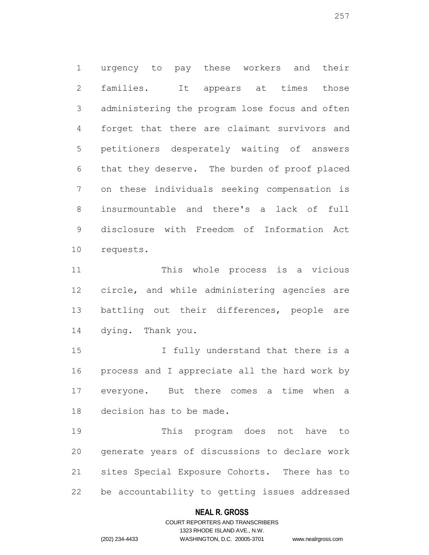urgency to pay these workers and their families. It appears at times those administering the program lose focus and often forget that there are claimant survivors and petitioners desperately waiting of answers that they deserve. The burden of proof placed on these individuals seeking compensation is insurmountable and there's a lack of full disclosure with Freedom of Information Act requests.

 This whole process is a vicious circle, and while administering agencies are 13 battling out their differences, people are dying. Thank you.

**I** fully understand that there is a process and I appreciate all the hard work by everyone. But there comes a time when a decision has to be made.

 This program does not have to generate years of discussions to declare work sites Special Exposure Cohorts. There has to be accountability to getting issues addressed

## **NEAL R. GROSS**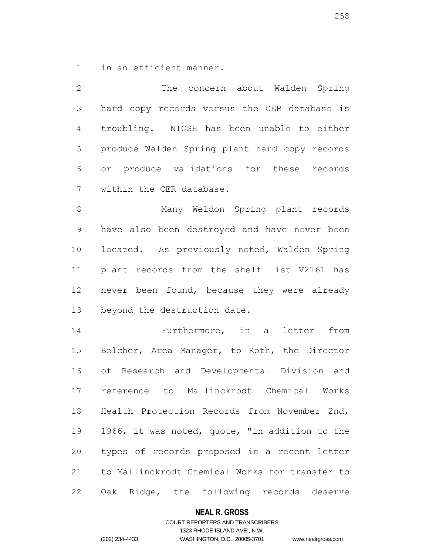in an efficient manner.

| $\mathbf{2}$   | The concern about Walden Spring                |
|----------------|------------------------------------------------|
| $\mathfrak{Z}$ | hard copy records versus the CER database is   |
| 4              | troubling. NIOSH has been unable to either     |
| 5              | produce Walden Spring plant hard copy records  |
| 6              | or produce validations for these records       |
| $\overline{7}$ | within the CER database.                       |
| $\,8\,$        | Many Weldon Spring plant records               |
| $\mathsf 9$    | have also been destroyed and have never been   |
| 10             | located. As previously noted, Walden Spring    |
| 11             | plant records from the shelf list V2161 has    |
| 12             | never been found, because they were already    |
| 13             | beyond the destruction date.                   |
| 14             | Furthermore, in a letter from                  |
| 15             | Belcher, Area Manager, to Roth, the Director   |
| 16             | of Research and Developmental Division and     |
| 17             | reference to Mallinckrodt Chemical Works       |
| 18             | Health Protection Records from November 2nd,   |
| 19             | 1966, it was noted, quote, "in addition to the |
| 20             | types of records proposed in a recent letter   |
| 21             | to Mallinckrodt Chemical Works for transfer to |

Oak Ridge, the following records deserve

## **NEAL R. GROSS**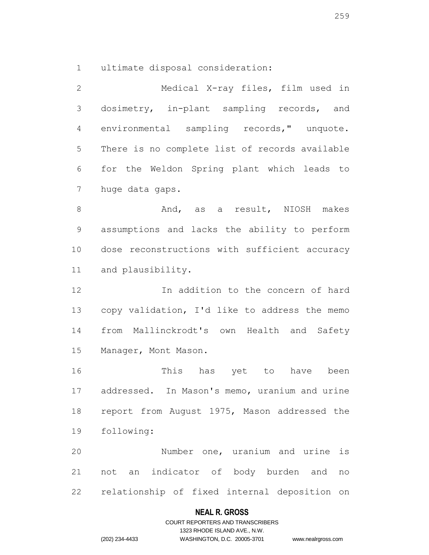ultimate disposal consideration:

 Medical X-ray files, film used in dosimetry, in-plant sampling records, and environmental sampling records," unquote. There is no complete list of records available for the Weldon Spring plant which leads to huge data gaps. 8 And, as a result, NIOSH makes assumptions and lacks the ability to perform

 dose reconstructions with sufficient accuracy and plausibility.

 In addition to the concern of hard copy validation, I'd like to address the memo from Mallinckrodt's own Health and Safety Manager, Mont Mason.

 This has yet to have been addressed. In Mason's memo, uranium and urine report from August 1975, Mason addressed the following:

 Number one, uranium and urine is not an indicator of body burden and no relationship of fixed internal deposition on

## **NEAL R. GROSS**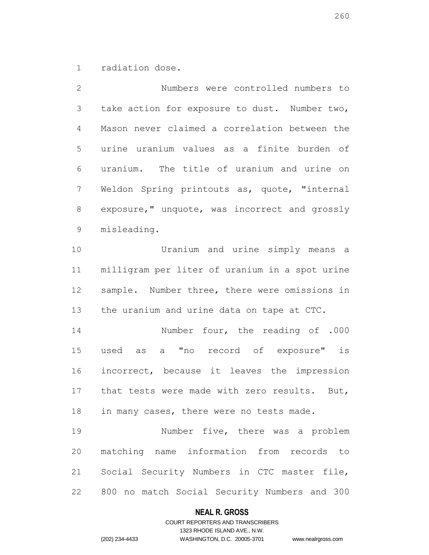radiation dose.

 Numbers were controlled numbers to take action for exposure to dust. Number two, Mason never claimed a correlation between the urine uranium values as a finite burden of uranium. The title of uranium and urine on Weldon Spring printouts as, quote, "internal exposure," unquote, was incorrect and grossly misleading. Uranium and urine simply means a milligram per liter of uranium in a spot urine sample. Number three, there were omissions in 13 the uranium and urine data on tape at CTC. Number four, the reading of .000 used as a "no record of exposure" is incorrect, because it leaves the impression that tests were made with zero results. But, 18 in many cases, there were no tests made. Number five, there was a problem matching name information from records to Social Security Numbers in CTC master file, 800 no match Social Security Numbers and 300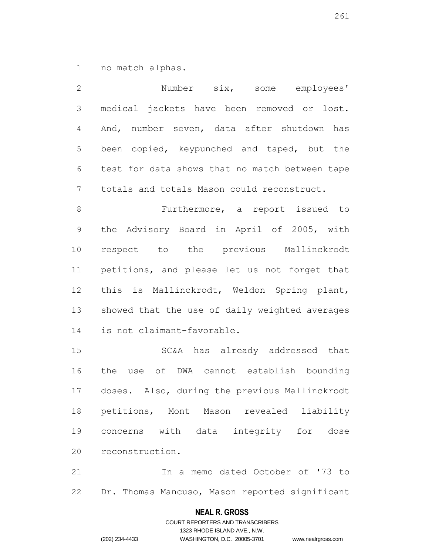no match alphas.

| $\mathbf{2}$   | Number six, some employees'                    |
|----------------|------------------------------------------------|
| $\mathfrak{Z}$ | medical jackets have been removed or lost.     |
| 4              | And, number seven, data after shutdown has     |
| 5              | been copied, keypunched and taped, but the     |
| $\sqrt{6}$     | test for data shows that no match between tape |
| 7              | totals and totals Mason could reconstruct.     |
| $\,8\,$        | Furthermore, a report issued to                |
| $\mathsf 9$    | the Advisory Board in April of 2005, with      |
| 10             | respect to the previous Mallinckrodt           |
| 11             | petitions, and please let us not forget that   |
| 12             | this is Mallinckrodt, Weldon Spring plant,     |
| 13             | showed that the use of daily weighted averages |
| 14             | is not claimant-favorable.                     |
| 15             | SC&A has already addressed that                |
| 16             | use of DWA cannot establish bounding<br>the    |

 In a memo dated October of '73 to Dr. Thomas Mancuso, Mason reported significant

doses. Also, during the previous Mallinckrodt

petitions, Mont Mason revealed liability

concerns with data integrity for dose

## **NEAL R. GROSS**

COURT REPORTERS AND TRANSCRIBERS 1323 RHODE ISLAND AVE., N.W. (202) 234-4433 WASHINGTON, D.C. 20005-3701 www.nealrgross.com

reconstruction.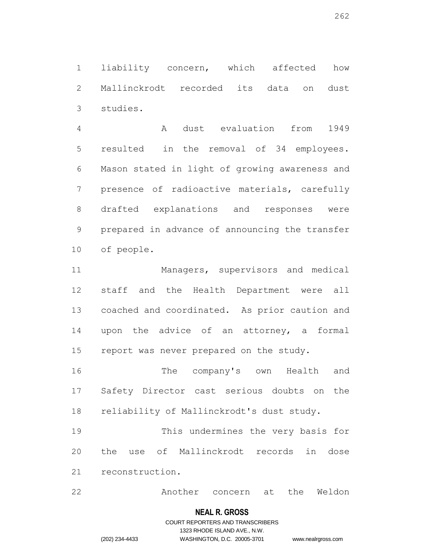liability concern, which affected how Mallinckrodt recorded its data on dust studies.

 A dust evaluation from 1949 resulted in the removal of 34 employees. Mason stated in light of growing awareness and presence of radioactive materials, carefully drafted explanations and responses were prepared in advance of announcing the transfer of people.

 Managers, supervisors and medical staff and the Health Department were all coached and coordinated. As prior caution and upon the advice of an attorney, a formal 15 report was never prepared on the study.

 The company's own Health and Safety Director cast serious doubts on the reliability of Mallinckrodt's dust study.

 This undermines the very basis for the use of Mallinckrodt records in dose reconstruction.

Another concern at the Weldon

#### **NEAL R. GROSS**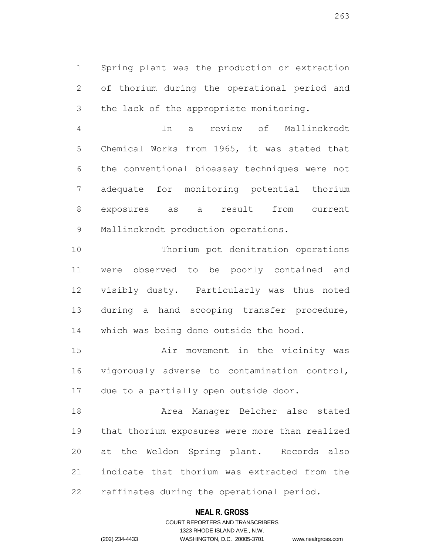Spring plant was the production or extraction of thorium during the operational period and the lack of the appropriate monitoring.

 In a review of Mallinckrodt Chemical Works from 1965, it was stated that the conventional bioassay techniques were not adequate for monitoring potential thorium exposures as a result from current Mallinckrodt production operations.

 Thorium pot denitration operations were observed to be poorly contained and visibly dusty. Particularly was thus noted during a hand scooping transfer procedure, which was being done outside the hood.

 Air movement in the vicinity was vigorously adverse to contamination control, due to a partially open outside door.

 Area Manager Belcher also stated that thorium exposures were more than realized at the Weldon Spring plant. Records also indicate that thorium was extracted from the raffinates during the operational period.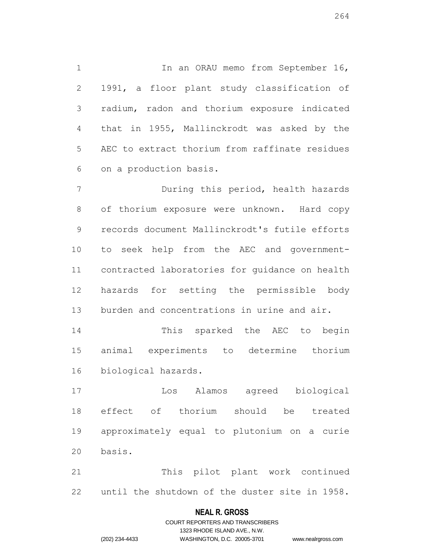1 In an ORAU memo from September 16, 1991, a floor plant study classification of radium, radon and thorium exposure indicated that in 1955, Mallinckrodt was asked by the AEC to extract thorium from raffinate residues on a production basis.

 During this period, health hazards of thorium exposure were unknown. Hard copy records document Mallinckrodt's futile efforts to seek help from the AEC and government- contracted laboratories for guidance on health hazards for setting the permissible body burden and concentrations in urine and air.

 This sparked the AEC to begin animal experiments to determine thorium biological hazards.

 Los Alamos agreed biological effect of thorium should be treated approximately equal to plutonium on a curie basis.

 This pilot plant work continued until the shutdown of the duster site in 1958.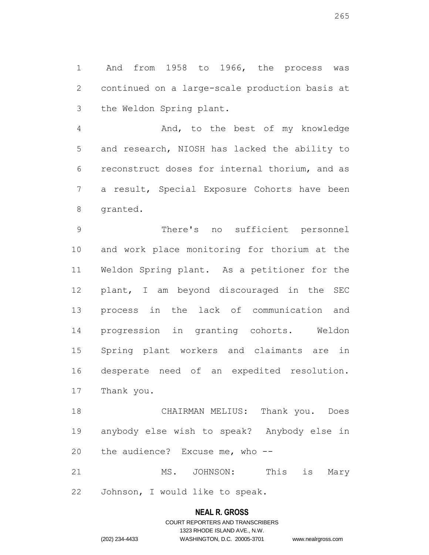And from 1958 to 1966, the process was continued on a large-scale production basis at the Weldon Spring plant.

 And, to the best of my knowledge and research, NIOSH has lacked the ability to reconstruct doses for internal thorium, and as a result, Special Exposure Cohorts have been granted.

 There's no sufficient personnel and work place monitoring for thorium at the Weldon Spring plant. As a petitioner for the plant, I am beyond discouraged in the SEC process in the lack of communication and progression in granting cohorts. Weldon Spring plant workers and claimants are in desperate need of an expedited resolution. Thank you.

 CHAIRMAN MELIUS: Thank you. Does anybody else wish to speak? Anybody else in the audience? Excuse me, who --

21 MS. JOHNSON: This is Mary Johnson, I would like to speak.

## **NEAL R. GROSS**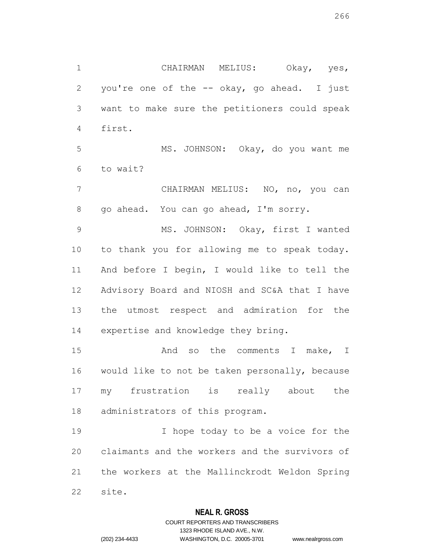CHAIRMAN MELIUS: Okay, yes, you're one of the -- okay, go ahead. I just want to make sure the petitioners could speak first. MS. JOHNSON: Okay, do you want me

to wait?

 CHAIRMAN MELIUS: NO, no, you can go ahead. You can go ahead, I'm sorry.

 MS. JOHNSON: Okay, first I wanted to thank you for allowing me to speak today. And before I begin, I would like to tell the Advisory Board and NIOSH and SC&A that I have the utmost respect and admiration for the expertise and knowledge they bring.

15 And so the comments I make, I would like to not be taken personally, because my frustration is really about the administrators of this program.

 I hope today to be a voice for the claimants and the workers and the survivors of the workers at the Mallinckrodt Weldon Spring site.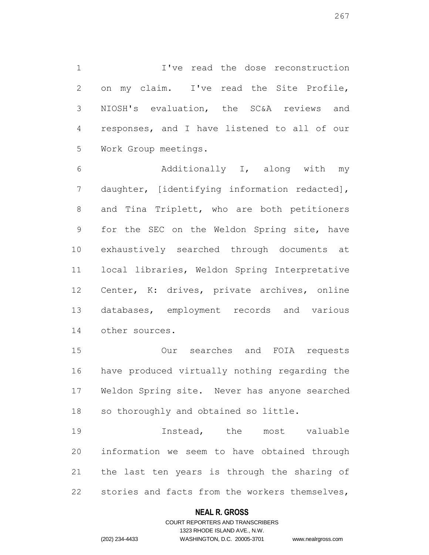I've read the dose reconstruction on my claim. I've read the Site Profile, NIOSH's evaluation, the SC&A reviews and responses, and I have listened to all of our Work Group meetings.

 Additionally I, along with my daughter, [identifying information redacted], and Tina Triplett, who are both petitioners for the SEC on the Weldon Spring site, have exhaustively searched through documents at local libraries, Weldon Spring Interpretative Center, K: drives, private archives, online databases, employment records and various other sources.

 Our searches and FOIA requests have produced virtually nothing regarding the Weldon Spring site. Never has anyone searched so thoroughly and obtained so little.

19 19 Instead, the most valuable information we seem to have obtained through the last ten years is through the sharing of stories and facts from the workers themselves,

## **NEAL R. GROSS**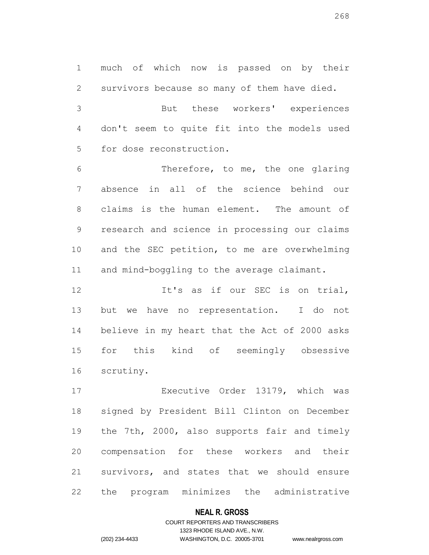much of which now is passed on by their survivors because so many of them have died. But these workers' experiences don't seem to quite fit into the models used

for dose reconstruction.

 Therefore, to me, the one glaring absence in all of the science behind our claims is the human element. The amount of research and science in processing our claims and the SEC petition, to me are overwhelming 11 and mind-boggling to the average claimant.

12 It's as if our SEC is on trial, but we have no representation. I do not believe in my heart that the Act of 2000 asks for this kind of seemingly obsessive scrutiny.

 Executive Order 13179, which was signed by President Bill Clinton on December the 7th, 2000, also supports fair and timely compensation for these workers and their survivors, and states that we should ensure the program minimizes the administrative

## **NEAL R. GROSS**

## COURT REPORTERS AND TRANSCRIBERS 1323 RHODE ISLAND AVE., N.W. (202) 234-4433 WASHINGTON, D.C. 20005-3701 www.nealrgross.com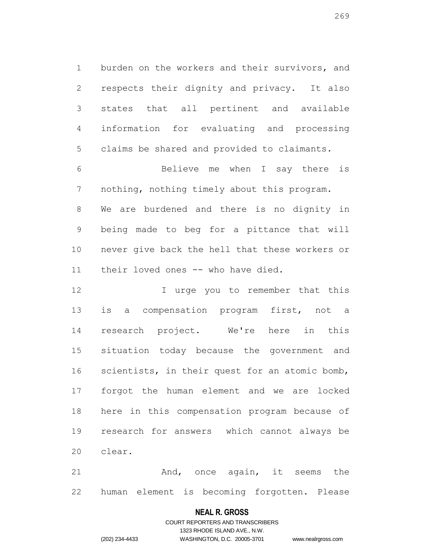burden on the workers and their survivors, and respects their dignity and privacy. It also states that all pertinent and available information for evaluating and processing claims be shared and provided to claimants.

 Believe me when I say there is nothing, nothing timely about this program. We are burdened and there is no dignity in being made to beg for a pittance that will never give back the hell that these workers or their loved ones -- who have died.

12 12 I urge you to remember that this is a compensation program first, not a research project. We're here in this situation today because the government and scientists, in their quest for an atomic bomb, forgot the human element and we are locked here in this compensation program because of research for answers which cannot always be clear.

21 And, once again, it seems the human element is becoming forgotten. Please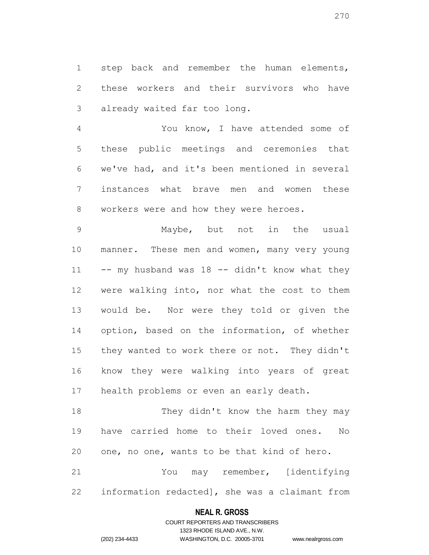step back and remember the human elements, these workers and their survivors who have already waited far too long.

 You know, I have attended some of these public meetings and ceremonies that we've had, and it's been mentioned in several instances what brave men and women these workers were and how they were heroes.

 Maybe, but not in the usual manner. These men and women, many very young  $-$ - my husband was 18  $-$ - didn't know what they were walking into, nor what the cost to them would be. Nor were they told or given the option, based on the information, of whether they wanted to work there or not. They didn't know they were walking into years of great health problems or even an early death.

18 They didn't know the harm they may have carried home to their loved ones. No one, no one, wants to be that kind of hero. You may remember, [identifying

information redacted], she was a claimant from

## **NEAL R. GROSS**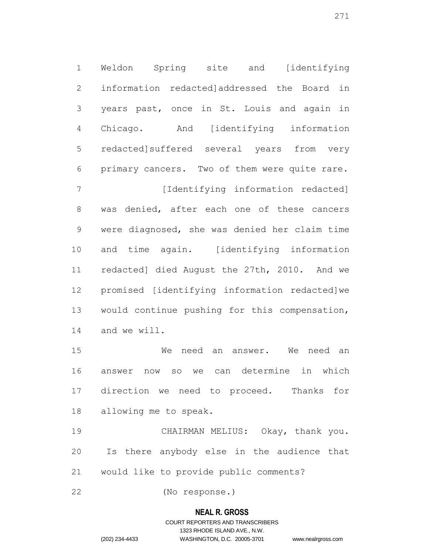Weldon Spring site and [identifying information redacted]addressed the Board in years past, once in St. Louis and again in Chicago. And [identifying information redacted]suffered several years from very primary cancers. Two of them were quite rare. 7 [Identifying information redacted] was denied, after each one of these cancers were diagnosed, she was denied her claim time and time again. [identifying information redacted] died August the 27th, 2010. And we

 would continue pushing for this compensation, and we will.

promised [identifying information redacted]we

 We need an answer. We need an answer now so we can determine in which direction we need to proceed. Thanks for allowing me to speak.

 CHAIRMAN MELIUS: Okay, thank you. Is there anybody else in the audience that would like to provide public comments?

(No response.)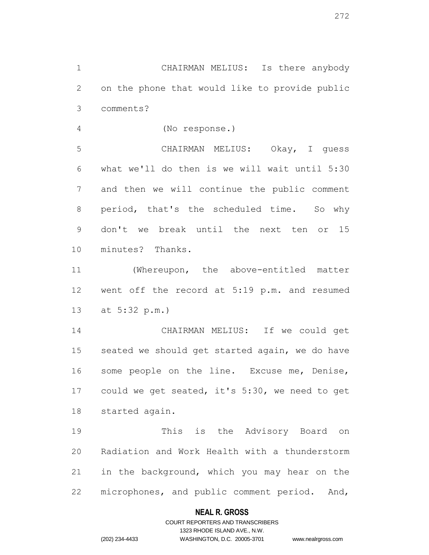CHAIRMAN MELIUS: Is there anybody on the phone that would like to provide public comments?

(No response.)

 CHAIRMAN MELIUS: Okay, I guess what we'll do then is we will wait until 5:30 and then we will continue the public comment 8 period, that's the scheduled time. So why don't we break until the next ten or 15 minutes? Thanks.

 (Whereupon, the above-entitled matter went off the record at 5:19 p.m. and resumed at 5:32 p.m.)

 CHAIRMAN MELIUS: If we could get seated we should get started again, we do have some people on the line. Excuse me, Denise, could we get seated, it's 5:30, we need to get started again.

 This is the Advisory Board on Radiation and Work Health with a thunderstorm in the background, which you may hear on the microphones, and public comment period. And,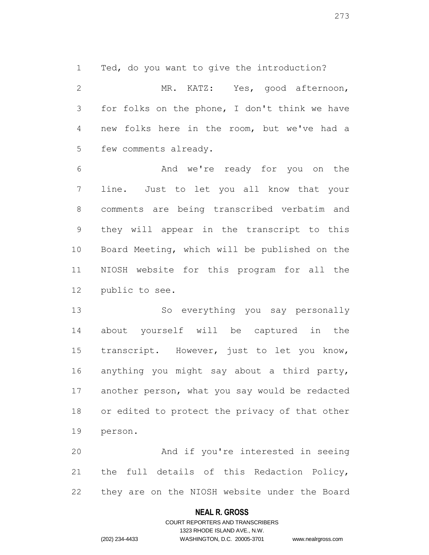Ted, do you want to give the introduction?

 MR. KATZ: Yes, good afternoon, for folks on the phone, I don't think we have new folks here in the room, but we've had a few comments already.

 And we're ready for you on the line. Just to let you all know that your comments are being transcribed verbatim and they will appear in the transcript to this Board Meeting, which will be published on the NIOSH website for this program for all the public to see.

 So everything you say personally about yourself will be captured in the transcript. However, just to let you know, anything you might say about a third party, another person, what you say would be redacted or edited to protect the privacy of that other person.

 And if you're interested in seeing the full details of this Redaction Policy, they are on the NIOSH website under the Board

## **NEAL R. GROSS**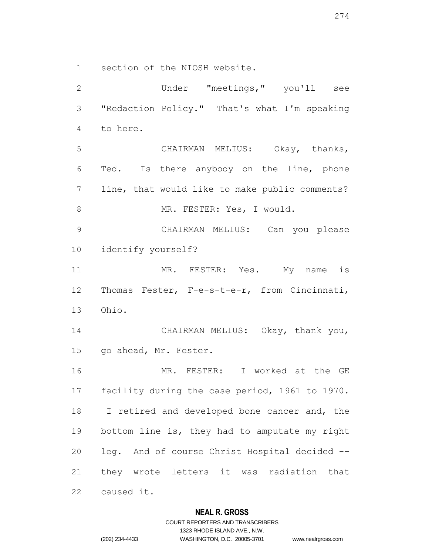section of the NIOSH website.

 Under "meetings," you'll see "Redaction Policy." That's what I'm speaking to here. CHAIRMAN MELIUS: Okay, thanks, Ted. Is there anybody on the line, phone line, that would like to make public comments? 8 MR. FESTER: Yes, I would. CHAIRMAN MELIUS: Can you please identify yourself? 11 MR. FESTER: Yes. My name is Thomas Fester, F-e-s-t-e-r, from Cincinnati, Ohio. CHAIRMAN MELIUS: Okay, thank you, go ahead, Mr. Fester. MR. FESTER: I worked at the GE facility during the case period, 1961 to 1970. I retired and developed bone cancer and, the bottom line is, they had to amputate my right leg. And of course Christ Hospital decided -- they wrote letters it was radiation that caused it.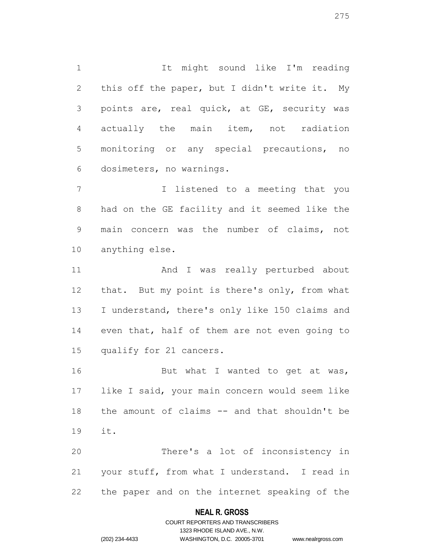It might sound like I'm reading 2 this off the paper, but I didn't write it. My points are, real quick, at GE, security was actually the main item, not radiation monitoring or any special precautions, no dosimeters, no warnings.

 I listened to a meeting that you had on the GE facility and it seemed like the main concern was the number of claims, not anything else.

 And I was really perturbed about that. But my point is there's only, from what I understand, there's only like 150 claims and 14 even that, half of them are not even going to qualify for 21 cancers.

16 But what I wanted to get at was, like I said, your main concern would seem like the amount of claims -- and that shouldn't be it.

 There's a lot of inconsistency in your stuff, from what I understand. I read in the paper and on the internet speaking of the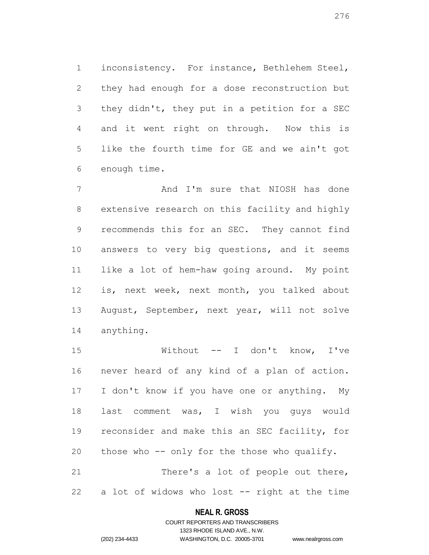inconsistency. For instance, Bethlehem Steel, they had enough for a dose reconstruction but they didn't, they put in a petition for a SEC and it went right on through. Now this is like the fourth time for GE and we ain't got enough time.

7 And I'm sure that NIOSH has done extensive research on this facility and highly recommends this for an SEC. They cannot find answers to very big questions, and it seems like a lot of hem-haw going around. My point is, next week, next month, you talked about August, September, next year, will not solve anything.

 Without -- I don't know, I've never heard of any kind of a plan of action. I don't know if you have one or anything. My last comment was, I wish you guys would reconsider and make this an SEC facility, for those who -- only for the those who qualify. There's a lot of people out there,

a lot of widows who lost -- right at the time

#### **NEAL R. GROSS**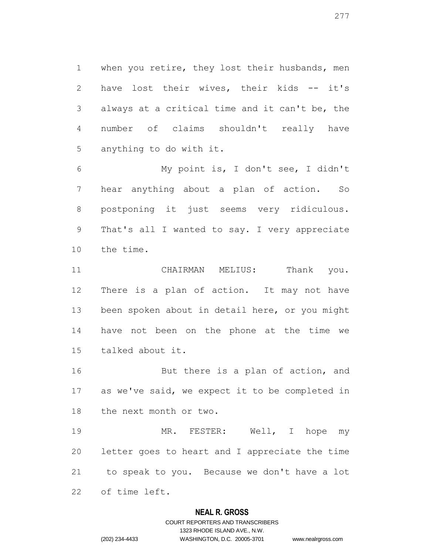when you retire, they lost their husbands, men have lost their wives, their kids -- it's always at a critical time and it can't be, the number of claims shouldn't really have anything to do with it.

 My point is, I don't see, I didn't hear anything about a plan of action. So postponing it just seems very ridiculous. That's all I wanted to say. I very appreciate the time.

11 CHAIRMAN MELIUS: Thank you. There is a plan of action. It may not have been spoken about in detail here, or you might have not been on the phone at the time we talked about it.

16 But there is a plan of action, and as we've said, we expect it to be completed in the next month or two.

 MR. FESTER: Well, I hope my letter goes to heart and I appreciate the time to speak to you. Because we don't have a lot of time left.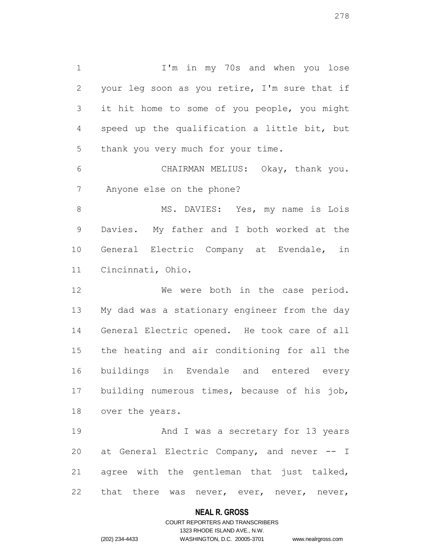1 I'm in my 70s and when you lose your leg soon as you retire, I'm sure that if it hit home to some of you people, you might speed up the qualification a little bit, but thank you very much for your time.

 CHAIRMAN MELIUS: Okay, thank you. Anyone else on the phone?

8 MS. DAVIES: Yes, my name is Lois Davies. My father and I both worked at the General Electric Company at Evendale, in Cincinnati, Ohio.

12 We were both in the case period. My dad was a stationary engineer from the day General Electric opened. He took care of all the heating and air conditioning for all the buildings in Evendale and entered every building numerous times, because of his job, over the years.

 And I was a secretary for 13 years at General Electric Company, and never -- I agree with the gentleman that just talked, 22 that there was never, ever, never, never,

## **NEAL R. GROSS**

## COURT REPORTERS AND TRANSCRIBERS 1323 RHODE ISLAND AVE., N.W. (202) 234-4433 WASHINGTON, D.C. 20005-3701 www.nealrgross.com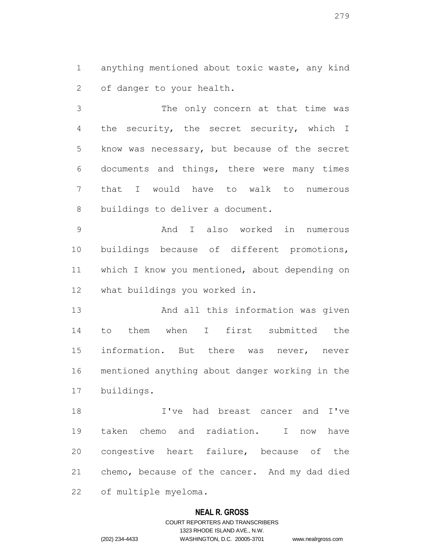anything mentioned about toxic waste, any kind of danger to your health.

 The only concern at that time was the security, the secret security, which I know was necessary, but because of the secret documents and things, there were many times that I would have to walk to numerous buildings to deliver a document.

 And I also worked in numerous buildings because of different promotions, which I know you mentioned, about depending on what buildings you worked in.

 And all this information was given to them when I first submitted the information. But there was never, never mentioned anything about danger working in the buildings.

 I've had breast cancer and I've taken chemo and radiation. I now have congestive heart failure, because of the chemo, because of the cancer. And my dad died of multiple myeloma.

## **NEAL R. GROSS**

# COURT REPORTERS AND TRANSCRIBERS 1323 RHODE ISLAND AVE., N.W. (202) 234-4433 WASHINGTON, D.C. 20005-3701 www.nealrgross.com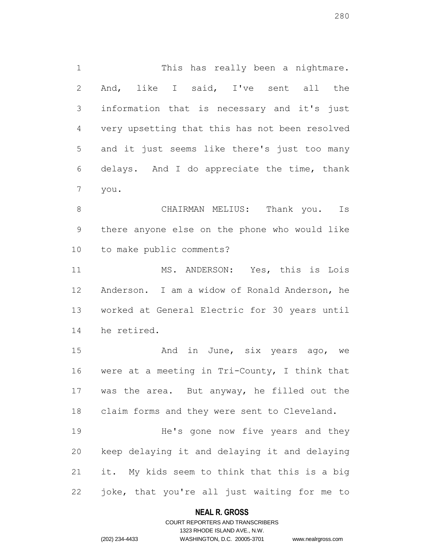1 This has really been a nightmare. And, like I said, I've sent all the information that is necessary and it's just very upsetting that this has not been resolved and it just seems like there's just too many delays. And I do appreciate the time, thank you.

 CHAIRMAN MELIUS: Thank you. Is there anyone else on the phone who would like to make public comments?

 MS. ANDERSON: Yes, this is Lois Anderson. I am a widow of Ronald Anderson, he worked at General Electric for 30 years until he retired.

15 And in June, six years ago, we were at a meeting in Tri-County, I think that was the area. But anyway, he filled out the claim forms and they were sent to Cleveland.

 He's gone now five years and they keep delaying it and delaying it and delaying it. My kids seem to think that this is a big joke, that you're all just waiting for me to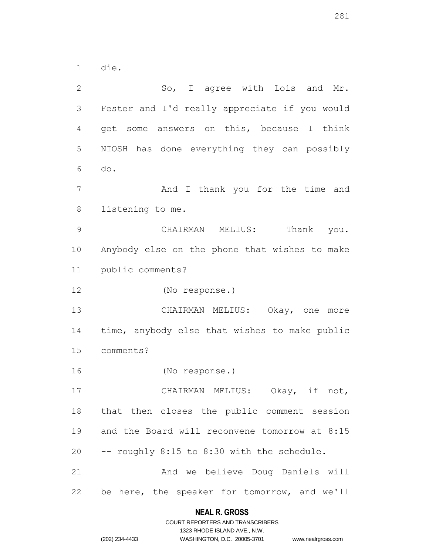die.

2 So, I agree with Lois and Mr. Fester and I'd really appreciate if you would get some answers on this, because I think NIOSH has done everything they can possibly do. 7 And I thank you for the time and listening to me. CHAIRMAN MELIUS: Thank you. Anybody else on the phone that wishes to make public comments? (No response.) CHAIRMAN MELIUS: Okay, one more time, anybody else that wishes to make public comments? (No response.) CHAIRMAN MELIUS: Okay, if not, that then closes the public comment session and the Board will reconvene tomorrow at 8:15 -- roughly 8:15 to 8:30 with the schedule. And we believe Doug Daniels will be here, the speaker for tomorrow, and we'll

## **NEAL R. GROSS**

|                | COURT REPORTERS AND TRANSCRIBERS |
|----------------|----------------------------------|
|                | 1323 RHODE ISLAND AVE., N.W.     |
| (202) 234-4433 | WASHINGTON, D.C. 20005-3701      |

D.C. 20005-3701 www.nealrgross.com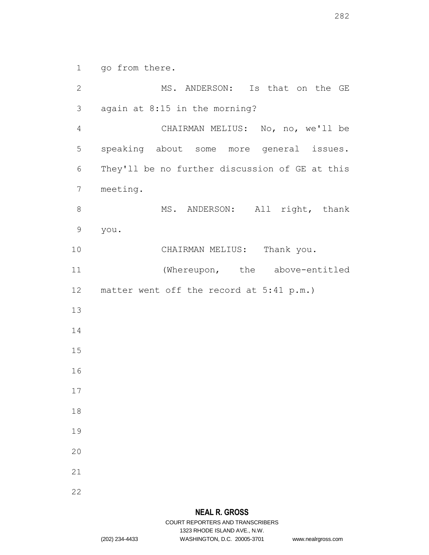go from there.

2 MS. ANDERSON: Is that on the GE again at 8:15 in the morning? CHAIRMAN MELIUS: No, no, we'll be speaking about some more general issues. They'll be no further discussion of GE at this meeting. 8 MS. ANDERSON: All right, thank you. 10 CHAIRMAN MELIUS: Thank you. (Whereupon, the above-entitled matter went off the record at 5:41 p.m.)